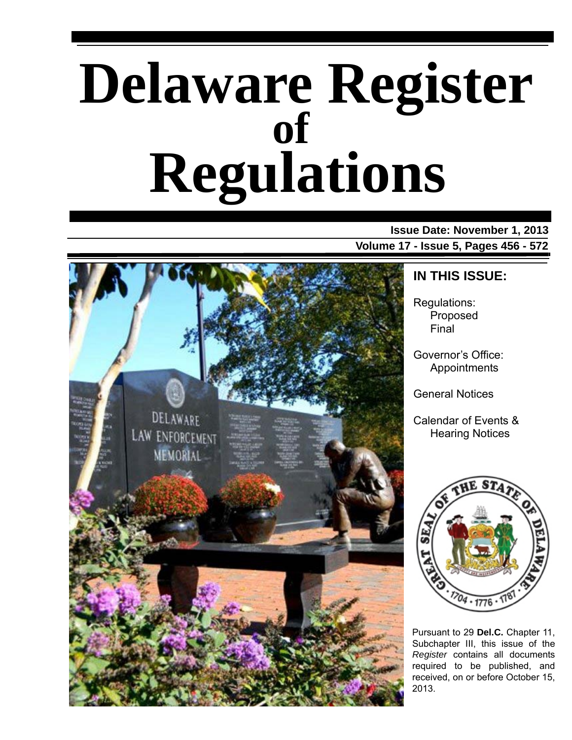# **Delaware Register Regulations of**

### **Issue Date: November 1, 2013 Volume 17 - Issue 5, Pages 456 - 572**



## **IN THIS ISSUE:**

Regulations: Proposed Final

Governor's Office: Appointments

General Notices

Calendar of Events & Hearing Notices



Pursuant to 29 **Del.C.** Chapter 11, Subchapter III, this issue of the *Register* contains all documents required to be published, and received, on or before October 15, 2013.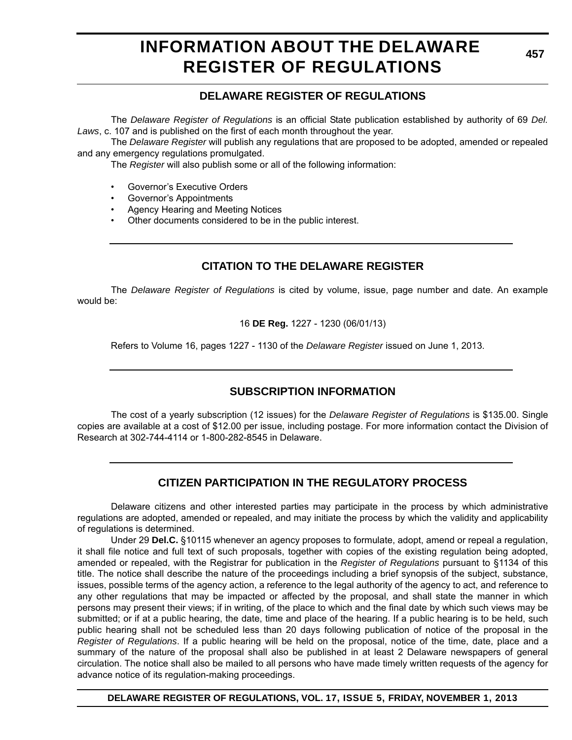# **INFORMATION ABOUT THE DELAWARE REGISTER OF REGULATIONS**

**457**

### **DELAWARE REGISTER OF REGULATIONS**

The *Delaware Register of Regulations* is an official State publication established by authority of 69 *Del. Laws*, c. 107 and is published on the first of each month throughout the year.

The *Delaware Register* will publish any regulations that are proposed to be adopted, amended or repealed and any emergency regulations promulgated.

The *Register* will also publish some or all of the following information:

- Governor's Executive Orders
- Governor's Appointments
- Agency Hearing and Meeting Notices
- Other documents considered to be in the public interest.

### **CITATION TO THE DELAWARE REGISTER**

The *Delaware Register of Regulations* is cited by volume, issue, page number and date. An example would be:

16 **DE Reg.** 1227 - 1230 (06/01/13)

Refers to Volume 16, pages 1227 - 1130 of the *Delaware Register* issued on June 1, 2013.

### **SUBSCRIPTION INFORMATION**

The cost of a yearly subscription (12 issues) for the *Delaware Register of Regulations* is \$135.00. Single copies are available at a cost of \$12.00 per issue, including postage. For more information contact the Division of Research at 302-744-4114 or 1-800-282-8545 in Delaware.

### **CITIZEN PARTICIPATION IN THE REGULATORY PROCESS**

Delaware citizens and other interested parties may participate in the process by which administrative regulations are adopted, amended or repealed, and may initiate the process by which the validity and applicability of regulations is determined.

Under 29 **Del.C.** §10115 whenever an agency proposes to formulate, adopt, amend or repeal a regulation, it shall file notice and full text of such proposals, together with copies of the existing regulation being adopted, amended or repealed, with the Registrar for publication in the *Register of Regulations* pursuant to §1134 of this title. The notice shall describe the nature of the proceedings including a brief synopsis of the subject, substance, issues, possible terms of the agency action, a reference to the legal authority of the agency to act, and reference to any other regulations that may be impacted or affected by the proposal, and shall state the manner in which persons may present their views; if in writing, of the place to which and the final date by which such views may be submitted; or if at a public hearing, the date, time and place of the hearing. If a public hearing is to be held, such public hearing shall not be scheduled less than 20 days following publication of notice of the proposal in the *Register of Regulations*. If a public hearing will be held on the proposal, notice of the time, date, place and a summary of the nature of the proposal shall also be published in at least 2 Delaware newspapers of general circulation. The notice shall also be mailed to all persons who have made timely written requests of the agency for advance notice of its regulation-making proceedings.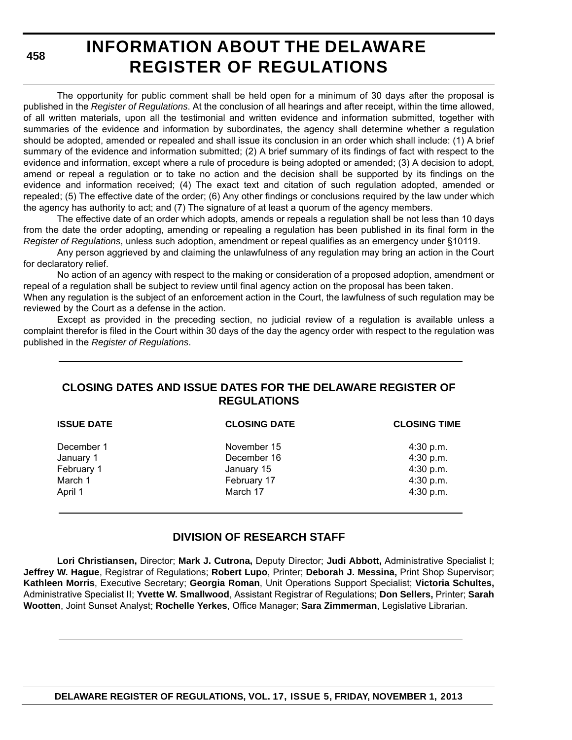**458**

# **INFORMATION ABOUT THE DELAWARE REGISTER OF REGULATIONS**

The opportunity for public comment shall be held open for a minimum of 30 days after the proposal is published in the *Register of Regulations*. At the conclusion of all hearings and after receipt, within the time allowed, of all written materials, upon all the testimonial and written evidence and information submitted, together with summaries of the evidence and information by subordinates, the agency shall determine whether a regulation should be adopted, amended or repealed and shall issue its conclusion in an order which shall include: (1) A brief summary of the evidence and information submitted; (2) A brief summary of its findings of fact with respect to the evidence and information, except where a rule of procedure is being adopted or amended; (3) A decision to adopt, amend or repeal a regulation or to take no action and the decision shall be supported by its findings on the evidence and information received; (4) The exact text and citation of such regulation adopted, amended or repealed; (5) The effective date of the order; (6) Any other findings or conclusions required by the law under which the agency has authority to act; and (7) The signature of at least a quorum of the agency members.

The effective date of an order which adopts, amends or repeals a regulation shall be not less than 10 days from the date the order adopting, amending or repealing a regulation has been published in its final form in the *Register of Regulations*, unless such adoption, amendment or repeal qualifies as an emergency under §10119.

Any person aggrieved by and claiming the unlawfulness of any regulation may bring an action in the Court for declaratory relief.

No action of an agency with respect to the making or consideration of a proposed adoption, amendment or repeal of a regulation shall be subject to review until final agency action on the proposal has been taken.

When any regulation is the subject of an enforcement action in the Court, the lawfulness of such regulation may be reviewed by the Court as a defense in the action.

Except as provided in the preceding section, no judicial review of a regulation is available unless a complaint therefor is filed in the Court within 30 days of the day the agency order with respect to the regulation was published in the *Register of Regulations*.

### **CLOSING DATES AND ISSUE DATES FOR THE DELAWARE REGISTER OF REGULATIONS**

| <b>ISSUE DATE</b> | <b>CLOSING DATE</b> | <b>CLOSING TIME</b> |
|-------------------|---------------------|---------------------|
| December 1        | November 15         | $4:30$ p.m.         |
| January 1         | December 16         | 4:30 p.m.           |
| February 1        | January 15          | 4:30 p.m.           |
| March 1           | February 17         | 4:30 p.m.           |
| April 1           | March 17            | 4:30 p.m.           |
|                   |                     |                     |

### **DIVISION OF RESEARCH STAFF**

**Lori Christiansen,** Director; **Mark J. Cutrona,** Deputy Director; **Judi Abbott,** Administrative Specialist I; **Jeffrey W. Hague**, Registrar of Regulations; **Robert Lupo**, Printer; **Deborah J. Messina,** Print Shop Supervisor; **Kathleen Morris**, Executive Secretary; **Georgia Roman**, Unit Operations Support Specialist; **Victoria Schultes,** Administrative Specialist II; **Yvette W. Smallwood**, Assistant Registrar of Regulations; **Don Sellers,** Printer; **Sarah Wootten**, Joint Sunset Analyst; **Rochelle Yerkes**, Office Manager; **Sara Zimmerman**, Legislative Librarian.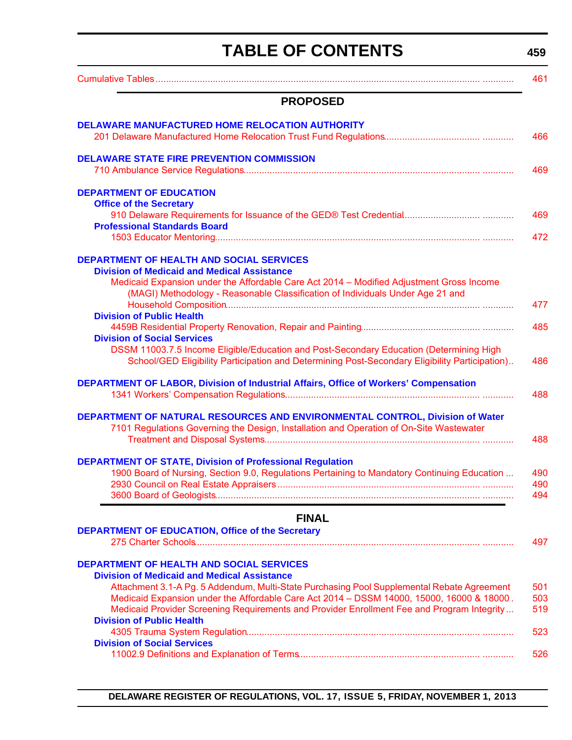# **TABLE OF CONTENTS**

**459**

<span id="page-3-0"></span>

|                                                                                                                                                                                                                                                                                       | 461               |
|---------------------------------------------------------------------------------------------------------------------------------------------------------------------------------------------------------------------------------------------------------------------------------------|-------------------|
| <b>PROPOSED</b>                                                                                                                                                                                                                                                                       |                   |
| <b>DELAWARE MANUFACTURED HOME RELOCATION AUTHORITY</b>                                                                                                                                                                                                                                | 466               |
| <b>DELAWARE STATE FIRE PREVENTION COMMISSION</b>                                                                                                                                                                                                                                      | 469               |
| <b>DEPARTMENT OF EDUCATION</b><br><b>Office of the Secretary</b>                                                                                                                                                                                                                      |                   |
| <b>Professional Standards Board</b>                                                                                                                                                                                                                                                   | 469<br>472        |
| <b>DEPARTMENT OF HEALTH AND SOCIAL SERVICES</b><br><b>Division of Medicaid and Medical Assistance</b>                                                                                                                                                                                 |                   |
| Medicaid Expansion under the Affordable Care Act 2014 - Modified Adjustment Gross Income<br>(MAGI) Methodology - Reasonable Classification of Individuals Under Age 21 and                                                                                                            | 477               |
| <b>Division of Public Health</b>                                                                                                                                                                                                                                                      | 485               |
| <b>Division of Social Services</b><br>DSSM 11003.7.5 Income Eligible/Education and Post-Secondary Education (Determining High<br>School/GED Eligibility Participation and Determining Post-Secondary Eligibility Participation)                                                       | 486               |
| <b>DEPARTMENT OF LABOR, Division of Industrial Affairs, Office of Workers' Compensation</b>                                                                                                                                                                                           | 488               |
| DEPARTMENT OF NATURAL RESOURCES AND ENVIRONMENTAL CONTROL, Division of Water<br>7101 Regulations Governing the Design, Installation and Operation of On-Site Wastewater                                                                                                               | 488               |
| <b>DEPARTMENT OF STATE, Division of Professional Regulation</b><br>1900 Board of Nursing, Section 9.0, Regulations Pertaining to Mandatory Continuing Education                                                                                                                       | 490               |
|                                                                                                                                                                                                                                                                                       | 490<br>494        |
| <b>FINAL</b>                                                                                                                                                                                                                                                                          |                   |
| <b>DEPARTMENT OF EDUCATION, Office of the Secretary</b>                                                                                                                                                                                                                               | 497               |
| <b>DEPARTMENT OF HEALTH AND SOCIAL SERVICES</b><br><b>Division of Medicaid and Medical Assistance</b>                                                                                                                                                                                 |                   |
| Attachment 3.1-A Pg. 5 Addendum, Multi-State Purchasing Pool Supplemental Rebate Agreement<br>Medicaid Expansion under the Affordable Care Act 2014 - DSSM 14000, 15000, 16000 & 18000.<br>Medicaid Provider Screening Requirements and Provider Enrollment Fee and Program Integrity | 501<br>503<br>519 |
| <b>Division of Public Health</b>                                                                                                                                                                                                                                                      | 523               |
| <b>Division of Social Services</b>                                                                                                                                                                                                                                                    | 526               |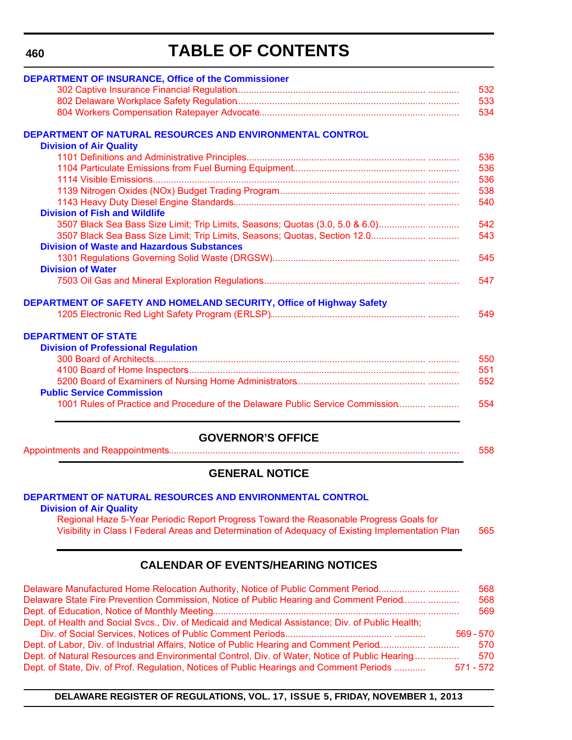#### **460**

# **TABLE OF CONTENTS**

| <b>DEPARTMENT OF INSURANCE, Office of the Commissioner</b>                     |     |
|--------------------------------------------------------------------------------|-----|
|                                                                                | 532 |
|                                                                                | 533 |
|                                                                                | 534 |
| DEPARTMENT OF NATURAL RESOURCES AND ENVIRONMENTAL CONTROL                      |     |
| <b>Division of Air Quality</b>                                                 |     |
|                                                                                | 536 |
|                                                                                | 536 |
|                                                                                | 536 |
|                                                                                | 538 |
|                                                                                | 540 |
| <b>Division of Fish and Wildlife</b>                                           |     |
| 3507 Black Sea Bass Size Limit; Trip Limits, Seasons; Quotas (3.0, 5.0 & 6.0)  | 542 |
|                                                                                | 543 |
| <b>Division of Waste and Hazardous Substances</b>                              |     |
|                                                                                | 545 |
| <b>Division of Water</b>                                                       |     |
|                                                                                | 547 |
| <b>DEPARTMENT OF SAFETY AND HOMELAND SECURITY, Office of Highway Safety</b>    |     |
|                                                                                | 549 |
| <b>DEPARTMENT OF STATE</b>                                                     |     |
| <b>Division of Professional Regulation</b>                                     |     |
|                                                                                | 550 |
|                                                                                | 551 |
|                                                                                | 552 |
| <b>Public Service Commission</b>                                               |     |
| 1001 Rules of Practice and Procedure of the Delaware Public Service Commission | 554 |
|                                                                                |     |

### **GOVERNOR'S OFFICE**

[Appointments and Reappointments................................................................................................... ............ 558](#page-102-0)

### **GENERAL NOTICE**

#### **[DEPARTMENT OF NATURAL RESOURCES AND ENVIRONMENTAL CONTROL](http://www.dnrec.delaware.gov/air/Pages/Default.aspx)**

**Division of Air Quality**

Regional Haze 5-Year Periodic Report Progress Toward the Reasonable Progress Goals for [Visibility in Class I Federal Areas and Determination of Adequacy of Existing Implementation Plan 565](#page-109-0)

### **CALENDAR OF EVENTS/HEARING NOTICES**

| Delaware Manufactured Home Relocation Authority, Notice of Public Comment Period                  | 568         |
|---------------------------------------------------------------------------------------------------|-------------|
| Delaware State Fire Prevention Commission, Notice of Public Hearing and Comment Period            | 568         |
|                                                                                                   | 569         |
| Dept. of Health and Social Svcs., Div. of Medicaid and Medical Assistance; Div. of Public Health; |             |
|                                                                                                   | $569 - 570$ |
|                                                                                                   | 570         |
| Dept. of Natural Resources and Environmental Control, Div. of Water, Notice of Public Hearing     | 570         |
| Dept. of State, Div. of Prof. Regulation, Notices of Public Hearings and Comment Periods          | $571 - 572$ |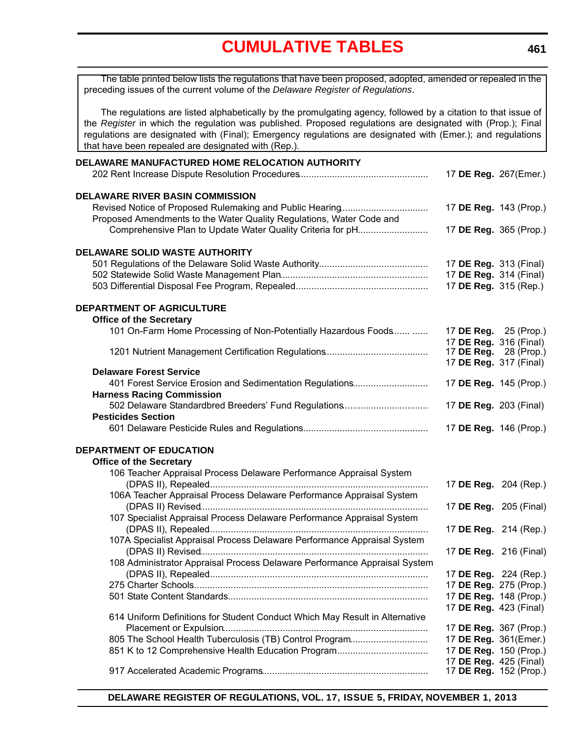<span id="page-5-0"></span>

| The table printed below lists the regulations that have been proposed, adopted, amended or repealed in the<br>preceding issues of the current volume of the Delaware Register of Regulations.                                                                                                                                                                                                      |                               |  |
|----------------------------------------------------------------------------------------------------------------------------------------------------------------------------------------------------------------------------------------------------------------------------------------------------------------------------------------------------------------------------------------------------|-------------------------------|--|
| The regulations are listed alphabetically by the promulgating agency, followed by a citation to that issue of<br>the Register in which the regulation was published. Proposed regulations are designated with (Prop.); Final<br>regulations are designated with (Final); Emergency regulations are designated with (Emer.); and regulations<br>that have been repealed are designated with (Rep.). |                               |  |
| DELAWARE MANUFACTURED HOME RELOCATION AUTHORITY                                                                                                                                                                                                                                                                                                                                                    |                               |  |
|                                                                                                                                                                                                                                                                                                                                                                                                    | 17 DE Reg. 267(Emer.)         |  |
| <b>DELAWARE RIVER BASIN COMMISSION</b>                                                                                                                                                                                                                                                                                                                                                             |                               |  |
|                                                                                                                                                                                                                                                                                                                                                                                                    | 17 DE Reg. 143 (Prop.)        |  |
| Proposed Amendments to the Water Quality Regulations, Water Code and                                                                                                                                                                                                                                                                                                                               |                               |  |
| Comprehensive Plan to Update Water Quality Criteria for pH                                                                                                                                                                                                                                                                                                                                         | 17 DE Reg. 365 (Prop.)        |  |
| <b>DELAWARE SOLID WASTE AUTHORITY</b>                                                                                                                                                                                                                                                                                                                                                              |                               |  |
|                                                                                                                                                                                                                                                                                                                                                                                                    | 17 DE Reg. 313 (Final)        |  |
|                                                                                                                                                                                                                                                                                                                                                                                                    | 17 DE Reg. 314 (Final)        |  |
|                                                                                                                                                                                                                                                                                                                                                                                                    | 17 DE Reg. 315 (Rep.)         |  |
| <b>DEPARTMENT OF AGRICULTURE</b>                                                                                                                                                                                                                                                                                                                                                                   |                               |  |
| <b>Office of the Secretary</b>                                                                                                                                                                                                                                                                                                                                                                     |                               |  |
| 101 On-Farm Home Processing of Non-Potentially Hazardous Foods                                                                                                                                                                                                                                                                                                                                     | 17 DE Reg. 25 (Prop.)         |  |
|                                                                                                                                                                                                                                                                                                                                                                                                    | 17 DE Reg. 316 (Final)        |  |
|                                                                                                                                                                                                                                                                                                                                                                                                    | 17 DE Reg. 28 (Prop.)         |  |
| <b>Delaware Forest Service</b>                                                                                                                                                                                                                                                                                                                                                                     | 17 DE Reg. 317 (Final)        |  |
| 401 Forest Service Erosion and Sedimentation Regulations                                                                                                                                                                                                                                                                                                                                           | 17 DE Reg. 145 (Prop.)        |  |
| <b>Harness Racing Commission</b>                                                                                                                                                                                                                                                                                                                                                                   |                               |  |
| 502 Delaware Standardbred Breeders' Fund Regulations                                                                                                                                                                                                                                                                                                                                               | 17 DE Reg. 203 (Final)        |  |
| <b>Pesticides Section</b>                                                                                                                                                                                                                                                                                                                                                                          |                               |  |
|                                                                                                                                                                                                                                                                                                                                                                                                    | 17 DE Reg. 146 (Prop.)        |  |
| <b>DEPARTMENT OF EDUCATION</b>                                                                                                                                                                                                                                                                                                                                                                     |                               |  |
| <b>Office of the Secretary</b>                                                                                                                                                                                                                                                                                                                                                                     |                               |  |
| 106 Teacher Appraisal Process Delaware Performance Appraisal System                                                                                                                                                                                                                                                                                                                                |                               |  |
|                                                                                                                                                                                                                                                                                                                                                                                                    | 17 DE Reg. 204 (Rep.)         |  |
| 106A Teacher Appraisal Process Delaware Performance Appraisal System                                                                                                                                                                                                                                                                                                                               |                               |  |
| 107 Specialist Appraisal Process Delaware Performance Appraisal System                                                                                                                                                                                                                                                                                                                             | 17 DE Reg. 205 (Final)        |  |
|                                                                                                                                                                                                                                                                                                                                                                                                    | 17 DE Reg. 214 (Rep.)         |  |
| 107A Specialist Appraisal Process Delaware Performance Appraisal System                                                                                                                                                                                                                                                                                                                            |                               |  |
|                                                                                                                                                                                                                                                                                                                                                                                                    | 17 DE Reg. 216 (Final)        |  |
| 108 Administrator Appraisal Process Delaware Performance Appraisal System                                                                                                                                                                                                                                                                                                                          |                               |  |
|                                                                                                                                                                                                                                                                                                                                                                                                    | 17 DE Reg. 224 (Rep.)         |  |
|                                                                                                                                                                                                                                                                                                                                                                                                    | 17 DE Reg. 275 (Prop.)        |  |
|                                                                                                                                                                                                                                                                                                                                                                                                    | 17 DE Reg. 148 (Prop.)        |  |
| 614 Uniform Definitions for Student Conduct Which May Result in Alternative                                                                                                                                                                                                                                                                                                                        | 17 DE Reg. 423 (Final)        |  |
|                                                                                                                                                                                                                                                                                                                                                                                                    | 17 DE Reg. 367 (Prop.)        |  |
| 805 The School Health Tuberculosis (TB) Control Program                                                                                                                                                                                                                                                                                                                                            | 17 DE Reg. 361(Emer.)         |  |
|                                                                                                                                                                                                                                                                                                                                                                                                    | 17 DE Reg. 150 (Prop.)        |  |
|                                                                                                                                                                                                                                                                                                                                                                                                    | 17 DE Reg. 425 (Final)        |  |
|                                                                                                                                                                                                                                                                                                                                                                                                    | 17 <b>DE Reg.</b> 152 (Prop.) |  |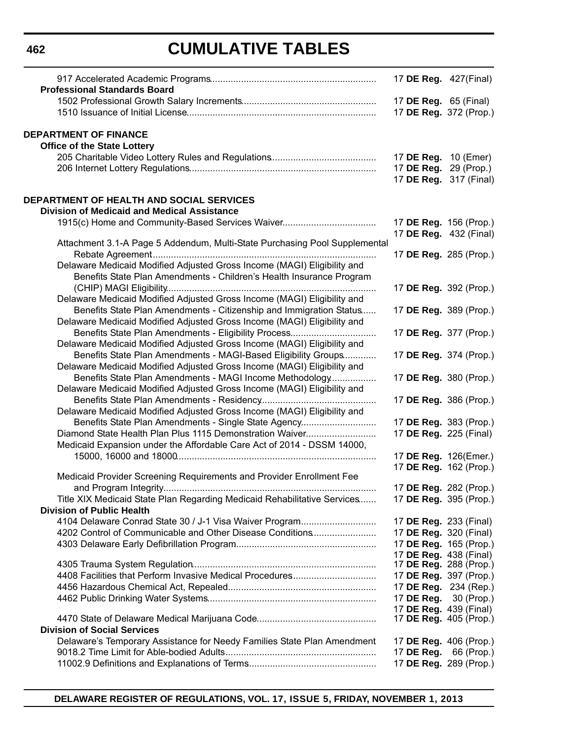| <b>Professional Standards Board</b>                                        | 17 DE Reg. 427(Final)         |  |
|----------------------------------------------------------------------------|-------------------------------|--|
|                                                                            | 17 <b>DE Reg.</b> 65 (Final)  |  |
|                                                                            | 17 DE Reg. 372 (Prop.)        |  |
| <b>DEPARTMENT OF FINANCE</b>                                               |                               |  |
| <b>Office of the State Lottery</b>                                         |                               |  |
|                                                                            | 17 DE Reg. 10 (Emer)          |  |
|                                                                            | 17 <b>DE Reg.</b> 29 (Prop.)  |  |
|                                                                            | 17 DE Reg. 317 (Final)        |  |
| DEPARTMENT OF HEALTH AND SOCIAL SERVICES                                   |                               |  |
| <b>Division of Medicaid and Medical Assistance</b>                         |                               |  |
| 1915(c) Home and Community-Based Services Waiver                           | 17 DE Reg. 156 (Prop.)        |  |
|                                                                            | 17 DE Reg. 432 (Final)        |  |
| Attachment 3.1-A Page 5 Addendum, Multi-State Purchasing Pool Supplemental | 17 DE Reg. 285 (Prop.)        |  |
| Delaware Medicaid Modified Adjusted Gross Income (MAGI) Eligibility and    |                               |  |
| Benefits State Plan Amendments - Children's Health Insurance Program       |                               |  |
|                                                                            | 17 DE Reg. 392 (Prop.)        |  |
| Delaware Medicaid Modified Adjusted Gross Income (MAGI) Eligibility and    |                               |  |
| Benefits State Plan Amendments - Citizenship and Immigration Status        | 17 DE Reg. 389 (Prop.)        |  |
| Delaware Medicaid Modified Adjusted Gross Income (MAGI) Eligibility and    |                               |  |
|                                                                            | 17 DE Reg. 377 (Prop.)        |  |
| Delaware Medicaid Modified Adjusted Gross Income (MAGI) Eligibility and    |                               |  |
| Benefits State Plan Amendments - MAGI-Based Eligibility Groups             | 17 DE Reg. 374 (Prop.)        |  |
| Delaware Medicaid Modified Adjusted Gross Income (MAGI) Eligibility and    |                               |  |
| Benefits State Plan Amendments - MAGI Income Methodology                   | 17 DE Reg. 380 (Prop.)        |  |
| Delaware Medicaid Modified Adjusted Gross Income (MAGI) Eligibility and    |                               |  |
|                                                                            | 17 DE Reg. 386 (Prop.)        |  |
| Delaware Medicaid Modified Adjusted Gross Income (MAGI) Eligibility and    |                               |  |
| Benefits State Plan Amendments - Single State Agency                       | 17 DE Reg. 383 (Prop.)        |  |
| Diamond State Health Plan Plus 1115 Demonstration Waiver                   | 17 DE Reg. 225 (Final)        |  |
| Medicaid Expansion under the Affordable Care Act of 2014 - DSSM 14000,     |                               |  |
|                                                                            | 17 DE Reg. 126(Emer.)         |  |
|                                                                            | 17 DE Reg. 162 (Prop.)        |  |
| Medicaid Provider Screening Requirements and Provider Enrollment Fee       |                               |  |
|                                                                            | 17 DE Reg. 282 (Prop.)        |  |
| Title XIX Medicaid State Plan Regarding Medicaid Rehabilitative Services   | 17 DE Reg. 395 (Prop.)        |  |
| <b>Division of Public Health</b>                                           |                               |  |
| 4104 Delaware Conrad State 30 / J-1 Visa Waiver Program                    | 17 <b>DE Reg.</b> 233 (Final) |  |
| 4202 Control of Communicable and Other Disease Conditions                  | 17 <b>DE Reg.</b> 320 (Final) |  |
|                                                                            | 17 DE Reg. 165 (Prop.)        |  |
|                                                                            | 17 DE Reg. 438 (Final)        |  |
|                                                                            | 17 <b>DE Reg.</b> 288 (Prop.) |  |
| 4408 Facilities that Perform Invasive Medical Procedures                   | 17 DE Reg. 397 (Prop.)        |  |
|                                                                            | 17 DE Reg. 234 (Rep.)         |  |
|                                                                            | 17 <b>DE Reg.</b> 30 (Prop.)  |  |
|                                                                            | 17 DE Reg. 439 (Final)        |  |
| <b>Division of Social Services</b>                                         | 17 DE Reg. 405 (Prop.)        |  |
|                                                                            |                               |  |
| Delaware's Temporary Assistance for Needy Families State Plan Amendment    | 17 DE Reg. 406 (Prop.)        |  |
|                                                                            | 17 DE Reg. 66 (Prop.)         |  |
|                                                                            | 17 DE Reg. 289 (Prop.)        |  |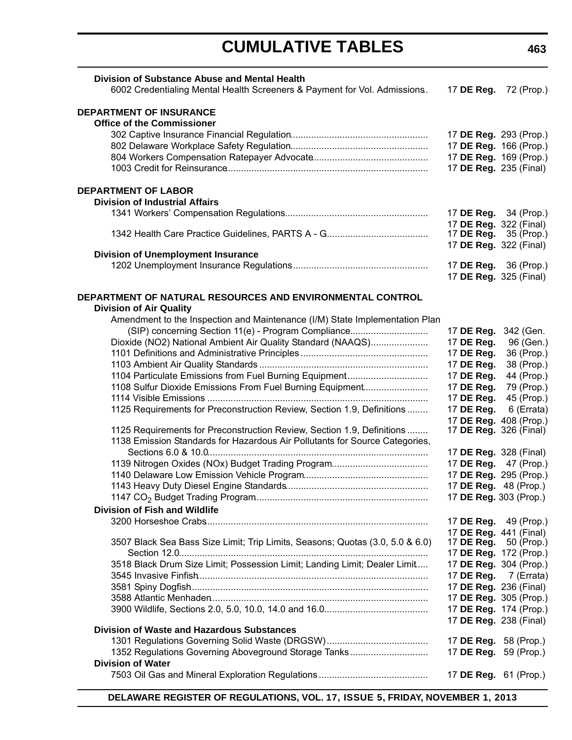| Division of Substance Abuse and Mental Health                                               |                                      |                              |
|---------------------------------------------------------------------------------------------|--------------------------------------|------------------------------|
| 6002 Credentialing Mental Health Screeners & Payment for Vol. Admissions.                   | 17 DE Reg.                           | 72 (Prop.)                   |
| <b>DEPARTMENT OF INSURANCE</b>                                                              |                                      |                              |
| <b>Office of the Commissioner</b>                                                           |                                      |                              |
|                                                                                             | 17 DE Reg. 293 (Prop.)               |                              |
|                                                                                             | 17 DE Reg. 166 (Prop.)               |                              |
|                                                                                             |                                      | 17 DE Reg. 169 (Prop.)       |
|                                                                                             | 17 DE Reg. 235 (Final)               |                              |
| <b>DEPARTMENT OF LABOR</b>                                                                  |                                      |                              |
| <b>Division of Industrial Affairs</b>                                                       |                                      |                              |
|                                                                                             | 17 <b>DE Reg.</b> 34 (Prop.)         |                              |
|                                                                                             | 17 DE Reg. 322 (Final)               |                              |
|                                                                                             |                                      | 17 DE Reg. $35$ (Prop.)      |
|                                                                                             | 17 DE Reg. 322 (Final)               |                              |
| <b>Division of Unemployment Insurance</b>                                                   |                                      |                              |
|                                                                                             | 17 <b>DE Reg.</b> 36 (Prop.)         |                              |
|                                                                                             | 17 DE Reg. 325 (Final)               |                              |
| DEPARTMENT OF NATURAL RESOURCES AND ENVIRONMENTAL CONTROL<br><b>Division of Air Quality</b> |                                      |                              |
| Amendment to the Inspection and Maintenance (I/M) State Implementation Plan                 |                                      |                              |
| (SIP) concerning Section 11(e) - Program Compliance                                         | 17 DE Reg.                           | 342 (Gen.                    |
| Dioxide (NO2) National Ambient Air Quality Standard (NAAQS)                                 | 17 DE Reg.                           | 96 (Gen.)                    |
|                                                                                             | 17 DE Reg.                           | 36 (Prop.)                   |
|                                                                                             | 17 DE Reg.                           | 38 (Prop.)                   |
| 1104 Particulate Emissions from Fuel Burning Equipment                                      | 17 DE Reg.                           | 44 (Prop.)                   |
| 1108 Sulfur Dioxide Emissions From Fuel Burning Equipment                                   | 17 DE Reg.                           | 79 (Prop.)                   |
|                                                                                             | 17 DE Reg.                           | 45 (Prop.)                   |
| 1125 Requirements for Preconstruction Review, Section 1.9, Definitions                      | 17 DE Reg.                           | 6 (Errata)                   |
|                                                                                             | 17 DE Reg. 408 (Prop.)               |                              |
| 1125 Requirements for Preconstruction Review, Section 1.9, Definitions                      | 17 DE Reg. 326 (Final)               |                              |
| 1138 Emission Standards for Hazardous Air Pollutants for Source Categories,                 |                                      |                              |
|                                                                                             | 17 DE Reg. 328 (Final)<br>17 DE Reg. | 47 (Prop.)                   |
|                                                                                             | 17 DE Reg. 295 (Prop.)               |                              |
|                                                                                             | 17 DE Reg. 48 (Prop.)                |                              |
|                                                                                             | 17 DE Reg. 303 (Prop.)               |                              |
| <b>Division of Fish and Wildlife</b>                                                        |                                      |                              |
|                                                                                             |                                      | 17 <b>DE Reg.</b> 49 (Prop.) |
|                                                                                             | 17 DE Reg. 441 (Final)               |                              |
| 3507 Black Sea Bass Size Limit; Trip Limits, Seasons; Quotas (3.0, 5.0 & 6.0)               | 17 DE Reg.                           | 50 (Prop.)                   |
|                                                                                             |                                      | 17 DE Reg. 172 (Prop.)       |
| 3518 Black Drum Size Limit; Possession Limit; Landing Limit; Dealer Limit                   |                                      | 17 DE Reg. 304 (Prop.)       |
|                                                                                             |                                      | 17 DE Reg. 7 (Errata)        |
|                                                                                             | 17 DE Reg. 236 (Final)               |                              |
|                                                                                             |                                      | 17 DE Reg. 305 (Prop.)       |
|                                                                                             |                                      | 17 DE Reg. 174 (Prop.)       |
| <b>Division of Waste and Hazardous Substances</b>                                           | 17 DE Reg. 238 (Final)               |                              |
|                                                                                             | 17 <b>DE Reg.</b> 58 (Prop.)         |                              |
| 1352 Regulations Governing Aboveground Storage Tanks                                        | 17 DE Reg. 59 (Prop.)                |                              |
| <b>Division of Water</b>                                                                    |                                      |                              |
|                                                                                             | 17 <b>DE Reg.</b> 61 (Prop.)         |                              |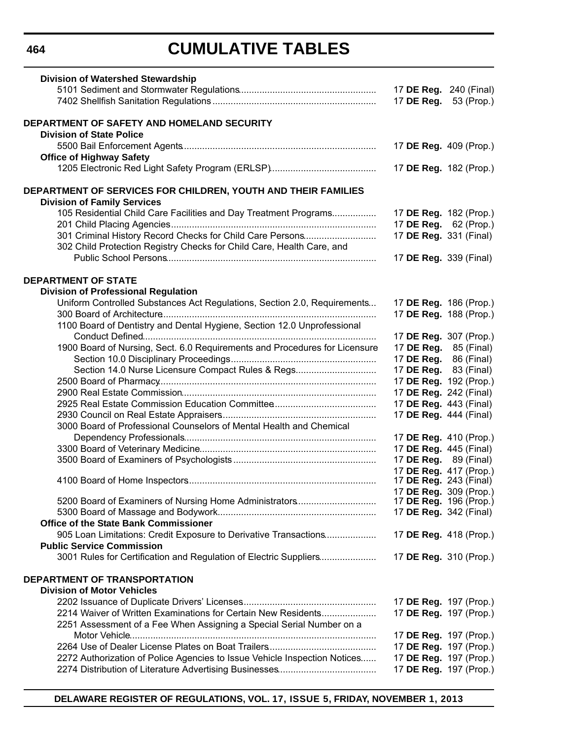| 17 DE Reg. 240 (Final)<br>17 DE Reg.<br>53 (Prop.)<br>DEPARTMENT OF SAFETY AND HOMELAND SECURITY<br><b>Division of State Police</b><br>17 DE Reg. 409 (Prop.)<br><b>Office of Highway Safety</b><br>17 DE Reg. 182 (Prop.)<br>DEPARTMENT OF SERVICES FOR CHILDREN, YOUTH AND THEIR FAMILIES<br><b>Division of Family Services</b><br>105 Residential Child Care Facilities and Day Treatment Programs<br>17 DE Reg. 182 (Prop.)<br>17 DE Reg. 62 (Prop.)<br>301 Criminal History Record Checks for Child Care Persons<br>17 DE Reg. 331 (Final)<br>302 Child Protection Registry Checks for Child Care, Health Care, and<br>17 DE Reg. 339 (Final)<br><b>Division of Professional Regulation</b><br>Uniform Controlled Substances Act Regulations, Section 2.0, Requirements<br>17 DE Reg. 186 (Prop.)<br>17 DE Reg. 188 (Prop.)<br>1100 Board of Dentistry and Dental Hygiene, Section 12.0 Unprofessional<br>17 DE Reg. 307 (Prop.)<br>1900 Board of Nursing, Sect. 6.0 Requirements and Procedures for Licensure<br>17 DE Reg. 85 (Final)<br>17 DE Reg. 86 (Final)<br>Section 14.0 Nurse Licensure Compact Rules & Regs<br>17 DE Reg. 83 (Final)<br>17 DE Reg. 192 (Prop.)<br>17 DE Reg. 242 (Final)<br>17 DE Reg. 443 (Final)<br>17 DE Reg. 444 (Final)<br>3000 Board of Professional Counselors of Mental Health and Chemical<br>17 DE Reg. 410 (Prop.)<br>17 DE Reg. 445 (Final)<br>17 <b>DE Reg.</b> 89 (Final)<br>17 DE Reg. 417 (Prop.)<br>17 <b>DE Reg.</b> 243 (Final)<br>17 DE Reg. 309 (Prop.)<br>17 <b>DE Reg.</b> 196 (Prop.)<br>5200 Board of Examiners of Nursing Home Administrators<br>17 DE Reg. 342 (Final)<br><b>Office of the State Bank Commissioner</b><br>905 Loan Limitations: Credit Exposure to Derivative Transactions<br>17 DE Reg. 418 (Prop.)<br><b>Public Service Commission</b><br>3001 Rules for Certification and Regulation of Electric Suppliers<br>17 DE Reg. 310 (Prop.)<br>DEPARTMENT OF TRANSPORTATION<br><b>Division of Motor Vehicles</b><br>17 DE Reg. 197 (Prop.)<br>2214 Waiver of Written Examinations for Certain New Residents<br>17 DE Reg. 197 (Prop.)<br>2251 Assessment of a Fee When Assigning a Special Serial Number on a<br>17 DE Reg. 197 (Prop.)<br>17 DE Reg. 197 (Prop.)<br>2272 Authorization of Police Agencies to Issue Vehicle Inspection Notices<br>17 DE Reg. 197 (Prop.)<br>17 DE Reg. 197 (Prop.) | <b>Division of Watershed Stewardship</b> |  |
|--------------------------------------------------------------------------------------------------------------------------------------------------------------------------------------------------------------------------------------------------------------------------------------------------------------------------------------------------------------------------------------------------------------------------------------------------------------------------------------------------------------------------------------------------------------------------------------------------------------------------------------------------------------------------------------------------------------------------------------------------------------------------------------------------------------------------------------------------------------------------------------------------------------------------------------------------------------------------------------------------------------------------------------------------------------------------------------------------------------------------------------------------------------------------------------------------------------------------------------------------------------------------------------------------------------------------------------------------------------------------------------------------------------------------------------------------------------------------------------------------------------------------------------------------------------------------------------------------------------------------------------------------------------------------------------------------------------------------------------------------------------------------------------------------------------------------------------------------------------------------------------------------------------------------------------------------------------------------------------------------------------------------------------------------------------------------------------------------------------------------------------------------------------------------------------------------------------------------------------------------------------------------------------------------------------------------------------------------------------------------|------------------------------------------|--|
|                                                                                                                                                                                                                                                                                                                                                                                                                                                                                                                                                                                                                                                                                                                                                                                                                                                                                                                                                                                                                                                                                                                                                                                                                                                                                                                                                                                                                                                                                                                                                                                                                                                                                                                                                                                                                                                                                                                                                                                                                                                                                                                                                                                                                                                                                                                                                                          |                                          |  |
|                                                                                                                                                                                                                                                                                                                                                                                                                                                                                                                                                                                                                                                                                                                                                                                                                                                                                                                                                                                                                                                                                                                                                                                                                                                                                                                                                                                                                                                                                                                                                                                                                                                                                                                                                                                                                                                                                                                                                                                                                                                                                                                                                                                                                                                                                                                                                                          |                                          |  |
|                                                                                                                                                                                                                                                                                                                                                                                                                                                                                                                                                                                                                                                                                                                                                                                                                                                                                                                                                                                                                                                                                                                                                                                                                                                                                                                                                                                                                                                                                                                                                                                                                                                                                                                                                                                                                                                                                                                                                                                                                                                                                                                                                                                                                                                                                                                                                                          |                                          |  |
|                                                                                                                                                                                                                                                                                                                                                                                                                                                                                                                                                                                                                                                                                                                                                                                                                                                                                                                                                                                                                                                                                                                                                                                                                                                                                                                                                                                                                                                                                                                                                                                                                                                                                                                                                                                                                                                                                                                                                                                                                                                                                                                                                                                                                                                                                                                                                                          |                                          |  |
|                                                                                                                                                                                                                                                                                                                                                                                                                                                                                                                                                                                                                                                                                                                                                                                                                                                                                                                                                                                                                                                                                                                                                                                                                                                                                                                                                                                                                                                                                                                                                                                                                                                                                                                                                                                                                                                                                                                                                                                                                                                                                                                                                                                                                                                                                                                                                                          |                                          |  |
|                                                                                                                                                                                                                                                                                                                                                                                                                                                                                                                                                                                                                                                                                                                                                                                                                                                                                                                                                                                                                                                                                                                                                                                                                                                                                                                                                                                                                                                                                                                                                                                                                                                                                                                                                                                                                                                                                                                                                                                                                                                                                                                                                                                                                                                                                                                                                                          |                                          |  |
|                                                                                                                                                                                                                                                                                                                                                                                                                                                                                                                                                                                                                                                                                                                                                                                                                                                                                                                                                                                                                                                                                                                                                                                                                                                                                                                                                                                                                                                                                                                                                                                                                                                                                                                                                                                                                                                                                                                                                                                                                                                                                                                                                                                                                                                                                                                                                                          |                                          |  |
|                                                                                                                                                                                                                                                                                                                                                                                                                                                                                                                                                                                                                                                                                                                                                                                                                                                                                                                                                                                                                                                                                                                                                                                                                                                                                                                                                                                                                                                                                                                                                                                                                                                                                                                                                                                                                                                                                                                                                                                                                                                                                                                                                                                                                                                                                                                                                                          |                                          |  |
|                                                                                                                                                                                                                                                                                                                                                                                                                                                                                                                                                                                                                                                                                                                                                                                                                                                                                                                                                                                                                                                                                                                                                                                                                                                                                                                                                                                                                                                                                                                                                                                                                                                                                                                                                                                                                                                                                                                                                                                                                                                                                                                                                                                                                                                                                                                                                                          |                                          |  |
|                                                                                                                                                                                                                                                                                                                                                                                                                                                                                                                                                                                                                                                                                                                                                                                                                                                                                                                                                                                                                                                                                                                                                                                                                                                                                                                                                                                                                                                                                                                                                                                                                                                                                                                                                                                                                                                                                                                                                                                                                                                                                                                                                                                                                                                                                                                                                                          |                                          |  |
|                                                                                                                                                                                                                                                                                                                                                                                                                                                                                                                                                                                                                                                                                                                                                                                                                                                                                                                                                                                                                                                                                                                                                                                                                                                                                                                                                                                                                                                                                                                                                                                                                                                                                                                                                                                                                                                                                                                                                                                                                                                                                                                                                                                                                                                                                                                                                                          |                                          |  |
|                                                                                                                                                                                                                                                                                                                                                                                                                                                                                                                                                                                                                                                                                                                                                                                                                                                                                                                                                                                                                                                                                                                                                                                                                                                                                                                                                                                                                                                                                                                                                                                                                                                                                                                                                                                                                                                                                                                                                                                                                                                                                                                                                                                                                                                                                                                                                                          |                                          |  |
|                                                                                                                                                                                                                                                                                                                                                                                                                                                                                                                                                                                                                                                                                                                                                                                                                                                                                                                                                                                                                                                                                                                                                                                                                                                                                                                                                                                                                                                                                                                                                                                                                                                                                                                                                                                                                                                                                                                                                                                                                                                                                                                                                                                                                                                                                                                                                                          |                                          |  |
|                                                                                                                                                                                                                                                                                                                                                                                                                                                                                                                                                                                                                                                                                                                                                                                                                                                                                                                                                                                                                                                                                                                                                                                                                                                                                                                                                                                                                                                                                                                                                                                                                                                                                                                                                                                                                                                                                                                                                                                                                                                                                                                                                                                                                                                                                                                                                                          |                                          |  |
|                                                                                                                                                                                                                                                                                                                                                                                                                                                                                                                                                                                                                                                                                                                                                                                                                                                                                                                                                                                                                                                                                                                                                                                                                                                                                                                                                                                                                                                                                                                                                                                                                                                                                                                                                                                                                                                                                                                                                                                                                                                                                                                                                                                                                                                                                                                                                                          |                                          |  |
|                                                                                                                                                                                                                                                                                                                                                                                                                                                                                                                                                                                                                                                                                                                                                                                                                                                                                                                                                                                                                                                                                                                                                                                                                                                                                                                                                                                                                                                                                                                                                                                                                                                                                                                                                                                                                                                                                                                                                                                                                                                                                                                                                                                                                                                                                                                                                                          |                                          |  |
|                                                                                                                                                                                                                                                                                                                                                                                                                                                                                                                                                                                                                                                                                                                                                                                                                                                                                                                                                                                                                                                                                                                                                                                                                                                                                                                                                                                                                                                                                                                                                                                                                                                                                                                                                                                                                                                                                                                                                                                                                                                                                                                                                                                                                                                                                                                                                                          | <b>DEPARTMENT OF STATE</b>               |  |
|                                                                                                                                                                                                                                                                                                                                                                                                                                                                                                                                                                                                                                                                                                                                                                                                                                                                                                                                                                                                                                                                                                                                                                                                                                                                                                                                                                                                                                                                                                                                                                                                                                                                                                                                                                                                                                                                                                                                                                                                                                                                                                                                                                                                                                                                                                                                                                          |                                          |  |
|                                                                                                                                                                                                                                                                                                                                                                                                                                                                                                                                                                                                                                                                                                                                                                                                                                                                                                                                                                                                                                                                                                                                                                                                                                                                                                                                                                                                                                                                                                                                                                                                                                                                                                                                                                                                                                                                                                                                                                                                                                                                                                                                                                                                                                                                                                                                                                          |                                          |  |
|                                                                                                                                                                                                                                                                                                                                                                                                                                                                                                                                                                                                                                                                                                                                                                                                                                                                                                                                                                                                                                                                                                                                                                                                                                                                                                                                                                                                                                                                                                                                                                                                                                                                                                                                                                                                                                                                                                                                                                                                                                                                                                                                                                                                                                                                                                                                                                          |                                          |  |
|                                                                                                                                                                                                                                                                                                                                                                                                                                                                                                                                                                                                                                                                                                                                                                                                                                                                                                                                                                                                                                                                                                                                                                                                                                                                                                                                                                                                                                                                                                                                                                                                                                                                                                                                                                                                                                                                                                                                                                                                                                                                                                                                                                                                                                                                                                                                                                          |                                          |  |
|                                                                                                                                                                                                                                                                                                                                                                                                                                                                                                                                                                                                                                                                                                                                                                                                                                                                                                                                                                                                                                                                                                                                                                                                                                                                                                                                                                                                                                                                                                                                                                                                                                                                                                                                                                                                                                                                                                                                                                                                                                                                                                                                                                                                                                                                                                                                                                          |                                          |  |
|                                                                                                                                                                                                                                                                                                                                                                                                                                                                                                                                                                                                                                                                                                                                                                                                                                                                                                                                                                                                                                                                                                                                                                                                                                                                                                                                                                                                                                                                                                                                                                                                                                                                                                                                                                                                                                                                                                                                                                                                                                                                                                                                                                                                                                                                                                                                                                          |                                          |  |
|                                                                                                                                                                                                                                                                                                                                                                                                                                                                                                                                                                                                                                                                                                                                                                                                                                                                                                                                                                                                                                                                                                                                                                                                                                                                                                                                                                                                                                                                                                                                                                                                                                                                                                                                                                                                                                                                                                                                                                                                                                                                                                                                                                                                                                                                                                                                                                          |                                          |  |
|                                                                                                                                                                                                                                                                                                                                                                                                                                                                                                                                                                                                                                                                                                                                                                                                                                                                                                                                                                                                                                                                                                                                                                                                                                                                                                                                                                                                                                                                                                                                                                                                                                                                                                                                                                                                                                                                                                                                                                                                                                                                                                                                                                                                                                                                                                                                                                          |                                          |  |
|                                                                                                                                                                                                                                                                                                                                                                                                                                                                                                                                                                                                                                                                                                                                                                                                                                                                                                                                                                                                                                                                                                                                                                                                                                                                                                                                                                                                                                                                                                                                                                                                                                                                                                                                                                                                                                                                                                                                                                                                                                                                                                                                                                                                                                                                                                                                                                          |                                          |  |
|                                                                                                                                                                                                                                                                                                                                                                                                                                                                                                                                                                                                                                                                                                                                                                                                                                                                                                                                                                                                                                                                                                                                                                                                                                                                                                                                                                                                                                                                                                                                                                                                                                                                                                                                                                                                                                                                                                                                                                                                                                                                                                                                                                                                                                                                                                                                                                          |                                          |  |
|                                                                                                                                                                                                                                                                                                                                                                                                                                                                                                                                                                                                                                                                                                                                                                                                                                                                                                                                                                                                                                                                                                                                                                                                                                                                                                                                                                                                                                                                                                                                                                                                                                                                                                                                                                                                                                                                                                                                                                                                                                                                                                                                                                                                                                                                                                                                                                          |                                          |  |
|                                                                                                                                                                                                                                                                                                                                                                                                                                                                                                                                                                                                                                                                                                                                                                                                                                                                                                                                                                                                                                                                                                                                                                                                                                                                                                                                                                                                                                                                                                                                                                                                                                                                                                                                                                                                                                                                                                                                                                                                                                                                                                                                                                                                                                                                                                                                                                          |                                          |  |
|                                                                                                                                                                                                                                                                                                                                                                                                                                                                                                                                                                                                                                                                                                                                                                                                                                                                                                                                                                                                                                                                                                                                                                                                                                                                                                                                                                                                                                                                                                                                                                                                                                                                                                                                                                                                                                                                                                                                                                                                                                                                                                                                                                                                                                                                                                                                                                          |                                          |  |
|                                                                                                                                                                                                                                                                                                                                                                                                                                                                                                                                                                                                                                                                                                                                                                                                                                                                                                                                                                                                                                                                                                                                                                                                                                                                                                                                                                                                                                                                                                                                                                                                                                                                                                                                                                                                                                                                                                                                                                                                                                                                                                                                                                                                                                                                                                                                                                          |                                          |  |
|                                                                                                                                                                                                                                                                                                                                                                                                                                                                                                                                                                                                                                                                                                                                                                                                                                                                                                                                                                                                                                                                                                                                                                                                                                                                                                                                                                                                                                                                                                                                                                                                                                                                                                                                                                                                                                                                                                                                                                                                                                                                                                                                                                                                                                                                                                                                                                          |                                          |  |
|                                                                                                                                                                                                                                                                                                                                                                                                                                                                                                                                                                                                                                                                                                                                                                                                                                                                                                                                                                                                                                                                                                                                                                                                                                                                                                                                                                                                                                                                                                                                                                                                                                                                                                                                                                                                                                                                                                                                                                                                                                                                                                                                                                                                                                                                                                                                                                          |                                          |  |
|                                                                                                                                                                                                                                                                                                                                                                                                                                                                                                                                                                                                                                                                                                                                                                                                                                                                                                                                                                                                                                                                                                                                                                                                                                                                                                                                                                                                                                                                                                                                                                                                                                                                                                                                                                                                                                                                                                                                                                                                                                                                                                                                                                                                                                                                                                                                                                          |                                          |  |
|                                                                                                                                                                                                                                                                                                                                                                                                                                                                                                                                                                                                                                                                                                                                                                                                                                                                                                                                                                                                                                                                                                                                                                                                                                                                                                                                                                                                                                                                                                                                                                                                                                                                                                                                                                                                                                                                                                                                                                                                                                                                                                                                                                                                                                                                                                                                                                          |                                          |  |
|                                                                                                                                                                                                                                                                                                                                                                                                                                                                                                                                                                                                                                                                                                                                                                                                                                                                                                                                                                                                                                                                                                                                                                                                                                                                                                                                                                                                                                                                                                                                                                                                                                                                                                                                                                                                                                                                                                                                                                                                                                                                                                                                                                                                                                                                                                                                                                          |                                          |  |
|                                                                                                                                                                                                                                                                                                                                                                                                                                                                                                                                                                                                                                                                                                                                                                                                                                                                                                                                                                                                                                                                                                                                                                                                                                                                                                                                                                                                                                                                                                                                                                                                                                                                                                                                                                                                                                                                                                                                                                                                                                                                                                                                                                                                                                                                                                                                                                          |                                          |  |
|                                                                                                                                                                                                                                                                                                                                                                                                                                                                                                                                                                                                                                                                                                                                                                                                                                                                                                                                                                                                                                                                                                                                                                                                                                                                                                                                                                                                                                                                                                                                                                                                                                                                                                                                                                                                                                                                                                                                                                                                                                                                                                                                                                                                                                                                                                                                                                          |                                          |  |
|                                                                                                                                                                                                                                                                                                                                                                                                                                                                                                                                                                                                                                                                                                                                                                                                                                                                                                                                                                                                                                                                                                                                                                                                                                                                                                                                                                                                                                                                                                                                                                                                                                                                                                                                                                                                                                                                                                                                                                                                                                                                                                                                                                                                                                                                                                                                                                          |                                          |  |
|                                                                                                                                                                                                                                                                                                                                                                                                                                                                                                                                                                                                                                                                                                                                                                                                                                                                                                                                                                                                                                                                                                                                                                                                                                                                                                                                                                                                                                                                                                                                                                                                                                                                                                                                                                                                                                                                                                                                                                                                                                                                                                                                                                                                                                                                                                                                                                          |                                          |  |
|                                                                                                                                                                                                                                                                                                                                                                                                                                                                                                                                                                                                                                                                                                                                                                                                                                                                                                                                                                                                                                                                                                                                                                                                                                                                                                                                                                                                                                                                                                                                                                                                                                                                                                                                                                                                                                                                                                                                                                                                                                                                                                                                                                                                                                                                                                                                                                          |                                          |  |
|                                                                                                                                                                                                                                                                                                                                                                                                                                                                                                                                                                                                                                                                                                                                                                                                                                                                                                                                                                                                                                                                                                                                                                                                                                                                                                                                                                                                                                                                                                                                                                                                                                                                                                                                                                                                                                                                                                                                                                                                                                                                                                                                                                                                                                                                                                                                                                          |                                          |  |
|                                                                                                                                                                                                                                                                                                                                                                                                                                                                                                                                                                                                                                                                                                                                                                                                                                                                                                                                                                                                                                                                                                                                                                                                                                                                                                                                                                                                                                                                                                                                                                                                                                                                                                                                                                                                                                                                                                                                                                                                                                                                                                                                                                                                                                                                                                                                                                          |                                          |  |
|                                                                                                                                                                                                                                                                                                                                                                                                                                                                                                                                                                                                                                                                                                                                                                                                                                                                                                                                                                                                                                                                                                                                                                                                                                                                                                                                                                                                                                                                                                                                                                                                                                                                                                                                                                                                                                                                                                                                                                                                                                                                                                                                                                                                                                                                                                                                                                          |                                          |  |
|                                                                                                                                                                                                                                                                                                                                                                                                                                                                                                                                                                                                                                                                                                                                                                                                                                                                                                                                                                                                                                                                                                                                                                                                                                                                                                                                                                                                                                                                                                                                                                                                                                                                                                                                                                                                                                                                                                                                                                                                                                                                                                                                                                                                                                                                                                                                                                          |                                          |  |
|                                                                                                                                                                                                                                                                                                                                                                                                                                                                                                                                                                                                                                                                                                                                                                                                                                                                                                                                                                                                                                                                                                                                                                                                                                                                                                                                                                                                                                                                                                                                                                                                                                                                                                                                                                                                                                                                                                                                                                                                                                                                                                                                                                                                                                                                                                                                                                          |                                          |  |
|                                                                                                                                                                                                                                                                                                                                                                                                                                                                                                                                                                                                                                                                                                                                                                                                                                                                                                                                                                                                                                                                                                                                                                                                                                                                                                                                                                                                                                                                                                                                                                                                                                                                                                                                                                                                                                                                                                                                                                                                                                                                                                                                                                                                                                                                                                                                                                          |                                          |  |
|                                                                                                                                                                                                                                                                                                                                                                                                                                                                                                                                                                                                                                                                                                                                                                                                                                                                                                                                                                                                                                                                                                                                                                                                                                                                                                                                                                                                                                                                                                                                                                                                                                                                                                                                                                                                                                                                                                                                                                                                                                                                                                                                                                                                                                                                                                                                                                          |                                          |  |
|                                                                                                                                                                                                                                                                                                                                                                                                                                                                                                                                                                                                                                                                                                                                                                                                                                                                                                                                                                                                                                                                                                                                                                                                                                                                                                                                                                                                                                                                                                                                                                                                                                                                                                                                                                                                                                                                                                                                                                                                                                                                                                                                                                                                                                                                                                                                                                          |                                          |  |
|                                                                                                                                                                                                                                                                                                                                                                                                                                                                                                                                                                                                                                                                                                                                                                                                                                                                                                                                                                                                                                                                                                                                                                                                                                                                                                                                                                                                                                                                                                                                                                                                                                                                                                                                                                                                                                                                                                                                                                                                                                                                                                                                                                                                                                                                                                                                                                          |                                          |  |
|                                                                                                                                                                                                                                                                                                                                                                                                                                                                                                                                                                                                                                                                                                                                                                                                                                                                                                                                                                                                                                                                                                                                                                                                                                                                                                                                                                                                                                                                                                                                                                                                                                                                                                                                                                                                                                                                                                                                                                                                                                                                                                                                                                                                                                                                                                                                                                          |                                          |  |
|                                                                                                                                                                                                                                                                                                                                                                                                                                                                                                                                                                                                                                                                                                                                                                                                                                                                                                                                                                                                                                                                                                                                                                                                                                                                                                                                                                                                                                                                                                                                                                                                                                                                                                                                                                                                                                                                                                                                                                                                                                                                                                                                                                                                                                                                                                                                                                          |                                          |  |
|                                                                                                                                                                                                                                                                                                                                                                                                                                                                                                                                                                                                                                                                                                                                                                                                                                                                                                                                                                                                                                                                                                                                                                                                                                                                                                                                                                                                                                                                                                                                                                                                                                                                                                                                                                                                                                                                                                                                                                                                                                                                                                                                                                                                                                                                                                                                                                          |                                          |  |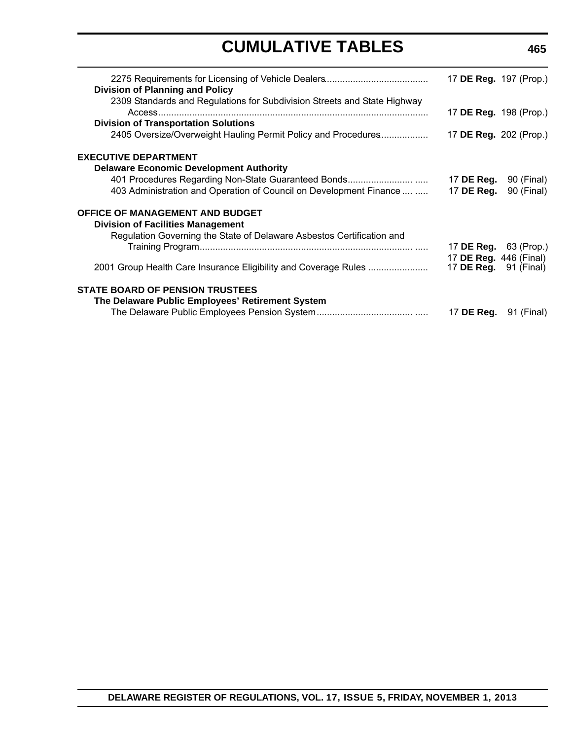| <b>Division of Planning and Policy</b>                                   | 17 DE Reg. 197 (Prop.)        |            |
|--------------------------------------------------------------------------|-------------------------------|------------|
| 2309 Standards and Regulations for Subdivision Streets and State Highway | 17 <b>DE Reg.</b> 198 (Prop.) |            |
| <b>Division of Transportation Solutions</b>                              |                               |            |
| 2405 Oversize/Overweight Hauling Permit Policy and Procedures            | 17 <b>DE Reg.</b> 202 (Prop.) |            |
| <b>EXECUTIVE DEPARTMENT</b>                                              |                               |            |
| <b>Delaware Economic Development Authority</b>                           |                               |            |
|                                                                          | 17 <b>DE Reg.</b> 90 (Final)  |            |
| 403 Administration and Operation of Council on Development Finance       | 17 DE Reg.                    | 90 (Final) |
| <b>OFFICE OF MANAGEMENT AND BUDGET</b>                                   |                               |            |
| <b>Division of Facilities Management</b>                                 |                               |            |
| Regulation Governing the State of Delaware Asbestos Certification and    |                               |            |
|                                                                          | 17 <b>DE Reg.</b> 63 (Prop.)  |            |
|                                                                          | 17 DE Reg. 446 (Final)        |            |
| 2001 Group Health Care Insurance Eligibility and Coverage Rules          | 17 <b>DE Reg.</b> 91 (Final)  |            |
| <b>STATE BOARD OF PENSION TRUSTEES</b>                                   |                               |            |
| The Delaware Public Employees' Retirement System                         |                               |            |
|                                                                          | 17 <b>DE Reg.</b> 91 (Final)  |            |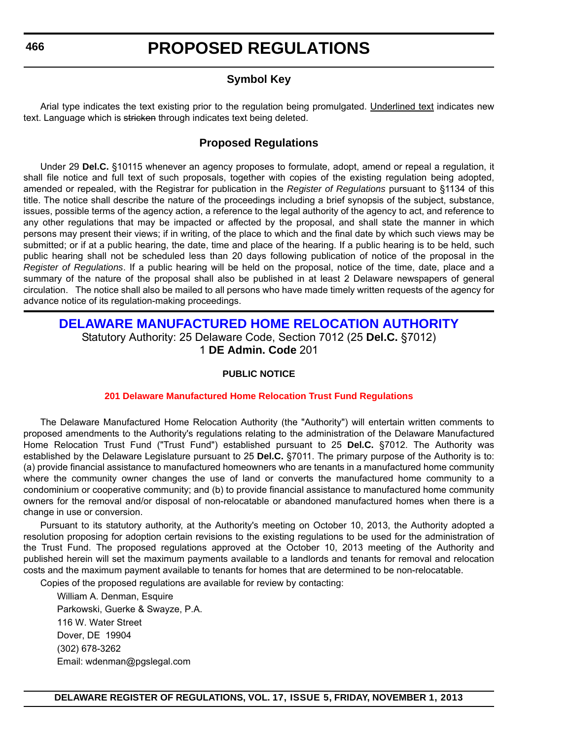### **Symbol Key**

<span id="page-10-0"></span>Arial type indicates the text existing prior to the regulation being promulgated. Underlined text indicates new text. Language which is stricken through indicates text being deleted.

### **Proposed Regulations**

Under 29 **Del.C.** §10115 whenever an agency proposes to formulate, adopt, amend or repeal a regulation, it shall file notice and full text of such proposals, together with copies of the existing regulation being adopted, amended or repealed, with the Registrar for publication in the *Register of Regulations* pursuant to §1134 of this title. The notice shall describe the nature of the proceedings including a brief synopsis of the subject, substance, issues, possible terms of the agency action, a reference to the legal authority of the agency to act, and reference to any other regulations that may be impacted or affected by the proposal, and shall state the manner in which persons may present their views; if in writing, of the place to which and the final date by which such views may be submitted; or if at a public hearing, the date, time and place of the hearing. If a public hearing is to be held, such public hearing shall not be scheduled less than 20 days following publication of notice of the proposal in the *Register of Regulations*. If a public hearing will be held on the proposal, notice of the time, date, place and a summary of the nature of the proposal shall also be published in at least 2 Delaware newspapers of general circulation. The notice shall also be mailed to all persons who have made timely written requests of the agency for advance notice of its regulation-making proceedings.

### **[DELAWARE MANUFACTURED HOME RELOCATION AUTHORITY](http://demhra.delaware.gov/)** Statutory Authority: 25 Delaware Code, Section 7012 (25 **Del.C.** §7012) 1 **DE Admin. Code** 201

### **PUBLIC NOTICE**

### **[201 Delaware Manufactured Home Relocation Trust Fund Regulations](#page-3-0)**

The Delaware Manufactured Home Relocation Authority (the "Authority") will entertain written comments to proposed amendments to the Authority's regulations relating to the administration of the Delaware Manufactured Home Relocation Trust Fund ("Trust Fund") established pursuant to 25 **Del.C.** §7012. The Authority was established by the Delaware Legislature pursuant to 25 **Del.C.** §7011. The primary purpose of the Authority is to: (a) provide financial assistance to manufactured homeowners who are tenants in a manufactured home community where the community owner changes the use of land or converts the manufactured home community to a condominium or cooperative community; and (b) to provide financial assistance to manufactured home community owners for the removal and/or disposal of non-relocatable or abandoned manufactured homes when there is a change in use or conversion.

Pursuant to its statutory authority, at the Authority's meeting on October 10, 2013, the Authority adopted a resolution proposing for adoption certain revisions to the existing regulations to be used for the administration of the Trust Fund. The proposed regulations approved at the October 10, 2013 meeting of the Authority and published herein will set the maximum payments available to a landlords and tenants for removal and relocation costs and the maximum payment available to tenants for homes that are determined to be non-relocatable.

Copies of the proposed regulations are available for review by contacting:

William A. Denman, Esquire Parkowski, Guerke & Swayze, P.A. 116 W. Water Street Dover, DE 19904 (302) 678-3262 Email: wdenman@pgslegal.com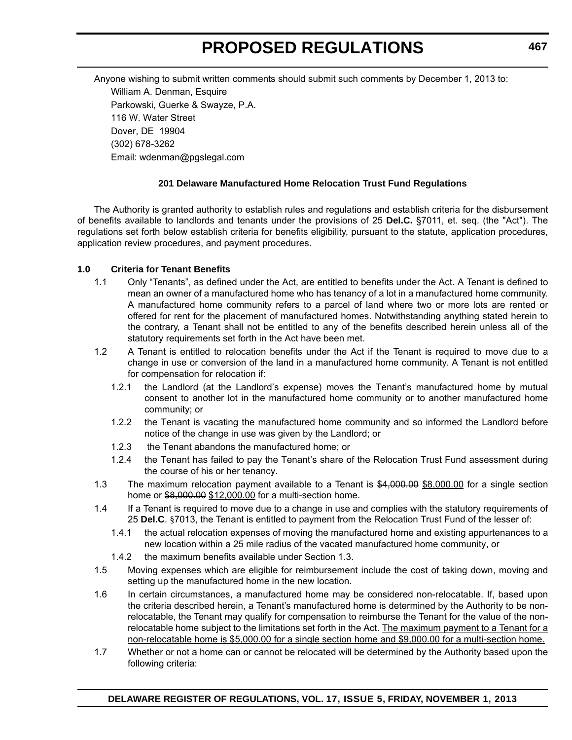Anyone wishing to submit written comments should submit such comments by December 1, 2013 to: William A. Denman, Esquire Parkowski, Guerke & Swayze, P.A. 116 W. Water Street Dover, DE 19904 (302) 678-3262 Email: wdenman@pgslegal.com

#### **201 Delaware Manufactured Home Relocation Trust Fund Regulations**

The Authority is granted authority to establish rules and regulations and establish criteria for the disbursement of benefits available to landlords and tenants under the provisions of 25 **Del.C.** §7011, et. seq. (the "Act"). The regulations set forth below establish criteria for benefits eligibility, pursuant to the statute, application procedures, application review procedures, and payment procedures.

#### **1.0 Criteria for Tenant Benefits**

- 1.1 Only "Tenants", as defined under the Act, are entitled to benefits under the Act. A Tenant is defined to mean an owner of a manufactured home who has tenancy of a lot in a manufactured home community. A manufactured home community refers to a parcel of land where two or more lots are rented or offered for rent for the placement of manufactured homes. Notwithstanding anything stated herein to the contrary, a Tenant shall not be entitled to any of the benefits described herein unless all of the statutory requirements set forth in the Act have been met.
- 1.2 A Tenant is entitled to relocation benefits under the Act if the Tenant is required to move due to a change in use or conversion of the land in a manufactured home community. A Tenant is not entitled for compensation for relocation if:
	- 1.2.1 the Landlord (at the Landlord's expense) moves the Tenant's manufactured home by mutual consent to another lot in the manufactured home community or to another manufactured home community; or
	- 1.2.2 the Tenant is vacating the manufactured home community and so informed the Landlord before notice of the change in use was given by the Landlord; or
	- 1.2.3 the Tenant abandons the manufactured home; or
	- 1.2.4 the Tenant has failed to pay the Tenant's share of the Relocation Trust Fund assessment during the course of his or her tenancy.
- 1.3 The maximum relocation payment available to a Tenant is \$4,000.00 \$8,000.00 for a single section home or \$8,000.00 \$12,000.00 for a multi-section home.
- 1.4 If a Tenant is required to move due to a change in use and complies with the statutory requirements of 25 **Del.C**. §7013, the Tenant is entitled to payment from the Relocation Trust Fund of the lesser of:
	- 1.4.1 the actual relocation expenses of moving the manufactured home and existing appurtenances to a new location within a 25 mile radius of the vacated manufactured home community, or
	- 1.4.2 the maximum benefits available under Section 1.3.
- 1.5 Moving expenses which are eligible for reimbursement include the cost of taking down, moving and setting up the manufactured home in the new location.
- 1.6 In certain circumstances, a manufactured home may be considered non-relocatable. If, based upon the criteria described herein, a Tenant's manufactured home is determined by the Authority to be nonrelocatable, the Tenant may qualify for compensation to reimburse the Tenant for the value of the nonrelocatable home subject to the limitations set forth in the Act. The maximum payment to a Tenant for a non-relocatable home is \$5,000.00 for a single section home and \$9,000.00 for a multi-section home.
- 1.7 Whether or not a home can or cannot be relocated will be determined by the Authority based upon the following criteria: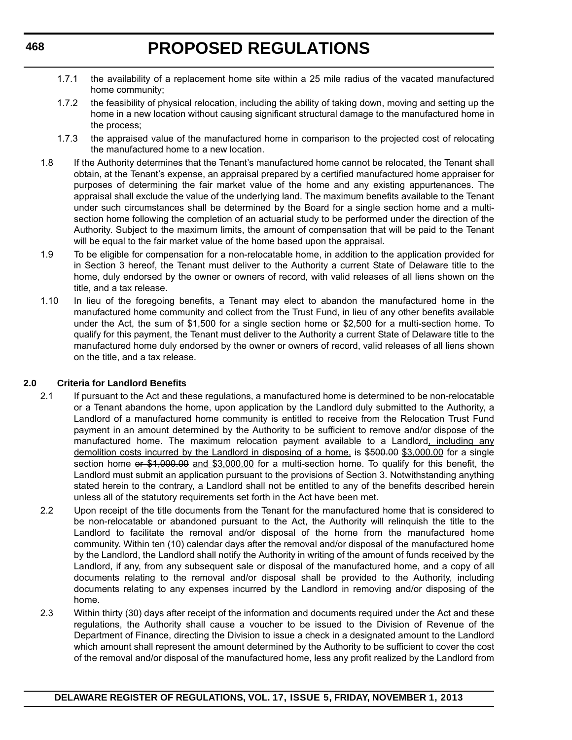- 1.7.1 the availability of a replacement home site within a 25 mile radius of the vacated manufactured home community;
- 1.7.2 the feasibility of physical relocation, including the ability of taking down, moving and setting up the home in a new location without causing significant structural damage to the manufactured home in the process;
- 1.7.3 the appraised value of the manufactured home in comparison to the projected cost of relocating the manufactured home to a new location.
- 1.8 If the Authority determines that the Tenant's manufactured home cannot be relocated, the Tenant shall obtain, at the Tenant's expense, an appraisal prepared by a certified manufactured home appraiser for purposes of determining the fair market value of the home and any existing appurtenances. The appraisal shall exclude the value of the underlying land. The maximum benefits available to the Tenant under such circumstances shall be determined by the Board for a single section home and a multisection home following the completion of an actuarial study to be performed under the direction of the Authority. Subject to the maximum limits, the amount of compensation that will be paid to the Tenant will be equal to the fair market value of the home based upon the appraisal.
- 1.9 To be eligible for compensation for a non-relocatable home, in addition to the application provided for in Section 3 hereof, the Tenant must deliver to the Authority a current State of Delaware title to the home, duly endorsed by the owner or owners of record, with valid releases of all liens shown on the title, and a tax release.
- 1.10 In lieu of the foregoing benefits, a Tenant may elect to abandon the manufactured home in the manufactured home community and collect from the Trust Fund, in lieu of any other benefits available under the Act, the sum of \$1,500 for a single section home or \$2,500 for a multi-section home. To qualify for this payment, the Tenant must deliver to the Authority a current State of Delaware title to the manufactured home duly endorsed by the owner or owners of record, valid releases of all liens shown on the title, and a tax release.

### **2.0 Criteria for Landlord Benefits**

- 2.1 If pursuant to the Act and these regulations, a manufactured home is determined to be non-relocatable or a Tenant abandons the home, upon application by the Landlord duly submitted to the Authority, a Landlord of a manufactured home community is entitled to receive from the Relocation Trust Fund payment in an amount determined by the Authority to be sufficient to remove and/or dispose of the manufactured home. The maximum relocation payment available to a Landlord, including any demolition costs incurred by the Landlord in disposing of a home, is \$500.00 \$3,000.00 for a single section home or \$1,000.00 and \$3,000.00 for a multi-section home. To qualify for this benefit, the Landlord must submit an application pursuant to the provisions of Section 3. Notwithstanding anything stated herein to the contrary, a Landlord shall not be entitled to any of the benefits described herein unless all of the statutory requirements set forth in the Act have been met.
- 2.2 Upon receipt of the title documents from the Tenant for the manufactured home that is considered to be non-relocatable or abandoned pursuant to the Act, the Authority will relinquish the title to the Landlord to facilitate the removal and/or disposal of the home from the manufactured home community. Within ten (10) calendar days after the removal and/or disposal of the manufactured home by the Landlord, the Landlord shall notify the Authority in writing of the amount of funds received by the Landlord, if any, from any subsequent sale or disposal of the manufactured home, and a copy of all documents relating to the removal and/or disposal shall be provided to the Authority, including documents relating to any expenses incurred by the Landlord in removing and/or disposing of the home.
- 2.3 Within thirty (30) days after receipt of the information and documents required under the Act and these regulations, the Authority shall cause a voucher to be issued to the Division of Revenue of the Department of Finance, directing the Division to issue a check in a designated amount to the Landlord which amount shall represent the amount determined by the Authority to be sufficient to cover the cost of the removal and/or disposal of the manufactured home, less any profit realized by the Landlord from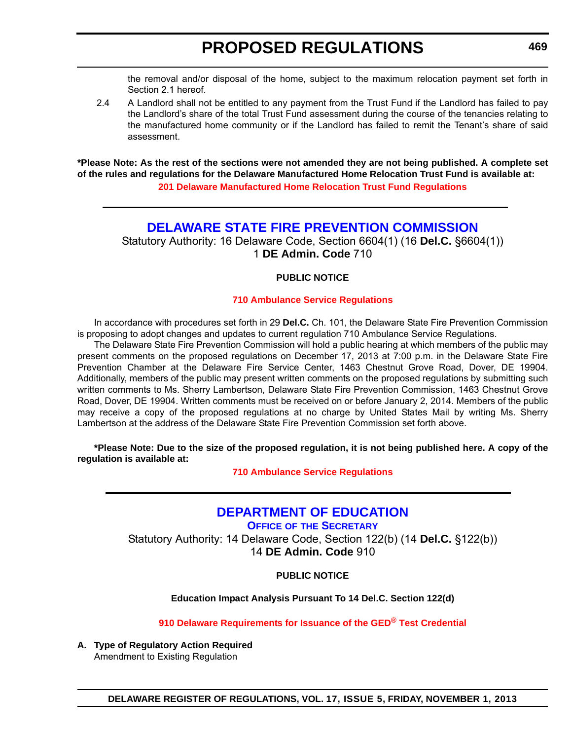<span id="page-13-0"></span>the removal and/or disposal of the home, subject to the maximum relocation payment set forth in Section 2.1 hereof.

 2.4 A Landlord shall not be entitled to any payment from the Trust Fund if the Landlord has failed to pay the Landlord's share of the total Trust Fund assessment during the course of the tenancies relating to the manufactured home community or if the Landlord has failed to remit the Tenant's share of said assessment.

**\*Please Note: As the rest of the sections were not amended they are not being published. A complete set of the rules and regulations for the Delaware Manufactured Home Relocation Trust Fund is available at: [201 Delaware Manufactured Home Relocation Trust Fund Regulations](http://regulations.delaware.gov/register/november2013/proposed/17 DE Reg 466 11-01-13.htm)**

### **[DELAWARE STATE FIRE PREVENTION COMMISSION](http://statefirecommission.delaware.gov/)**

Statutory Authority: 16 Delaware Code, Section 6604(1) (16 **Del.C.** §6604(1)) 1 **DE Admin. Code** 710

#### **PUBLIC NOTICE**

#### **[710 Ambulance Service Regulations](#page-3-0)**

In accordance with procedures set forth in 29 **Del.C.** Ch. 101, the Delaware State Fire Prevention Commission is proposing to adopt changes and updates to current regulation 710 Ambulance Service Regulations.

The Delaware State Fire Prevention Commission will hold a public hearing at which members of the public may present comments on the proposed regulations on December 17, 2013 at 7:00 p.m. in the Delaware State Fire Prevention Chamber at the Delaware Fire Service Center, 1463 Chestnut Grove Road, Dover, DE 19904. Additionally, members of the public may present written comments on the proposed regulations by submitting such written comments to Ms. Sherry Lambertson, Delaware State Fire Prevention Commission, 1463 Chestnut Grove Road, Dover, DE 19904. Written comments must be received on or before January 2, 2014. Members of the public may receive a copy of the proposed regulations at no charge by United States Mail by writing Ms. Sherry Lambertson at the address of the Delaware State Fire Prevention Commission set forth above.

**\*Please Note: Due to the size of the proposed regulation, it is not being published here. A copy of the regulation is available at:**

**[710 Ambulance Service Regulations](http://regulations.delaware.gov/register/november2013/proposed/17 DE Reg 469 11-01-13.htm)**

# **[DEPARTMENT OF EDUCATION](http://www.doe.k12.de.us/)**

**OFFICE OF THE SECRETARY**

Statutory Authority: 14 Delaware Code, Section 122(b) (14 **Del.C.** §122(b)) 14 **DE Admin. Code** 910

**PUBLIC NOTICE**

**Education Impact Analysis Pursuant To 14 Del.C. Section 122(d)**

**[910 Delaware Requirements for Issuance of the GED® Test Credential](#page-3-0)**

**A. Type of Regulatory Action Required** Amendment to Existing Regulation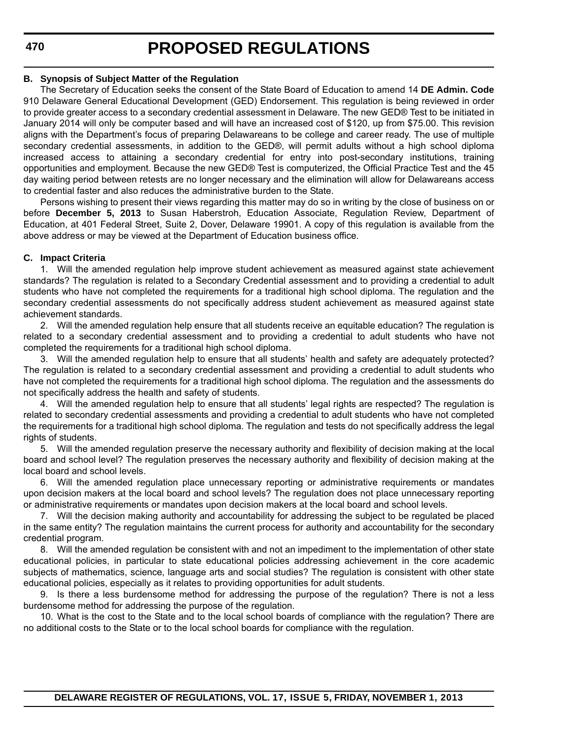**470**

# **PROPOSED REGULATIONS**

#### **B. Synopsis of Subject Matter of the Regulation**

The Secretary of Education seeks the consent of the State Board of Education to amend 14 **DE Admin. Code** 910 Delaware General Educational Development (GED) Endorsement. This regulation is being reviewed in order to provide greater access to a secondary credential assessment in Delaware. The new GED® Test to be initiated in January 2014 will only be computer based and will have an increased cost of \$120, up from \$75.00. This revision aligns with the Department's focus of preparing Delawareans to be college and career ready. The use of multiple secondary credential assessments, in addition to the GED®, will permit adults without a high school diploma increased access to attaining a secondary credential for entry into post-secondary institutions, training opportunities and employment. Because the new GED® Test is computerized, the Official Practice Test and the 45 day waiting period between retests are no longer necessary and the elimination will allow for Delawareans access to credential faster and also reduces the administrative burden to the State.

Persons wishing to present their views regarding this matter may do so in writing by the close of business on or before **December 5, 2013** to Susan Haberstroh, Education Associate, Regulation Review, Department of Education, at 401 Federal Street, Suite 2, Dover, Delaware 19901. A copy of this regulation is available from the above address or may be viewed at the Department of Education business office.

#### **C. Impact Criteria**

1. Will the amended regulation help improve student achievement as measured against state achievement standards? The regulation is related to a Secondary Credential assessment and to providing a credential to adult students who have not completed the requirements for a traditional high school diploma. The regulation and the secondary credential assessments do not specifically address student achievement as measured against state achievement standards.

2. Will the amended regulation help ensure that all students receive an equitable education? The regulation is related to a secondary credential assessment and to providing a credential to adult students who have not completed the requirements for a traditional high school diploma.

3. Will the amended regulation help to ensure that all students' health and safety are adequately protected? The regulation is related to a secondary credential assessment and providing a credential to adult students who have not completed the requirements for a traditional high school diploma. The regulation and the assessments do not specifically address the health and safety of students.

4. Will the amended regulation help to ensure that all students' legal rights are respected? The regulation is related to secondary credential assessments and providing a credential to adult students who have not completed the requirements for a traditional high school diploma. The regulation and tests do not specifically address the legal rights of students.

5. Will the amended regulation preserve the necessary authority and flexibility of decision making at the local board and school level? The regulation preserves the necessary authority and flexibility of decision making at the local board and school levels.

6. Will the amended regulation place unnecessary reporting or administrative requirements or mandates upon decision makers at the local board and school levels? The regulation does not place unnecessary reporting or administrative requirements or mandates upon decision makers at the local board and school levels.

7. Will the decision making authority and accountability for addressing the subject to be regulated be placed in the same entity? The regulation maintains the current process for authority and accountability for the secondary credential program.

8. Will the amended regulation be consistent with and not an impediment to the implementation of other state educational policies, in particular to state educational policies addressing achievement in the core academic subjects of mathematics, science, language arts and social studies? The regulation is consistent with other state educational policies, especially as it relates to providing opportunities for adult students.

9. Is there a less burdensome method for addressing the purpose of the regulation? There is not a less burdensome method for addressing the purpose of the regulation.

10. What is the cost to the State and to the local school boards of compliance with the regulation? There are no additional costs to the State or to the local school boards for compliance with the regulation.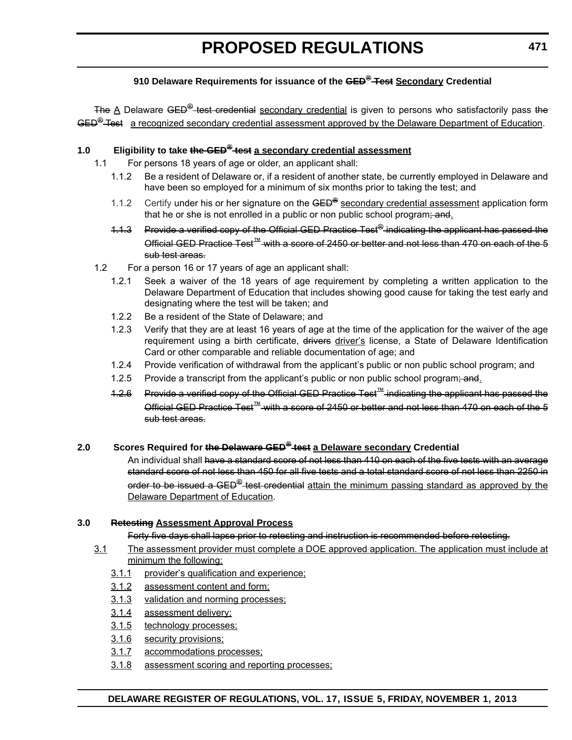### **910 Delaware Requirements for issuance of the GED® Test Secondary Credential**

The A Delaware GED<sup>®</sup>-test credential secondary credential is given to persons who satisfactorily pass the GED<sup>®</sup> Test a recognized secondary credential assessment approved by the Delaware Department of Education.

### **1.0 Eligibility to take the GED® test a secondary credential assessment**

- 1.1 For persons 18 years of age or older, an applicant shall:
	- 1.1.2 Be a resident of Delaware or, if a resident of another state, be currently employed in Delaware and have been so employed for a minimum of six months prior to taking the test; and
	- 1.1.2 Certify under his or her signature on the GED**®** secondary credential assessment application form that he or she is not enrolled in a public or non public school program; and.
	- 1.1.3 Provide a verified copy of the Official GED Practice Test<sup>®</sup> indicating the applicant has passed the Official GED Practice Test™ with a score of 2450 or better and not less than 470 on each of the 5 sub test areas.
- 1.2 For a person 16 or 17 years of age an applicant shall:
	- 1.2.1 Seek a waiver of the 18 years of age requirement by completing a written application to the Delaware Department of Education that includes showing good cause for taking the test early and designating where the test will be taken; and
	- 1.2.2 Be a resident of the State of Delaware; and
	- 1.2.3 Verify that they are at least 16 years of age at the time of the application for the waiver of the age requirement using a birth certificate, drivers driver's license, a State of Delaware Identification Card or other comparable and reliable documentation of age; and
	- 1.2.4 Provide verification of withdrawal from the applicant's public or non public school program; and
	- 1.2.5 Provide a transcript from the applicant's public or non public school program; and.
	- 1.2.6 Provide a verified copy of the Official GED Practice Test™ indicating the applicant has passed the Official GED Practice Test™ with a score of 2450 or better and not less than 470 on each of the 5 sub test areas.

### **2.0 Scores Required for the Delaware GED® test a Delaware secondary Credential**

An individual shall have a standard score of not less than 410 on each of the five tests with an average standard score of not less than 450 for all five tests and a total standard score of not less than 2250 in order to be issued a GED<sup>®</sup> test credential attain the minimum passing standard as approved by the Delaware Department of Education.

#### **3.0 Retesting Assessment Approval Process**

Forty five days shall lapse prior to retesting and instruction is recommended before retesting.

- 3.1 The assessment provider must complete a DOE approved application. The application must include at minimum the following:
	- 3.1.1 provider's qualification and experience;
	- 3.1.2 assessment content and form;
	- 3.1.3 validation and norming processes;
	- 3.1.4 assessment delivery;
	- 3.1.5 technology processes;
	- 3.1.6 security provisions;
	- 3.1.7 accommodations processes;
	- 3.1.8 assessment scoring and reporting processes;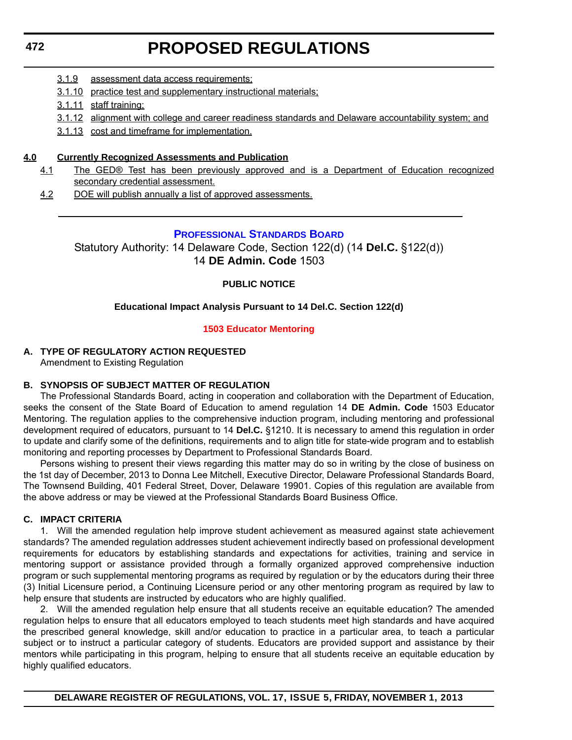- <span id="page-16-0"></span>3.1.9 assessment data access requirements;
- 3.1.10 practice test and supplementary instructional materials;
- 3.1.11 staff training;
- 3.1.12 alignment with college and career readiness standards and Delaware accountability system; and
- 3.1.13 cost and timeframe for implementation.

#### **4.0 Currently Recognized Assessments and Publication**

- 4.1 The GED® Test has been previously approved and is a Department of Education recognized secondary credential assessment.
- 4.2 DOE will publish annually a list of approved assessments.

#### **[PROFESSIONAL STANDARDS BOARD](http://www.doe.k12.de.us/csa/profstds/default.shtml)**

Statutory Authority: 14 Delaware Code, Section 122(d) (14 **Del.C.** §122(d)) 14 **DE Admin. Code** 1503

#### **PUBLIC NOTICE**

#### **Educational Impact Analysis Pursuant to 14 Del.C. Section 122(d)**

#### **[1503 Educator Mentoring](#page-3-0)**

### **A. TYPE OF REGULATORY ACTION REQUESTED**

Amendment to Existing Regulation

#### **B. SYNOPSIS OF SUBJECT MATTER OF REGULATION**

The Professional Standards Board, acting in cooperation and collaboration with the Department of Education, seeks the consent of the State Board of Education to amend regulation 14 **DE Admin. Code** 1503 Educator Mentoring. The regulation applies to the comprehensive induction program, including mentoring and professional development required of educators, pursuant to 14 **Del.C.** §1210. It is necessary to amend this regulation in order to update and clarify some of the definitions, requirements and to align title for state-wide program and to establish monitoring and reporting processes by Department to Professional Standards Board.

Persons wishing to present their views regarding this matter may do so in writing by the close of business on the 1st day of December, 2013 to Donna Lee Mitchell, Executive Director, Delaware Professional Standards Board, The Townsend Building, 401 Federal Street, Dover, Delaware 19901. Copies of this regulation are available from the above address or may be viewed at the Professional Standards Board Business Office.

#### **C. IMPACT CRITERIA**

1. Will the amended regulation help improve student achievement as measured against state achievement standards? The amended regulation addresses student achievement indirectly based on professional development requirements for educators by establishing standards and expectations for activities, training and service in mentoring support or assistance provided through a formally organized approved comprehensive induction program or such supplemental mentoring programs as required by regulation or by the educators during their three (3) Initial Licensure period, a Continuing Licensure period or any other mentoring program as required by law to help ensure that students are instructed by educators who are highly qualified.

2. Will the amended regulation help ensure that all students receive an equitable education? The amended regulation helps to ensure that all educators employed to teach students meet high standards and have acquired the prescribed general knowledge, skill and/or education to practice in a particular area, to teach a particular subject or to instruct a particular category of students. Educators are provided support and assistance by their mentors while participating in this program, helping to ensure that all students receive an equitable education by highly qualified educators.

#### **DELAWARE REGISTER OF REGULATIONS, VOL. 17, ISSUE 5, FRIDAY, NOVEMBER 1, 2013**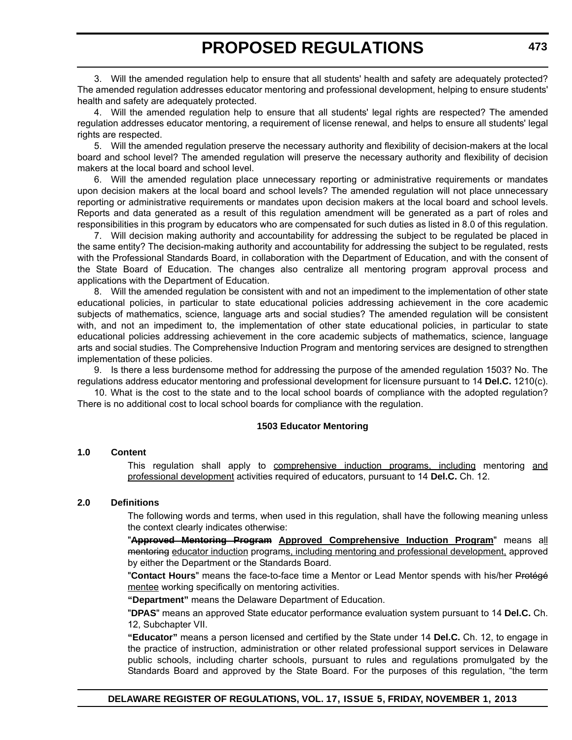3. Will the amended regulation help to ensure that all students' health and safety are adequately protected? The amended regulation addresses educator mentoring and professional development, helping to ensure students' health and safety are adequately protected.

4. Will the amended regulation help to ensure that all students' legal rights are respected? The amended regulation addresses educator mentoring, a requirement of license renewal, and helps to ensure all students' legal rights are respected.

5. Will the amended regulation preserve the necessary authority and flexibility of decision-makers at the local board and school level? The amended regulation will preserve the necessary authority and flexibility of decision makers at the local board and school level.

6. Will the amended regulation place unnecessary reporting or administrative requirements or mandates upon decision makers at the local board and school levels? The amended regulation will not place unnecessary reporting or administrative requirements or mandates upon decision makers at the local board and school levels. Reports and data generated as a result of this regulation amendment will be generated as a part of roles and responsibilities in this program by educators who are compensated for such duties as listed in 8.0 of this regulation.

7. Will decision making authority and accountability for addressing the subject to be regulated be placed in the same entity? The decision-making authority and accountability for addressing the subject to be regulated, rests with the Professional Standards Board, in collaboration with the Department of Education, and with the consent of the State Board of Education. The changes also centralize all mentoring program approval process and applications with the Department of Education.

8. Will the amended regulation be consistent with and not an impediment to the implementation of other state educational policies, in particular to state educational policies addressing achievement in the core academic subjects of mathematics, science, language arts and social studies? The amended regulation will be consistent with, and not an impediment to, the implementation of other state educational policies, in particular to state educational policies addressing achievement in the core academic subjects of mathematics, science, language arts and social studies. The Comprehensive Induction Program and mentoring services are designed to strengthen implementation of these policies.

9. Is there a less burdensome method for addressing the purpose of the amended regulation 1503? No. The regulations address educator mentoring and professional development for licensure pursuant to 14 **Del.C.** 1210(c).

10. What is the cost to the state and to the local school boards of compliance with the adopted regulation? There is no additional cost to local school boards for compliance with the regulation.

#### **1503 Educator Mentoring**

#### **1.0 Content**

This regulation shall apply to comprehensive induction programs, including mentoring and professional development activities required of educators, pursuant to 14 **Del.C.** Ch. 12.

#### **2.0 Definitions**

The following words and terms, when used in this regulation, shall have the following meaning unless the context clearly indicates otherwise:

"**Approved Mentoring Program Approved Comprehensive Induction Program**" means all mentoring educator induction programs, including mentoring and professional development, approved by either the Department or the Standards Board.

"**Contact Hours**" means the face-to-face time a Mentor or Lead Mentor spends with his/her Protégé mentee working specifically on mentoring activities.

**"Department"** means the Delaware Department of Education.

"**DPAS**" means an approved State educator performance evaluation system pursuant to 14 **Del.C.** Ch. 12, Subchapter VII.

**"Educator"** means a person licensed and certified by the State under 14 **Del.C.** Ch. 12, to engage in the practice of instruction, administration or other related professional support services in Delaware public schools, including charter schools, pursuant to rules and regulations promulgated by the Standards Board and approved by the State Board. For the purposes of this regulation, "the term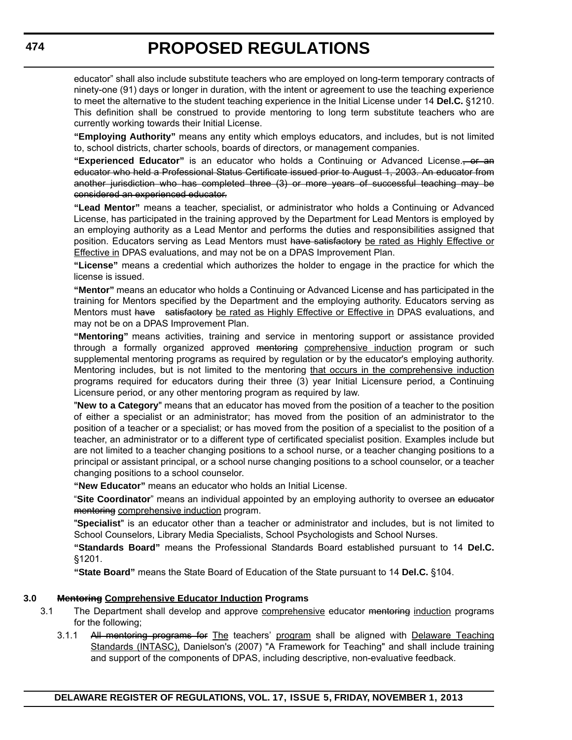educator" shall also include substitute teachers who are employed on long-term temporary contracts of ninety-one (91) days or longer in duration, with the intent or agreement to use the teaching experience to meet the alternative to the student teaching experience in the Initial License under 14 **Del.C.** §1210. This definition shall be construed to provide mentoring to long term substitute teachers who are currently working towards their Initial License.

**"Employing Authority"** means any entity which employs educators, and includes, but is not limited to, school districts, charter schools, boards of directors, or management companies.

**"Experienced Educator"** is an educator who holds a Continuing or Advanced License., or an educator who held a Professional Status Certificate issued prior to August 1, 2003. An educator from another jurisdiction who has completed three (3) or more years of successful teaching may be considered an experienced educator.

**"Lead Mentor"** means a teacher, specialist, or administrator who holds a Continuing or Advanced License, has participated in the training approved by the Department for Lead Mentors is employed by an employing authority as a Lead Mentor and performs the duties and responsibilities assigned that position. Educators serving as Lead Mentors must have satisfactory be rated as Highly Effective or Effective in DPAS evaluations, and may not be on a DPAS Improvement Plan.

**"License"** means a credential which authorizes the holder to engage in the practice for which the license is issued.

**"Mentor"** means an educator who holds a Continuing or Advanced License and has participated in the training for Mentors specified by the Department and the employing authority. Educators serving as Mentors must have satisfactory be rated as Highly Effective or Effective in DPAS evaluations, and may not be on a DPAS Improvement Plan.

**"Mentoring"** means activities, training and service in mentoring support or assistance provided through a formally organized approved <del>mentoring</del> comprehensive induction program or such supplemental mentoring programs as required by regulation or by the educator's employing authority. Mentoring includes, but is not limited to the mentoring that occurs in the comprehensive induction programs required for educators during their three (3) year Initial Licensure period, a Continuing Licensure period, or any other mentoring program as required by law.

"**New to a Category**" means that an educator has moved from the position of a teacher to the position of either a specialist or an administrator; has moved from the position of an administrator to the position of a teacher or a specialist; or has moved from the position of a specialist to the position of a teacher, an administrator or to a different type of certificated specialist position. Examples include but are not limited to a teacher changing positions to a school nurse, or a teacher changing positions to a principal or assistant principal, or a school nurse changing positions to a school counselor, or a teacher changing positions to a school counselor.

**"New Educator"** means an educator who holds an Initial License.

"**Site Coordinator**" means an individual appointed by an employing authority to oversee an educator mentoring comprehensive induction program.

"**Specialist**" is an educator other than a teacher or administrator and includes, but is not limited to School Counselors, Library Media Specialists, School Psychologists and School Nurses.

**"Standards Board"** means the Professional Standards Board established pursuant to 14 **Del.C.** §1201.

**"State Board"** means the State Board of Education of the State pursuant to 14 **Del.C.** §104.

#### **3.0 Mentoring Comprehensive Educator Induction Programs**

- 3.1 The Department shall develop and approve comprehensive educator mentoring induction programs for the following;
	- 3.1.1 All mentoring programs for The teachers' program shall be aligned with Delaware Teaching Standards (INTASC), Danielson's (2007) "A Framework for Teaching" and shall include training and support of the components of DPAS, including descriptive, non-evaluative feedback.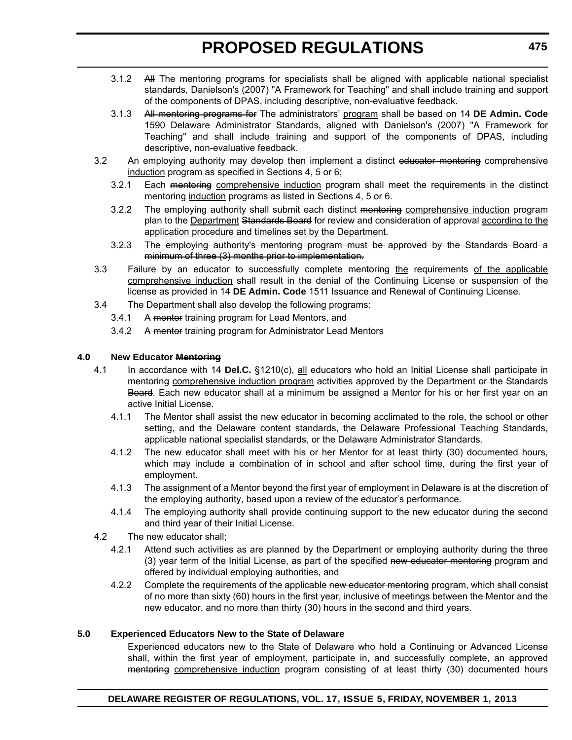- 3.1.2 All The mentoring programs for specialists shall be aligned with applicable national specialist standards, Danielson's (2007) "A Framework for Teaching" and shall include training and support of the components of DPAS, including descriptive, non-evaluative feedback.
- 3.1.3 All mentoring programs for The administrators' program shall be based on 14 **DE Admin. Code** 1590 Delaware Administrator Standards, aligned with Danielson's (2007) "A Framework for Teaching" and shall include training and support of the components of DPAS, including descriptive, non-evaluative feedback.
- 3.2 An employing authority may develop then implement a distinct educator mentoring comprehensive induction program as specified in Sections 4, 5 or 6;
	- 3.2.1 Each mentoring comprehensive induction program shall meet the requirements in the distinct mentoring induction programs as listed in Sections 4, 5 or 6.
	- 3.2.2 The employing authority shall submit each distinct mentoring comprehensive induction program plan to the Department Standards Board for review and consideration of approval according to the application procedure and timelines set by the Department.
	- 3.2.3 The employing authority's mentoring program must be approved by the Standards Board a minimum of three (3) months prior to implementation.
- 3.3 Failure by an educator to successfully complete mentoring the requirements of the applicable comprehensive induction shall result in the denial of the Continuing License or suspension of the license as provided in 14 **DE Admin. Code** 1511 Issuance and Renewal of Continuing License.
- 3.4 The Department shall also develop the following programs:
	- 3.4.1 A mentor training program for Lead Mentors, and
	- 3.4.2 A mentor training program for Administrator Lead Mentors

#### **4.0 New Educator Mentoring**

- 4.1 In accordance with 14 **Del.C.** §1210(c), all educators who hold an Initial License shall participate in mentoring comprehensive induction program activities approved by the Department or the Standards Board. Each new educator shall at a minimum be assigned a Mentor for his or her first year on an active Initial License.
	- 4.1.1 The Mentor shall assist the new educator in becoming acclimated to the role, the school or other setting, and the Delaware content standards, the Delaware Professional Teaching Standards, applicable national specialist standards, or the Delaware Administrator Standards.
	- 4.1.2 The new educator shall meet with his or her Mentor for at least thirty (30) documented hours, which may include a combination of in school and after school time, during the first year of employment.
	- 4.1.3 The assignment of a Mentor beyond the first year of employment in Delaware is at the discretion of the employing authority, based upon a review of the educator's performance.
	- 4.1.4 The employing authority shall provide continuing support to the new educator during the second and third year of their Initial License.
- 4.2 The new educator shall;
	- 4.2.1 Attend such activities as are planned by the Department or employing authority during the three (3) year term of the Initial License, as part of the specified new educator mentoring program and offered by individual employing authorities, and
	- 4.2.2 Complete the requirements of the applicable new educator mentoring program, which shall consist of no more than sixty (60) hours in the first year, inclusive of meetings between the Mentor and the new educator, and no more than thirty (30) hours in the second and third years.

#### **5.0 Experienced Educators New to the State of Delaware**

Experienced educators new to the State of Delaware who hold a Continuing or Advanced License shall, within the first year of employment, participate in, and successfully complete, an approved mentoring comprehensive induction program consisting of at least thirty (30) documented hours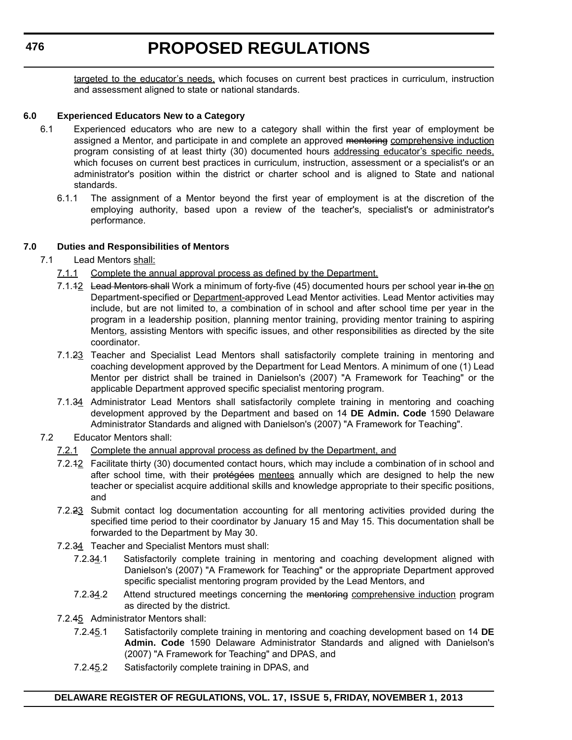#### **476**

# **PROPOSED REGULATIONS**

targeted to the educator's needs, which focuses on current best practices in curriculum, instruction and assessment aligned to state or national standards.

#### **6.0 Experienced Educators New to a Category**

- 6.1 Experienced educators who are new to a category shall within the first year of employment be assigned a Mentor, and participate in and complete an approved mentoring comprehensive induction program consisting of at least thirty (30) documented hours addressing educator's specific needs, which focuses on current best practices in curriculum, instruction, assessment or a specialist's or an administrator's position within the district or charter school and is aligned to State and national standards.
	- 6.1.1 The assignment of a Mentor beyond the first year of employment is at the discretion of the employing authority, based upon a review of the teacher's, specialist's or administrator's performance.

#### **7.0 Duties and Responsibilities of Mentors**

- 7.1 Lead Mentors shall:
	- 7.1.1 Complete the annual approval process as defined by the Department.
	- 7.1.42 Lead Mentors shall Work a minimum of forty-five (45) documented hours per school year in the on Department-specified or **Department-approved Lead Mentor activities**. Lead Mentor activities may include, but are not limited to, a combination of in school and after school time per year in the program in a leadership position, planning mentor training, providing mentor training to aspiring Mentors, assisting Mentors with specific issues, and other responsibilities as directed by the site coordinator.
	- 7.1.23 Teacher and Specialist Lead Mentors shall satisfactorily complete training in mentoring and coaching development approved by the Department for Lead Mentors. A minimum of one (1) Lead Mentor per district shall be trained in Danielson's (2007) "A Framework for Teaching" or the applicable Department approved specific specialist mentoring program.
	- 7.1.34 Administrator Lead Mentors shall satisfactorily complete training in mentoring and coaching development approved by the Department and based on 14 **DE Admin. Code** 1590 Delaware Administrator Standards and aligned with Danielson's (2007) "A Framework for Teaching".
- 7.2 Educator Mentors shall:
	- 7.2.1 Complete the annual approval process as defined by the Department, and
	- 7.2.12 Facilitate thirty (30) documented contact hours, which may include a combination of in school and after school time, with their protégées mentees annually which are designed to help the new teacher or specialist acquire additional skills and knowledge appropriate to their specific positions, and
	- 7.2.23 Submit contact log documentation accounting for all mentoring activities provided during the specified time period to their coordinator by January 15 and May 15. This documentation shall be forwarded to the Department by May 30.
	- 7.2.34 Teacher and Specialist Mentors must shall:
		- 7.2.34.1 Satisfactorily complete training in mentoring and coaching development aligned with Danielson's (2007) "A Framework for Teaching" or the appropriate Department approved specific specialist mentoring program provided by the Lead Mentors, and
		- 7.2.34.2 Attend structured meetings concerning the mentoring comprehensive induction program as directed by the district.
	- 7.2.45 Administrator Mentors shall:
		- 7.2.45.1 Satisfactorily complete training in mentoring and coaching development based on 14 **DE Admin. Code** 1590 Delaware Administrator Standards and aligned with Danielson's (2007) "A Framework for Teaching" and DPAS, and
		- 7.2.45.2 Satisfactorily complete training in DPAS, and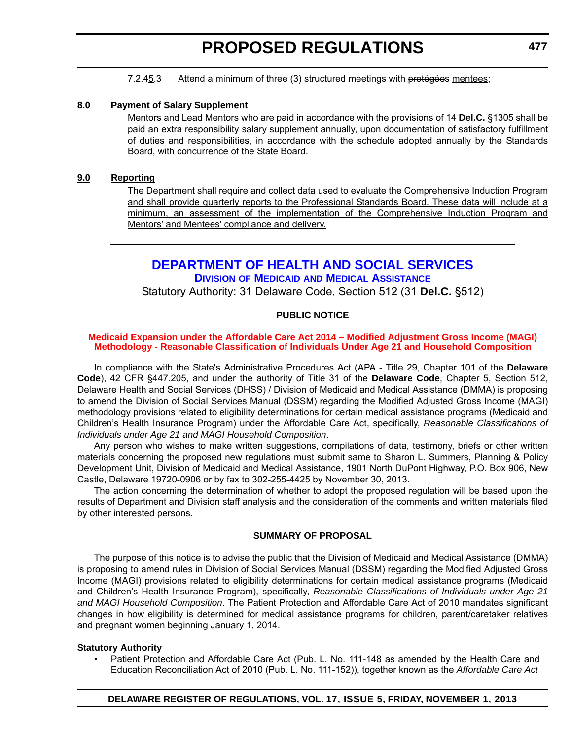7.2.45.3 Attend a minimum of three (3) structured meetings with protégées mentees;

#### <span id="page-21-0"></span>**8.0 Payment of Salary Supplement**

Mentors and Lead Mentors who are paid in accordance with the provisions of 14 **Del.C.** §1305 shall be paid an extra responsibility salary supplement annually, upon documentation of satisfactory fulfillment of duties and responsibilities, in accordance with the schedule adopted annually by the Standards Board, with concurrence of the State Board.

#### **9.0 Reporting**

The Department shall require and collect data used to evaluate the Comprehensive Induction Program and shall provide quarterly reports to the Professional Standards Board. These data will include at a minimum, an assessment of the implementation of the Comprehensive Induction Program and Mentors' and Mentees' compliance and delivery.

### **[DEPARTMENT OF HEALTH AND SOCIAL SERVICES](http://www.dhss.delaware.gov/dhss/dmma/) DIVISION OF MEDICAID AND MEDICAL ASSISTANCE**

Statutory Authority: 31 Delaware Code, Section 512 (31 **Del.C.** §512)

#### **PUBLIC NOTICE**

#### **[Medicaid Expansion under the Affordable Care Act 2014 – Modified Adjustment Gross Income \(MAGI\)](#page-3-0)  Methodology - Reasonable Classification of Individuals Under Age 21 and Household Composition**

In compliance with the State's Administrative Procedures Act (APA - Title 29, Chapter 101 of the **Delaware Code**), 42 CFR §447.205, and under the authority of Title 31 of the **Delaware Code**, Chapter 5, Section 512, Delaware Health and Social Services (DHSS) / Division of Medicaid and Medical Assistance (DMMA) is proposing to amend the Division of Social Services Manual (DSSM) regarding the Modified Adjusted Gross Income (MAGI) methodology provisions related to eligibility determinations for certain medical assistance programs (Medicaid and Children's Health Insurance Program) under the Affordable Care Act, specifically, *Reasonable Classifications of Individuals under Age 21 and MAGI Household Composition*.

Any person who wishes to make written suggestions, compilations of data, testimony, briefs or other written materials concerning the proposed new regulations must submit same to Sharon L. Summers, Planning & Policy Development Unit, Division of Medicaid and Medical Assistance, 1901 North DuPont Highway, P.O. Box 906, New Castle, Delaware 19720-0906 or by fax to 302-255-4425 by November 30, 2013.

The action concerning the determination of whether to adopt the proposed regulation will be based upon the results of Department and Division staff analysis and the consideration of the comments and written materials filed by other interested persons.

#### **SUMMARY OF PROPOSAL**

The purpose of this notice is to advise the public that the Division of Medicaid and Medical Assistance (DMMA) is proposing to amend rules in Division of Social Services Manual (DSSM) regarding the Modified Adjusted Gross Income (MAGI) provisions related to eligibility determinations for certain medical assistance programs (Medicaid and Children's Health Insurance Program), specifically, *Reasonable Classifications of Individuals under Age 21 and MAGI Household Composition*. The Patient Protection and Affordable Care Act of 2010 mandates significant changes in how eligibility is determined for medical assistance programs for children, parent/caretaker relatives and pregnant women beginning January 1, 2014.

#### **Statutory Authority**

• Patient Protection and Affordable Care Act (Pub. L. No. 111-148 as amended by the Health Care and Education Reconciliation Act of 2010 (Pub. L. No. 111-152)), together known as the *Affordable Care Act*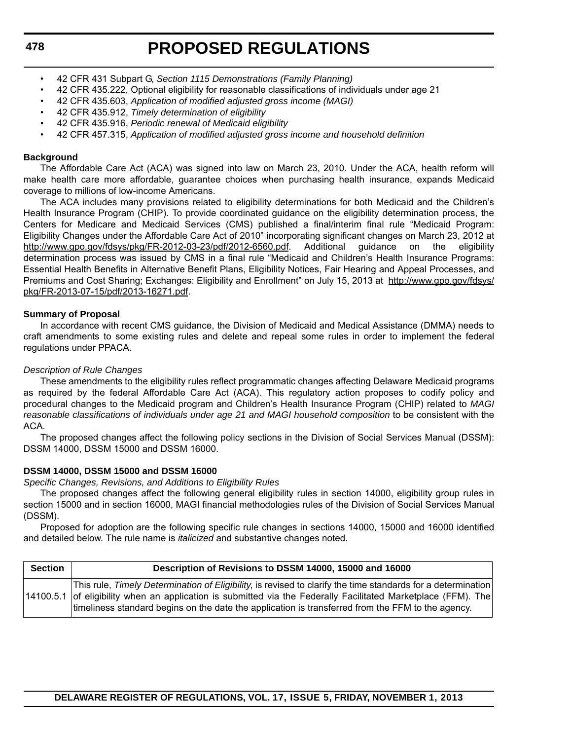- 42 CFR 431 Subpart G, *Section 1115 Demonstrations (Family Planning)*
- 42 CFR 435.222, Optional eligibility for reasonable classifications of individuals under age 21
- 42 CFR 435.603, *Application of modified adjusted gross income (MAGI)*
- 42 CFR 435.912, *Timely determination of eligibility*
- 42 CFR 435.916, *Periodic renewal of Medicaid eligibility*
- 42 CFR 457.315, *Application of modified adjusted gross income and household definition*

#### **Background**

The Affordable Care Act (ACA) was signed into law on March 23, 2010. Under the ACA, health reform will make health care more affordable, guarantee choices when purchasing health insurance, expands Medicaid coverage to millions of low-income Americans.

The ACA includes many provisions related to eligibility determinations for both Medicaid and the Children's Health Insurance Program (CHIP). To provide coordinated guidance on the eligibility determination process, the Centers for Medicare and Medicaid Services (CMS) published a final/interim final rule "Medicaid Program: Eligibility Changes under the Affordable Care Act of 2010" incorporating significant changes on March 23, 2012 at http://www.gpo.gov/fdsys/pkg/FR-2012-03-23/pdf/2012-6560.pdf. Additional guidance on the eligibility determination process was issued by CMS in a final rule "Medicaid and Children's Health Insurance Programs: Essential Health Benefits in Alternative Benefit Plans, Eligibility Notices, Fair Hearing and Appeal Processes, and Premiums and Cost Sharing; Exchanges: Eligibility and Enrollment" on July 15, 2013 at http://www.gpo.gov/fdsys/ pkg/FR-2013-07-15/pdf/2013-16271.pdf.

#### **Summary of Proposal**

In accordance with recent CMS guidance, the Division of Medicaid and Medical Assistance (DMMA) needs to craft amendments to some existing rules and delete and repeal some rules in order to implement the federal regulations under PPACA.

#### *Description of Rule Changes*

These amendments to the eligibility rules reflect programmatic changes affecting Delaware Medicaid programs as required by the federal Affordable Care Act (ACA). This regulatory action proposes to codify policy and procedural changes to the Medicaid program and Children's Health Insurance Program (CHIP) related to *MAGI reasonable classifications of individuals under age 21 and MAGI household composition* to be consistent with the ACA.

The proposed changes affect the following policy sections in the Division of Social Services Manual (DSSM): DSSM 14000, DSSM 15000 and DSSM 16000.

#### **DSSM 14000, DSSM 15000 and DSSM 16000**

*Specific Changes, Revisions, and Additions to Eligibility Rules* 

The proposed changes affect the following general eligibility rules in section 14000, eligibility group rules in section 15000 and in section 16000, MAGI financial methodologies rules of the Division of Social Services Manual (DSSM).

Proposed for adoption are the following specific rule changes in sections 14000, 15000 and 16000 identified and detailed below. The rule name is *italicized* and substantive changes noted.

| <b>Section</b> | Description of Revisions to DSSM 14000, 15000 and 16000                                                                                                                                                                                                                                                                             |
|----------------|-------------------------------------------------------------------------------------------------------------------------------------------------------------------------------------------------------------------------------------------------------------------------------------------------------------------------------------|
|                | This rule, Timely Determination of Eligibility, is revised to clarify the time standards for a determination<br>14100.5.1 of eligibility when an application is submitted via the Federally Facilitated Marketplace (FFM). The<br>timeliness standard begins on the date the application is transferred from the FFM to the agency. |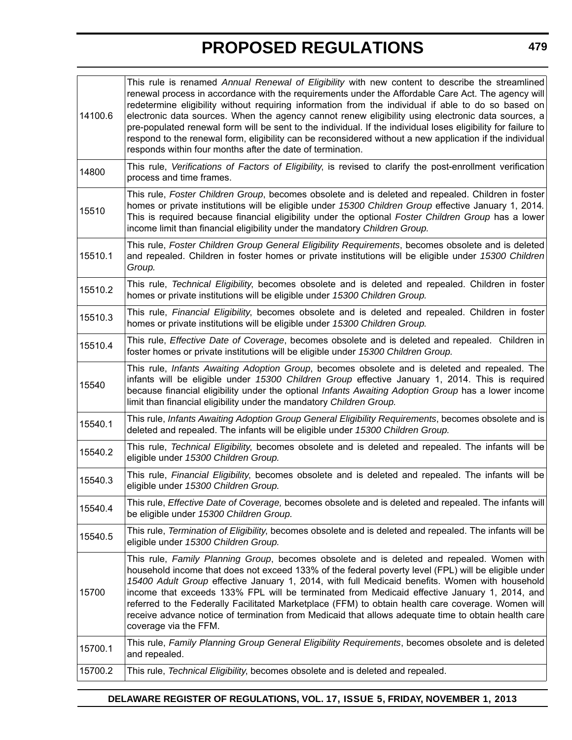| 14100.6 | This rule is renamed Annual Renewal of Eligibility with new content to describe the streamlined<br>renewal process in accordance with the requirements under the Affordable Care Act. The agency will<br>redetermine eligibility without requiring information from the individual if able to do so based on<br>electronic data sources. When the agency cannot renew eligibility using electronic data sources, a<br>pre-populated renewal form will be sent to the individual. If the individual loses eligibility for failure to<br>respond to the renewal form, eligibility can be reconsidered without a new application if the individual<br>responds within four months after the date of termination. |
|---------|---------------------------------------------------------------------------------------------------------------------------------------------------------------------------------------------------------------------------------------------------------------------------------------------------------------------------------------------------------------------------------------------------------------------------------------------------------------------------------------------------------------------------------------------------------------------------------------------------------------------------------------------------------------------------------------------------------------|
| 14800   | This rule, Verifications of Factors of Eligibility, is revised to clarify the post-enrollment verification<br>process and time frames.                                                                                                                                                                                                                                                                                                                                                                                                                                                                                                                                                                        |
| 15510   | This rule, Foster Children Group, becomes obsolete and is deleted and repealed. Children in foster<br>homes or private institutions will be eligible under 15300 Children Group effective January 1, 2014.<br>This is required because financial eligibility under the optional Foster Children Group has a lower<br>income limit than financial eligibility under the mandatory Children Group.                                                                                                                                                                                                                                                                                                              |
| 15510.1 | This rule, Foster Children Group General Eligibility Requirements, becomes obsolete and is deleted<br>and repealed. Children in foster homes or private institutions will be eligible under 15300 Children<br>Group.                                                                                                                                                                                                                                                                                                                                                                                                                                                                                          |
| 15510.2 | This rule, Technical Eligibility, becomes obsolete and is deleted and repealed. Children in foster<br>homes or private institutions will be eligible under 15300 Children Group.                                                                                                                                                                                                                                                                                                                                                                                                                                                                                                                              |
| 15510.3 | This rule, Financial Eligibility, becomes obsolete and is deleted and repealed. Children in foster<br>homes or private institutions will be eligible under 15300 Children Group.                                                                                                                                                                                                                                                                                                                                                                                                                                                                                                                              |
| 15510.4 | This rule, Effective Date of Coverage, becomes obsolete and is deleted and repealed. Children in<br>foster homes or private institutions will be eligible under 15300 Children Group.                                                                                                                                                                                                                                                                                                                                                                                                                                                                                                                         |
| 15540   | This rule, Infants Awaiting Adoption Group, becomes obsolete and is deleted and repealed. The<br>infants will be eligible under 15300 Children Group effective January 1, 2014. This is required<br>because financial eligibility under the optional Infants Awaiting Adoption Group has a lower income<br>limit than financial eligibility under the mandatory Children Group.                                                                                                                                                                                                                                                                                                                               |
| 15540.1 | This rule, Infants Awaiting Adoption Group General Eligibility Requirements, becomes obsolete and is<br>deleted and repealed. The infants will be eligible under 15300 Children Group.                                                                                                                                                                                                                                                                                                                                                                                                                                                                                                                        |
| 15540.2 | This rule, Technical Eligibility, becomes obsolete and is deleted and repealed. The infants will be<br>eligible under 15300 Children Group.                                                                                                                                                                                                                                                                                                                                                                                                                                                                                                                                                                   |
| 15540.3 | This rule, Financial Eligibility, becomes obsolete and is deleted and repealed. The infants will be<br>eligible under 15300 Children Group.                                                                                                                                                                                                                                                                                                                                                                                                                                                                                                                                                                   |
| 15540.4 | This rule, Effective Date of Coverage, becomes obsolete and is deleted and repealed. The infants will<br>be eligible under 15300 Children Group.                                                                                                                                                                                                                                                                                                                                                                                                                                                                                                                                                              |
| 15540.5 | This rule, Termination of Eligibility, becomes obsolete and is deleted and repealed. The infants will be<br>eligible under 15300 Children Group.                                                                                                                                                                                                                                                                                                                                                                                                                                                                                                                                                              |
| 15700   | This rule, Family Planning Group, becomes obsolete and is deleted and repealed. Women with<br>household income that does not exceed 133% of the federal poverty level (FPL) will be eligible under<br>15400 Adult Group effective January 1, 2014, with full Medicaid benefits. Women with household<br>income that exceeds 133% FPL will be terminated from Medicaid effective January 1, 2014, and<br>referred to the Federally Facilitated Marketplace (FFM) to obtain health care coverage. Women will<br>receive advance notice of termination from Medicaid that allows adequate time to obtain health care<br>coverage via the FFM.                                                                    |
| 15700.1 | This rule, Family Planning Group General Eligibility Requirements, becomes obsolete and is deleted<br>and repealed.                                                                                                                                                                                                                                                                                                                                                                                                                                                                                                                                                                                           |
| 15700.2 | This rule, Technical Eligibility, becomes obsolete and is deleted and repealed.                                                                                                                                                                                                                                                                                                                                                                                                                                                                                                                                                                                                                               |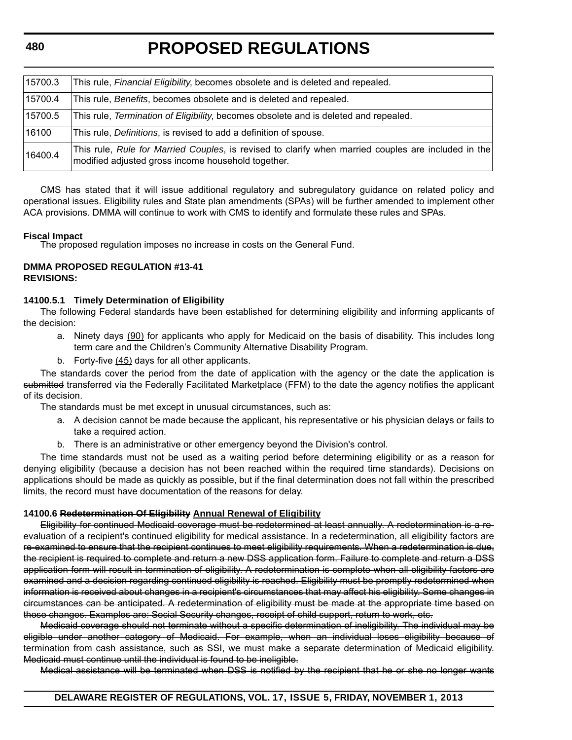**480**

# **PROPOSED REGULATIONS**

| 15700.3 | This rule, Financial Eligibility, becomes obsolete and is deleted and repealed.                                                                           |
|---------|-----------------------------------------------------------------------------------------------------------------------------------------------------------|
| 15700.4 | This rule, Benefits, becomes obsolete and is deleted and repealed.                                                                                        |
| 15700.5 | This rule, Termination of Eligibility, becomes obsolete and is deleted and repealed.                                                                      |
| 16100   | This rule, Definitions, is revised to add a definition of spouse.                                                                                         |
| 16400.4 | This rule, Rule for Married Couples, is revised to clarify when married couples are included in the<br>modified adjusted gross income household together. |

CMS has stated that it will issue additional regulatory and subregulatory guidance on related policy and operational issues. Eligibility rules and State plan amendments (SPAs) will be further amended to implement other ACA provisions. DMMA will continue to work with CMS to identify and formulate these rules and SPAs.

**Fiscal Impact** The proposed regulation imposes no increase in costs on the General Fund.

#### **DMMA PROPOSED REGULATION #13-41 REVISIONS:**

#### **14100.5.1 Timely Determination of Eligibility**

The following Federal standards have been established for determining eligibility and informing applicants of the decision:

- a. Ninety days (90) for applicants who apply for Medicaid on the basis of disability. This includes long term care and the Children's Community Alternative Disability Program.
- b. Forty-five (45) days for all other applicants.

The standards cover the period from the date of application with the agency or the date the application is submitted transferred via the Federally Facilitated Marketplace (FFM) to the date the agency notifies the applicant of its decision.

The standards must be met except in unusual circumstances, such as:

- a. A decision cannot be made because the applicant, his representative or his physician delays or fails to take a required action.
- b. There is an administrative or other emergency beyond the Division's control.

The time standards must not be used as a waiting period before determining eligibility or as a reason for denying eligibility (because a decision has not been reached within the required time standards). Decisions on applications should be made as quickly as possible, but if the final determination does not fall within the prescribed limits, the record must have documentation of the reasons for delay.

#### **14100.6 Redetermination Of Eligibility Annual Renewal of Eligibility**

Eligibility for continued Medicaid coverage must be redetermined at least annually. A redetermination is a reevaluation of a recipient's continued eligibility for medical assistance. In a redetermination, all eligibility factors are re-examined to ensure that the recipient continues to meet eligibility requirements. When a redetermination is due, the recipient is required to complete and return a new DSS application form. Failure to complete and return a DSS application form will result in termination of eligibility. A redetermination is complete when all eligibility factors are examined and a decision regarding continued eligibility is reached. Eligibility must be promptly redetermined when information is received about changes in a recipient's circumstances that may affect his eligibility. Some changes in circumstances can be anticipated. A redetermination of eligibility must be made at the appropriate time based on those changes. Examples are: Social Security changes, receipt of child support, return to work, etc.

Medicaid coverage should not terminate without a specific determination of ineligibility. The individual may be eligible under another category of Medicaid. For example, when an individual loses eligibility because of termination from cash assistance, such as SSI, we must make a separate determination of Medicaid eligibility. Medicaid must continue until the individual is found to be ineligible.

Medical assistance will be terminated when DSS is notified by the recipient that he or she no longer wants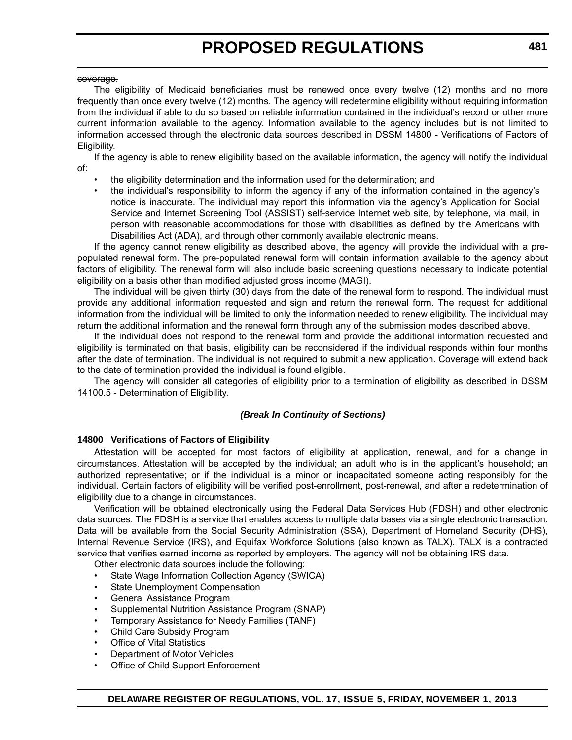#### coverage.

The eligibility of Medicaid beneficiaries must be renewed once every twelve (12) months and no more frequently than once every twelve (12) months. The agency will redetermine eligibility without requiring information from the individual if able to do so based on reliable information contained in the individual's record or other more current information available to the agency. Information available to the agency includes but is not limited to information accessed through the electronic data sources described in DSSM 14800 - Verifications of Factors of Eligibility.

If the agency is able to renew eligibility based on the available information, the agency will notify the individual of:

- the eligibility determination and the information used for the determination; and
- the individual's responsibility to inform the agency if any of the information contained in the agency's notice is inaccurate. The individual may report this information via the agency's Application for Social Service and Internet Screening Tool (ASSIST) self-service Internet web site, by telephone, via mail, in person with reasonable accommodations for those with disabilities as defined by the Americans with Disabilities Act (ADA), and through other commonly available electronic means.

If the agency cannot renew eligibility as described above, the agency will provide the individual with a prepopulated renewal form. The pre-populated renewal form will contain information available to the agency about factors of eligibility. The renewal form will also include basic screening questions necessary to indicate potential eligibility on a basis other than modified adjusted gross income (MAGI).

The individual will be given thirty (30) days from the date of the renewal form to respond. The individual must provide any additional information requested and sign and return the renewal form. The request for additional information from the individual will be limited to only the information needed to renew eligibility. The individual may return the additional information and the renewal form through any of the submission modes described above.

If the individual does not respond to the renewal form and provide the additional information requested and eligibility is terminated on that basis, eligibility can be reconsidered if the individual responds within four months after the date of termination. The individual is not required to submit a new application. Coverage will extend back to the date of termination provided the individual is found eligible.

The agency will consider all categories of eligibility prior to a termination of eligibility as described in DSSM 14100.5 - Determination of Eligibility.

#### *(Break In Continuity of Sections)*

#### **14800 Verifications of Factors of Eligibility**

Attestation will be accepted for most factors of eligibility at application, renewal, and for a change in circumstances. Attestation will be accepted by the individual; an adult who is in the applicant's household; an authorized representative; or if the individual is a minor or incapacitated someone acting responsibly for the individual. Certain factors of eligibility will be verified post-enrollment, post-renewal, and after a redetermination of eligibility due to a change in circumstances.

Verification will be obtained electronically using the Federal Data Services Hub (FDSH) and other electronic data sources. The FDSH is a service that enables access to multiple data bases via a single electronic transaction. Data will be available from the Social Security Administration (SSA), Department of Homeland Security (DHS), Internal Revenue Service (IRS), and Equifax Workforce Solutions (also known as TALX). TALX is a contracted service that verifies earned income as reported by employers. The agency will not be obtaining IRS data.

Other electronic data sources include the following:

- State Wage Information Collection Agency (SWICA)
- State Unemployment Compensation
- General Assistance Program
- Supplemental Nutrition Assistance Program (SNAP)
- Temporary Assistance for Needy Families (TANF)
- Child Care Subsidy Program
- **Office of Vital Statistics**
- Department of Motor Vehicles
- Office of Child Support Enforcement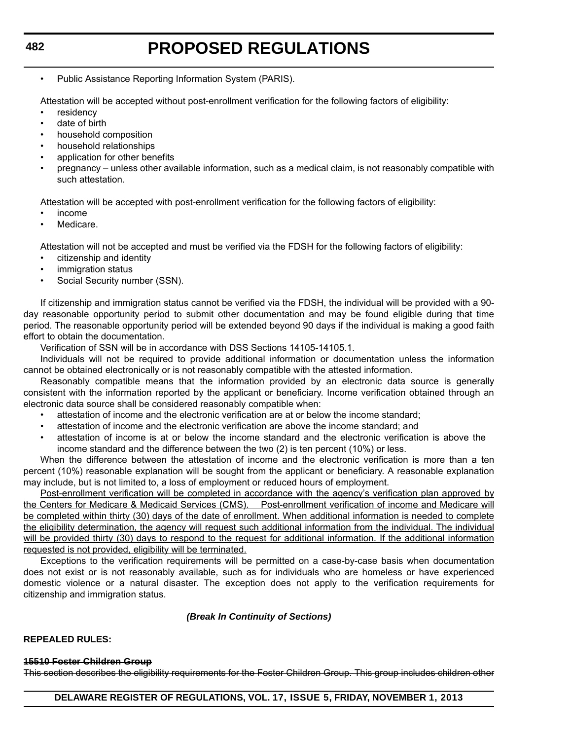• Public Assistance Reporting Information System (PARIS).

Attestation will be accepted without post-enrollment verification for the following factors of eligibility:

- **residency**
- date of birth
- household composition
- household relationships
- application for other benefits
- pregnancy unless other available information, such as a medical claim, is not reasonably compatible with such attestation.

Attestation will be accepted with post-enrollment verification for the following factors of eligibility:

- income
- Medicare.

Attestation will not be accepted and must be verified via the FDSH for the following factors of eligibility:

- citizenship and identity
- immigration status
- Social Security number (SSN).

If citizenship and immigration status cannot be verified via the FDSH, the individual will be provided with a 90 day reasonable opportunity period to submit other documentation and may be found eligible during that time period. The reasonable opportunity period will be extended beyond 90 days if the individual is making a good faith effort to obtain the documentation.

Verification of SSN will be in accordance with DSS Sections 14105-14105.1.

Individuals will not be required to provide additional information or documentation unless the information cannot be obtained electronically or is not reasonably compatible with the attested information.

Reasonably compatible means that the information provided by an electronic data source is generally consistent with the information reported by the applicant or beneficiary. Income verification obtained through an electronic data source shall be considered reasonably compatible when:

- attestation of income and the electronic verification are at or below the income standard;
- attestation of income and the electronic verification are above the income standard; and
- attestation of income is at or below the income standard and the electronic verification is above the income standard and the difference between the two (2) is ten percent (10%) or less.

When the difference between the attestation of income and the electronic verification is more than a ten percent (10%) reasonable explanation will be sought from the applicant or beneficiary. A reasonable explanation may include, but is not limited to, a loss of employment or reduced hours of employment.

Post-enrollment verification will be completed in accordance with the agency's verification plan approved by the Centers for Medicare & Medicaid Services (CMS). Post-enrollment verification of income and Medicare will be completed within thirty (30) days of the date of enrollment. When additional information is needed to complete the eligibility determination, the agency will request such additional information from the individual. The individual will be provided thirty (30) days to respond to the request for additional information. If the additional information requested is not provided, eligibility will be terminated.

Exceptions to the verification requirements will be permitted on a case-by-case basis when documentation does not exist or is not reasonably available, such as for individuals who are homeless or have experienced domestic violence or a natural disaster. The exception does not apply to the verification requirements for citizenship and immigration status.

#### *(Break In Continuity of Sections)*

#### **REPEALED RULES:**

#### **15510 Foster Children Group**

This section describes the eligibility requirements for the Foster Children Group. This group includes children other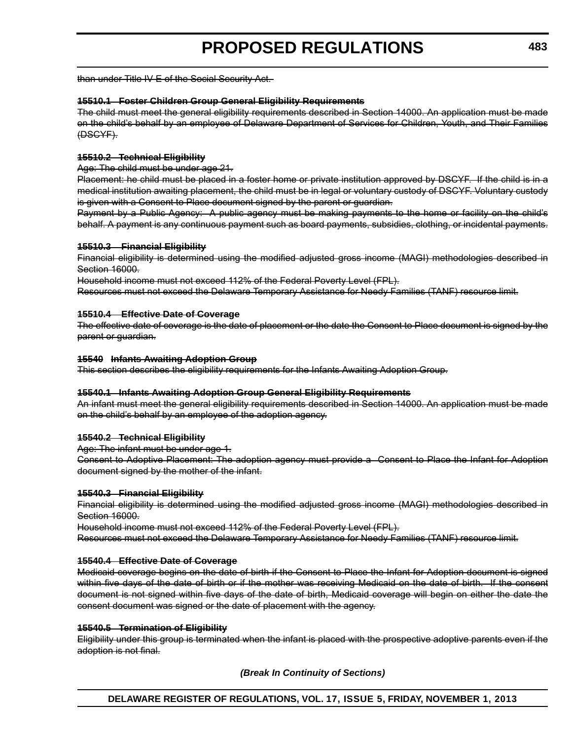than under Title IV-E of the Social Security Act.

#### **15510.1 Foster Children Group General Eligibility Requirements**

The child must meet the general eligibility requirements described in Section 14000. An application must be made on the child's behalf by an employee of Delaware Department of Services for Children, Youth, and Their Families (DSCYF).

#### **15510.2 Technical Eligibility**

Age: The child must be under age 21.

Placement: he child must be placed in a foster home or private institution approved by DSCYF. If the child is in a medical institution awaiting placement, the child must be in legal or voluntary custody of DSCYF. Voluntary custody is given with a Consent to Place document signed by the parent or guardian.

Payment by a Public Agency: A public agency must be making payments to the home or facility on the child's behalf. A payment is any continuous payment such as board payments, subsidies, clothing, or incidental payments.

#### **15510.3 Financial Eligibility**

Financial eligibility is determined using the modified adjusted gross income (MAGI) methodologies described in Section 16000.

Household income must not exceed 112% of the Federal Poverty Level (FPL).

Resources must not exceed the Delaware Temporary Assistance for Needy Families (TANF) resource limit.

#### **15510.4 Effective Date of Coverage**

The effective date of coverage is the date of placement or the date the Consent to Place document is signed by the parent or guardian.

#### **15540 Infants Awaiting Adoption Group**

This section describes the eligibility requirements for the Infants Awaiting Adoption Group.

#### **15540.1 Infants Awaiting Adoption Group General Eligibility Requirements**

An infant must meet the general eligibility requirements described in Section 14000. An application must be made on the child's behalf by an employee of the adoption agency.

#### **15540.2 Technical Eligibility**

Age: The infant must be under age 1.

Consent to Adoptive Placement: The adoption agency must provide a Consent to Place the Infant for Adoption document signed by the mother of the infant.

#### **15540.3 Financial Eligibility**

Financial eligibility is determined using the modified adjusted gross income (MAGI) methodologies described in Section 16000.

Household income must not exceed 112% of the Federal Poverty Level (FPL). Resources must not exceed the Delaware Temporary Assistance for Needy Families (TANF) resource limit.

#### **15540.4 Effective Date of Coverage**

Medicaid coverage begins on the date of birth if the Consent to Place the Infant for Adoption document is signed within five days of the date of birth or if the mother was receiving Medicaid on the date of birth. If the consent document is not signed within five days of the date of birth, Medicaid coverage will begin on either the date the consent document was signed or the date of placement with the agency.

#### **15540.5 Termination of Eligibility**

Eligibility under this group is terminated when the infant is placed with the prospective adoptive parents even if the adoption is not final.

*(Break In Continuity of Sections)*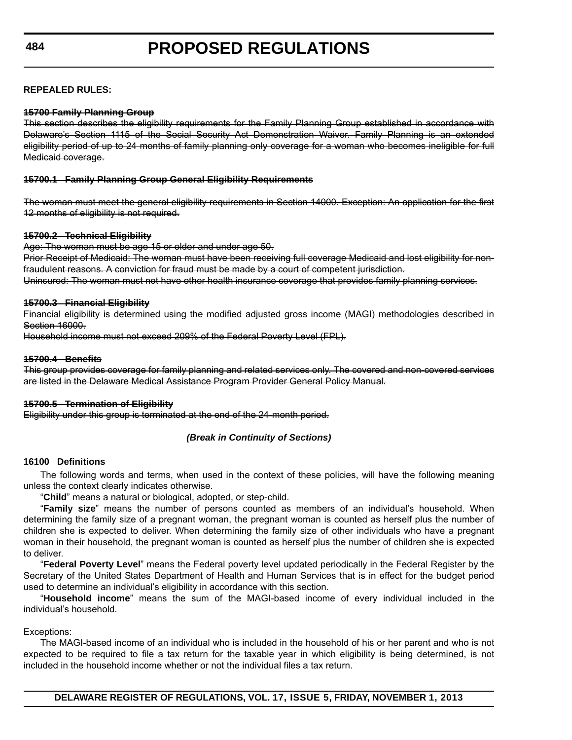#### **REPEALED RULES:**

#### **15700 Family Planning Group**

This section describes the eligibility requirements for the Family Planning Group established in accordance with Delaware's Section 1115 of the Social Security Act Demonstration Waiver. Family Planning is an extended eligibility period of up to 24 months of family planning only coverage for a woman who becomes ineligible for full Medicaid coverage.

#### **15700.1 Family Planning Group General Eligibility Requirements**

The woman must meet the general eligibility requirements in Section 14000. Exception: An application for the first 12 months of eligibility is not required.

#### **15700.2 Technical Eligibility**

Age: The woman must be age 15 or older and under age 50.

Prior Receipt of Medicaid: The woman must have been receiving full coverage Medicaid and lost eligibility for nonfraudulent reasons. A conviction for fraud must be made by a court of competent jurisdiction. Uninsured: The woman must not have other health insurance coverage that provides family planning services.

#### **15700.3 Financial Eligibility**

Financial eligibility is determined using the modified adjusted gross income (MAGI) methodologies described in Section 16000.

Household income must not exceed 209% of the Federal Poverty Level (FPL).

#### **15700.4 Benefits**

This group provides coverage for family planning and related services only. The covered and non-covered services are listed in the Delaware Medical Assistance Program Provider General Policy Manual.

#### **15700.5 Termination of Eligibility**

Eligibility under this group is terminated at the end of the 24-month period.

#### *(Break in Continuity of Sections)*

#### **16100 Definitions**

The following words and terms, when used in the context of these policies, will have the following meaning unless the context clearly indicates otherwise.

"**Child**" means a natural or biological, adopted, or step-child.

"**Family size**" means the number of persons counted as members of an individual's household. When determining the family size of a pregnant woman, the pregnant woman is counted as herself plus the number of children she is expected to deliver. When determining the family size of other individuals who have a pregnant woman in their household, the pregnant woman is counted as herself plus the number of children she is expected to deliver.

"**Federal Poverty Level**" means the Federal poverty level updated periodically in the Federal Register by the Secretary of the United States Department of Health and Human Services that is in effect for the budget period used to determine an individual's eligibility in accordance with this section.

"**Household income**" means the sum of the MAGI-based income of every individual included in the individual's household.

#### Exceptions:

The MAGI-based income of an individual who is included in the household of his or her parent and who is not expected to be required to file a tax return for the taxable year in which eligibility is being determined, is not included in the household income whether or not the individual files a tax return.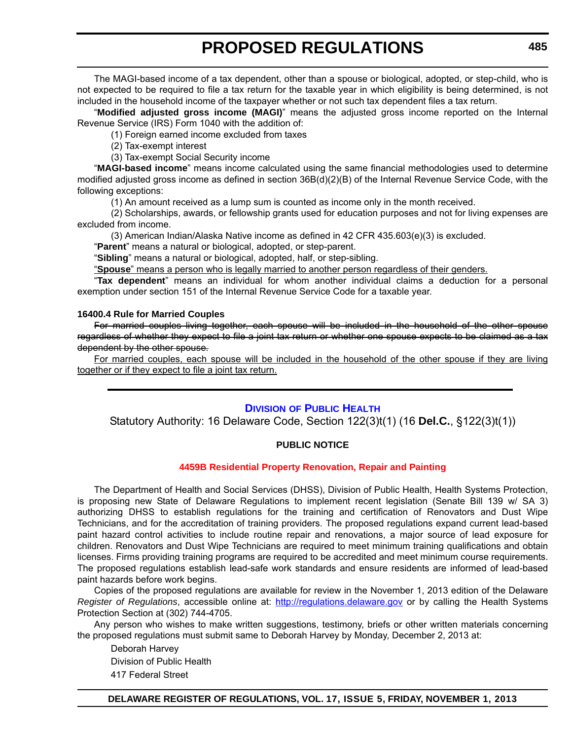<span id="page-29-0"></span>The MAGI-based income of a tax dependent, other than a spouse or biological, adopted, or step-child, who is not expected to be required to file a tax return for the taxable year in which eligibility is being determined, is not included in the household income of the taxpayer whether or not such tax dependent files a tax return.

"**Modified adjusted gross income (MAGI)**" means the adjusted gross income reported on the Internal Revenue Service (IRS) Form 1040 with the addition of:

(1) Foreign earned income excluded from taxes

(2) Tax-exempt interest

(3) Tax-exempt Social Security income

"**MAGI-based income**" means income calculated using the same financial methodologies used to determine modified adjusted gross income as defined in section 36B(d)(2)(B) of the Internal Revenue Service Code, with the following exceptions:

(1) An amount received as a lump sum is counted as income only in the month received.

(2) Scholarships, awards, or fellowship grants used for education purposes and not for living expenses are excluded from income.

(3) American Indian/Alaska Native income as defined in 42 CFR 435.603(e)(3) is excluded.

"**Parent**" means a natural or biological, adopted, or step-parent.

"**Sibling**" means a natural or biological, adopted, half, or step-sibling.

"**Spouse**" means a person who is legally married to another person regardless of their genders.

"**Tax dependent**" means an individual for whom another individual claims a deduction for a personal exemption under section 151 of the Internal Revenue Service Code for a taxable year.

#### **16400.4 Rule for Married Couples**

For married couples living together, each spouse will be included in the household of the other spouse regardless of whether they expect to file a joint tax return or whether one spouse expects to be claimed as a tax dependent by the other spouse.

For married couples, each spouse will be included in the household of the other spouse if they are living together or if they expect to file a joint tax return.

#### **DIVISION [OF PUBLIC HEALTH](http://www.dhss.delaware.gov/dhss/dph/index.html)**

Statutory Authority: 16 Delaware Code, Section 122(3)t(1) (16 **Del.C.**, §122(3)t(1))

#### **PUBLIC NOTICE**

#### **[4459B Residential Property Renovation, Repair and Painting](#page-3-0)**

The Department of Health and Social Services (DHSS), Division of Public Health, Health Systems Protection, is proposing new State of Delaware Regulations to implement recent legislation (Senate Bill 139 w/ SA 3) authorizing DHSS to establish regulations for the training and certification of Renovators and Dust Wipe Technicians, and for the accreditation of training providers. The proposed regulations expand current lead-based paint hazard control activities to include routine repair and renovations, a major source of lead exposure for children. Renovators and Dust Wipe Technicians are required to meet minimum training qualifications and obtain licenses. Firms providing training programs are required to be accredited and meet minimum course requirements. The proposed regulations establish lead-safe work standards and ensure residents are informed of lead-based paint hazards before work begins.

Copies of the proposed regulations are available for review in the November 1, 2013 edition of the Delaware *Register of Regulations*, accessible online at: <http://regulations.delaware.gov> or by calling the Health Systems Protection Section at (302) 744-4705.

Any person who wishes to make written suggestions, testimony, briefs or other written materials concerning the proposed regulations must submit same to Deborah Harvey by Monday, December 2, 2013 at:

Deborah Harvey Division of Public Health 417 Federal Street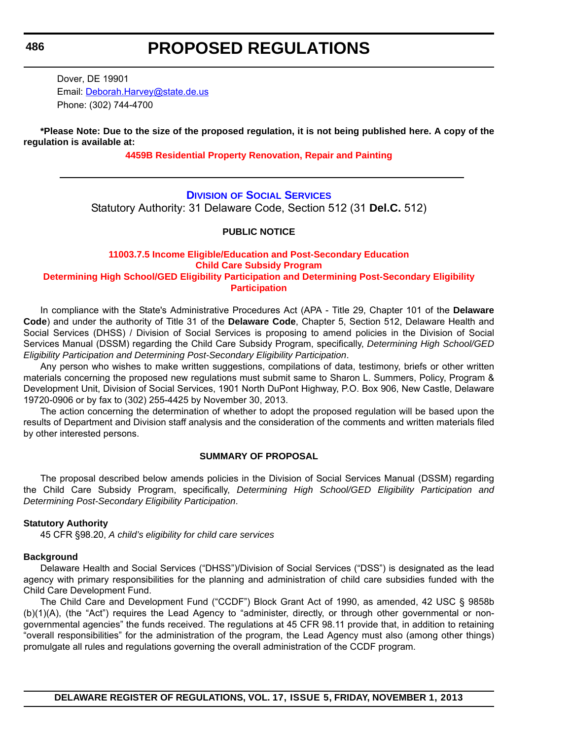Dover, DE 19901 Email: [Deborah.Harvey@state.de.us](mailto:Deborah.Harvey@state.de.us) Phone: (302) 744-4700

**\*Please Note: Due to the size of the proposed regulation, it is not being published here. A copy of the regulation is available at:**

**[4459B Residential Property Renovation, Repair and Painting](http://regulations.delaware.gov/register/november2013/proposed/17 DE Reg 485 11-01-13.htm)**

### **DIVISION [OF SOCIAL SERVICES](http://www.dhss.delaware.gov/dhss/dss/)** Statutory Authority: 31 Delaware Code, Section 512 (31 **Del.C.** 512)

#### **PUBLIC NOTICE**

#### **11003.7.5 Income Eligible/Education and Post-Secondary Education Child Care Subsidy Program [Determining High School/GED Eligibility Participation and Determining Post-Secondary Eligibility](#page-3-0)  Participation**

In compliance with the State's Administrative Procedures Act (APA - Title 29, Chapter 101 of the **Delaware Code**) and under the authority of Title 31 of the **Delaware Code**, Chapter 5, Section 512, Delaware Health and Social Services (DHSS) / Division of Social Services is proposing to amend policies in the Division of Social Services Manual (DSSM) regarding the Child Care Subsidy Program, specifically, *Determining High School/GED Eligibility Participation and Determining Post-Secondary Eligibility Participation*.

Any person who wishes to make written suggestions, compilations of data, testimony, briefs or other written materials concerning the proposed new regulations must submit same to Sharon L. Summers, Policy, Program & Development Unit, Division of Social Services, 1901 North DuPont Highway, P.O. Box 906, New Castle, Delaware 19720-0906 or by fax to (302) 255-4425 by November 30, 2013.

The action concerning the determination of whether to adopt the proposed regulation will be based upon the results of Department and Division staff analysis and the consideration of the comments and written materials filed by other interested persons.

#### **SUMMARY OF PROPOSAL**

The proposal described below amends policies in the Division of Social Services Manual (DSSM) regarding the Child Care Subsidy Program, specifically, *Determining High School/GED Eligibility Participation and Determining Post-Secondary Eligibility Participation*.

#### **Statutory Authority**

45 CFR §98.20, *A child's eligibility for child care services*

#### **Background**

Delaware Health and Social Services ("DHSS")/Division of Social Services ("DSS") is designated as the lead agency with primary responsibilities for the planning and administration of child care subsidies funded with the Child Care Development Fund.

The Child Care and Development Fund ("CCDF") Block Grant Act of 1990, as amended, 42 USC § 9858b (b)(1)(A), (the "Act") requires the Lead Agency to "administer, directly, or through other governmental or nongovernmental agencies" the funds received. The regulations at 45 CFR 98.11 provide that, in addition to retaining "overall responsibilities" for the administration of the program, the Lead Agency must also (among other things) promulgate all rules and regulations governing the overall administration of the CCDF program.

<span id="page-30-0"></span>**486**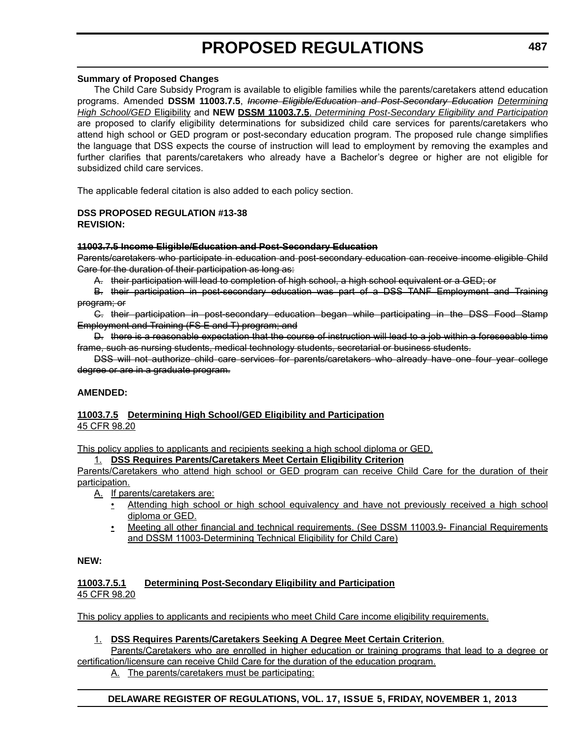#### **Summary of Proposed Changes**

The Child Care Subsidy Program is available to eligible families while the parents/caretakers attend education programs. Amended **DSSM 11003.7.5**, *Income Eligible/Education and Post-Secondary Education Determining High School/GED* Eligibility and **NEW DSSM 11003.7.5**, *Determining Post-Secondary Eligibility and Participation* are proposed to clarify eligibility determinations for subsidized child care services for parents/caretakers who attend high school or GED program or post-secondary education program. The proposed rule change simplifies the language that DSS expects the course of instruction will lead to employment by removing the examples and further clarifies that parents/caretakers who already have a Bachelor's degree or higher are not eligible for subsidized child care services.

The applicable federal citation is also added to each policy section.

#### **DSS PROPOSED REGULATION #13-38 REVISION:**

#### **11003.7.5 Income Eligible/Education and Post-Secondary Education**

Parents/caretakers who participate in education and post-secondary education can receive income eligible Child Care for the duration of their participation as long as:

A. their participation will lead to completion of high school, a high school equivalent or a GED; or

B. their participation in post-secondary education was part of a DSS TANF Employment and Training program; or

C. their participation in post-secondary education began while participating in the DSS Food Stamp Employment and Training (FS E and T) program; and

D. there is a reasonable expectation that the course of instruction will lead to a job within a foreseeable time frame, such as nursing students, medical technology students, secretarial or business students.

DSS will not authorize child care services for parents/caretakers who already have one four year college degree or are in a graduate program.

#### **AMENDED:**

#### **11003.7.5 Determining High School/GED Eligibility and Participation** 45 CFR 98.20

This policy applies to applicants and recipients seeking a high school diploma or GED.

#### 1. **DSS Requires Parents/Caretakers Meet Certain Eligibility Criterion**

Parents/Caretakers who attend high school or GED program can receive Child Care for the duration of their participation.

A. If parents/caretakers are:

- Attending high school or high school equivalency and have not previously received a high school diploma or GED.
- Meeting all other financial and technical requirements. (See DSSM 11003.9- Financial Requirements and DSSM 11003-Determining Technical Eligibility for Child Care)

#### **NEW:**

#### **11003.7.5.1 Determining Post-Secondary Eligibility and Participation** 45 CFR 98.20

This policy applies to applicants and recipients who meet Child Care income eligibility requirements.

#### 1. **DSS Requires Parents/Caretakers Seeking A Degree Meet Certain Criterion**.

Parents/Caretakers who are enrolled in higher education or training programs that lead to a degree or certification/licensure can receive Child Care for the duration of the education program.

A. The parents/caretakers must be participating: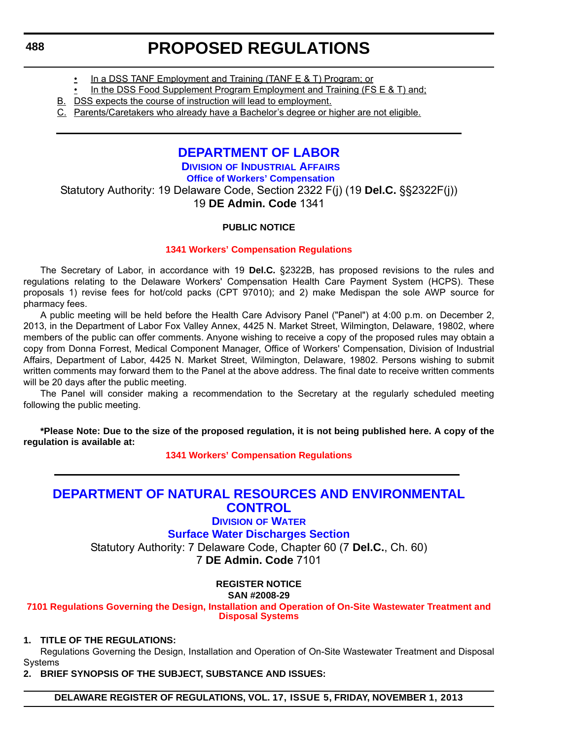- In a DSS TANF Employment and Training (TANF E & T) Program; or
- <span id="page-32-0"></span>• In the DSS Food Supplement Program Employment and Training (FS E & T) and;
- B. DSS expects the course of instruction will lead to employment.
- C. Parents/Caretakers who already have a Bachelor's degree or higher are not eligible.

### **[DEPARTMENT OF LABOR](http://dia.delawareworks.com/workers-comp/)**

**DIVISION OF INDUSTRIAL AFFAIRS Office of Workers' Compensation**

Statutory Authority: 19 Delaware Code, Section 2322 F(j) (19 **Del.C.** §§2322F(j)) 19 **DE Admin. Code** 1341

### **PUBLIC NOTICE**

#### **[1341 Workers' Compensation Regulations](#page-3-0)**

The Secretary of Labor, in accordance with 19 **Del.C.** §2322B, has proposed revisions to the rules and regulations relating to the Delaware Workers' Compensation Health Care Payment System (HCPS). These proposals 1) revise fees for hot/cold packs (CPT 97010); and 2) make Medispan the sole AWP source for pharmacy fees.

A public meeting will be held before the Health Care Advisory Panel ("Panel") at 4:00 p.m. on December 2, 2013, in the Department of Labor Fox Valley Annex, 4425 N. Market Street, Wilmington, Delaware, 19802, where members of the public can offer comments. Anyone wishing to receive a copy of the proposed rules may obtain a copy from Donna Forrest, Medical Component Manager, Office of Workers' Compensation, Division of Industrial Affairs, Department of Labor, 4425 N. Market Street, Wilmington, Delaware, 19802. Persons wishing to submit written comments may forward them to the Panel at the above address. The final date to receive written comments will be 20 days after the public meeting.

The Panel will consider making a recommendation to the Secretary at the regularly scheduled meeting following the public meeting.

**\*Please Note: Due to the size of the proposed regulation, it is not being published here. A copy of the regulation is available at:**

**[1341 Workers' Compensation Regulations](http://regulations.delaware.gov/register/november2013/proposed/17 DE Reg 488 11-01-13.htm)**

### **[DEPARTMENT OF NATURAL RESOURCES AND ENVIRONMENTAL](http://www.dnrec.delaware.gov/wr/Pages/Default.aspx)  CONTROL**

**DIVISION OF WATER**

**Surface Water Discharges Section**

Statutory Authority: 7 Delaware Code, Chapter 60 (7 **Del.C.**, Ch. 60) 7 **DE Admin. Code** 7101

#### **REGISTER NOTICE SAN #2008-29**

**[7101 Regulations Governing the Design, Installation and Operation of On-Site Wastewater Treatment and](#page-3-0)  Disposal Systems**

### **1. TITLE OF THE REGULATIONS:**

Regulations Governing the Design, Installation and Operation of On-Site Wastewater Treatment and Disposal Systems

**2. BRIEF SYNOPSIS OF THE SUBJECT, SUBSTANCE AND ISSUES:**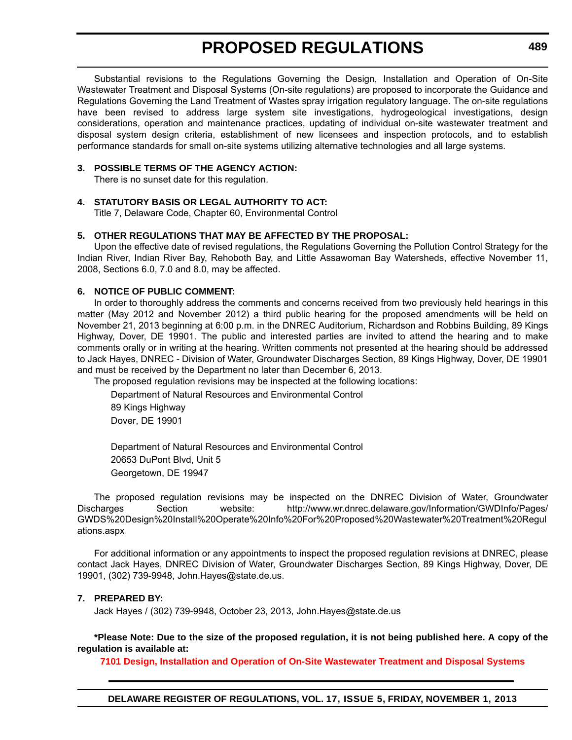Substantial revisions to the Regulations Governing the Design, Installation and Operation of On-Site Wastewater Treatment and Disposal Systems (On-site regulations) are proposed to incorporate the Guidance and Regulations Governing the Land Treatment of Wastes spray irrigation regulatory language. The on-site regulations have been revised to address large system site investigations, hydrogeological investigations, design considerations, operation and maintenance practices, updating of individual on-site wastewater treatment and disposal system design criteria, establishment of new licensees and inspection protocols, and to establish performance standards for small on-site systems utilizing alternative technologies and all large systems.

#### **3. POSSIBLE TERMS OF THE AGENCY ACTION:**

There is no sunset date for this regulation.

#### **4. STATUTORY BASIS OR LEGAL AUTHORITY TO ACT:**

Title 7, Delaware Code, Chapter 60, Environmental Control

#### **5. OTHER REGULATIONS THAT MAY BE AFFECTED BY THE PROPOSAL:**

Upon the effective date of revised regulations, the Regulations Governing the Pollution Control Strategy for the Indian River, Indian River Bay, Rehoboth Bay, and Little Assawoman Bay Watersheds, effective November 11, 2008, Sections 6.0, 7.0 and 8.0, may be affected.

#### **6. NOTICE OF PUBLIC COMMENT:**

In order to thoroughly address the comments and concerns received from two previously held hearings in this matter (May 2012 and November 2012) a third public hearing for the proposed amendments will be held on November 21, 2013 beginning at 6:00 p.m. in the DNREC Auditorium, Richardson and Robbins Building, 89 Kings Highway, Dover, DE 19901. The public and interested parties are invited to attend the hearing and to make comments orally or in writing at the hearing. Written comments not presented at the hearing should be addressed to Jack Hayes, DNREC - Division of Water, Groundwater Discharges Section, 89 Kings Highway, Dover, DE 19901 and must be received by the Department no later than December 6, 2013.

The proposed regulation revisions may be inspected at the following locations:

Department of Natural Resources and Environmental Control 89 Kings Highway Dover, DE 19901

Department of Natural Resources and Environmental Control 20653 DuPont Blvd, Unit 5 Georgetown, DE 19947

The proposed regulation revisions may be inspected on the DNREC Division of Water, Groundwater Discharges Section website: http://www.wr.dnrec.delaware.gov/Information/GWDInfo/Pages/ GWDS%20Design%20Install%20Operate%20Info%20For%20Proposed%20Wastewater%20Treatment%20Regul ations.aspx

For additional information or any appointments to inspect the proposed regulation revisions at DNREC, please contact Jack Hayes, DNREC Division of Water, Groundwater Discharges Section, 89 Kings Highway, Dover, DE 19901, (302) 739-9948, John.Hayes@state.de.us.

#### **7. PREPARED BY:**

Jack Hayes / (302) 739-9948, October 23, 2013, John.Hayes@state.de.us

**\*Please Note: Due to the size of the proposed regulation, it is not being published here. A copy of the regulation is available at:**

**[7101 Design, Installation and Operation of On-Site Wastewater Treatment and Disposal Systems](http://regulations.delaware.gov/register/november2013/proposed/17 DE Reg 488a 11-01-13.htm)**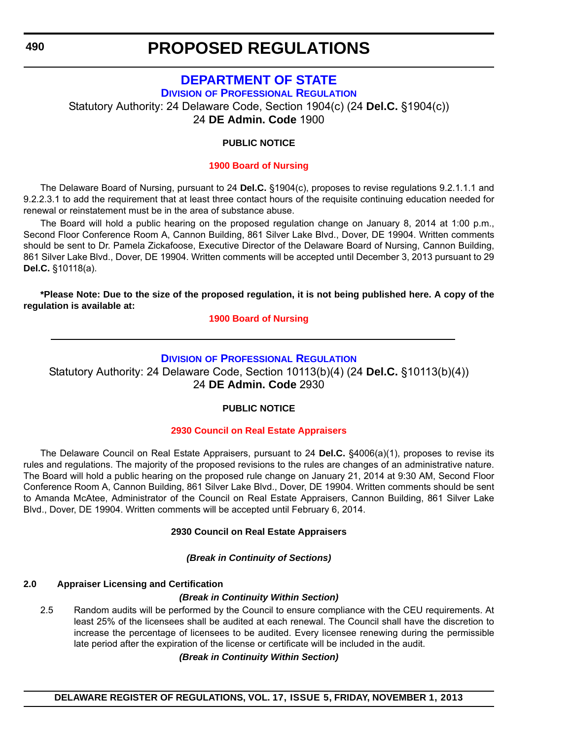# **[DEPARTMENT OF STATE](http://dpr.delaware.gov/)**

<span id="page-34-0"></span>**DIVISION OF PROFESSIONAL REGULATION** Statutory Authority: 24 Delaware Code, Section 1904(c) (24 **Del.C.** §1904(c))

24 **DE Admin. Code** 1900

### **PUBLIC NOTICE**

#### **[1900 Board of Nursing](#page-3-0)**

The Delaware Board of Nursing, pursuant to 24 **Del.C.** §1904(c), proposes to revise regulations 9.2.1.1.1 and 9.2.2.3.1 to add the requirement that at least three contact hours of the requisite continuing education needed for renewal or reinstatement must be in the area of substance abuse.

The Board will hold a public hearing on the proposed regulation change on January 8, 2014 at 1:00 p.m., Second Floor Conference Room A, Cannon Building, 861 Silver Lake Blvd., Dover, DE 19904. Written comments should be sent to Dr. Pamela Zickafoose, Executive Director of the Delaware Board of Nursing, Cannon Building, 861 Silver Lake Blvd., Dover, DE 19904. Written comments will be accepted until December 3, 2013 pursuant to 29 **Del.C.** §10118(a).

**\*Please Note: Due to the size of the proposed regulation, it is not being published here. A copy of the regulation is available at:**

**[1900 Board of Nursing](http://regulations.delaware.gov/register/november2013/proposed/17 DE Reg 490 11-01-13.htm)**

### **DIVISION [OF PROFESSIONAL REGULATION](http://dpr.delaware.gov/)**

Statutory Authority: 24 Delaware Code, Section 10113(b)(4) (24 **Del.C.** §10113(b)(4)) 24 **DE Admin. Code** 2930

### **PUBLIC NOTICE**

### **[2930 Council on Real Estate Appraisers](#page-3-0)**

The Delaware Council on Real Estate Appraisers, pursuant to 24 **Del.C.** §4006(a)(1), proposes to revise its rules and regulations. The majority of the proposed revisions to the rules are changes of an administrative nature. The Board will hold a public hearing on the proposed rule change on January 21, 2014 at 9:30 AM, Second Floor Conference Room A, Cannon Building, 861 Silver Lake Blvd., Dover, DE 19904. Written comments should be sent to Amanda McAtee, Administrator of the Council on Real Estate Appraisers, Cannon Building, 861 Silver Lake Blvd., Dover, DE 19904. Written comments will be accepted until February 6, 2014.

#### **2930 Council on Real Estate Appraisers**

*(Break in Continuity of Sections)*

### **2.0 Appraiser Licensing and Certification**

### *(Break in Continuity Within Section)*

2.5 Random audits will be performed by the Council to ensure compliance with the CEU requirements. At least 25% of the licensees shall be audited at each renewal. The Council shall have the discretion to increase the percentage of licensees to be audited. Every licensee renewing during the permissible late period after the expiration of the license or certificate will be included in the audit.

#### *(Break in Continuity Within Section)*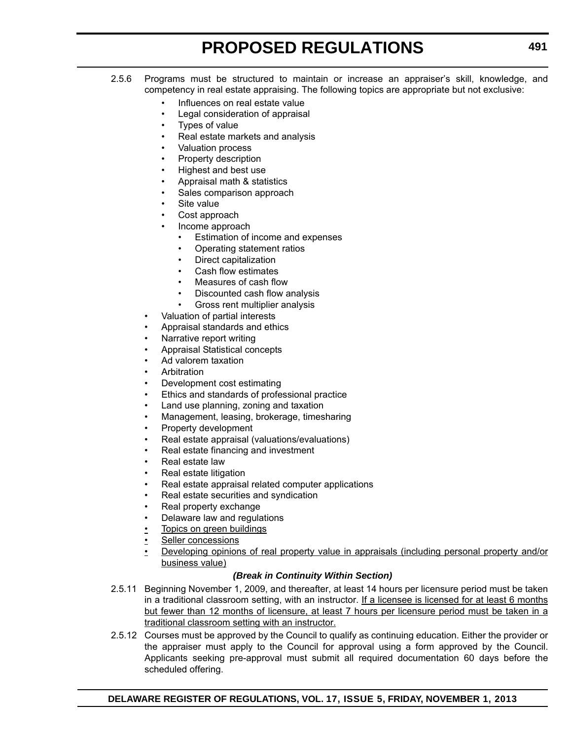- 2.5.6 Programs must be structured to maintain or increase an appraiser's skill, knowledge, and competency in real estate appraising. The following topics are appropriate but not exclusive:
	- Influences on real estate value
	- Legal consideration of appraisal
	- Types of value
	- Real estate markets and analysis
	- Valuation process
	- Property description
	- Highest and best use
	- Appraisal math & statistics
	- Sales comparison approach
	- Site value
	- Cost approach
	- Income approach
		- Estimation of income and expenses
		- Operating statement ratios
		- Direct capitalization
		- Cash flow estimates
		- Measures of cash flow
		- Discounted cash flow analysis
	- Gross rent multiplier analysis
	- Valuation of partial interests
	- Appraisal standards and ethics
	- Narrative report writing
	- Appraisal Statistical concepts
	- Ad valorem taxation
	- **Arbitration**
	- Development cost estimating
	- Ethics and standards of professional practice
	- Land use planning, zoning and taxation
	- Management, leasing, brokerage, timesharing
	- Property development
	- Real estate appraisal (valuations/evaluations)
	- Real estate financing and investment
	- Real estate law
	- Real estate litigation
	- Real estate appraisal related computer applications
	- Real estate securities and syndication
	- Real property exchange
	- Delaware law and regulations
	- Topics on green buildings
	- Seller concessions
	- Developing opinions of real property value in appraisals (including personal property and/or business value)

#### *(Break in Continuity Within Section)*

- 2.5.11 Beginning November 1, 2009, and thereafter, at least 14 hours per licensure period must be taken in a traditional classroom setting, with an instructor. If a licensee is licensed for at least 6 months but fewer than 12 months of licensure, at least 7 hours per licensure period must be taken in a traditional classroom setting with an instructor.
- 2.5.12 Courses must be approved by the Council to qualify as continuing education. Either the provider or the appraiser must apply to the Council for approval using a form approved by the Council. Applicants seeking pre-approval must submit all required documentation 60 days before the scheduled offering.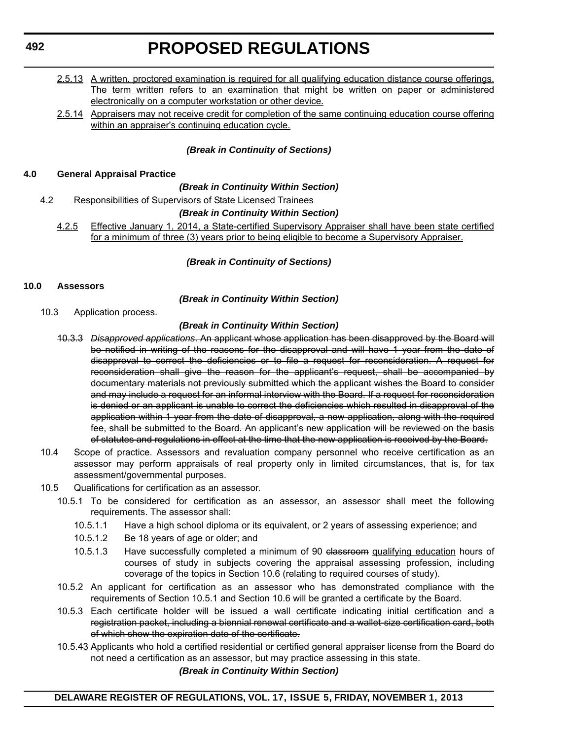- 2.5.13 A written, proctored examination is required for all qualifying education distance course offerings. The term written refers to an examination that might be written on paper or administered electronically on a computer workstation or other device.
- 2.5.14 Appraisers may not receive credit for completion of the same continuing education course offering within an appraiser's continuing education cycle.

# *(Break in Continuity of Sections)*

## **4.0 General Appraisal Practice**

## *(Break in Continuity Within Section)*

4.2 Responsibilities of Supervisors of State Licensed Trainees

## *(Break in Continuity Within Section)*

4.2.5 Effective January 1, 2014, a State-certified Supervisory Appraiser shall have been state certified for a minimum of three (3) years prior to being eligible to become a Supervisory Appraiser.

*(Break in Continuity of Sections)*

# **10.0 Assessors**

*(Break in Continuity Within Section)*

10.3 Application process.

# *(Break in Continuity Within Section)*

- 10.3.3 *Disapproved applications*. An applicant whose application has been disapproved by the Board will be notified in writing of the reasons for the disapproval and will have 1 year from the date of disapproval to correct the deficiencies or to file a request for reconsideration. A request for reconsideration shall give the reason for the applicant's request, shall be accompanied by documentary materials not previously submitted which the applicant wishes the Board to consider and may include a request for an informal interview with the Board. If a request for reconsideration is denied or an applicant is unable to correct the deficiencies which resulted in disapproval of the application within 1 year from the date of disapproval, a new application, along with the required fee, shall be submitted to the Board. An applicant's new application will be reviewed on the basis of statutes and regulations in effect at the time that the new application is received by the Board.
- 10.4 Scope of practice. Assessors and revaluation company personnel who receive certification as an assessor may perform appraisals of real property only in limited circumstances, that is, for tax assessment/governmental purposes.
- 10.5 Qualifications for certification as an assessor.
	- 10.5.1 To be considered for certification as an assessor, an assessor shall meet the following requirements. The assessor shall:
		- 10.5.1.1 Have a high school diploma or its equivalent, or 2 years of assessing experience; and
		- 10.5.1.2 Be 18 years of age or older; and
		- 10.5.1.3 Have successfully completed a minimum of 90 classroom qualifying education hours of courses of study in subjects covering the appraisal assessing profession, including coverage of the topics in Section 10.6 (relating to required courses of study).
	- 10.5.2 An applicant for certification as an assessor who has demonstrated compliance with the requirements of Section 10.5.1 and Section 10.6 will be granted a certificate by the Board.
	- 10.5.3 Each certificate holder will be issued a wall certificate indicating initial certification and a registration packet, including a biennial renewal certificate and a wallet-size certification card, both of which show the expiration date of the certificate.
	- 10.5.43 Applicants who hold a certified residential or certified general appraiser license from the Board do not need a certification as an assessor, but may practice assessing in this state.

*(Break in Continuity Within Section)*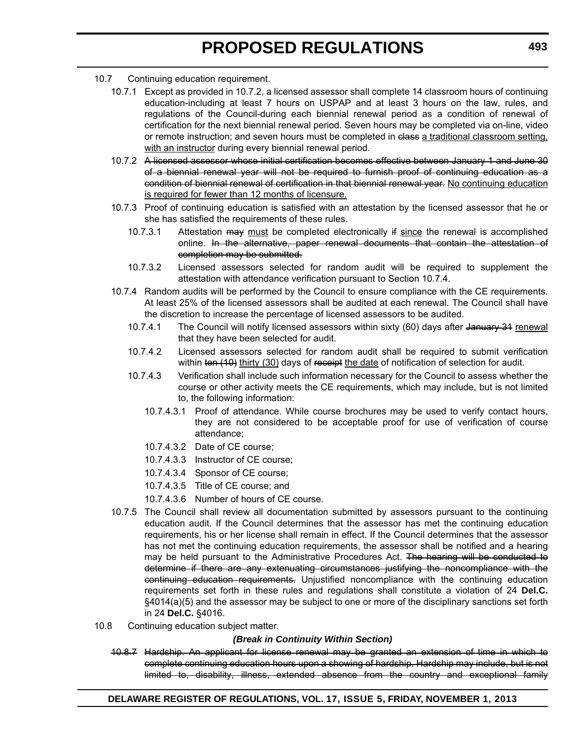- 10.7 Continuing education requirement.
	- 10.7.1 Except as provided in 10.7.2, a licensed assessor shall complete 14 classroom hours of continuing education-including at least 7 hours on USPAP and at least 3 hours on the law, rules, and regulations of the Council-during each biennial renewal period as a condition of renewal of certification for the next biennial renewal period. Seven hours may be completed via on-line, video or remote instruction; and seven hours must be completed in class a traditional classroom setting, with an instructor during every biennial renewal period.
	- 10.7.2 A licensed assessor whose initial certification becomes effective between January 1 and June 30 of a biennial renewal year will not be required to furnish proof of continuing education as a condition of biennial renewal of certification in that biennial renewal year. No continuing education is required for fewer than 12 months of licensure.
	- 10.7.3 Proof of continuing education is satisfied with an attestation by the licensed assessor that he or she has satisfied the requirements of these rules.
		- 10.7.3.1 Attestation  $\frac{m}{x}$  must be completed electronically if since the renewal is accomplished online. In the alternative, paper renewal documents that contain the attestation of completion may be submitted.
		- 10.7.3.2 Licensed assessors selected for random audit will be required to supplement the attestation with attendance verification pursuant to Section 10.7.4.
	- 10.7.4 Random audits will be performed by the Council to ensure compliance with the CE requirements. At least 25% of the licensed assessors shall be audited at each renewal. The Council shall have the discretion to increase the percentage of licensed assessors to be audited.
		- 10.7.4.1 The Council will notify licensed assessors within sixty (60) days after January 31 renewal that they have been selected for audit.
		- 10.7.4.2 Licensed assessors selected for random audit shall be required to submit verification within ten (10) thirty (30) days of receipt the date of notification of selection for audit.
		- 10.7.4.3 Verification shall include such information necessary for the Council to assess whether the course or other activity meets the CE requirements, which may include, but is not limited to, the following information:
			- 10.7.4.3.1 Proof of attendance. While course brochures may be used to verify contact hours, they are not considered to be acceptable proof for use of verification of course attendance;
			- 10.7.4.3.2 Date of CE course;
			- 10.7.4.3.3 Instructor of CE course;
			- 10.7.4.3.4 Sponsor of CE course;
			- 10.7.4.3.5 Title of CE course; and
			- 10.7.4.3.6 Number of hours of CE course.
	- 10.7.5 The Council shall review all documentation submitted by assessors pursuant to the continuing education audit. If the Council determines that the assessor has met the continuing education requirements, his or her license shall remain in effect. If the Council determines that the assessor has not met the continuing education requirements, the assessor shall be notified and a hearing may be held pursuant to the Administrative Procedures Act. The hearing will be conducted to determine if there are any extenuating circumstances justifying the noncompliance with the continuing education requirements. Unjustified noncompliance with the continuing education requirements set forth in these rules and regulations shall constitute a violation of 24 **Del.C.** §4014(a)(5) and the assessor may be subject to one or more of the disciplinary sanctions set forth in 24 **Del.C.** §4016.
- 10.8 Continuing education subject matter.

## *(Break in Continuity Within Section)*

10.8.7 Hardship. An applicant for license renewal may be granted an extension of time in which to complete continuing education hours upon a showing of hardship. Hardship may include, but is not limited to, disability, illness, extended absence from the country and exceptional family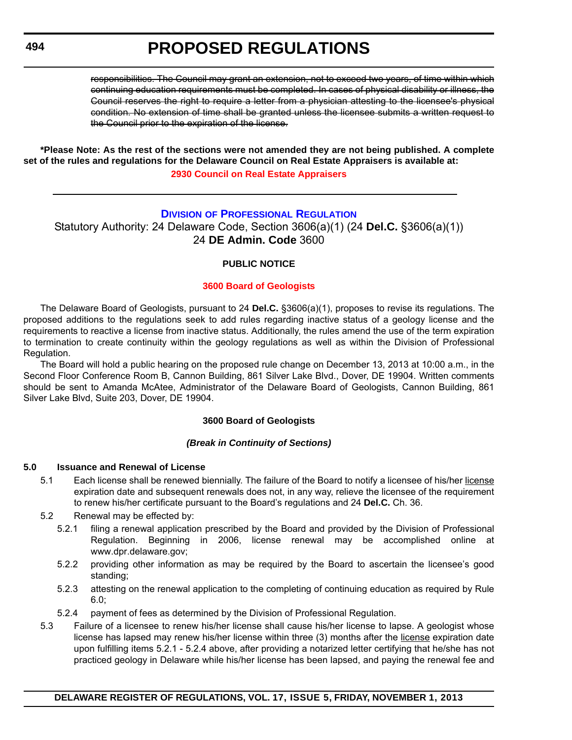responsibilities. The Council may grant an extension, not to exceed two years, of time within which continuing education requirements must be completed. In cases of physical disability or illness, the Council reserves the right to require a letter from a physician attesting to the licensee's physical condition. No extension of time shall be granted unless the licensee submits a written request to the Council prior to the expiration of the license.

**\*Please Note: As the rest of the sections were not amended they are not being published. A complete set of the rules and regulations for the Delaware Council on Real Estate Appraisers is available at:**

**[2930 Council on Real Estate Appraisers](http://regulations.delaware.gov/register/november2013/proposed/17 DE Reg 490a 11-01-13.htm)**

## **DIVISION [OF PROFESSIONAL REGULATION](http://dpr.delaware.gov/)**

Statutory Authority: 24 Delaware Code, Section 3606(a)(1) (24 **Del.C.** §3606(a)(1)) 24 **DE Admin. Code** 3600

## **PUBLIC NOTICE**

## **[3600 Board of Geologists](#page-3-0)**

The Delaware Board of Geologists, pursuant to 24 **Del.C.** §3606(a)(1), proposes to revise its regulations. The proposed additions to the regulations seek to add rules regarding inactive status of a geology license and the requirements to reactive a license from inactive status. Additionally, the rules amend the use of the term expiration to termination to create continuity within the geology regulations as well as within the Division of Professional Regulation.

The Board will hold a public hearing on the proposed rule change on December 13, 2013 at 10:00 a.m., in the Second Floor Conference Room B, Cannon Building, 861 Silver Lake Blvd., Dover, DE 19904. Written comments should be sent to Amanda McAtee, Administrator of the Delaware Board of Geologists, Cannon Building, 861 Silver Lake Blvd, Suite 203, Dover, DE 19904.

## **3600 Board of Geologists**

## *(Break in Continuity of Sections)*

## **5.0 Issuance and Renewal of License**

- 5.1 Each license shall be renewed biennially. The failure of the Board to notify a licensee of his/her license expiration date and subsequent renewals does not, in any way, relieve the licensee of the requirement to renew his/her certificate pursuant to the Board's regulations and 24 **Del.C.** Ch. 36.
- 5.2 Renewal may be effected by:
	- 5.2.1 filing a renewal application prescribed by the Board and provided by the Division of Professional Regulation. Beginning in 2006, license renewal may be accomplished online at www.dpr.delaware.gov;
	- 5.2.2 providing other information as may be required by the Board to ascertain the licensee's good standing;
	- 5.2.3 attesting on the renewal application to the completing of continuing education as required by Rule 6.0;
	- 5.2.4 payment of fees as determined by the Division of Professional Regulation.
- 5.3 Failure of a licensee to renew his/her license shall cause his/her license to lapse. A geologist whose license has lapsed may renew his/her license within three (3) months after the license expiration date upon fulfilling items 5.2.1 - 5.2.4 above, after providing a notarized letter certifying that he/she has not practiced geology in Delaware while his/her license has been lapsed, and paying the renewal fee and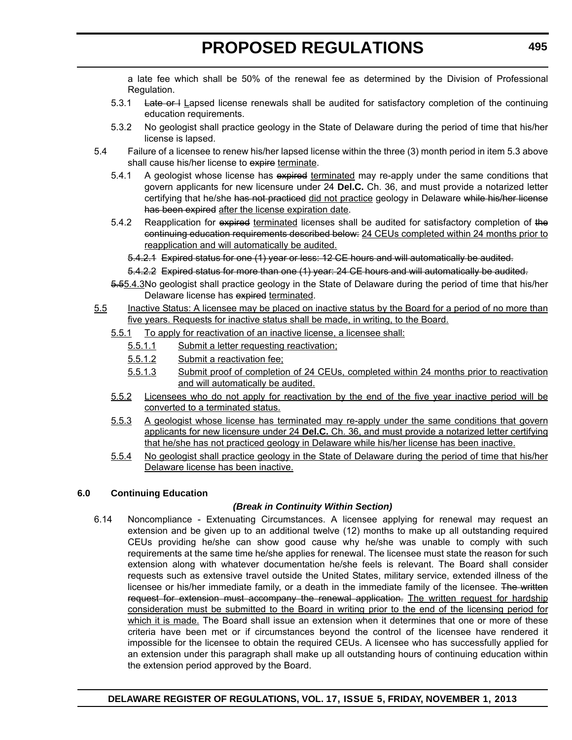a late fee which shall be 50% of the renewal fee as determined by the Division of Professional Regulation.

- 5.3.1 Late or  $l$  Lapsed license renewals shall be audited for satisfactory completion of the continuing education requirements.
- 5.3.2 No geologist shall practice geology in the State of Delaware during the period of time that his/her license is lapsed.
- 5.4 Failure of a licensee to renew his/her lapsed license within the three (3) month period in item 5.3 above shall cause his/her license to expire terminate.
	- 5.4.1 A geologist whose license has expired terminated may re-apply under the same conditions that govern applicants for new licensure under 24 **Del.C.** Ch. 36, and must provide a notarized letter certifying that he/she has not practiced did not practice geology in Delaware while his/her license has been expired after the license expiration date.
	- 5.4.2 Reapplication for expired terminated licenses shall be audited for satisfactory completion of the continuing education requirements described below: 24 CEUs completed within 24 months prior to reapplication and will automatically be audited.
		- 5.4.2.1 Expired status for one (1) year or less: 12 CE hours and will automatically be audited.
		- 5.4.2.2 Expired status for more than one (1) year: 24 CE hours and will automatically be audited.
	- 5.55.4.3No geologist shall practice geology in the State of Delaware during the period of time that his/her Delaware license has expired terminated.
- 5.5 Inactive Status: A licensee may be placed on inactive status by the Board for a period of no more than five years. Requests for inactive status shall be made, in writing, to the Board.
	- 5.5.1 To apply for reactivation of an inactive license, a licensee shall:
		- 5.5.1.1 Submit a letter requesting reactivation;
		- 5.5.1.2 Submit a reactivation fee;
		- 5.5.1.3 Submit proof of completion of 24 CEUs, completed within 24 months prior to reactivation and will automatically be audited.
	- 5.5.2 Licensees who do not apply for reactivation by the end of the five year inactive period will be converted to a terminated status.
	- 5.5.3 A geologist whose license has terminated may re-apply under the same conditions that govern applicants for new licensure under 24 **Del.C.** Ch. 36, and must provide a notarized letter certifying that he/she has not practiced geology in Delaware while his/her license has been inactive.
	- 5.5.4 No geologist shall practice geology in the State of Delaware during the period of time that his/her Delaware license has been inactive.

### **6.0 Continuing Education**

## *(Break in Continuity Within Section)*

6.14 Noncompliance - Extenuating Circumstances. A licensee applying for renewal may request an extension and be given up to an additional twelve (12) months to make up all outstanding required CEUs providing he/she can show good cause why he/she was unable to comply with such requirements at the same time he/she applies for renewal. The licensee must state the reason for such extension along with whatever documentation he/she feels is relevant. The Board shall consider requests such as extensive travel outside the United States, military service, extended illness of the licensee or his/her immediate family, or a death in the immediate family of the licensee. The written request for extension must accompany the renewal application. The written request for hardship consideration must be submitted to the Board in writing prior to the end of the licensing period for which it is made. The Board shall issue an extension when it determines that one or more of these criteria have been met or if circumstances beyond the control of the licensee have rendered it impossible for the licensee to obtain the required CEUs. A licensee who has successfully applied for an extension under this paragraph shall make up all outstanding hours of continuing education within the extension period approved by the Board.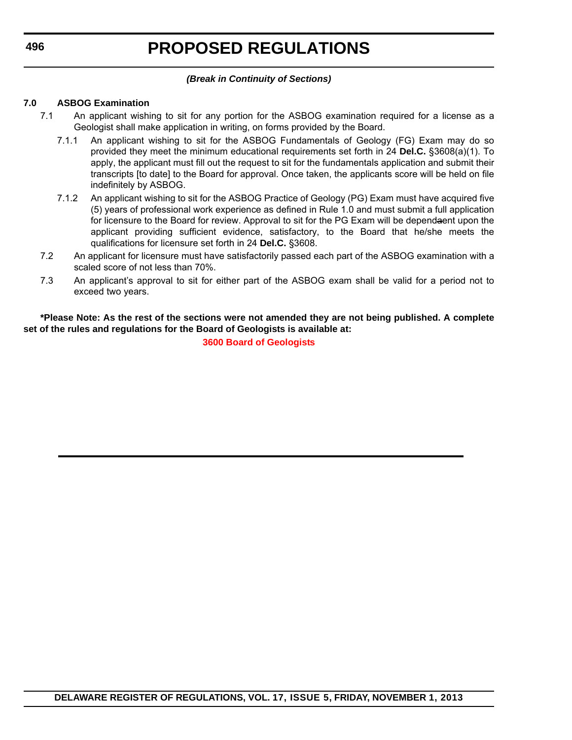## *(Break in Continuity of Sections)*

## **7.0 ASBOG Examination**

- 7.1 An applicant wishing to sit for any portion for the ASBOG examination required for a license as a Geologist shall make application in writing, on forms provided by the Board.
	- 7.1.1 An applicant wishing to sit for the ASBOG Fundamentals of Geology (FG) Exam may do so provided they meet the minimum educational requirements set forth in 24 **Del.C.** §3608(a)(1). To apply, the applicant must fill out the request to sit for the fundamentals application and submit their transcripts [to date] to the Board for approval. Once taken, the applicants score will be held on file indefinitely by ASBOG.
	- 7.1.2 An applicant wishing to sit for the ASBOG Practice of Geology (PG) Exam must have acquired five (5) years of professional work experience as defined in Rule 1.0 and must submit a full application for licensure to the Board for review. Approval to sit for the PG Exam will be dependaent upon the applicant providing sufficient evidence, satisfactory, to the Board that he/she meets the qualifications for licensure set forth in 24 **Del.C.** §3608.
- 7.2 An applicant for licensure must have satisfactorily passed each part of the ASBOG examination with a scaled score of not less than 70%.
- 7.3 An applicant's approval to sit for either part of the ASBOG exam shall be valid for a period not to exceed two years.

**\*Please Note: As the rest of the sections were not amended they are not being published. A complete set of the rules and regulations for the Board of Geologists is available at:**

**[3600 Board of Geologists](http://regulations.delaware.gov/register/november2013/proposed/17 DE Reg 494 11-01-13.pdf)**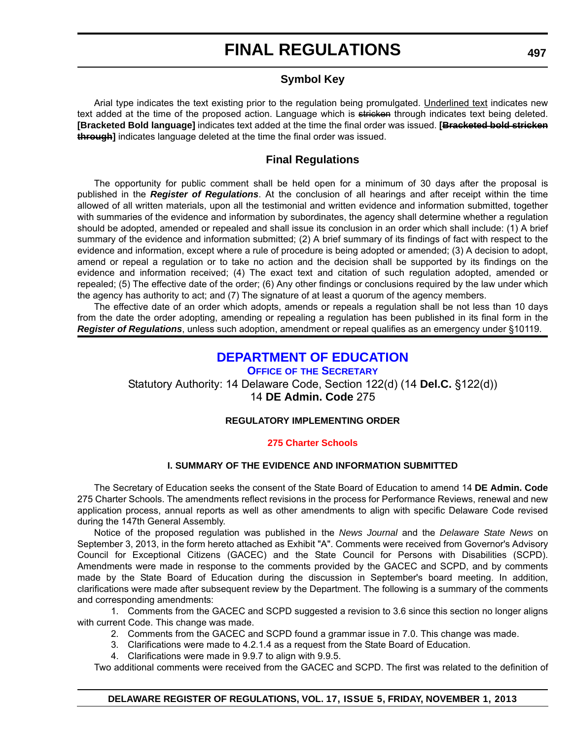# **Symbol Key**

Arial type indicates the text existing prior to the regulation being promulgated. Underlined text indicates new text added at the time of the proposed action. Language which is stricken through indicates text being deleted. **[Bracketed Bold language]** indicates text added at the time the final order was issued. **[Bracketed bold stricken through]** indicates language deleted at the time the final order was issued.

## **Final Regulations**

The opportunity for public comment shall be held open for a minimum of 30 days after the proposal is published in the *Register of Regulations*. At the conclusion of all hearings and after receipt within the time allowed of all written materials, upon all the testimonial and written evidence and information submitted, together with summaries of the evidence and information by subordinates, the agency shall determine whether a regulation should be adopted, amended or repealed and shall issue its conclusion in an order which shall include: (1) A brief summary of the evidence and information submitted; (2) A brief summary of its findings of fact with respect to the evidence and information, except where a rule of procedure is being adopted or amended; (3) A decision to adopt, amend or repeal a regulation or to take no action and the decision shall be supported by its findings on the evidence and information received; (4) The exact text and citation of such regulation adopted, amended or repealed; (5) The effective date of the order; (6) Any other findings or conclusions required by the law under which the agency has authority to act; and (7) The signature of at least a quorum of the agency members.

The effective date of an order which adopts, amends or repeals a regulation shall be not less than 10 days from the date the order adopting, amending or repealing a regulation has been published in its final form in the *Register of Regulations*, unless such adoption, amendment or repeal qualifies as an emergency under §10119.

# **[DEPARTMENT OF EDUCATION](http://www.doe.k12.de.us/)**

**OFFICE OF THE SECRETARY** Statutory Authority: 14 Delaware Code, Section 122(d) (14 **Del.C.** §122(d)) 14 **DE Admin. Code** 275

## **REGULATORY IMPLEMENTING ORDER**

### **[275 Charter Schools](#page-3-0)**

## **I. SUMMARY OF THE EVIDENCE AND INFORMATION SUBMITTED**

The Secretary of Education seeks the consent of the State Board of Education to amend 14 **DE Admin. Code** 275 Charter Schools. The amendments reflect revisions in the process for Performance Reviews, renewal and new application process, annual reports as well as other amendments to align with specific Delaware Code revised during the 147th General Assembly.

Notice of the proposed regulation was published in the *News Journal* and the *Delaware State News* on September 3, 2013, in the form hereto attached as Exhibit "A". Comments were received from Governor's Advisory Council for Exceptional Citizens (GACEC) and the State Council for Persons with Disabilities (SCPD). Amendments were made in response to the comments provided by the GACEC and SCPD, and by comments made by the State Board of Education during the discussion in September's board meeting. In addition, clarifications were made after subsequent review by the Department. The following is a summary of the comments and corresponding amendments:

1. Comments from the GACEC and SCPD suggested a revision to 3.6 since this section no longer aligns with current Code. This change was made.

- 2. Comments from the GACEC and SCPD found a grammar issue in 7.0. This change was made.
- 3. Clarifications were made to 4.2.1.4 as a request from the State Board of Education.
- 4. Clarifications were made in 9.9.7 to align with 9.9.5.

Two additional comments were received from the GACEC and SCPD. The first was related to the definition of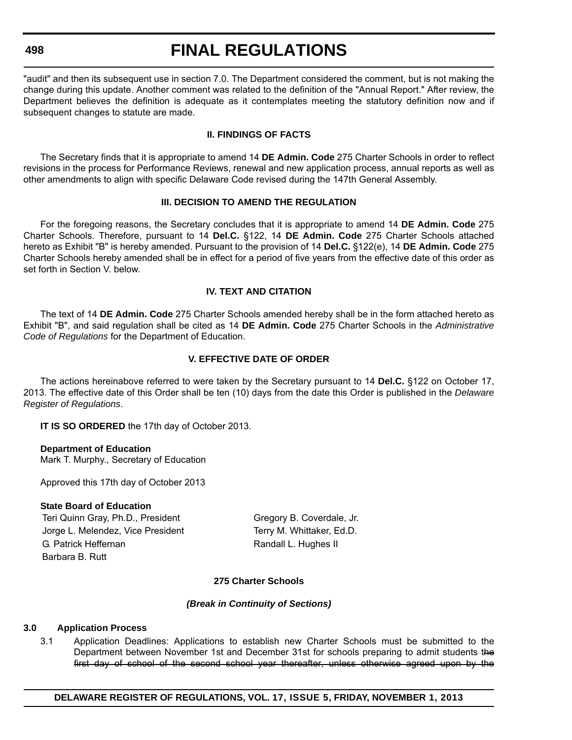# **FINAL REGULATIONS**

"audit" and then its subsequent use in section 7.0. The Department considered the comment, but is not making the change during this update. Another comment was related to the definition of the "Annual Report." After review, the Department believes the definition is adequate as it contemplates meeting the statutory definition now and if subsequent changes to statute are made.

### **II. FINDINGS OF FACTS**

The Secretary finds that it is appropriate to amend 14 **DE Admin. Code** 275 Charter Schools in order to reflect revisions in the process for Performance Reviews, renewal and new application process, annual reports as well as other amendments to align with specific Delaware Code revised during the 147th General Assembly.

### **III. DECISION TO AMEND THE REGULATION**

For the foregoing reasons, the Secretary concludes that it is appropriate to amend 14 **DE Admin. Code** 275 Charter Schools. Therefore, pursuant to 14 **Del.C.** §122, 14 **DE Admin. Code** 275 Charter Schools attached hereto as Exhibit "B" is hereby amended. Pursuant to the provision of 14 **Del.C.** §122(e), 14 **DE Admin. Code** 275 Charter Schools hereby amended shall be in effect for a period of five years from the effective date of this order as set forth in Section V. below.

## **IV. TEXT AND CITATION**

The text of 14 **DE Admin. Code** 275 Charter Schools amended hereby shall be in the form attached hereto as Exhibit "B", and said regulation shall be cited as 14 **DE Admin. Code** 275 Charter Schools in the *Administrative Code of Regulations* for the Department of Education.

## **V. EFFECTIVE DATE OF ORDER**

The actions hereinabove referred to were taken by the Secretary pursuant to 14 **Del.C.** §122 on October 17, 2013. The effective date of this Order shall be ten (10) days from the date this Order is published in the *Delaware Register of Regulations*.

**IT IS SO ORDERED** the 17th day of October 2013.

## **Department of Education**

Mark T. Murphy., Secretary of Education

Approved this 17th day of October 2013

## **State Board of Education**

Teri Quinn Gray, Ph.D., President Gregory B. Coverdale, Jr. Jorge L. Melendez, Vice President Terry M. Whittaker, Ed.D. G. Patrick Heffernan Randall L. Hughes II Barbara B. Rutt

### **275 Charter Schools**

### *(Break in Continuity of Sections)*

### **3.0 Application Process**

3.1 Application Deadlines: Applications to establish new Charter Schools must be submitted to the Department between November 1st and December 31st for schools preparing to admit students the first day of school of the second school year thereafter, unless otherwise agreed upon by the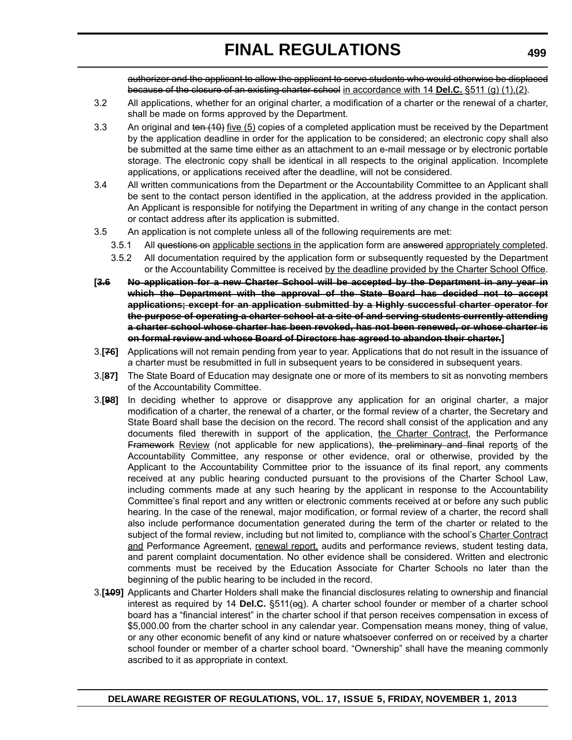authorizer and the applicant to allow the applicant to serve students who would otherwise be displaced because of the closure of an existing charter school in accordance with 14 **Del.C.** §511 (g) (1),(2).

- 3.2 All applications, whether for an original charter, a modification of a charter or the renewal of a charter, shall be made on forms approved by the Department.
- 3.3 An original and ten (10) five (5) copies of a completed application must be received by the Department by the application deadline in order for the application to be considered; an electronic copy shall also be submitted at the same time either as an attachment to an e-mail message or by electronic portable storage. The electronic copy shall be identical in all respects to the original application. Incomplete applications, or applications received after the deadline, will not be considered.
- 3.4 All written communications from the Department or the Accountability Committee to an Applicant shall be sent to the contact person identified in the application, at the address provided in the application. An Applicant is responsible for notifying the Department in writing of any change in the contact person or contact address after its application is submitted.
- 3.5 An application is not complete unless all of the following requirements are met:
	- 3.5.1 All questions on applicable sections in the application form are answered appropriately completed.
	- 3.5.2 All documentation required by the application form or subsequently requested by the Department or the Accountability Committee is received by the deadline provided by the Charter School Office.
- **[3.6 No application for a new Charter School will be accepted by the Department in any year in which the Department with the approval of the State Board has decided not to accept applications; except for an application submitted by a Highly successful charter operator for the purpose of operating a charter school at a site of and serving students currently attending a charter school whose charter has been revoked, has not been renewed, or whose charter is on formal review and whose Board of Directors has agreed to abandon their charter.]**
- 3.**[76]** Applications will not remain pending from year to year. Applications that do not result in the issuance of a charter must be resubmitted in full in subsequent years to be considered in subsequent years.
- 3.[**87]** The State Board of Education may designate one or more of its members to sit as nonvoting members of the Accountability Committee.
- 3.**[98]** In deciding whether to approve or disapprove any application for an original charter, a major modification of a charter, the renewal of a charter, or the formal review of a charter, the Secretary and State Board shall base the decision on the record. The record shall consist of the application and any documents filed therewith in support of the application, the Charter Contract, the Performance **Framework Review** (not applicable for new applications), the preliminary and final reports of the Accountability Committee, any response or other evidence, oral or otherwise, provided by the Applicant to the Accountability Committee prior to the issuance of its final report, any comments received at any public hearing conducted pursuant to the provisions of the Charter School Law, including comments made at any such hearing by the applicant in response to the Accountability Committee's final report and any written or electronic comments received at or before any such public hearing. In the case of the renewal, major modification, or formal review of a charter, the record shall also include performance documentation generated during the term of the charter or related to the subject of the formal review, including but not limited to, compliance with the school's Charter Contract and Performance Agreement, renewal report, audits and performance reviews, student testing data, and parent complaint documentation. No other evidence shall be considered. Written and electronic comments must be received by the Education Associate for Charter Schools no later than the beginning of the public hearing to be included in the record.
- 3.**[109]** Applicants and Charter Holders shall make the financial disclosures relating to ownership and financial interest as required by 14 **Del.C.** §511(eq). A charter school founder or member of a charter school board has a "financial interest" in the charter school if that person receives compensation in excess of \$5,000.00 from the charter school in any calendar year. Compensation means money, thing of value, or any other economic benefit of any kind or nature whatsoever conferred on or received by a charter school founder or member of a charter school board. "Ownership" shall have the meaning commonly ascribed to it as appropriate in context.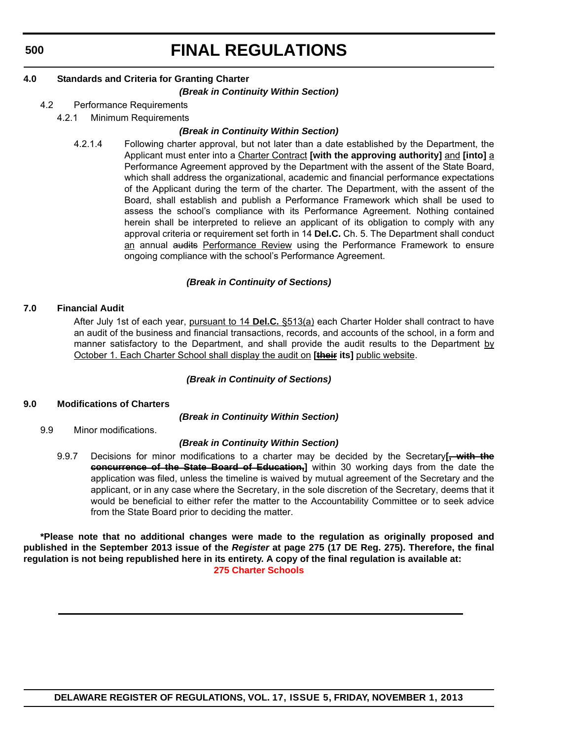# **FINAL REGULATIONS**

## **4.0 Standards and Criteria for Granting Charter**

### *(Break in Continuity Within Section)*

- 4.2 Performance Requirements
	- 4.2.1 Minimum Requirements

### *(Break in Continuity Within Section)*

4.2.1.4 Following charter approval, but not later than a date established by the Department, the Applicant must enter into a Charter Contract **[with the approving authority]** and **[into]** a Performance Agreement approved by the Department with the assent of the State Board, which shall address the organizational, academic and financial performance expectations of the Applicant during the term of the charter. The Department, with the assent of the Board, shall establish and publish a Performance Framework which shall be used to assess the school's compliance with its Performance Agreement. Nothing contained herein shall be interpreted to relieve an applicant of its obligation to comply with any approval criteria or requirement set forth in 14 **Del.C.** Ch. 5. The Department shall conduct an annual audits Performance Review using the Performance Framework to ensure ongoing compliance with the school's Performance Agreement.

### *(Break in Continuity of Sections)*

### **7.0 Financial Audit**

After July 1st of each year, pursuant to 14 **Del.C.** §513(a) each Charter Holder shall contract to have an audit of the business and financial transactions, records, and accounts of the school, in a form and manner satisfactory to the Department, and shall provide the audit results to the Department  $\underline{b}\underline{y}$ October 1. Each Charter School shall display the audit on **[their its]** public website.

### *(Break in Continuity of Sections)*

### **9.0 Modifications of Charters**

*(Break in Continuity Within Section)*

9.9 Minor modifications.

### *(Break in Continuity Within Section)*

9.9.7 Decisions for minor modifications to a charter may be decided by the Secretary**[, with the concurrence of the State Board of Education,]** within 30 working days from the date the application was filed, unless the timeline is waived by mutual agreement of the Secretary and the applicant, or in any case where the Secretary, in the sole discretion of the Secretary, deems that it would be beneficial to either refer the matter to the Accountability Committee or to seek advice from the State Board prior to deciding the matter.

**\*Please note that no additional changes were made to the regulation as originally proposed and published in the September 2013 issue of the** *Register* **at page 275 (17 DE Reg. 275). Therefore, the final regulation is not being republished here in its entirety. A copy of the final regulation is available at: [275 Charter Schools](http://regulations.delaware.gov/register/november2013/final/17 DE Reg 497 11-01-13.htm)**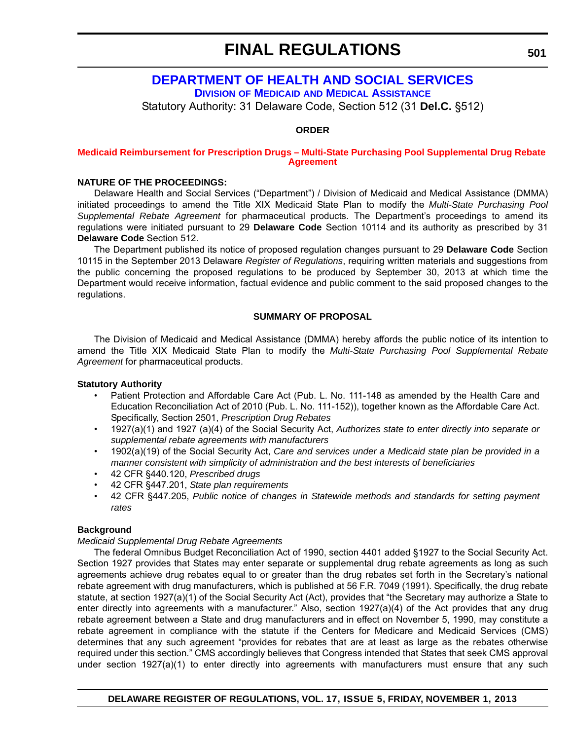# **[DEPARTMENT OF HEALTH AND SOCIAL SERVICES](http://www.dhss.delaware.gov/dhss/dmma/)**

**DIVISION OF MEDICAID AND MEDICAL ASSISTANCE**

Statutory Authority: 31 Delaware Code, Section 512 (31 **Del.C.** §512)

### **ORDER**

### **[Medicaid Reimbursement for Prescription Drugs – Multi-State Purchasing Pool Supplemental Drug Rebate](#page-3-0)  Agreement**

### **NATURE OF THE PROCEEDINGS:**

Delaware Health and Social Services ("Department") / Division of Medicaid and Medical Assistance (DMMA) initiated proceedings to amend the Title XIX Medicaid State Plan to modify the *Multi-State Purchasing Pool Supplemental Rebate Agreement* for pharmaceutical products. The Department's proceedings to amend its regulations were initiated pursuant to 29 **Delaware Code** Section 10114 and its authority as prescribed by 31 **Delaware Code** Section 512.

The Department published its notice of proposed regulation changes pursuant to 29 **Delaware Code** Section 10115 in the September 2013 Delaware *Register of Regulations*, requiring written materials and suggestions from the public concerning the proposed regulations to be produced by September 30, 2013 at which time the Department would receive information, factual evidence and public comment to the said proposed changes to the regulations.

### **SUMMARY OF PROPOSAL**

The Division of Medicaid and Medical Assistance (DMMA) hereby affords the public notice of its intention to amend the Title XIX Medicaid State Plan to modify the *Multi-State Purchasing Pool Supplemental Rebate Agreement* for pharmaceutical products.

### **Statutory Authority**

- Patient Protection and Affordable Care Act (Pub. L. No. 111-148 as amended by the Health Care and Education Reconciliation Act of 2010 (Pub. L. No. 111-152)), together known as the Affordable Care Act. Specifically, Section 2501, *Prescription Drug Rebates*
- 1927(a)(1) and 1927 (a)(4) of the Social Security Act, *Authorizes state to enter directly into separate or supplemental rebate agreements with manufacturers*
- 1902(a)(19) of the Social Security Act, *Care and services under a Medicaid state plan be provided in a manner consistent with simplicity of administration and the best interests of beneficiaries*
- 42 CFR §440.120, *Prescribed drugs*
- 42 CFR §447.201, *State plan requirements*
- 42 CFR §447.205, *Public notice of changes in Statewide methods and standards for setting payment rates*

### **Background**

### *Medicaid Supplemental Drug Rebate Agreements*

The federal Omnibus Budget Reconciliation Act of 1990, section 4401 added §1927 to the Social Security Act. Section 1927 provides that States may enter separate or supplemental drug rebate agreements as long as such agreements achieve drug rebates equal to or greater than the drug rebates set forth in the Secretary's national rebate agreement with drug manufacturers, which is published at 56 F.R. 7049 (1991). Specifically, the drug rebate statute, at section 1927(a)(1) of the Social Security Act (Act), provides that "the Secretary may authorize a State to enter directly into agreements with a manufacturer." Also, section 1927(a)(4) of the Act provides that any drug rebate agreement between a State and drug manufacturers and in effect on November 5, 1990, may constitute a rebate agreement in compliance with the statute if the Centers for Medicare and Medicaid Services (CMS) determines that any such agreement "provides for rebates that are at least as large as the rebates otherwise required under this section." CMS accordingly believes that Congress intended that States that seek CMS approval under section 1927(a)(1) to enter directly into agreements with manufacturers must ensure that any such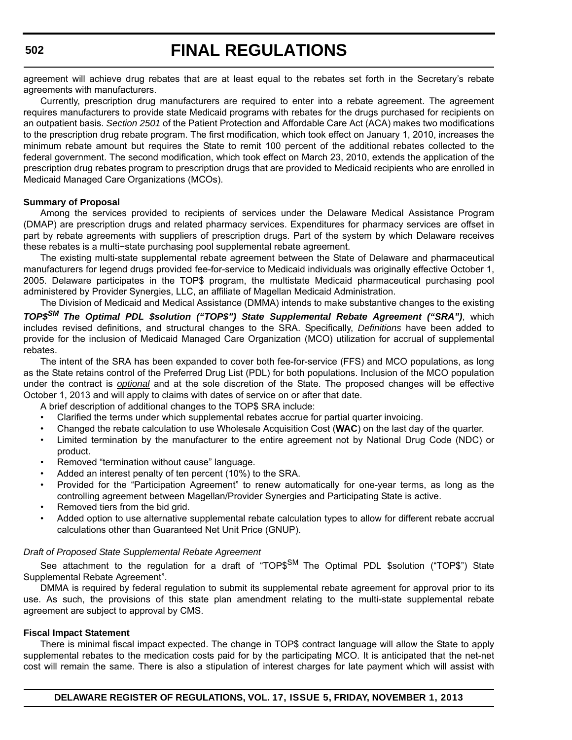agreement will achieve drug rebates that are at least equal to the rebates set forth in the Secretary's rebate agreements with manufacturers.

Currently, prescription drug manufacturers are required to enter into a rebate agreement. The agreement requires manufacturers to provide state Medicaid programs with rebates for the drugs purchased for recipients on an outpatient basis. *Section 2501* of the Patient Protection and Affordable Care Act (ACA) makes two modifications to the prescription drug rebate program. The first modification, which took effect on January 1, 2010, increases the minimum rebate amount but requires the State to remit 100 percent of the additional rebates collected to the federal government. The second modification, which took effect on March 23, 2010, extends the application of the prescription drug rebates program to prescription drugs that are provided to Medicaid recipients who are enrolled in Medicaid Managed Care Organizations (MCOs).

### **Summary of Proposal**

Among the services provided to recipients of services under the Delaware Medical Assistance Program (DMAP) are prescription drugs and related pharmacy services. Expenditures for pharmacy services are offset in part by rebate agreements with suppliers of prescription drugs. Part of the system by which Delaware receives these rebates is a multi−state purchasing pool supplemental rebate agreement.

The existing multi-state supplemental rebate agreement between the State of Delaware and pharmaceutical manufacturers for legend drugs provided fee-for-service to Medicaid individuals was originally effective October 1, 2005. Delaware participates in the TOP\$ program, the multistate Medicaid pharmaceutical purchasing pool administered by Provider Synergies, LLC, an affiliate of Magellan Medicaid Administration.

The Division of Medicaid and Medical Assistance (DMMA) intends to make substantive changes to the existing *TOP\$SM The Optimal PDL \$solution ("TOP\$") State Supplemental Rebate Agreement ("SRA")*, which includes revised definitions, and structural changes to the SRA. Specifically, *Definitions* have been added to provide for the inclusion of Medicaid Managed Care Organization (MCO) utilization for accrual of supplemental rebates.

The intent of the SRA has been expanded to cover both fee-for-service (FFS) and MCO populations, as long as the State retains control of the Preferred Drug List (PDL) for both populations. Inclusion of the MCO population under the contract is *optional* and at the sole discretion of the State. The proposed changes will be effective October 1, 2013 and will apply to claims with dates of service on or after that date.

A brief description of additional changes to the TOP\$ SRA include:

- Clarified the terms under which supplemental rebates accrue for partial quarter invoicing.
- Changed the rebate calculation to use Wholesale Acquisition Cost (**WAC**) on the last day of the quarter.
- Limited termination by the manufacturer to the entire agreement not by National Drug Code (NDC) or product.
- Removed "termination without cause" language.
- Added an interest penalty of ten percent (10%) to the SRA.
- Provided for the "Participation Agreement" to renew automatically for one-year terms, as long as the controlling agreement between Magellan/Provider Synergies and Participating State is active.
- Removed tiers from the bid grid.
- Added option to use alternative supplemental rebate calculation types to allow for different rebate accrual calculations other than Guaranteed Net Unit Price (GNUP).

#### *Draft of Proposed State Supplemental Rebate Agreement*

See attachment to the regulation for a draft of "TOP\$<sup>SM</sup> The Optimal PDL \$solution ("TOP\$") State Supplemental Rebate Agreement".

DMMA is required by federal regulation to submit its supplemental rebate agreement for approval prior to its use. As such, the provisions of this state plan amendment relating to the multi-state supplemental rebate agreement are subject to approval by CMS.

#### **Fiscal Impact Statement**

There is minimal fiscal impact expected. The change in TOP\$ contract language will allow the State to apply supplemental rebates to the medication costs paid for by the participating MCO. It is anticipated that the net-net cost will remain the same. There is also a stipulation of interest charges for late payment which will assist with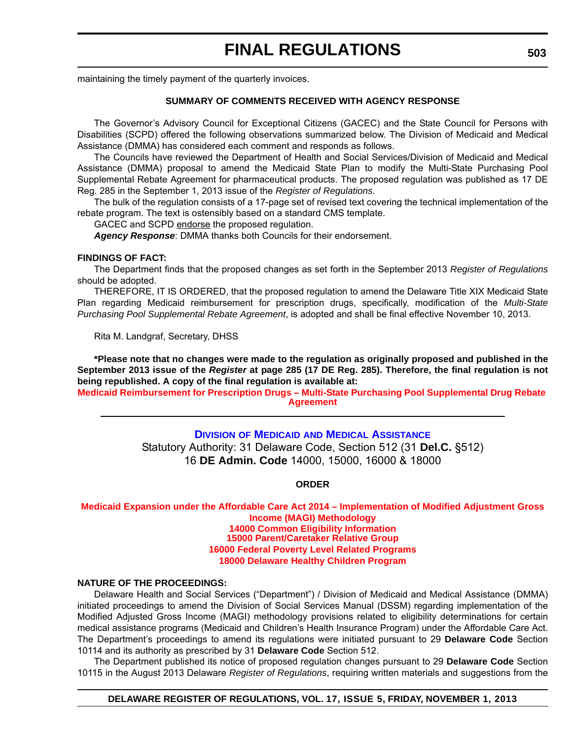maintaining the timely payment of the quarterly invoices.

### **SUMMARY OF COMMENTS RECEIVED WITH AGENCY RESPONSE**

The Governor's Advisory Council for Exceptional Citizens (GACEC) and the State Council for Persons with Disabilities (SCPD) offered the following observations summarized below. The Division of Medicaid and Medical Assistance (DMMA) has considered each comment and responds as follows.

The Councils have reviewed the Department of Health and Social Services/Division of Medicaid and Medical Assistance (DMMA) proposal to amend the Medicaid State Plan to modify the Multi-State Purchasing Pool Supplemental Rebate Agreement for pharmaceutical products. The proposed regulation was published as 17 DE Reg. 285 in the September 1, 2013 issue of the *Register of Regulations*.

The bulk of the regulation consists of a 17-page set of revised text covering the technical implementation of the rebate program. The text is ostensibly based on a standard CMS template.

GACEC and SCPD endorse the proposed regulation.

*Agency Response*: DMMA thanks both Councils for their endorsement.

### **FINDINGS OF FACT:**

The Department finds that the proposed changes as set forth in the September 2013 *Register of Regulations* should be adopted.

THEREFORE, IT IS ORDERED, that the proposed regulation to amend the Delaware Title XIX Medicaid State Plan regarding Medicaid reimbursement for prescription drugs, specifically, modification of the *Multi-State Purchasing Pool Supplemental Rebate Agreement*, is adopted and shall be final effective November 10, 2013.

Rita M. Landgraf, Secretary, DHSS

**\*Please note that no changes were made to the regulation as originally proposed and published in the September 2013 issue of the** *Register* **at page 285 (17 DE Reg. 285). Therefore, the final regulation is not being republished. A copy of the final regulation is available at:**

**[Medicaid Reimbursement for Prescription Drugs – Multi-State Purchasing Pool Supplemental Drug Rebate](http://regulations.delaware.gov/register/november2013/final/17 DE Reg 501 11-01-13.htm)  Agreement**

## **DIVISION OF MEDICAID [AND MEDICAL ASSISTANCE](http://www.dhss.delaware.gov/dhss/dmma/)** Statutory Authority: 31 Delaware Code, Section 512 (31 **Del.C.** §512) 16 **DE Admin. Code** 14000, 15000, 16000 & 18000

### **ORDER**

### **[Medicaid Expansion under the Affordable Care Act 2014 – Implementation of Modified Adjustment Gross](#page-3-0)  Income (MAGI) Methodology 14000 Common Eligibility Information 15000 Parent/Caretaker Relative Group 16000 Federal Poverty Level Related Programs 18000 Delaware Healthy Children Program**

### **NATURE OF THE PROCEEDINGS:**

Delaware Health and Social Services ("Department") / Division of Medicaid and Medical Assistance (DMMA) initiated proceedings to amend the Division of Social Services Manual (DSSM) regarding implementation of the Modified Adjusted Gross Income (MAGI) methodology provisions related to eligibility determinations for certain medical assistance programs (Medicaid and Children's Health Insurance Program) under the Affordable Care Act. The Department's proceedings to amend its regulations were initiated pursuant to 29 **Delaware Code** Section 10114 and its authority as prescribed by 31 **Delaware Code** Section 512.

The Department published its notice of proposed regulation changes pursuant to 29 **Delaware Code** Section 10115 in the August 2013 Delaware *Register of Regulations*, requiring written materials and suggestions from the

### **DELAWARE REGISTER OF REGULATIONS, VOL. 17, ISSUE 5, FRIDAY, NOVEMBER 1, 2013**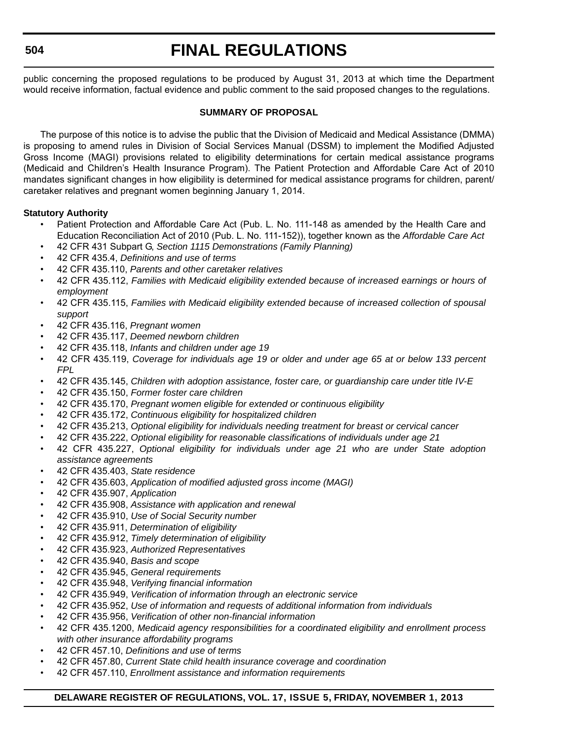# **FINAL REGULATIONS**

public concerning the proposed regulations to be produced by August 31, 2013 at which time the Department would receive information, factual evidence and public comment to the said proposed changes to the regulations.

### **SUMMARY OF PROPOSAL**

The purpose of this notice is to advise the public that the Division of Medicaid and Medical Assistance (DMMA) is proposing to amend rules in Division of Social Services Manual (DSSM) to implement the Modified Adjusted Gross Income (MAGI) provisions related to eligibility determinations for certain medical assistance programs (Medicaid and Children's Health Insurance Program). The Patient Protection and Affordable Care Act of 2010 mandates significant changes in how eligibility is determined for medical assistance programs for children, parent/ caretaker relatives and pregnant women beginning January 1, 2014.

### **Statutory Authority**

- Patient Protection and Affordable Care Act (Pub. L. No. 111-148 as amended by the Health Care and Education Reconciliation Act of 2010 (Pub. L. No. 111-152)), together known as the *Affordable Care Act*
- 42 CFR 431 Subpart G, *Section 1115 Demonstrations (Family Planning)*
- 42 CFR 435.4, *Definitions and use of terms*
- 42 CFR 435.110, *Parents and other caretaker relatives*
- 42 CFR 435.112, *Families with Medicaid eligibility extended because of increased earnings or hours of employment*
- 42 CFR 435.115, *Families with Medicaid eligibility extended because of increased collection of spousal support*
- 42 CFR 435.116, *Pregnant women*
- 42 CFR 435.117, *Deemed newborn children*
- 42 CFR 435.118, *Infants and children under age 19*
- 42 CFR 435.119, *Coverage for individuals age 19 or older and under age 65 at or below 133 percent FPL*
- 42 CFR 435.145, *Children with adoption assistance, foster care, or guardianship care under title IV-E*
- 42 CFR 435.150, *Former foster care children*
- 42 CFR 435.170, *Pregnant women eligible for extended or continuous eligibility*
- 42 CFR 435.172, *Continuous eligibility for hospitalized children*
- 42 CFR 435.213, *Optional eligibility for individuals needing treatment for breast or cervical cancer*
- 42 CFR 435.222, *Optional eligibility for reasonable classifications of individuals under age 21*
- 42 CFR 435.227, *Optional eligibility for individuals under age 21 who are under State adoption assistance agreements*
- 42 CFR 435.403, *State residence*
- 42 CFR 435.603, *Application of modified adjusted gross income (MAGI)*
- 42 CFR 435.907, *Application*
- 42 CFR 435.908, *Assistance with application and renewal*
- 42 CFR 435.910, *Use of Social Security number*
- 42 CFR 435.911, *Determination of eligibility*
- 42 CFR 435.912, *Timely determination of eligibility*
- 42 CFR 435.923, *Authorized Representatives*
- 42 CFR 435.940, *Basis and scope*
- 42 CFR 435.945, *General requirements*
- 42 CFR 435.948, *Verifying financial information*
- 42 CFR 435.949, *Verification of information through an electronic service*
- 42 CFR 435.952, *Use of information and requests of additional information from individuals*
- 42 CFR 435.956, *Verification of other non-financial information*
- 42 CFR 435.1200, *Medicaid agency responsibilities for a coordinated eligibility and enrollment process with other insurance affordability programs*
- 42 CFR 457.10, *Definitions and use of terms*
- 42 CFR 457.80, *Current State child health insurance coverage and coordination*
- 42 CFR 457.110, *Enrollment assistance and information requirements*

### **DELAWARE REGISTER OF REGULATIONS, VOL. 17, ISSUE 5, FRIDAY, NOVEMBER 1, 2013**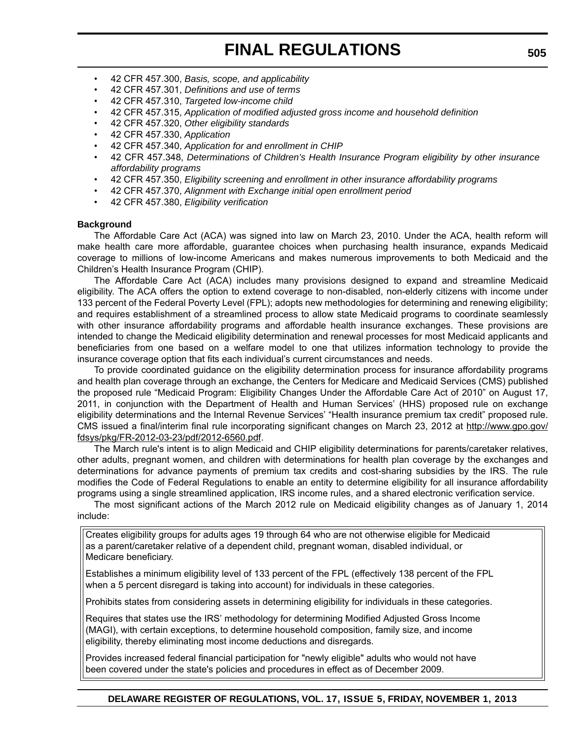- 42 CFR 457.300, *Basis, scope, and applicability*
- 42 CFR 457.301, *Definitions and use of terms*
- 42 CFR 457.310, *Targeted low-income child*
- 42 CFR 457.315, *Application of modified adjusted gross income and household definition*
- 42 CFR 457.320, *Other eligibility standards*
- 42 CFR 457.330, *Application*
- 42 CFR 457.340, *Application for and enrollment in CHIP*
- 42 CFR 457.348, *Determinations of Children's Health Insurance Program eligibility by other insurance affordability programs*
- 42 CFR 457.350, *Eligibility screening and enrollment in other insurance affordability programs*
- 42 CFR 457.370, *Alignment with Exchange initial open enrollment period*
- 42 CFR 457.380, *Eligibility verification*

### **Background**

The Affordable Care Act (ACA) was signed into law on March 23, 2010. Under the ACA, health reform will make health care more affordable, guarantee choices when purchasing health insurance, expands Medicaid coverage to millions of low-income Americans and makes numerous improvements to both Medicaid and the Children's Health Insurance Program (CHIP).

The Affordable Care Act (ACA) includes many provisions designed to expand and streamline Medicaid eligibility. The ACA offers the option to extend coverage to non-disabled, non-elderly citizens with income under 133 percent of the Federal Poverty Level (FPL); adopts new methodologies for determining and renewing eligibility; and requires establishment of a streamlined process to allow state Medicaid programs to coordinate seamlessly with other insurance affordability programs and affordable health insurance exchanges. These provisions are intended to change the Medicaid eligibility determination and renewal processes for most Medicaid applicants and beneficiaries from one based on a welfare model to one that utilizes information technology to provide the insurance coverage option that fits each individual's current circumstances and needs.

To provide coordinated guidance on the eligibility determination process for insurance affordability programs and health plan coverage through an exchange, the Centers for Medicare and Medicaid Services (CMS) published the proposed rule "Medicaid Program: Eligibility Changes Under the Affordable Care Act of 2010" on August 17, 2011, in conjunction with the Department of Health and Human Services' (HHS) proposed rule on exchange eligibility determinations and the Internal Revenue Services' "Health insurance premium tax credit" proposed rule. CMS issued a final/interim final rule incorporating significant changes on March 23, 2012 at [http://www.gpo.gov/](http://www.gpo.gov/fdsys/pkg/FR-2012-03-23/pdf/2012-6560.pdf) [fdsys/pkg/FR-2012-03-23/pdf/2012-6560.pdf](http://www.gpo.gov/fdsys/pkg/FR-2012-03-23/pdf/2012-6560.pdf).

The March rule's intent is to align Medicaid and CHIP eligibility determinations for parents/caretaker relatives, other adults, pregnant women, and children with determinations for health plan coverage by the exchanges and determinations for advance payments of premium tax credits and cost-sharing subsidies by the IRS. The rule modifies the Code of Federal Regulations to enable an entity to determine eligibility for all insurance affordability programs using a single streamlined application, IRS income rules, and a shared electronic verification service.

The most significant actions of the March 2012 rule on Medicaid eligibility changes as of January 1, 2014 include:

Creates eligibility groups for adults ages 19 through 64 who are not otherwise eligible for Medicaid as a parent/caretaker relative of a dependent child, pregnant woman, disabled individual, or Medicare beneficiary.

Establishes a minimum eligibility level of 133 percent of the FPL (effectively 138 percent of the FPL when a 5 percent disregard is taking into account) for individuals in these categories.

Prohibits states from considering assets in determining eligibility for individuals in these categories.

Requires that states use the IRS' methodology for determining Modified Adjusted Gross Income (MAGI), with certain exceptions, to determine household composition, family size, and income eligibility, thereby eliminating most income deductions and disregards.

Provides increased federal financial participation for "newly eligible" adults who would not have been covered under the state's policies and procedures in effect as of December 2009.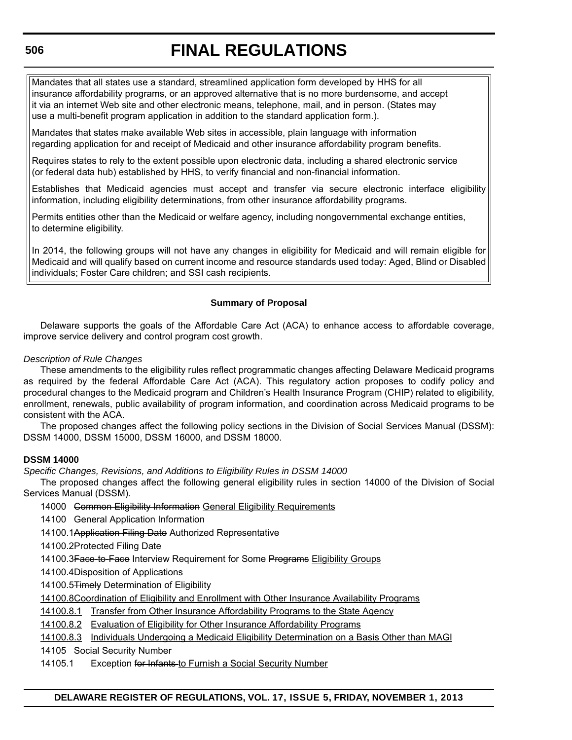# **FINAL REGULATIONS**

Mandates that all states use a standard, streamlined application form developed by HHS for all insurance affordability programs, or an approved alternative that is no more burdensome, and accept it via an internet Web site and other electronic means, telephone, mail, and in person. (States may use a multi-benefit program application in addition to the standard application form.).

Mandates that states make available Web sites in accessible, plain language with information regarding application for and receipt of Medicaid and other insurance affordability program benefits.

Requires states to rely to the extent possible upon electronic data, including a shared electronic service (or federal data hub) established by HHS, to verify financial and non-financial information.

Establishes that Medicaid agencies must accept and transfer via secure electronic interface eligibility information, including eligibility determinations, from other insurance affordability programs.

Permits entities other than the Medicaid or welfare agency, including nongovernmental exchange entities, to determine eligibility.

In 2014, the following groups will not have any changes in eligibility for Medicaid and will remain eligible for Medicaid and will qualify based on current income and resource standards used today: Aged, Blind or Disabled individuals; Foster Care children; and SSI cash recipients.

## **Summary of Proposal**

Delaware supports the goals of the Affordable Care Act (ACA) to enhance access to affordable coverage, improve service delivery and control program cost growth.

### *Description of Rule Changes*

These amendments to the eligibility rules reflect programmatic changes affecting Delaware Medicaid programs as required by the federal Affordable Care Act (ACA). This regulatory action proposes to codify policy and procedural changes to the Medicaid program and Children's Health Insurance Program (CHIP) related to eligibility, enrollment, renewals, public availability of program information, and coordination across Medicaid programs to be consistent with the ACA.

The proposed changes affect the following policy sections in the Division of Social Services Manual (DSSM): DSSM 14000, DSSM 15000, DSSM 16000, and DSSM 18000.

### **DSSM 14000**

*Specific Changes, Revisions, and Additions to Eligibility Rules in DSSM 14000*

The proposed changes affect the following general eligibility rules in section 14000 of the Division of Social Services Manual (DSSM).

14000 <del>Common Eligibility Information</del> General Eligibility Requirements

14100 General Application Information

14100.1Application Filing Date Authorized Representative

14100.2Protected Filing Date

14100.3Face-to-Face Interview Requirement for Some Programs Eligibility Groups

- 14100.4Disposition of Applications
- 14100.5Timely Determination of Eligibility

14100.8Coordination of Eligibility and Enrollment with Other Insurance Availability Programs

14100.8.1 Transfer from Other Insurance Affordability Programs to the State Agency

14100.8.2 Evaluation of Eligibility for Other Insurance Affordability Programs

14100.8.3 Individuals Undergoing a Medicaid Eligibility Determination on a Basis Other than MAGI

14105 Social Security Number

### 14105.1 Exception for Infants-to Furnish a Social Security Number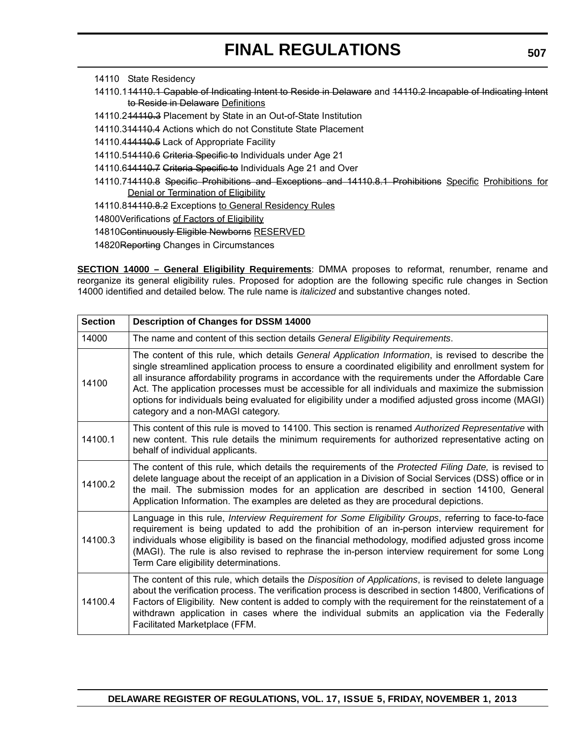- 14110 State Residency
- 14110.144110.1 Capable of Indicating Intent to Reside in Delaware and 44110.2 Incapable of Indicating Intent to Reside in Delaware Definitions
- 14110.214110.3 Placement by State in an Out-of-State Institution
- 14110.314110.4 Actions which do not Constitute State Placement
- 14110.4<del>14110.5</del> Lack of Appropriate Facility
- 14110.514110.6 Criteria Specific to Individuals under Age 21
- 14110.6<del>14110.7 Criteria Specific to</del> Individuals Age 21 and Over
- 14110.714110.8 Specific Prohibitions and Exceptions and 14110.8.1 Prohibitions Specific Prohibitions for Denial or Termination of Eligibility
- 14110.814110.8.2 Exceptions to General Residency Rules

14800Verifications of Factors of Eligibility

- 14810Continuously Eligible Newborns RESERVED
- 14820Reporting Changes in Circumstances

**SECTION 14000 – General Eligibility Requirements**: DMMA proposes to reformat, renumber, rename and reorganize its general eligibility rules. Proposed for adoption are the following specific rule changes in Section 14000 identified and detailed below. The rule name is *italicized* and substantive changes noted.

| <b>Section</b> | <b>Description of Changes for DSSM 14000</b>                                                                                                                                                                                                                                                                                                                                                                                                                                                                                                                         |
|----------------|----------------------------------------------------------------------------------------------------------------------------------------------------------------------------------------------------------------------------------------------------------------------------------------------------------------------------------------------------------------------------------------------------------------------------------------------------------------------------------------------------------------------------------------------------------------------|
| 14000          | The name and content of this section details General Eligibility Requirements.                                                                                                                                                                                                                                                                                                                                                                                                                                                                                       |
| 14100          | The content of this rule, which details General Application Information, is revised to describe the<br>single streamlined application process to ensure a coordinated eligibility and enrollment system for<br>all insurance affordability programs in accordance with the requirements under the Affordable Care<br>Act. The application processes must be accessible for all individuals and maximize the submission<br>options for individuals being evaluated for eligibility under a modified adjusted gross income (MAGI)<br>category and a non-MAGI category. |
| 14100.1        | This content of this rule is moved to 14100. This section is renamed Authorized Representative with<br>new content. This rule details the minimum requirements for authorized representative acting on<br>behalf of individual applicants.                                                                                                                                                                                                                                                                                                                           |
| 14100.2        | The content of this rule, which details the requirements of the Protected Filing Date, is revised to<br>delete language about the receipt of an application in a Division of Social Services (DSS) office or in<br>the mail. The submission modes for an application are described in section 14100, General<br>Application Information. The examples are deleted as they are procedural depictions.                                                                                                                                                                 |
| 14100.3        | Language in this rule, Interview Requirement for Some Eligibility Groups, referring to face-to-face<br>requirement is being updated to add the prohibition of an in-person interview requirement for<br>individuals whose eligibility is based on the financial methodology, modified adjusted gross income<br>(MAGI). The rule is also revised to rephrase the in-person interview requirement for some Long<br>Term Care eligibility determinations.                                                                                                               |
| 14100.4        | The content of this rule, which details the <i>Disposition of Applications</i> , is revised to delete language<br>about the verification process. The verification process is described in section 14800, Verifications of<br>Factors of Eligibility. New content is added to comply with the requirement for the reinstatement of a<br>withdrawn application in cases where the individual submits an application via the Federally<br>Facilitated Marketplace (FFM.                                                                                                |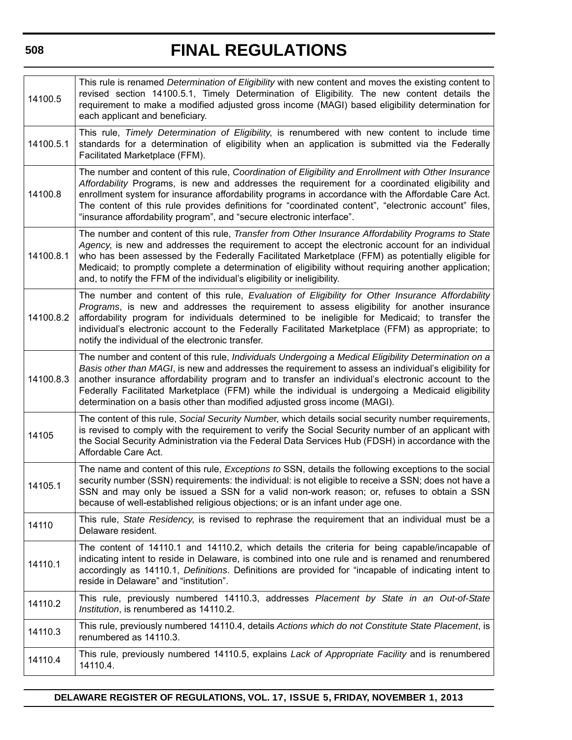# **FINAL REGULATIONS**

| 14100.5   | This rule is renamed Determination of Eligibility with new content and moves the existing content to<br>revised section 14100.5.1, Timely Determination of Eligibility. The new content details the<br>requirement to make a modified adjusted gross income (MAGI) based eligibility determination for<br>each applicant and beneficiary.                                                                                                                                                             |
|-----------|-------------------------------------------------------------------------------------------------------------------------------------------------------------------------------------------------------------------------------------------------------------------------------------------------------------------------------------------------------------------------------------------------------------------------------------------------------------------------------------------------------|
| 14100.5.1 | This rule, Timely Determination of Eligibility, is renumbered with new content to include time<br>standards for a determination of eligibility when an application is submitted via the Federally<br>Facilitated Marketplace (FFM).                                                                                                                                                                                                                                                                   |
| 14100.8   | The number and content of this rule, Coordination of Eligibility and Enrollment with Other Insurance<br>Affordability Programs, is new and addresses the requirement for a coordinated eligibility and<br>enrollment system for insurance affordability programs in accordance with the Affordable Care Act.<br>The content of this rule provides definitions for "coordinated content", "electronic account" files,<br>"insurance affordability program", and "secure electronic interface".         |
| 14100.8.1 | The number and content of this rule, Transfer from Other Insurance Affordability Programs to State<br>Agency, is new and addresses the requirement to accept the electronic account for an individual<br>who has been assessed by the Federally Facilitated Marketplace (FFM) as potentially eligible for<br>Medicaid; to promptly complete a determination of eligibility without requiring another application;<br>and, to notify the FFM of the individual's eligibility or ineligibility.         |
| 14100.8.2 | The number and content of this rule, Evaluation of Eligibility for Other Insurance Affordability<br>Programs, is new and addresses the requirement to assess eligibility for another insurance<br>affordability program for individuals determined to be ineligible for Medicaid; to transfer the<br>individual's electronic account to the Federally Facilitated Marketplace (FFM) as appropriate; to<br>notify the individual of the electronic transfer.                                           |
| 14100.8.3 | The number and content of this rule, Individuals Undergoing a Medical Eligibility Determination on a<br>Basis other than MAGI, is new and addresses the requirement to assess an individual's eligibility for<br>another insurance affordability program and to transfer an individual's electronic account to the<br>Federally Facilitated Marketplace (FFM) while the individual is undergoing a Medicaid eligibility<br>determination on a basis other than modified adjusted gross income (MAGI). |
| 14105     | The content of this rule, Social Security Number, which details social security number requirements,<br>is revised to comply with the requirement to verify the Social Security number of an applicant with<br>the Social Security Administration via the Federal Data Services Hub (FDSH) in accordance with the<br>Affordable Care Act.                                                                                                                                                             |
| 14105.1   | The name and content of this rule, Exceptions to SSN, details the following exceptions to the social<br>security number (SSN) requirements: the individual: is not eligible to receive a SSN; does not have a<br>SSN and may only be issued a SSN for a valid non-work reason; or, refuses to obtain a SSN<br>because of well-established religious objections; or is an infant under age one.                                                                                                        |
| 14110     | This rule, State Residency, is revised to rephrase the requirement that an individual must be a<br>Delaware resident.                                                                                                                                                                                                                                                                                                                                                                                 |
| 14110.1   | The content of 14110.1 and 14110.2, which details the criteria for being capable/incapable of<br>indicating intent to reside in Delaware, is combined into one rule and is renamed and renumbered<br>accordingly as 14110.1, Definitions. Definitions are provided for "incapable of indicating intent to<br>reside in Delaware" and "institution".                                                                                                                                                   |
| 14110.2   | This rule, previously numbered 14110.3, addresses Placement by State in an Out-of-State<br>Institution, is renumbered as 14110.2.                                                                                                                                                                                                                                                                                                                                                                     |
| 14110.3   | This rule, previously numbered 14110.4, details Actions which do not Constitute State Placement, is<br>renumbered as 14110.3.                                                                                                                                                                                                                                                                                                                                                                         |
| 14110.4   | This rule, previously numbered 14110.5, explains Lack of Appropriate Facility and is renumbered<br>14110.4.                                                                                                                                                                                                                                                                                                                                                                                           |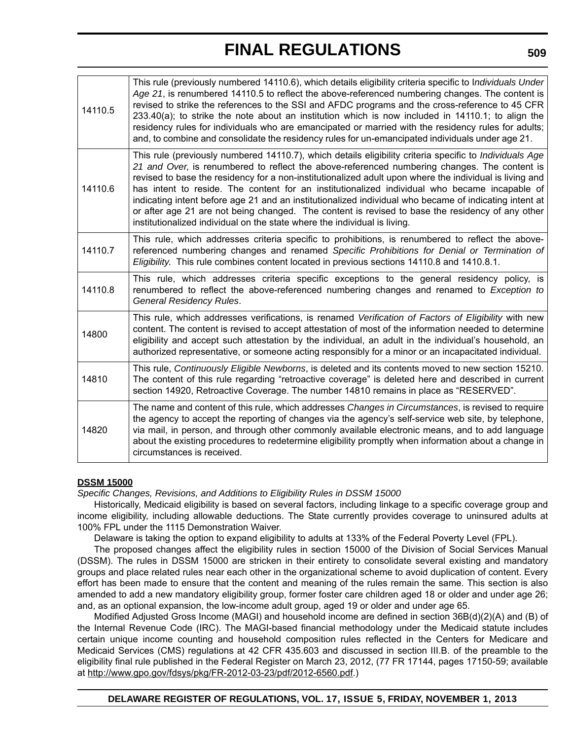| 14110.5 | This rule (previously numbered 14110.6), which details eligibility criteria specific to Individuals Under<br>Age 21, is renumbered 14110.5 to reflect the above-referenced numbering changes. The content is<br>revised to strike the references to the SSI and AFDC programs and the cross-reference to 45 CFR<br>233.40(a); to strike the note about an institution which is now included in 14110.1; to align the<br>residency rules for individuals who are emancipated or married with the residency rules for adults;<br>and, to combine and consolidate the residency rules for un-emancipated individuals under age 21.                                                                                |
|---------|----------------------------------------------------------------------------------------------------------------------------------------------------------------------------------------------------------------------------------------------------------------------------------------------------------------------------------------------------------------------------------------------------------------------------------------------------------------------------------------------------------------------------------------------------------------------------------------------------------------------------------------------------------------------------------------------------------------|
| 14110.6 | This rule (previously numbered 14110.7), which details eligibility criteria specific to Individuals Age<br>21 and Over, is renumbered to reflect the above-referenced numbering changes. The content is<br>revised to base the residency for a non-institutionalized adult upon where the individual is living and<br>has intent to reside. The content for an institutionalized individual who became incapable of<br>indicating intent before age 21 and an institutionalized individual who became of indicating intent at<br>or after age 21 are not being changed. The content is revised to base the residency of any other<br>institutionalized individual on the state where the individual is living. |
| 14110.7 | This rule, which addresses criteria specific to prohibitions, is renumbered to reflect the above-<br>referenced numbering changes and renamed Specific Prohibitions for Denial or Termination of<br>Eligibility. This rule combines content located in previous sections 14110.8 and 1410.8.1.                                                                                                                                                                                                                                                                                                                                                                                                                 |
| 14110.8 | This rule, which addresses criteria specific exceptions to the general residency policy, is<br>renumbered to reflect the above-referenced numbering changes and renamed to Exception to<br><b>General Residency Rules.</b>                                                                                                                                                                                                                                                                                                                                                                                                                                                                                     |
| 14800   | This rule, which addresses verifications, is renamed Verification of Factors of Eligibility with new<br>content. The content is revised to accept attestation of most of the information needed to determine<br>eligibility and accept such attestation by the individual, an adult in the individual's household, an<br>authorized representative, or someone acting responsibly for a minor or an incapacitated individual.                                                                                                                                                                                                                                                                                  |
| 14810   | This rule, Continuously Eligible Newborns, is deleted and its contents moved to new section 15210.<br>The content of this rule regarding "retroactive coverage" is deleted here and described in current<br>section 14920, Retroactive Coverage. The number 14810 remains in place as "RESERVED".                                                                                                                                                                                                                                                                                                                                                                                                              |
| 14820   | The name and content of this rule, which addresses Changes in Circumstances, is revised to require<br>the agency to accept the reporting of changes via the agency's self-service web site, by telephone,<br>via mail, in person, and through other commonly available electronic means, and to add language<br>about the existing procedures to redetermine eligibility promptly when information about a change in<br>circumstances is received.                                                                                                                                                                                                                                                             |

### **DSSM 15000**

*Specific Changes, Revisions, and Additions to Eligibility Rules in DSSM 15000*

Historically, Medicaid eligibility is based on several factors, including linkage to a specific coverage group and income eligibility, including allowable deductions. The State currently provides coverage to uninsured adults at 100% FPL under the 1115 Demonstration Waiver.

Delaware is taking the option to expand eligibility to adults at 133% of the Federal Poverty Level (FPL).

The proposed changes affect the eligibility rules in section 15000 of the Division of Social Services Manual (DSSM). The rules in DSSM 15000 are stricken in their entirety to consolidate several existing and mandatory groups and place related rules near each other in the organizational scheme to avoid duplication of content. Every effort has been made to ensure that the content and meaning of the rules remain the same. This section is also amended to add a new mandatory eligibility group, former foster care children aged 18 or older and under age 26; and, as an optional expansion, the low-income adult group, aged 19 or older and under age 65.

Modified Adjusted Gross Income (MAGI) and household income are defined in section 36B(d)(2)(A) and (B) of the Internal Revenue Code (IRC). The MAGI-based financial methodology under the Medicaid statute includes certain unique income counting and household composition rules reflected in the Centers for Medicare and Medicaid Services (CMS) regulations at 42 CFR 435.603 and discussed in section III.B. of the preamble to the eligibility final rule published in the Federal Register on March 23, 2012, (77 FR 17144, pages 17150-59; available at http://www.gpo.gov/fdsys/pkg/FR-2012-03-23/pdf/2012-6560.pdf.)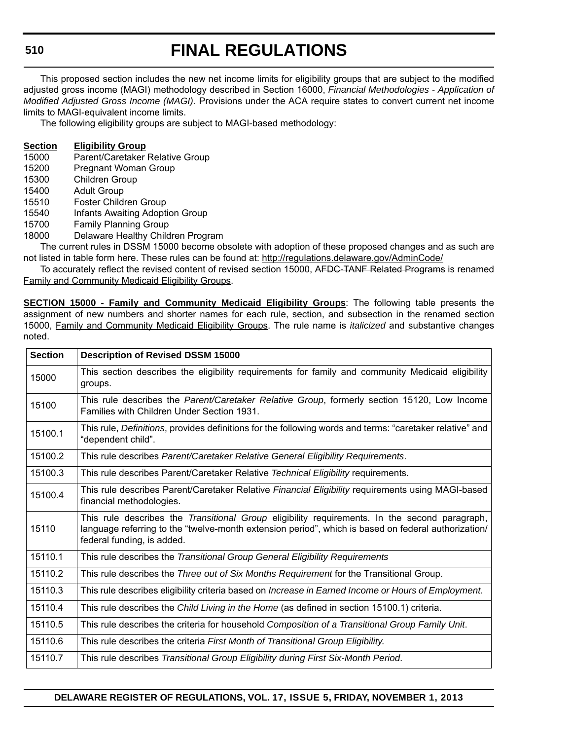# **FINAL REGULATIONS**

This proposed section includes the new net income limits for eligibility groups that are subject to the modified adjusted gross income (MAGI) methodology described in Section 16000, *Financial Methodologies - Application of Modified Adjusted Gross Income (MAGI).* Provisions under the ACA require states to convert current net income limits to MAGI-equivalent income limits.

The following eligibility groups are subject to MAGI-based methodology:

# **Section Eligibility Group**

- 15000 Parent/Caretaker Relative Group
- 15200 Pregnant Woman Group
- 15300 Children Group
- 15400 Adult Group
- 15510 Foster Children Group
- 15540 Infants Awaiting Adoption Group
- 15700 Family Planning Group
- 18000 Delaware Healthy Children Program

The current rules in DSSM 15000 become obsolete with adoption of these proposed changes and as such are not listed in table form here. These rules can be found at: http://regulations.delaware.gov/AdminCode/

To accurately reflect the revised content of revised section 15000, AFDC-TANF Related Programs is renamed Family and Community Medicaid Eligibility Groups.

**SECTION 15000 - Family and Community Medicaid Eligibility Groups**: The following table presents the assignment of new numbers and shorter names for each rule, section, and subsection in the renamed section 15000, Family and Community Medicaid Eligibility Groups. The rule name is *italicized* and substantive changes noted.

| <b>Section</b> | <b>Description of Revised DSSM 15000</b>                                                                                                                                                                                           |
|----------------|------------------------------------------------------------------------------------------------------------------------------------------------------------------------------------------------------------------------------------|
| 15000          | This section describes the eligibility requirements for family and community Medicaid eligibility<br>groups.                                                                                                                       |
| 15100          | This rule describes the Parent/Caretaker Relative Group, formerly section 15120, Low Income<br>Families with Children Under Section 1931.                                                                                          |
| 15100.1        | This rule, Definitions, provides definitions for the following words and terms: "caretaker relative" and<br>"dependent child".                                                                                                     |
| 15100.2        | This rule describes Parent/Caretaker Relative General Eligibility Requirements.                                                                                                                                                    |
| 15100.3        | This rule describes Parent/Caretaker Relative Technical Eligibility requirements.                                                                                                                                                  |
| 15100.4        | This rule describes Parent/Caretaker Relative Financial Eligibility requirements using MAGI-based<br>financial methodologies.                                                                                                      |
| 15110          | This rule describes the Transitional Group eligibility requirements. In the second paragraph,<br>language referring to the "twelve-month extension period", which is based on federal authorization/<br>federal funding, is added. |
| 15110.1        | This rule describes the Transitional Group General Eligibility Requirements                                                                                                                                                        |
| 15110.2        | This rule describes the Three out of Six Months Requirement for the Transitional Group.                                                                                                                                            |
| 15110.3        | This rule describes eligibility criteria based on Increase in Earned Income or Hours of Employment.                                                                                                                                |
| 15110.4        | This rule describes the Child Living in the Home (as defined in section 15100.1) criteria.                                                                                                                                         |
| 15110.5        | This rule describes the criteria for household Composition of a Transitional Group Family Unit.                                                                                                                                    |
| 15110.6        | This rule describes the criteria First Month of Transitional Group Eligibility.                                                                                                                                                    |
| 15110.7        | This rule describes Transitional Group Eligibility during First Six-Month Period.                                                                                                                                                  |

**DELAWARE REGISTER OF REGULATIONS, VOL. 17, ISSUE 5, FRIDAY, NOVEMBER 1, 2013**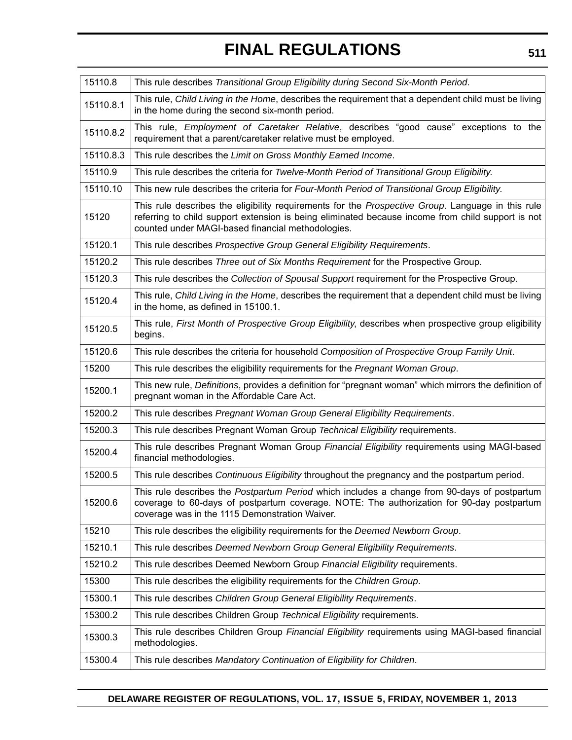| 15110.8   | This rule describes Transitional Group Eligibility during Second Six-Month Period.                                                                                                                                                                          |
|-----------|-------------------------------------------------------------------------------------------------------------------------------------------------------------------------------------------------------------------------------------------------------------|
| 15110.8.1 | This rule, Child Living in the Home, describes the requirement that a dependent child must be living<br>in the home during the second six-month period.                                                                                                     |
| 15110.8.2 | This rule, <i>Employment of Caretaker Relative</i> , describes "good cause" exceptions to the<br>requirement that a parent/caretaker relative must be employed.                                                                                             |
| 15110.8.3 | This rule describes the Limit on Gross Monthly Earned Income.                                                                                                                                                                                               |
| 15110.9   | This rule describes the criteria for Twelve-Month Period of Transitional Group Eligibility.                                                                                                                                                                 |
| 15110.10  | This new rule describes the criteria for Four-Month Period of Transitional Group Eligibility.                                                                                                                                                               |
| 15120     | This rule describes the eligibility requirements for the Prospective Group. Language in this rule<br>referring to child support extension is being eliminated because income from child support is not<br>counted under MAGI-based financial methodologies. |
| 15120.1   | This rule describes Prospective Group General Eligibility Requirements.                                                                                                                                                                                     |
| 15120.2   | This rule describes Three out of Six Months Requirement for the Prospective Group.                                                                                                                                                                          |
| 15120.3   | This rule describes the Collection of Spousal Support requirement for the Prospective Group.                                                                                                                                                                |
| 15120.4   | This rule, Child Living in the Home, describes the requirement that a dependent child must be living<br>in the home, as defined in 15100.1.                                                                                                                 |
| 15120.5   | This rule, First Month of Prospective Group Eligibility, describes when prospective group eligibility<br>begins.                                                                                                                                            |
| 15120.6   | This rule describes the criteria for household Composition of Prospective Group Family Unit.                                                                                                                                                                |
| 15200     | This rule describes the eligibility requirements for the Pregnant Woman Group.                                                                                                                                                                              |
| 15200.1   | This new rule, Definitions, provides a definition for "pregnant woman" which mirrors the definition of<br>pregnant woman in the Affordable Care Act.                                                                                                        |
| 15200.2   | This rule describes Pregnant Woman Group General Eligibility Requirements.                                                                                                                                                                                  |
| 15200.3   | This rule describes Pregnant Woman Group Technical Eligibility requirements.                                                                                                                                                                                |
| 15200.4   | This rule describes Pregnant Woman Group Financial Eligibility requirements using MAGI-based<br>financial methodologies.                                                                                                                                    |
| 15200.5   | This rule describes Continuous Eligibility throughout the pregnancy and the postpartum period.                                                                                                                                                              |
| 15200.6   | This rule describes the <i>Postpartum Period</i> which includes a change from 90-days of postpartum<br>coverage to 60-days of postpartum coverage. NOTE: The authorization for 90-day postpartum<br>coverage was in the 1115 Demonstration Waiver.          |
| 15210     | This rule describes the eligibility requirements for the Deemed Newborn Group.                                                                                                                                                                              |
| 15210.1   | This rule describes Deemed Newborn Group General Eligibility Requirements.                                                                                                                                                                                  |
| 15210.2   | This rule describes Deemed Newborn Group Financial Eligibility requirements.                                                                                                                                                                                |
| 15300     | This rule describes the eligibility requirements for the Children Group.                                                                                                                                                                                    |
| 15300.1   | This rule describes Children Group General Eligibility Requirements.                                                                                                                                                                                        |
| 15300.2   | This rule describes Children Group Technical Eligibility requirements.                                                                                                                                                                                      |
|           |                                                                                                                                                                                                                                                             |
| 15300.3   | This rule describes Children Group Financial Eligibility requirements using MAGI-based financial<br>methodologies.                                                                                                                                          |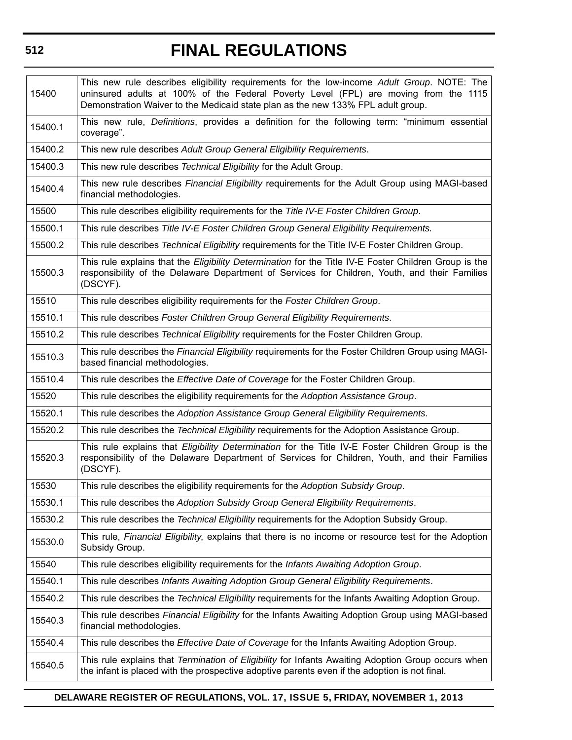# 15400 This new rule describes eligibility requirements for the low-income *Adult Group*. NOTE: The uninsured adults at 100% of the Federal Poverty Level (FPL) are moving from the 1115 Demonstration Waiver to the Medicaid state plan as the new 133% FPL adult group. 15400.1 This new rule, *Definitions*, provides a definition for the following term: "minimum essential coverage". 15400.2 This new rule describes *Adult Group General Eligibility Requirements*. 15400.3 This new rule describes *Technical Eligibility* for the Adult Group. 15400.4 This new rule describes *Financial Eligibility* requirements for the Adult Group using MAGI-based financial methodologies. 15500 This rule describes eligibility requirements for the *Title IV-E Foster Children Group*. 15500.1 This rule describes *Title IV-E Foster Children Group General Eligibility Requirements.* 15500.2 This rule describes *Technical Eligibility* requirements for the Title IV-E Foster Children Group. 15500.3 This rule explains that the *Eligibility Determination* for the Title IV-E Foster Children Group is the responsibility of the Delaware Department of Services for Children, Youth, and their Families (DSCYF). 15510 This rule describes eligibility requirements for the *Foster Children Group*. 15510.1 This rule describes *Foster Children Group General Eligibility Requirements*. 15510.2 This rule describes *Technical Eligibility* requirements for the Foster Children Group. 15510.3 This rule describes the *Financial Eligibility* requirements for the Foster Children Group using MAGIbased financial methodologies. 15510.4 This rule describes the *Effective Date of Coverage* for the Foster Children Group. 15520 This rule describes the eligibility requirements for the *Adoption Assistance Group*. 15520.1 This rule describes the *Adoption Assistance Group General Eligibility Requirements*. 15520.2 This rule describes the *Technical Eligibility* requirements for the Adoption Assistance Group. 15520.3 This rule explains that *Eligibility Determination* for the Title IV-E Foster Children Group is the responsibility of the Delaware Department of Services for Children, Youth, and their Families (DSCYF). 15530 This rule describes the eligibility requirements for the *Adoption Subsidy Group*. 15530.1 This rule describes the *Adoption Subsidy Group General Eligibility Requirements*. 15530.2 This rule describes the *Technical Eligibility* requirements for the Adoption Subsidy Group. 15530.0 This rule, *Financial Eligibility*, explains that there is no income or resource test for the Adoption Subsidy Group. 15540 This rule describes eligibility requirements for the *Infants Awaiting Adoption Group*. 15540.1 This rule describes *Infants Awaiting Adoption Group General Eligibility Requirements*. 15540.2 This rule describes the *Technical Eligibility* requirements for the Infants Awaiting Adoption Group. 15540.3 This rule describes *Financial Eligibility* for the Infants Awaiting Adoption Group using MAGI-based financial methodologies. 15540.4 This rule describes the *Effective Date of Coverage* for the Infants Awaiting Adoption Group. 15540.5 This rule explains that *Termination of Eligibility* for Infants Awaiting Adoption Group occurs when the infant is placed with the prospective adoptive parents even if the adoption is not final.

**FINAL REGULATIONS**

### **DELAWARE REGISTER OF REGULATIONS, VOL. 17, ISSUE 5, FRIDAY, NOVEMBER 1, 2013**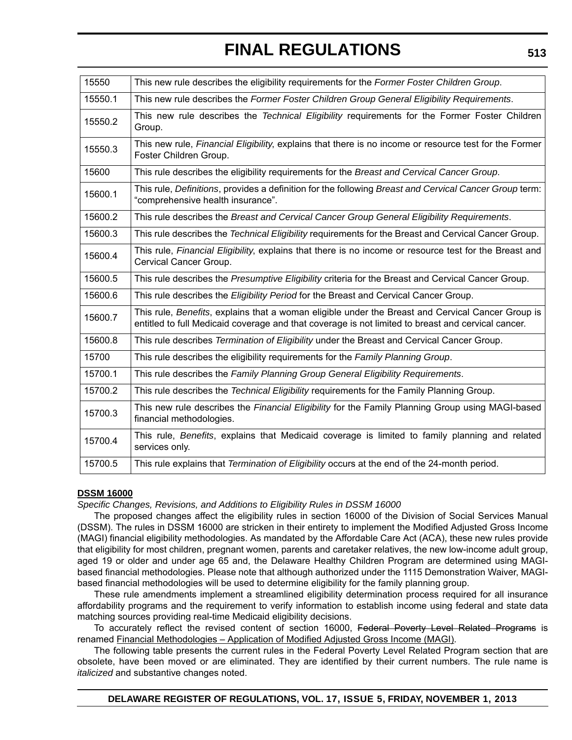| 15550   | This new rule describes the eligibility requirements for the Former Foster Children Group.                                                                                                              |
|---------|---------------------------------------------------------------------------------------------------------------------------------------------------------------------------------------------------------|
| 15550.1 | This new rule describes the Former Foster Children Group General Eligibility Requirements.                                                                                                              |
| 15550.2 | This new rule describes the Technical Eligibility requirements for the Former Foster Children<br>Group.                                                                                                 |
| 15550.3 | This new rule, Financial Eligibility, explains that there is no income or resource test for the Former<br>Foster Children Group.                                                                        |
| 15600   | This rule describes the eligibility requirements for the Breast and Cervical Cancer Group.                                                                                                              |
| 15600.1 | This rule, Definitions, provides a definition for the following Breast and Cervical Cancer Group term:<br>"comprehensive health insurance".                                                             |
| 15600.2 | This rule describes the Breast and Cervical Cancer Group General Eligibility Requirements.                                                                                                              |
| 15600.3 | This rule describes the Technical Eligibility requirements for the Breast and Cervical Cancer Group.                                                                                                    |
| 15600.4 | This rule, Financial Eligibility, explains that there is no income or resource test for the Breast and<br>Cervical Cancer Group.                                                                        |
| 15600.5 | This rule describes the Presumptive Eligibility criteria for the Breast and Cervical Cancer Group.                                                                                                      |
| 15600.6 | This rule describes the Eligibility Period for the Breast and Cervical Cancer Group.                                                                                                                    |
| 15600.7 | This rule, Benefits, explains that a woman eligible under the Breast and Cervical Cancer Group is<br>entitled to full Medicaid coverage and that coverage is not limited to breast and cervical cancer. |
| 15600.8 | This rule describes Termination of Eligibility under the Breast and Cervical Cancer Group.                                                                                                              |
| 15700   | This rule describes the eligibility requirements for the Family Planning Group.                                                                                                                         |
| 15700.1 | This rule describes the Family Planning Group General Eligibility Requirements.                                                                                                                         |
| 15700.2 | This rule describes the Technical Eligibility requirements for the Family Planning Group.                                                                                                               |
| 15700.3 | This new rule describes the Financial Eligibility for the Family Planning Group using MAGI-based<br>financial methodologies.                                                                            |
| 15700.4 | This rule, Benefits, explains that Medicaid coverage is limited to family planning and related<br>services only.                                                                                        |
| 15700.5 | This rule explains that Termination of Eligibility occurs at the end of the 24-month period.                                                                                                            |
|         |                                                                                                                                                                                                         |

### **DSSM 16000**

*Specific Changes, Revisions, and Additions to Eligibility Rules in DSSM 16000* 

The proposed changes affect the eligibility rules in section 16000 of the Division of Social Services Manual (DSSM). The rules in DSSM 16000 are stricken in their entirety to implement the Modified Adjusted Gross Income (MAGI) financial eligibility methodologies. As mandated by the Affordable Care Act (ACA), these new rules provide that eligibility for most children, pregnant women, parents and caretaker relatives, the new low-income adult group, aged 19 or older and under age 65 and, the Delaware Healthy Children Program are determined using MAGIbased financial methodologies. Please note that although authorized under the 1115 Demonstration Waiver, MAGIbased financial methodologies will be used to determine eligibility for the family planning group.

These rule amendments implement a streamlined eligibility determination process required for all insurance affordability programs and the requirement to verify information to establish income using federal and state data matching sources providing real-time Medicaid eligibility decisions.

To accurately reflect the revised content of section 16000, Federal Poverty Level Related Programs is renamed Financial Methodologies – Application of Modified Adjusted Gross Income (MAGI).

The following table presents the current rules in the Federal Poverty Level Related Program section that are obsolete, have been moved or are eliminated. They are identified by their current numbers. The rule name is *italicized* and substantive changes noted.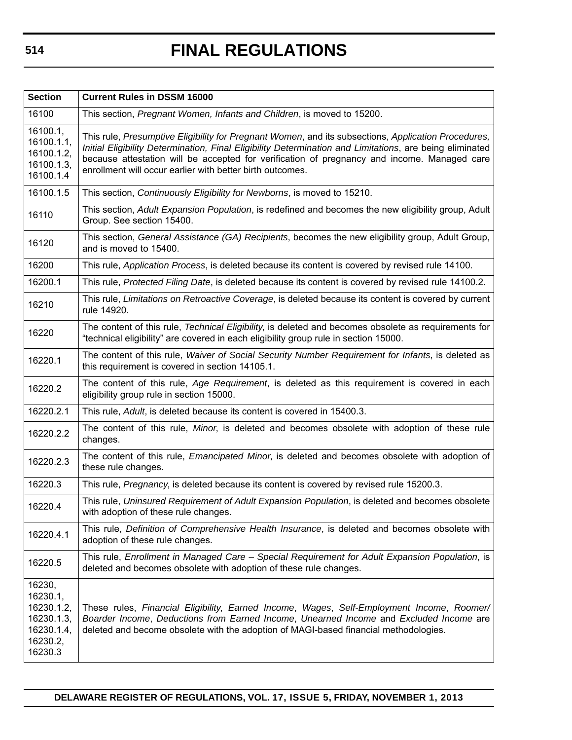| <b>Section</b>                                                                      | <b>Current Rules in DSSM 16000</b>                                                                                                                                                                                                                                                                                                                                          |
|-------------------------------------------------------------------------------------|-----------------------------------------------------------------------------------------------------------------------------------------------------------------------------------------------------------------------------------------------------------------------------------------------------------------------------------------------------------------------------|
| 16100                                                                               | This section, Pregnant Women, Infants and Children, is moved to 15200.                                                                                                                                                                                                                                                                                                      |
| 16100.1,<br>16100.1.1,<br>16100.1.2,<br>16100.1.3,<br>16100.1.4                     | This rule, Presumptive Eligibility for Pregnant Women, and its subsections, Application Procedures,<br>Initial Eligibility Determination, Final Eligibility Determination and Limitations, are being eliminated<br>because attestation will be accepted for verification of pregnancy and income. Managed care<br>enrollment will occur earlier with better birth outcomes. |
| 16100.1.5                                                                           | This section, Continuously Eligibility for Newborns, is moved to 15210.                                                                                                                                                                                                                                                                                                     |
| 16110                                                                               | This section, Adult Expansion Population, is redefined and becomes the new eligibility group, Adult<br>Group. See section 15400.                                                                                                                                                                                                                                            |
| 16120                                                                               | This section, General Assistance (GA) Recipients, becomes the new eligibility group, Adult Group,<br>and is moved to 15400.                                                                                                                                                                                                                                                 |
| 16200                                                                               | This rule, Application Process, is deleted because its content is covered by revised rule 14100.                                                                                                                                                                                                                                                                            |
| 16200.1                                                                             | This rule, Protected Filing Date, is deleted because its content is covered by revised rule 14100.2.                                                                                                                                                                                                                                                                        |
| 16210                                                                               | This rule, Limitations on Retroactive Coverage, is deleted because its content is covered by current<br>rule 14920.                                                                                                                                                                                                                                                         |
| 16220                                                                               | The content of this rule, Technical Eligibility, is deleted and becomes obsolete as requirements for<br>"technical eligibility" are covered in each eligibility group rule in section 15000.                                                                                                                                                                                |
| 16220.1                                                                             | The content of this rule, Waiver of Social Security Number Requirement for Infants, is deleted as<br>this requirement is covered in section 14105.1.                                                                                                                                                                                                                        |
| 16220.2                                                                             | The content of this rule, Age Requirement, is deleted as this requirement is covered in each<br>eligibility group rule in section 15000.                                                                                                                                                                                                                                    |
| 16220.2.1                                                                           | This rule, Adult, is deleted because its content is covered in 15400.3.                                                                                                                                                                                                                                                                                                     |
| 16220.2.2                                                                           | The content of this rule, Minor, is deleted and becomes obsolete with adoption of these rule<br>changes.                                                                                                                                                                                                                                                                    |
| 16220.2.3                                                                           | The content of this rule, <i>Emancipated Minor</i> , is deleted and becomes obsolete with adoption of<br>these rule changes.                                                                                                                                                                                                                                                |
| 16220.3                                                                             | This rule, Pregnancy, is deleted because its content is covered by revised rule 15200.3.                                                                                                                                                                                                                                                                                    |
| 16220.4                                                                             | This rule, Uninsured Requirement of Adult Expansion Population, is deleted and becomes obsolete<br>with adoption of these rule changes.                                                                                                                                                                                                                                     |
| 16220.4.1                                                                           | This rule, Definition of Comprehensive Health Insurance, is deleted and becomes obsolete with<br>adoption of these rule changes.                                                                                                                                                                                                                                            |
| 16220.5                                                                             | This rule, Enrollment in Managed Care - Special Requirement for Adult Expansion Population, is<br>deleted and becomes obsolete with adoption of these rule changes.                                                                                                                                                                                                         |
| 16230,<br>16230.1,<br>16230.1.2,<br>16230.1.3,<br>16230.1.4,<br>16230.2,<br>16230.3 | These rules, Financial Eligibility, Earned Income, Wages, Self-Employment Income, Roomer/<br>Boarder Income, Deductions from Earned Income, Unearned Income and Excluded Income are<br>deleted and become obsolete with the adoption of MAGI-based financial methodologies.                                                                                                 |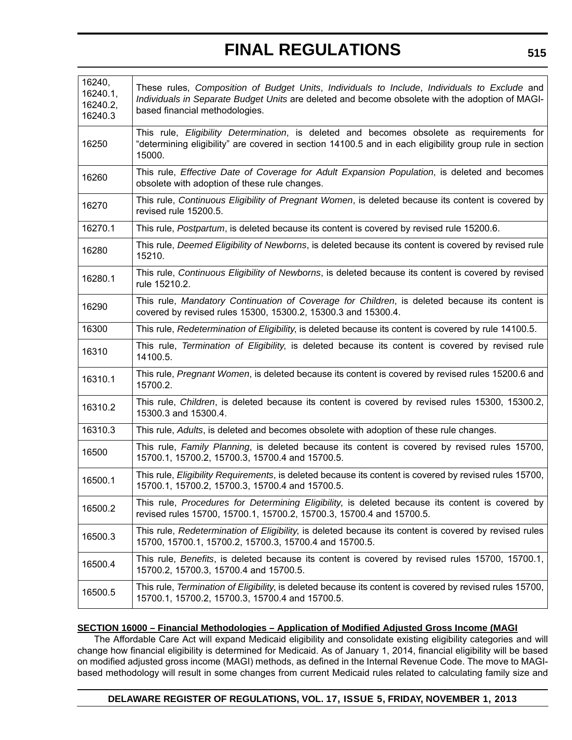| 16240,<br>16240.1,<br>16240.2,<br>16240.3 | These rules, Composition of Budget Units, Individuals to Include, Individuals to Exclude and<br>Individuals in Separate Budget Units are deleted and become obsolete with the adoption of MAGI-<br>based financial methodologies. |
|-------------------------------------------|-----------------------------------------------------------------------------------------------------------------------------------------------------------------------------------------------------------------------------------|
| 16250                                     | This rule, Eligibility Determination, is deleted and becomes obsolete as requirements for<br>"determining eligibility" are covered in section 14100.5 and in each eligibility group rule in section<br>15000.                     |
| 16260                                     | This rule, Effective Date of Coverage for Adult Expansion Population, is deleted and becomes<br>obsolete with adoption of these rule changes.                                                                                     |
| 16270                                     | This rule, Continuous Eligibility of Pregnant Women, is deleted because its content is covered by<br>revised rule 15200.5.                                                                                                        |
| 16270.1                                   | This rule, Postpartum, is deleted because its content is covered by revised rule 15200.6.                                                                                                                                         |
| 16280                                     | This rule, Deemed Eligibility of Newborns, is deleted because its content is covered by revised rule<br>15210.                                                                                                                    |
| 16280.1                                   | This rule, Continuous Eligibility of Newborns, is deleted because its content is covered by revised<br>rule 15210.2.                                                                                                              |
| 16290                                     | This rule, Mandatory Continuation of Coverage for Children, is deleted because its content is<br>covered by revised rules 15300, 15300.2, 15300.3 and 15300.4.                                                                    |
| 16300                                     | This rule, Redetermination of Eligibility, is deleted because its content is covered by rule 14100.5.                                                                                                                             |
| 16310                                     | This rule, Termination of Eligibility, is deleted because its content is covered by revised rule<br>14100.5.                                                                                                                      |
| 16310.1                                   | This rule, Pregnant Women, is deleted because its content is covered by revised rules 15200.6 and<br>15700.2.                                                                                                                     |
| 16310.2                                   | This rule, Children, is deleted because its content is covered by revised rules 15300, 15300.2,<br>15300.3 and 15300.4.                                                                                                           |
| 16310.3                                   | This rule, Adults, is deleted and becomes obsolete with adoption of these rule changes.                                                                                                                                           |
| 16500                                     | This rule, Family Planning, is deleted because its content is covered by revised rules 15700,<br>15700.1, 15700.2, 15700.3, 15700.4 and 15700.5.                                                                                  |
| 16500.1                                   | This rule, Eligibility Requirements, is deleted because its content is covered by revised rules 15700,<br>15700.1, 15700.2, 15700.3, 15700.4 and 15700.5.                                                                         |
| 16500.2                                   | This rule, Procedures for Determining Eligibility, is deleted because its content is covered by<br>revised rules 15700, 15700.1, 15700.2, 15700.3, 15700.4 and 15700.5.                                                           |
| 16500.3                                   | This rule, Redetermination of Eligibility, is deleted because its content is covered by revised rules<br>15700, 15700.1, 15700.2, 15700.3, 15700.4 and 15700.5.                                                                   |
| 16500.4                                   | This rule, Benefits, is deleted because its content is covered by revised rules 15700, 15700.1,<br>15700.2, 15700.3, 15700.4 and 15700.5.                                                                                         |
| 16500.5                                   | This rule, Termination of Eligibility, is deleted because its content is covered by revised rules 15700,<br>15700.1, 15700.2, 15700.3, 15700.4 and 15700.5.                                                                       |

### **SECTION 16000 – Financial Methodologies – Application of Modified Adjusted Gross Income (MAGI**

The Affordable Care Act will expand Medicaid eligibility and consolidate existing eligibility categories and will change how financial eligibility is determined for Medicaid. As of January 1, 2014, financial eligibility will be based on modified adjusted gross income (MAGI) methods, as defined in the Internal Revenue Code. The move to MAGIbased methodology will result in some changes from current Medicaid rules related to calculating family size and

### **DELAWARE REGISTER OF REGULATIONS, VOL. 17, ISSUE 5, FRIDAY, NOVEMBER 1, 2013**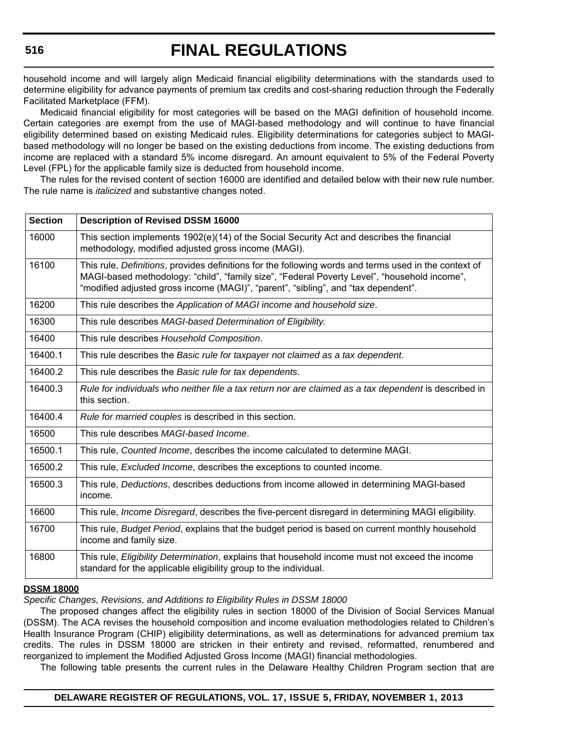household income and will largely align Medicaid financial eligibility determinations with the standards used to determine eligibility for advance payments of premium tax credits and cost-sharing reduction through the Federally Facilitated Marketplace (FFM).

Medicaid financial eligibility for most categories will be based on the MAGI definition of household income. Certain categories are exempt from the use of MAGI-based methodology and will continue to have financial eligibility determined based on existing Medicaid rules. Eligibility determinations for categories subject to MAGIbased methodology will no longer be based on the existing deductions from income. The existing deductions from income are replaced with a standard 5% income disregard. An amount equivalent to 5% of the Federal Poverty Level (FPL) for the applicable family size is deducted from household income.

The rules for the revised content of section 16000 are identified and detailed below with their new rule number. The rule name is *italicized* and substantive changes noted.

| <b>Section</b> | <b>Description of Revised DSSM 16000</b>                                                                                                                                                                                                                                                    |
|----------------|---------------------------------------------------------------------------------------------------------------------------------------------------------------------------------------------------------------------------------------------------------------------------------------------|
| 16000          | This section implements 1902(e)(14) of the Social Security Act and describes the financial<br>methodology, modified adjusted gross income (MAGI).                                                                                                                                           |
| 16100          | This rule, Definitions, provides definitions for the following words and terms used in the context of<br>MAGI-based methodology: "child", "family size", "Federal Poverty Level", "household income",<br>"modified adjusted gross income (MAGI)", "parent", "sibling", and "tax dependent". |
| 16200          | This rule describes the Application of MAGI income and household size.                                                                                                                                                                                                                      |
| 16300          | This rule describes MAGI-based Determination of Eligibility.                                                                                                                                                                                                                                |
| 16400          | This rule describes Household Composition.                                                                                                                                                                                                                                                  |
| 16400.1        | This rule describes the Basic rule for taxpayer not claimed as a tax dependent.                                                                                                                                                                                                             |
| 16400.2        | This rule describes the Basic rule for tax dependents.                                                                                                                                                                                                                                      |
| 16400.3        | Rule for individuals who neither file a tax return nor are claimed as a tax dependent is described in<br>this section.                                                                                                                                                                      |
| 16400.4        | Rule for married couples is described in this section.                                                                                                                                                                                                                                      |
| 16500          | This rule describes MAGI-based Income.                                                                                                                                                                                                                                                      |
| 16500.1        | This rule, Counted Income, describes the income calculated to determine MAGI.                                                                                                                                                                                                               |
| 16500.2        | This rule, Excluded Income, describes the exceptions to counted income.                                                                                                                                                                                                                     |
| 16500.3        | This rule, Deductions, describes deductions from income allowed in determining MAGI-based<br>income.                                                                                                                                                                                        |
| 16600          | This rule, <i>Income Disregard</i> , describes the five-percent disregard in determining MAGI eligibility.                                                                                                                                                                                  |
| 16700          | This rule, Budget Period, explains that the budget period is based on current monthly household<br>income and family size.                                                                                                                                                                  |
| 16800          | This rule, Eligibility Determination, explains that household income must not exceed the income<br>standard for the applicable eligibility group to the individual.                                                                                                                         |

### **DSSM 18000**

*Specific Changes, Revisions, and Additions to Eligibility Rules in DSSM 18000*

The proposed changes affect the eligibility rules in section 18000 of the Division of Social Services Manual (DSSM). The ACA revises the household composition and income evaluation methodologies related to Children's Health Insurance Program (CHIP) eligibility determinations, as well as determinations for advanced premium tax credits. The rules in DSSM 18000 are stricken in their entirety and revised, reformatted, renumbered and reorganized to implement the Modified Adjusted Gross Income (MAGI) financial methodologies.

The following table presents the current rules in the Delaware Healthy Children Program section that are

### **DELAWARE REGISTER OF REGULATIONS, VOL. 17, ISSUE 5, FRIDAY, NOVEMBER 1, 2013**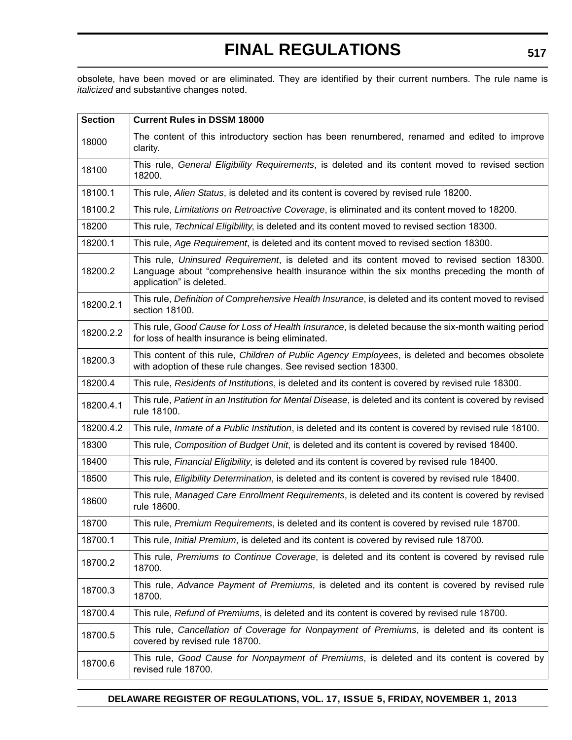obsolete, have been moved or are eliminated. They are identified by their current numbers. The rule name is *italicized* and substantive changes noted.

| <b>Section</b> | <b>Current Rules in DSSM 18000</b>                                                                                                                                                                                      |
|----------------|-------------------------------------------------------------------------------------------------------------------------------------------------------------------------------------------------------------------------|
| 18000          | The content of this introductory section has been renumbered, renamed and edited to improve<br>clarity.                                                                                                                 |
| 18100          | This rule, General Eligibility Requirements, is deleted and its content moved to revised section<br>18200.                                                                                                              |
| 18100.1        | This rule, Alien Status, is deleted and its content is covered by revised rule 18200.                                                                                                                                   |
| 18100.2        | This rule, Limitations on Retroactive Coverage, is eliminated and its content moved to 18200.                                                                                                                           |
| 18200          | This rule, Technical Eligibility, is deleted and its content moved to revised section 18300.                                                                                                                            |
| 18200.1        | This rule, Age Requirement, is deleted and its content moved to revised section 18300.                                                                                                                                  |
| 18200.2        | This rule, Uninsured Requirement, is deleted and its content moved to revised section 18300.<br>Language about "comprehensive health insurance within the six months preceding the month of<br>application" is deleted. |
| 18200.2.1      | This rule, Definition of Comprehensive Health Insurance, is deleted and its content moved to revised<br>section 18100.                                                                                                  |
| 18200.2.2      | This rule, Good Cause for Loss of Health Insurance, is deleted because the six-month waiting period<br>for loss of health insurance is being eliminated.                                                                |
| 18200.3        | This content of this rule, Children of Public Agency Employees, is deleted and becomes obsolete<br>with adoption of these rule changes. See revised section 18300.                                                      |
| 18200.4        | This rule, Residents of Institutions, is deleted and its content is covered by revised rule 18300.                                                                                                                      |
| 18200.4.1      | This rule, Patient in an Institution for Mental Disease, is deleted and its content is covered by revised<br>rule 18100.                                                                                                |
| 18200.4.2      | This rule, Inmate of a Public Institution, is deleted and its content is covered by revised rule 18100.                                                                                                                 |
| 18300          | This rule, Composition of Budget Unit, is deleted and its content is covered by revised 18400.                                                                                                                          |
| 18400          | This rule, Financial Eligibility, is deleted and its content is covered by revised rule 18400.                                                                                                                          |
| 18500          | This rule, Eligibility Determination, is deleted and its content is covered by revised rule 18400.                                                                                                                      |
| 18600          | This rule, Managed Care Enrollment Requirements, is deleted and its content is covered by revised<br>rule 18600.                                                                                                        |
| 18700          | This rule, Premium Requirements, is deleted and its content is covered by revised rule 18700.                                                                                                                           |
| 18700.1        | This rule, <i>Initial Premium</i> , is deleted and its content is covered by revised rule 18700.                                                                                                                        |
| 18700.2        | This rule, Premiums to Continue Coverage, is deleted and its content is covered by revised rule<br>18700.                                                                                                               |
| 18700.3        | This rule, Advance Payment of Premiums, is deleted and its content is covered by revised rule<br>18700.                                                                                                                 |
| 18700.4        | This rule, Refund of Premiums, is deleted and its content is covered by revised rule 18700.                                                                                                                             |
| 18700.5        | This rule, Cancellation of Coverage for Nonpayment of Premiums, is deleted and its content is<br>covered by revised rule 18700.                                                                                         |
| 18700.6        | This rule, Good Cause for Nonpayment of Premiums, is deleted and its content is covered by<br>revised rule 18700.                                                                                                       |

### **DELAWARE REGISTER OF REGULATIONS, VOL. 17, ISSUE 5, FRIDAY, NOVEMBER 1, 2013**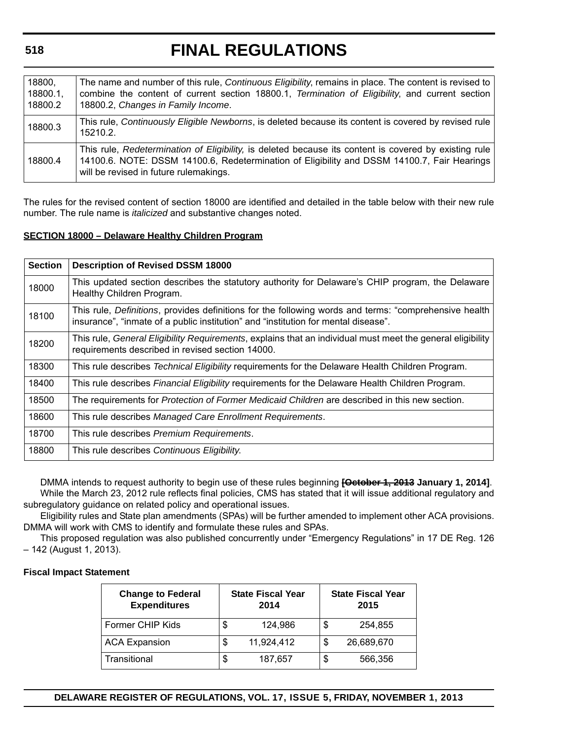# **FINAL REGULATIONS**

| 18800,<br>18800.1,<br>18800.2 | The name and number of this rule, Continuous Eligibility, remains in place. The content is revised to<br>combine the content of current section 18800.1, Termination of Eligibility, and current section<br>18800.2, Changes in Family Income. |
|-------------------------------|------------------------------------------------------------------------------------------------------------------------------------------------------------------------------------------------------------------------------------------------|
| 18800.3                       | This rule, Continuously Eligible Newborns, is deleted because its content is covered by revised rule<br>15210.2.                                                                                                                               |
| 18800.4                       | This rule, Redetermination of Eligibility, is deleted because its content is covered by existing rule<br>14100.6. NOTE: DSSM 14100.6, Redetermination of Eligibility and DSSM 14100.7, Fair Hearings<br>will be revised in future rulemakings. |

The rules for the revised content of section 18000 are identified and detailed in the table below with their new rule number. The rule name is *italicized* and substantive changes noted.

### **SECTION 18000 – Delaware Healthy Children Program**

| <b>Section</b> | <b>Description of Revised DSSM 18000</b>                                                                                                                                                    |
|----------------|---------------------------------------------------------------------------------------------------------------------------------------------------------------------------------------------|
| 18000          | This updated section describes the statutory authority for Delaware's CHIP program, the Delaware<br>Healthy Children Program.                                                               |
| 18100          | This rule, Definitions, provides definitions for the following words and terms: "comprehensive health<br>insurance", "inmate of a public institution" and "institution for mental disease". |
| 18200          | This rule, General Eligibility Requirements, explains that an individual must meet the general eligibility<br>requirements described in revised section 14000.                              |
| 18300          | This rule describes Technical Eligibility requirements for the Delaware Health Children Program.                                                                                            |
| 18400          | This rule describes <i>Financial Eligibility</i> requirements for the Delaware Health Children Program.                                                                                     |
| 18500          | The requirements for <i>Protection of Former Medicaid Children</i> are described in this new section.                                                                                       |
| 18600          | This rule describes Managed Care Enrollment Requirements.                                                                                                                                   |
| 18700          | This rule describes Premium Requirements.                                                                                                                                                   |
| 18800          | This rule describes Continuous Eligibility.                                                                                                                                                 |

DMMA intends to request authority to begin use of these rules beginning **[October 1, 2013 January 1, 2014]**. While the March 23, 2012 rule reflects final policies, CMS has stated that it will issue additional regulatory and subregulatory guidance on related policy and operational issues.

Eligibility rules and State plan amendments (SPAs) will be further amended to implement other ACA provisions. DMMA will work with CMS to identify and formulate these rules and SPAs.

This proposed regulation was also published concurrently under "Emergency Regulations" in 17 DE Reg. 126 – 142 (August 1, 2013).

### **Fiscal Impact Statement**

| <b>Change to Federal</b><br><b>Expenditures</b> |    | <b>State Fiscal Year</b><br>2014 |    | <b>State Fiscal Year</b><br>2015 |
|-------------------------------------------------|----|----------------------------------|----|----------------------------------|
| Former CHIP Kids                                | \$ | 124,986                          | \$ | 254,855                          |
| <b>ACA Expansion</b>                            | \$ | 11,924,412                       | \$ | 26,689,670                       |
| Transitional                                    | S  | 187,657                          | S  | 566,356                          |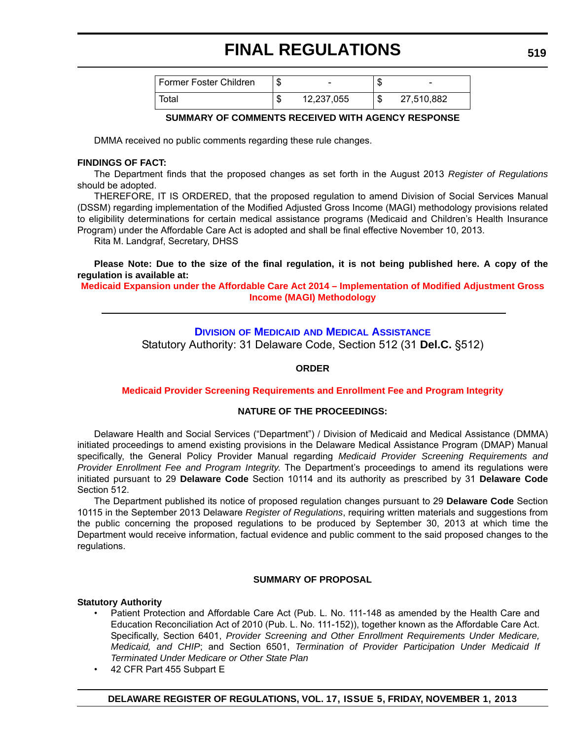| Former Foster Children | $\overline{\phantom{a}}$ | мD     | $\overline{\phantom{0}}$ |
|------------------------|--------------------------|--------|--------------------------|
| Total                  | 12,237,055               | ₼<br>Œ | 27,510,882               |

### **SUMMARY OF COMMENTS RECEIVED WITH AGENCY RESPONSE**

DMMA received no public comments regarding these rule changes.

### **FINDINGS OF FACT:**

The Department finds that the proposed changes as set forth in the August 2013 *Register of Regulations* should be adopted.

THEREFORE, IT IS ORDERED, that the proposed regulation to amend Division of Social Services Manual (DSSM) regarding implementation of the Modified Adjusted Gross Income (MAGI) methodology provisions related to eligibility determinations for certain medical assistance programs (Medicaid and Children's Health Insurance Program) under the Affordable Care Act is adopted and shall be final effective November 10, 2013.

Rita M. Landgraf, Secretary, DHSS

**Please Note: Due to the size of the final regulation, it is not being published here. A copy of the regulation is available at:**

**[Medicaid Expansion under the Affordable Care Act 2014 – Implementation of Modified Adjustment Gross](http://regulations.delaware.gov/register/november2013/final/17 DE Reg 503 11-01-13.htm)  Income (MAGI) Methodology**

## **DIVISION OF MEDICAID [AND MEDICAL ASSISTANCE](http://www.dhss.delaware.gov/dhss/dmma/)**

Statutory Authority: 31 Delaware Code, Section 512 (31 **Del.C.** §512)

### **ORDER**

### **[Medicaid Provider Screening Requirements and Enrollment Fee and Program Integrity](#page-3-0)**

### **NATURE OF THE PROCEEDINGS:**

Delaware Health and Social Services ("Department") / Division of Medicaid and Medical Assistance (DMMA) initiated proceedings to amend existing provisions in the Delaware Medical Assistance Program (DMAP) Manual specifically, the General Policy Provider Manual regarding *Medicaid Provider Screening Requirements and Provider Enrollment Fee and Program Integrity*. The Department's proceedings to amend its regulations were initiated pursuant to 29 **Delaware Code** Section 10114 and its authority as prescribed by 31 **Delaware Code** Section 512.

The Department published its notice of proposed regulation changes pursuant to 29 **Delaware Code** Section 10115 in the September 2013 Delaware *Register of Regulations*, requiring written materials and suggestions from the public concerning the proposed regulations to be produced by September 30, 2013 at which time the Department would receive information, factual evidence and public comment to the said proposed changes to the regulations.

### **SUMMARY OF PROPOSAL**

### **Statutory Authority**

- Patient Protection and Affordable Care Act (Pub. L. No. 111-148 as amended by the Health Care and Education Reconciliation Act of 2010 (Pub. L. No. 111-152)), together known as the Affordable Care Act. Specifically, Section 6401, *Provider Screening and Other Enrollment Requirements Under Medicare, Medicaid, and CHIP*; and Section 6501, *Termination of Provider Participation Under Medicaid If Terminated Under Medicare or Other State Plan*
- 42 CFR Part 455 Subpart E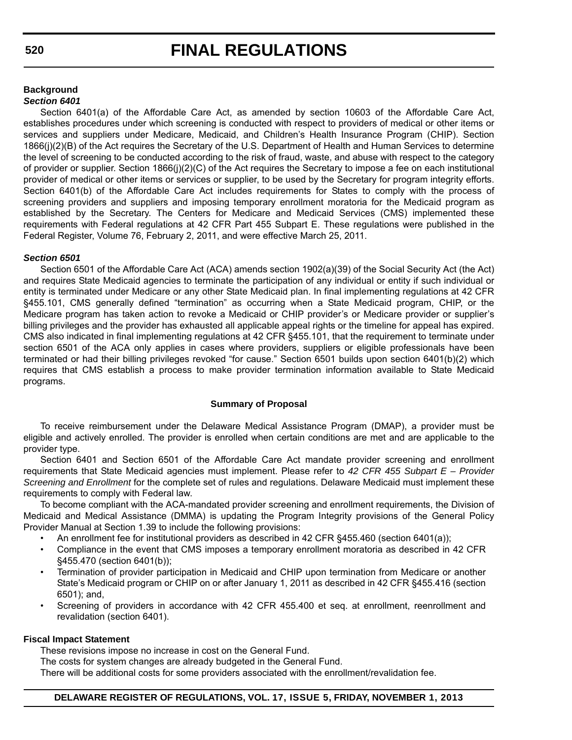### **Background** *Section 6401*

Section 6401(a) of the Affordable Care Act, as amended by section 10603 of the Affordable Care Act, establishes procedures under which screening is conducted with respect to providers of medical or other items or services and suppliers under Medicare, Medicaid, and Children's Health Insurance Program (CHIP). Section 1866(j)(2)(B) of the Act requires the Secretary of the U.S. Department of Health and Human Services to determine the level of screening to be conducted according to the risk of fraud, waste, and abuse with respect to the category of provider or supplier. Section 1866(j)(2)(C) of the Act requires the Secretary to impose a fee on each institutional provider of medical or other items or services or supplier, to be used by the Secretary for program integrity efforts. Section 6401(b) of the Affordable Care Act includes requirements for States to comply with the process of screening providers and suppliers and imposing temporary enrollment moratoria for the Medicaid program as established by the Secretary. The Centers for Medicare and Medicaid Services (CMS) implemented these requirements with Federal regulations at 42 CFR Part 455 Subpart E. These regulations were published in the Federal Register, Volume 76, February 2, 2011, and were effective March 25, 2011.

### *Section 6501*

Section 6501 of the Affordable Care Act (ACA) amends section 1902(a)(39) of the Social Security Act (the Act) and requires State Medicaid agencies to terminate the participation of any individual or entity if such individual or entity is terminated under Medicare or any other State Medicaid plan. In final implementing regulations at 42 CFR §455.101, CMS generally defined "termination" as occurring when a State Medicaid program, CHIP, or the Medicare program has taken action to revoke a Medicaid or CHIP provider's or Medicare provider or supplier's billing privileges and the provider has exhausted all applicable appeal rights or the timeline for appeal has expired. CMS also indicated in final implementing regulations at 42 CFR §455.101, that the requirement to terminate under section 6501 of the ACA only applies in cases where providers, suppliers or eligible professionals have been terminated or had their billing privileges revoked "for cause." Section 6501 builds upon section 6401(b)(2) which requires that CMS establish a process to make provider termination information available to State Medicaid programs.

### **Summary of Proposal**

To receive reimbursement under the Delaware Medical Assistance Program (DMAP), a provider must be eligible and actively enrolled. The provider is enrolled when certain conditions are met and are applicable to the provider type.

Section 6401 and Section 6501 of the Affordable Care Act mandate provider screening and enrollment requirements that State Medicaid agencies must implement. Please refer to *42 CFR 455 Subpart E – Provider Screening and Enrollment* for the complete set of rules and regulations. Delaware Medicaid must implement these requirements to comply with Federal law.

To become compliant with the ACA-mandated provider screening and enrollment requirements, the Division of Medicaid and Medical Assistance (DMMA) is updating the Program Integrity provisions of the General Policy Provider Manual at Section 1.39 to include the following provisions:

- An enrollment fee for institutional providers as described in 42 CFR §455.460 (section 6401(a));
- Compliance in the event that CMS imposes a temporary enrollment moratoria as described in 42 CFR §455.470 (section 6401(b));
- Termination of provider participation in Medicaid and CHIP upon termination from Medicare or another State's Medicaid program or CHIP on or after January 1, 2011 as described in 42 CFR §455.416 (section 6501); and,
- Screening of providers in accordance with 42 CFR 455.400 et seq. at enrollment, reenrollment and revalidation (section 6401).

### **Fiscal Impact Statement**

These revisions impose no increase in cost on the General Fund.

The costs for system changes are already budgeted in the General Fund.

There will be additional costs for some providers associated with the enrollment/revalidation fee.

## **DELAWARE REGISTER OF REGULATIONS, VOL. 17, ISSUE 5, FRIDAY, NOVEMBER 1, 2013**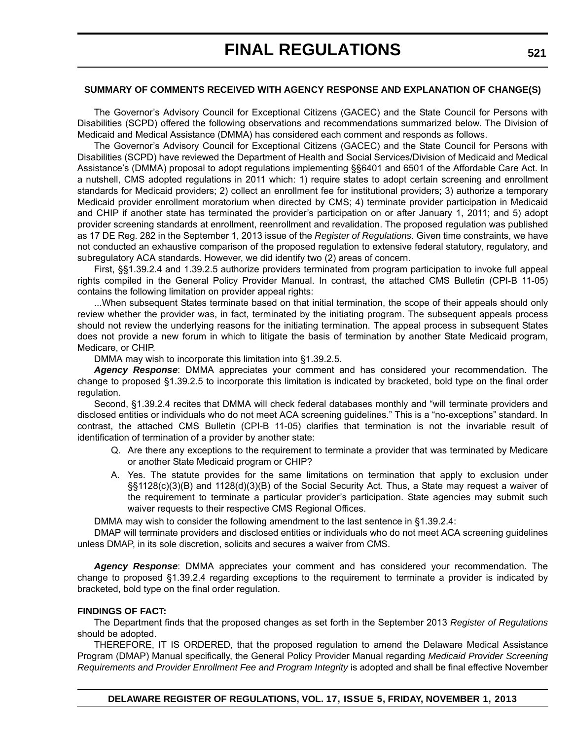### **SUMMARY OF COMMENTS RECEIVED WITH AGENCY RESPONSE AND EXPLANATION OF CHANGE(S)**

The Governor's Advisory Council for Exceptional Citizens (GACEC) and the State Council for Persons with Disabilities (SCPD) offered the following observations and recommendations summarized below. The Division of Medicaid and Medical Assistance (DMMA) has considered each comment and responds as follows.

The Governor's Advisory Council for Exceptional Citizens (GACEC) and the State Council for Persons with Disabilities (SCPD) have reviewed the Department of Health and Social Services/Division of Medicaid and Medical Assistance's (DMMA) proposal to adopt regulations implementing §§6401 and 6501 of the Affordable Care Act. In a nutshell, CMS adopted regulations in 2011 which: 1) require states to adopt certain screening and enrollment standards for Medicaid providers; 2) collect an enrollment fee for institutional providers; 3) authorize a temporary Medicaid provider enrollment moratorium when directed by CMS; 4) terminate provider participation in Medicaid and CHIP if another state has terminated the provider's participation on or after January 1, 2011; and 5) adopt provider screening standards at enrollment, reenrollment and revalidation. The proposed regulation was published as 17 DE Reg. 282 in the September 1, 2013 issue of the *Register of Regulations*. Given time constraints, we have not conducted an exhaustive comparison of the proposed regulation to extensive federal statutory, regulatory, and subregulatory ACA standards. However, we did identify two (2) areas of concern.

First, §§1.39.2.4 and 1.39.2.5 authorize providers terminated from program participation to invoke full appeal rights compiled in the General Policy Provider Manual. In contrast, the attached CMS Bulletin (CPI-B 11-05) contains the following limitation on provider appeal rights:

...When subsequent States terminate based on that initial termination, the scope of their appeals should only review whether the provider was, in fact, terminated by the initiating program. The subsequent appeals process should not review the underlying reasons for the initiating termination. The appeal process in subsequent States does not provide a new forum in which to litigate the basis of termination by another State Medicaid program, Medicare, or CHIP.

DMMA may wish to incorporate this limitation into §1.39.2.5.

*Agency Response*: DMMA appreciates your comment and has considered your recommendation. The change to proposed §1.39.2.5 to incorporate this limitation is indicated by bracketed, bold type on the final order regulation.

Second, §1.39.2.4 recites that DMMA will check federal databases monthly and "will terminate providers and disclosed entities or individuals who do not meet ACA screening guidelines." This is a "no-exceptions" standard. In contrast, the attached CMS Bulletin (CPI-B 11-05) clarifies that termination is not the invariable result of identification of termination of a provider by another state:

- Q. Are there any exceptions to the requirement to terminate a provider that was terminated by Medicare or another State Medicaid program or CHIP?
- A. Yes. The statute provides for the same limitations on termination that apply to exclusion under §§1128(c)(3)(B) and 1128(d)(3)(B) of the Social Security Act. Thus, a State may request a waiver of the requirement to terminate a particular provider's participation. State agencies may submit such waiver requests to their respective CMS Regional Offices.

DMMA may wish to consider the following amendment to the last sentence in §1.39.2.4:

DMAP will terminate providers and disclosed entities or individuals who do not meet ACA screening guidelines unless DMAP, in its sole discretion, solicits and secures a waiver from CMS.

*Agency Response*: DMMA appreciates your comment and has considered your recommendation. The change to proposed §1.39.2.4 regarding exceptions to the requirement to terminate a provider is indicated by bracketed, bold type on the final order regulation.

### **FINDINGS OF FACT:**

The Department finds that the proposed changes as set forth in the September 2013 *Register of Regulations* should be adopted.

THEREFORE, IT IS ORDERED, that the proposed regulation to amend the Delaware Medical Assistance Program (DMAP) Manual specifically, the General Policy Provider Manual regarding *Medicaid Provider Screening Requirements and Provider Enrollment Fee and Program Integrity* is adopted and shall be final effective November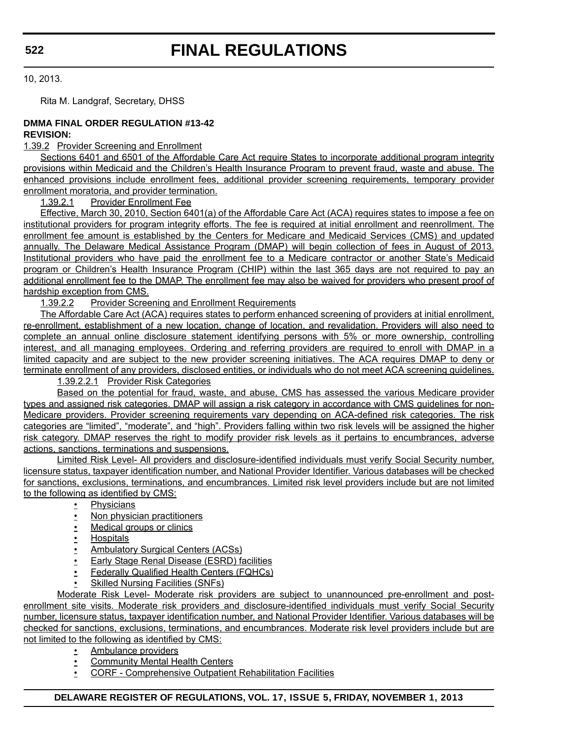10, 2013.

Rita M. Landgraf, Secretary, DHSS

### **DMMA FINAL ORDER REGULATION #13-42 REVISION:**

### 1.39.2 Provider Screening and Enrollment

Sections 6401 and 6501 of the Affordable Care Act require States to incorporate additional program integrity provisions within Medicaid and the Children's Health Insurance Program to prevent fraud, waste and abuse. The enhanced provisions include enrollment fees, additional provider screening requirements, temporary provider enrollment moratoria, and provider termination.

1.39.2.1 Provider Enrollment Fee

Effective, March 30, 2010, Section 6401(a) of the Affordable Care Act (ACA) requires states to impose a fee on institutional providers for program integrity efforts. The fee is required at initial enrollment and reenrollment. The enrollment fee amount is established by the Centers for Medicare and Medicaid Services (CMS) and updated annually. The Delaware Medical Assistance Program (DMAP) will begin collection of fees in August of 2013. Institutional providers who have paid the enrollment fee to a Medicare contractor or another State's Medicaid program or Children's Health Insurance Program (CHIP) within the last 365 days are not required to pay an additional enrollment fee to the DMAP. The enrollment fee may also be waived for providers who present proof of hardship exception from CMS.

1.39.2.2 Provider Screening and Enrollment Requirements

The Affordable Care Act (ACA) requires states to perform enhanced screening of providers at initial enrollment, re-enrollment, establishment of a new location, change of location, and revalidation. Providers will also need to complete an annual online disclosure statement identifying persons with 5% or more ownership, controlling interest, and all managing employees. Ordering and referring providers are required to enroll with DMAP in a limited capacity and are subject to the new provider screening initiatives. The ACA requires DMAP to deny or terminate enrollment of any providers, disclosed entities, or individuals who do not meet ACA screening guidelines.

1.39.2.2.1 Provider Risk Categories

Based on the potential for fraud, waste, and abuse, CMS has assessed the various Medicare provider types and assigned risk categories. DMAP will assign a risk category in accordance with CMS guidelines for non-Medicare providers. Provider screening requirements vary depending on ACA-defined risk categories. The risk categories are "limited", "moderate", and "high". Providers falling within two risk levels will be assigned the higher risk category. DMAP reserves the right to modify provider risk levels as it pertains to encumbrances, adverse actions, sanctions, terminations and suspensions.

Limited Risk Level- All providers and disclosure-identified individuals must verify Social Security number, licensure status, taxpayer identification number, and National Provider Identifier. Various databases will be checked for sanctions, exclusions, terminations, and encumbrances. Limited risk level providers include but are not limited to the following as identified by CMS:

- Physicians
- Non physician practitioners
- Medical groups or clinics
- Hospitals
- Ambulatory Surgical Centers (ACSs)
- Early Stage Renal Disease (ESRD) facilities
- Federally Qualified Health Centers (FQHCs)
- Skilled Nursing Facilities (SNFs)

Moderate Risk Level- Moderate risk providers are subject to unannounced pre-enrollment and postenrollment site visits. Moderate risk providers and disclosure-identified individuals must verify Social Security number, licensure status, taxpayer identification number, and National Provider Identifier. Various databases will be checked for sanctions, exclusions, terminations, and encumbrances. Moderate risk level providers include but are not limited to the following as identified by CMS:

- Ambulance providers
- Community Mental Health Centers
- CORF Comprehensive Outpatient Rehabilitation Facilities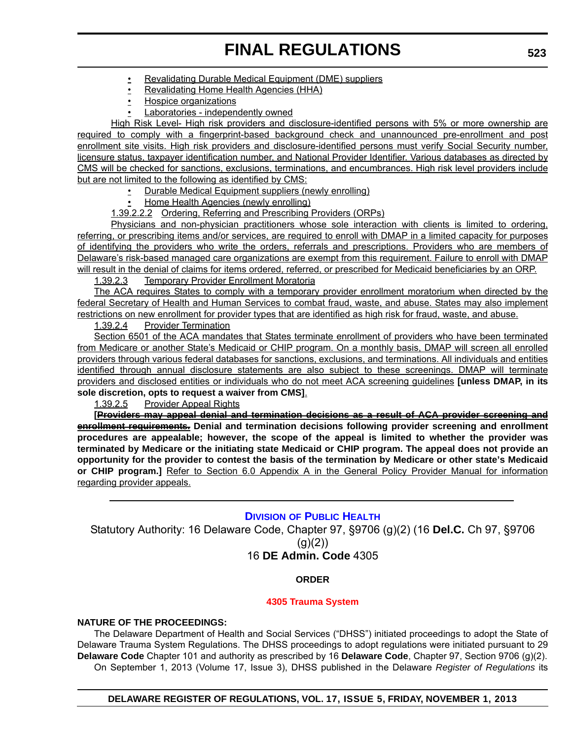- Revalidating Durable Medical Equipment (DME) suppliers
- Revalidating Home Health Agencies (HHA)
- Hospice organizations
- Laboratories independently owned

High Risk Level- High risk providers and disclosure-identified persons with 5% or more ownership are required to comply with a fingerprint-based background check and unannounced pre-enrollment and post enrollment site visits. High risk providers and disclosure-identified persons must verify Social Security number, licensure status, taxpayer identification number, and National Provider Identifier. Various databases as directed by CMS will be checked for sanctions, exclusions, terminations, and encumbrances. High risk level providers include but are not limited to the following as identified by CMS:

- Durable Medical Equipment suppliers (newly enrolling)
- Home Health Agencies (newly enrolling)
- 1.39.2.2.2 Ordering, Referring and Prescribing Providers (ORPs)

Physicians and non-physician practitioners whose sole interaction with clients is limited to ordering, referring, or prescribing items and/or services, are required to enroll with DMAP in a limited capacity for purposes of identifying the providers who write the orders, referrals and prescriptions. Providers who are members of Delaware's risk-based managed care organizations are exempt from this requirement. Failure to enroll with DMAP will result in the denial of claims for items ordered, referred, or prescribed for Medicaid beneficiaries by an ORP.

1.39.2.3 Temporary Provider Enrollment Moratoria

The ACA requires States to comply with a temporary provider enrollment moratorium when directed by the federal Secretary of Health and Human Services to combat fraud, waste, and abuse. States may also implement restrictions on new enrollment for provider types that are identified as high risk for fraud, waste, and abuse.

1.39.2.4 Provider Termination

Section 6501 of the ACA mandates that States terminate enrollment of providers who have been terminated from Medicare or another State's Medicaid or CHIP program. On a monthly basis, DMAP will screen all enrolled providers through various federal databases for sanctions, exclusions, and terminations. All individuals and entities identified through annual disclosure statements are also subject to these screenings. DMAP will terminate providers and disclosed entities or individuals who do not meet ACA screening guidelines **[unless DMAP, in its sole discretion, opts to request a waiver from CMS]**.

1.39.2.5 Provider Appeal Rights

**[Providers may appeal denial and termination decisions as a result of ACA provider screening and enrollment requirements. Denial and termination decisions following provider screening and enrollment procedures are appealable; however, the scope of the appeal is limited to whether the provider was terminated by Medicare or the initiating state Medicaid or CHIP program. The appeal does not provide an opportunity for the provider to contest the basis of the termination by Medicare or other state's Medicaid or CHIP program.]** Refer to Section 6.0 Appendix A in the General Policy Provider Manual for information regarding provider appeals.

## **DIVISION [OF PUBLIC HEALTH](http://www.dhss.delaware.gov/dhss/dph/index.html)**

Statutory Authority: 16 Delaware Code, Chapter 97, §9706 (g)(2) (16 **Del.C.** Ch 97, §9706  $(g)(2)$ 16 **DE Admin. Code** 4305

## **ORDER**

### **[4305 Trauma System](#page-3-0)**

### **NATURE OF THE PROCEEDINGS:**

The Delaware Department of Health and Social Services ("DHSS") initiated proceedings to adopt the State of Delaware Trauma System Regulations. The DHSS proceedings to adopt regulations were initiated pursuant to 29 **Delaware Code** Chapter 101 and authority as prescribed by 16 **Delaware Code**, Chapter 97, Section 9706 (g)(2). On September 1, 2013 (Volume 17, Issue 3), DHSS published in the Delaware *Register of Regulations* its

**DELAWARE REGISTER OF REGULATIONS, VOL. 17, ISSUE 5, FRIDAY, NOVEMBER 1, 2013**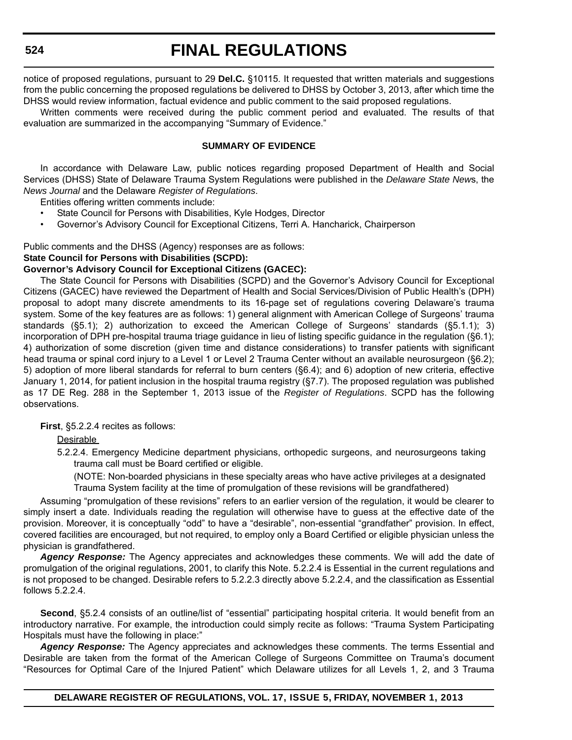notice of proposed regulations, pursuant to 29 **Del.C.** §10115. It requested that written materials and suggestions from the public concerning the proposed regulations be delivered to DHSS by October 3, 2013, after which time the DHSS would review information, factual evidence and public comment to the said proposed regulations.

Written comments were received during the public comment period and evaluated. The results of that evaluation are summarized in the accompanying "Summary of Evidence."

### **SUMMARY OF EVIDENCE**

In accordance with Delaware Law, public notices regarding proposed Department of Health and Social Services (DHSS) State of Delaware Trauma System Regulations were published in the *Delaware State New*s, the *News Journal* and the Delaware *Register of Regulations*.

Entities offering written comments include:

- State Council for Persons with Disabilities, Kyle Hodges, Director
- Governor's Advisory Council for Exceptional Citizens, Terri A. Hancharick, Chairperson

### Public comments and the DHSS (Agency) responses are as follows:

### **State Council for Persons with Disabilities (SCPD):**

### **Governor's Advisory Council for Exceptional Citizens (GACEC):**

The State Council for Persons with Disabilities (SCPD) and the Governor's Advisory Council for Exceptional Citizens (GACEC) have reviewed the Department of Health and Social Services/Division of Public Health's (DPH) proposal to adopt many discrete amendments to its 16-page set of regulations covering Delaware's trauma system. Some of the key features are as follows: 1) general alignment with American College of Surgeons' trauma standards (§5.1); 2) authorization to exceed the American College of Surgeons' standards (§5.1.1); 3) incorporation of DPH pre-hospital trauma triage guidance in lieu of listing specific guidance in the regulation (§6.1); 4) authorization of some discretion (given time and distance considerations) to transfer patients with significant head trauma or spinal cord injury to a Level 1 or Level 2 Trauma Center without an available neurosurgeon (§6.2); 5) adoption of more liberal standards for referral to burn centers (§6.4); and 6) adoption of new criteria, effective January 1, 2014, for patient inclusion in the hospital trauma registry (§7.7). The proposed regulation was published as 17 DE Reg. 288 in the September 1, 2013 issue of the *Register of Regulations*. SCPD has the following observations.

**First**, §5.2.2.4 recites as follows:

Desirable

5.2.2.4. Emergency Medicine department physicians, orthopedic surgeons, and neurosurgeons taking trauma call must be Board certified or eligible.

(NOTE: Non-boarded physicians in these specialty areas who have active privileges at a designated Trauma System facility at the time of promulgation of these revisions will be grandfathered)

Assuming "promulgation of these revisions" refers to an earlier version of the regulation, it would be clearer to simply insert a date. Individuals reading the regulation will otherwise have to guess at the effective date of the provision. Moreover, it is conceptually "odd" to have a "desirable", non-essential "grandfather" provision. In effect, covered facilities are encouraged, but not required, to employ only a Board Certified or eligible physician unless the physician is grandfathered.

*Agency Response:* The Agency appreciates and acknowledges these comments. We will add the date of promulgation of the original regulations, 2001, to clarify this Note. 5.2.2.4 is Essential in the current regulations and is not proposed to be changed. Desirable refers to 5.2.2.3 directly above 5.2.2.4, and the classification as Essential follows 5.2.2.4.

**Second**, §5.2.4 consists of an outline/list of "essential" participating hospital criteria. It would benefit from an introductory narrative. For example, the introduction could simply recite as follows: "Trauma System Participating Hospitals must have the following in place:"

*Agency Response:* The Agency appreciates and acknowledges these comments. The terms Essential and Desirable are taken from the format of the American College of Surgeons Committee on Trauma's document "Resources for Optimal Care of the Injured Patient" which Delaware utilizes for all Levels 1, 2, and 3 Trauma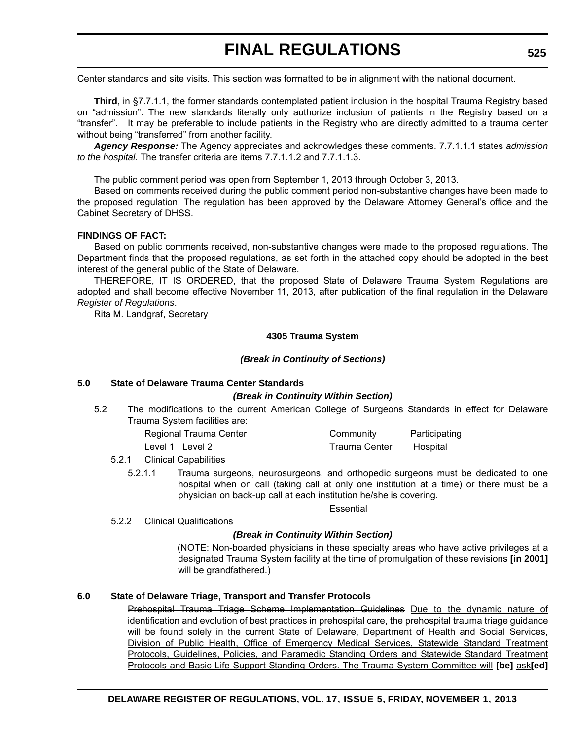Center standards and site visits. This section was formatted to be in alignment with the national document.

**Third**, in §7.7.1.1, the former standards contemplated patient inclusion in the hospital Trauma Registry based on "admission". The new standards literally only authorize inclusion of patients in the Registry based on a "transfer". It may be preferable to include patients in the Registry who are directly admitted to a trauma center without being "transferred" from another facility.

*Agency Response:* The Agency appreciates and acknowledges these comments. 7.7.1.1.1 states *admission to the hospital*. The transfer criteria are items 7.7.1.1.2 and 7.7.1.1.3.

The public comment period was open from September 1, 2013 through October 3, 2013.

Based on comments received during the public comment period non-substantive changes have been made to the proposed regulation. The regulation has been approved by the Delaware Attorney General's office and the Cabinet Secretary of DHSS.

### **FINDINGS OF FACT:**

Based on public comments received, non-substantive changes were made to the proposed regulations. The Department finds that the proposed regulations, as set forth in the attached copy should be adopted in the best interest of the general public of the State of Delaware.

THEREFORE, IT IS ORDERED, that the proposed State of Delaware Trauma System Regulations are adopted and shall become effective November 11, 2013, after publication of the final regulation in the Delaware *Register of Regulations*.

Rita M. Landgraf, Secretary

### **4305 Trauma System**

### *(Break in Continuity of Sections)*

### **5.0 State of Delaware Trauma Center Standards**

### *(Break in Continuity Within Section)*

5.2 The modifications to the current American College of Surgeons Standards in effect for Delaware Trauma System facilities are:

| Regional Trauma Center | Community     | Participating |
|------------------------|---------------|---------------|
| Level 1 Level 2        | Trauma Center | Hospital      |

### 5.2.1 Clinical Capabilities

5.2.1.1 Trauma surgeons, neurosurgeons, and orthopedic surgeons must be dedicated to one hospital when on call (taking call at only one institution at a time) or there must be a physician on back-up call at each institution he/she is covering.

### **Essential**

5.2.2 Clinical Qualifications

### *(Break in Continuity Within Section)*

(NOTE: Non-boarded physicians in these specialty areas who have active privileges at a designated Trauma System facility at the time of promulgation of these revisions **[in 2001]** will be grandfathered.)

### **6.0 State of Delaware Triage, Transport and Transfer Protocols**

Prehospital Trauma Triage Scheme Implementation Guidelines Due to the dynamic nature of identification and evolution of best practices in prehospital care, the prehospital trauma triage guidance will be found solely in the current State of Delaware, Department of Health and Social Services, Division of Public Health, Office of Emergency Medical Services, Statewide Standard Treatment Protocols, Guidelines, Policies, and Paramedic Standing Orders and Statewide Standard Treatment Protocols and Basic Life Support Standing Orders. The Trauma System Committee will **[be]** ask**[ed]**

## **DELAWARE REGISTER OF REGULATIONS, VOL. 17, ISSUE 5, FRIDAY, NOVEMBER 1, 2013**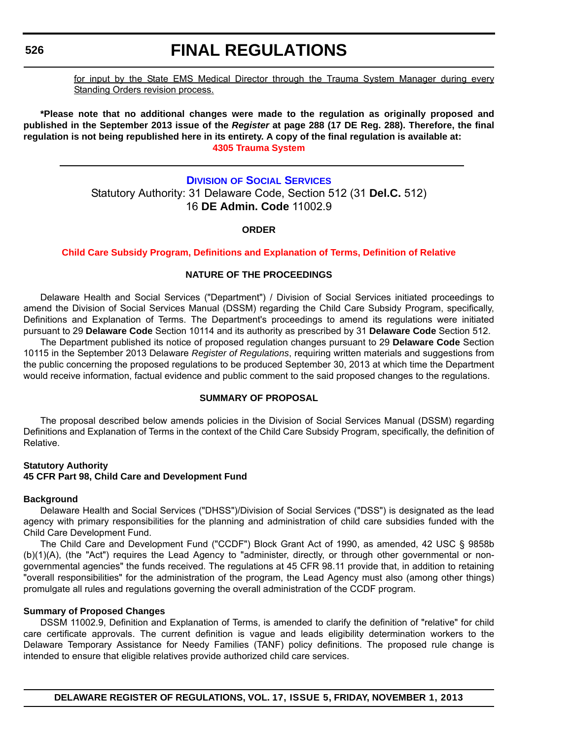# **FINAL REGULATIONS**

for input by the State EMS Medical Director through the Trauma System Manager during every Standing Orders revision process.

**\*Please note that no additional changes were made to the regulation as originally proposed and published in the September 2013 issue of the** *Register* **at page 288 (17 DE Reg. 288). Therefore, the final regulation is not being republished here in its entirety. A copy of the final regulation is available at: [4305 Trauma System](http://regulations.delaware.gov/register/november2013/final/17 DE Reg 523 11-01-13.htm)**

## **DIVISION [OF SOCIAL SERVICES](http://www.dhss.delaware.gov/dhss/dss/)** Statutory Authority: 31 Delaware Code, Section 512 (31 **Del.C.** 512) 16 **DE Admin. Code** 11002.9

### **ORDER**

### **[Child Care Subsidy Program, Definitions and Explanation of Terms, Definition of Relative](#page-3-0)**

### **NATURE OF THE PROCEEDINGS**

Delaware Health and Social Services ("Department") / Division of Social Services initiated proceedings to amend the Division of Social Services Manual (DSSM) regarding the Child Care Subsidy Program, specifically, Definitions and Explanation of Terms. The Department's proceedings to amend its regulations were initiated pursuant to 29 **Delaware Code** Section 10114 and its authority as prescribed by 31 **Delaware Code** Section 512.

The Department published its notice of proposed regulation changes pursuant to 29 **Delaware Code** Section 10115 in the September 2013 Delaware *Register of Regulations*, requiring written materials and suggestions from the public concerning the proposed regulations to be produced September 30, 2013 at which time the Department would receive information, factual evidence and public comment to the said proposed changes to the regulations.

### **SUMMARY OF PROPOSAL**

The proposal described below amends policies in the Division of Social Services Manual (DSSM) regarding Definitions and Explanation of Terms in the context of the Child Care Subsidy Program, specifically, the definition of Relative.

### **Statutory Authority 45 CFR Part 98, Child Care and Development Fund**

### **Background**

Delaware Health and Social Services ("DHSS")/Division of Social Services ("DSS") is designated as the lead agency with primary responsibilities for the planning and administration of child care subsidies funded with the Child Care Development Fund.

The Child Care and Development Fund ("CCDF") Block Grant Act of 1990, as amended, 42 USC § 9858b (b)(1)(A), (the "Act") requires the Lead Agency to "administer, directly, or through other governmental or nongovernmental agencies" the funds received. The regulations at 45 CFR 98.11 provide that, in addition to retaining "overall responsibilities" for the administration of the program, the Lead Agency must also (among other things) promulgate all rules and regulations governing the overall administration of the CCDF program.

### **Summary of Proposed Changes**

DSSM 11002.9, Definition and Explanation of Terms, is amended to clarify the definition of "relative" for child care certificate approvals. The current definition is vague and leads eligibility determination workers to the Delaware Temporary Assistance for Needy Families (TANF) policy definitions. The proposed rule change is intended to ensure that eligible relatives provide authorized child care services.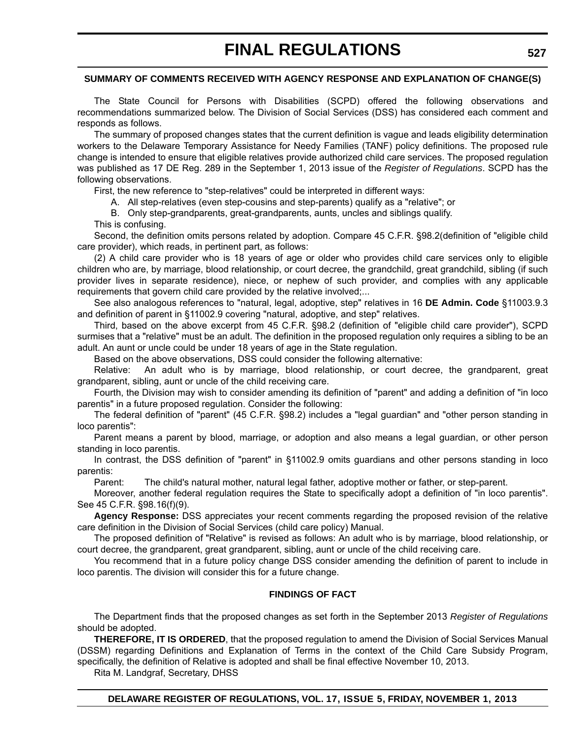### **SUMMARY OF COMMENTS RECEIVED WITH AGENCY RESPONSE AND EXPLANATION OF CHANGE(S)**

The State Council for Persons with Disabilities (SCPD) offered the following observations and recommendations summarized below. The Division of Social Services (DSS) has considered each comment and responds as follows.

The summary of proposed changes states that the current definition is vague and leads eligibility determination workers to the Delaware Temporary Assistance for Needy Families (TANF) policy definitions. The proposed rule change is intended to ensure that eligible relatives provide authorized child care services. The proposed regulation was published as 17 DE Reg. 289 in the September 1, 2013 issue of the *Register of Regulations*. SCPD has the following observations.

First, the new reference to "step-relatives" could be interpreted in different ways:

A. All step-relatives (even step-cousins and step-parents) qualify as a "relative"; or

B. Only step-grandparents, great-grandparents, aunts, uncles and siblings qualify.

This is confusing.

Second, the definition omits persons related by adoption. Compare 45 C.F.R. §98.2(definition of "eligible child care provider), which reads, in pertinent part, as follows:

(2) A child care provider who is 18 years of age or older who provides child care services only to eligible children who are, by marriage, blood relationship, or court decree, the grandchild, great grandchild, sibling (if such provider lives in separate residence), niece, or nephew of such provider, and complies with any applicable requirements that govern child care provided by the relative involved;...

See also analogous references to "natural, legal, adoptive, step" relatives in 16 **DE Admin. Code** §11003.9.3 and definition of parent in §11002.9 covering "natural, adoptive, and step" relatives.

Third, based on the above excerpt from 45 C.F.R. §98.2 (definition of "eligible child care provider"), SCPD surmises that a "relative" must be an adult. The definition in the proposed regulation only requires a sibling to be an adult. An aunt or uncle could be under 18 years of age in the State regulation.

Based on the above observations, DSS could consider the following alternative:

Relative: An adult who is by marriage, blood relationship, or court decree, the grandparent, great grandparent, sibling, aunt or uncle of the child receiving care.

Fourth, the Division may wish to consider amending its definition of "parent" and adding a definition of "in loco parentis" in a future proposed regulation. Consider the following:

The federal definition of "parent" (45 C.F.R. §98.2) includes a "legal guardian" and "other person standing in loco parentis":

Parent means a parent by blood, marriage, or adoption and also means a legal guardian, or other person standing in loco parentis.

In contrast, the DSS definition of "parent" in §11002.9 omits guardians and other persons standing in loco parentis:

Parent: The child's natural mother, natural legal father, adoptive mother or father, or step-parent.

Moreover, another federal regulation requires the State to specifically adopt a definition of "in loco parentis". See 45 C.F.R. §98.16(f)(9).

**Agency Response:** DSS appreciates your recent comments regarding the proposed revision of the relative care definition in the Division of Social Services (child care policy) Manual.

The proposed definition of "Relative" is revised as follows: An adult who is by marriage, blood relationship, or court decree, the grandparent, great grandparent, sibling, aunt or uncle of the child receiving care.

You recommend that in a future policy change DSS consider amending the definition of parent to include in loco parentis. The division will consider this for a future change.

### **FINDINGS OF FACT**

The Department finds that the proposed changes as set forth in the September 2013 *Register of Regulations* should be adopted.

**THEREFORE, IT IS ORDERED**, that the proposed regulation to amend the Division of Social Services Manual (DSSM) regarding Definitions and Explanation of Terms in the context of the Child Care Subsidy Program, specifically, the definition of Relative is adopted and shall be final effective November 10, 2013.

Rita M. Landgraf, Secretary, DHSS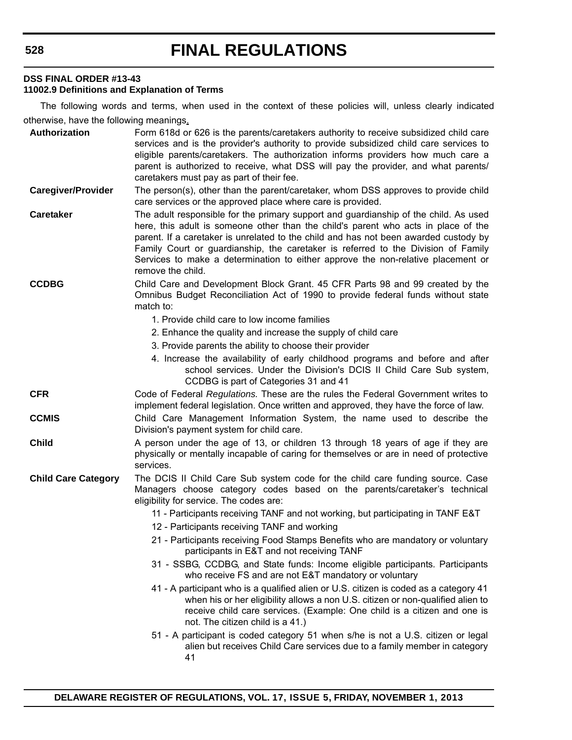### **DSS FINAL ORDER #13-43**

### **11002.9 Definitions and Explanation of Terms**

The following words and terms, when used in the context of these policies will, unless clearly indicated otherwise, have the following meanings.

| Authorization              | Form 618d or 626 is the parents/caretakers authority to receive subsidized child care<br>services and is the provider's authority to provide subsidized child care services to<br>eligible parents/caretakers. The authorization informs providers how much care a<br>parent is authorized to receive, what DSS will pay the provider, and what parents/<br>caretakers must pay as part of their fee.                                                            |
|----------------------------|------------------------------------------------------------------------------------------------------------------------------------------------------------------------------------------------------------------------------------------------------------------------------------------------------------------------------------------------------------------------------------------------------------------------------------------------------------------|
| <b>Caregiver/Provider</b>  | The person(s), other than the parent/caretaker, whom DSS approves to provide child<br>care services or the approved place where care is provided.                                                                                                                                                                                                                                                                                                                |
| <b>Caretaker</b>           | The adult responsible for the primary support and guardianship of the child. As used<br>here, this adult is someone other than the child's parent who acts in place of the<br>parent. If a caretaker is unrelated to the child and has not been awarded custody by<br>Family Court or guardianship, the caretaker is referred to the Division of Family<br>Services to make a determination to either approve the non-relative placement or<br>remove the child. |
| <b>CCDBG</b>               | Child Care and Development Block Grant. 45 CFR Parts 98 and 99 created by the<br>Omnibus Budget Reconciliation Act of 1990 to provide federal funds without state<br>match to:                                                                                                                                                                                                                                                                                   |
|                            | 1. Provide child care to low income families                                                                                                                                                                                                                                                                                                                                                                                                                     |
|                            | 2. Enhance the quality and increase the supply of child care                                                                                                                                                                                                                                                                                                                                                                                                     |
|                            | 3. Provide parents the ability to choose their provider                                                                                                                                                                                                                                                                                                                                                                                                          |
|                            | 4. Increase the availability of early childhood programs and before and after<br>school services. Under the Division's DCIS II Child Care Sub system,<br>CCDBG is part of Categories 31 and 41                                                                                                                                                                                                                                                                   |
| <b>CFR</b>                 | Code of Federal Regulations. These are the rules the Federal Government writes to<br>implement federal legislation. Once written and approved, they have the force of law.                                                                                                                                                                                                                                                                                       |
| <b>CCMIS</b>               | Child Care Management Information System, the name used to describe the<br>Division's payment system for child care.                                                                                                                                                                                                                                                                                                                                             |
| <b>Child</b>               | A person under the age of 13, or children 13 through 18 years of age if they are<br>physically or mentally incapable of caring for themselves or are in need of protective<br>services.                                                                                                                                                                                                                                                                          |
| <b>Child Care Category</b> | The DCIS II Child Care Sub system code for the child care funding source. Case<br>Managers choose category codes based on the parents/caretaker's technical<br>eligibility for service. The codes are:                                                                                                                                                                                                                                                           |
|                            | 11 - Participants receiving TANF and not working, but participating in TANF E&T                                                                                                                                                                                                                                                                                                                                                                                  |
|                            | 12 - Participants receiving TANF and working                                                                                                                                                                                                                                                                                                                                                                                                                     |
|                            | 21 - Participants receiving Food Stamps Benefits who are mandatory or voluntary<br>participants in E&T and not receiving TANF                                                                                                                                                                                                                                                                                                                                    |
|                            | 31 - SSBG, CCDBG, and State funds: Income eligible participants. Participants<br>who receive FS and are not E&T mandatory or voluntary                                                                                                                                                                                                                                                                                                                           |
|                            | 41 - A participant who is a qualified alien or U.S. citizen is coded as a category 41<br>when his or her eligibility allows a non U.S. citizen or non-qualified alien to<br>receive child care services. (Example: One child is a citizen and one is<br>not. The citizen child is a 41.)                                                                                                                                                                         |
|                            | 51 - A participant is coded category 51 when s/he is not a U.S. citizen or legal<br>alien but receives Child Care services due to a family member in category<br>41                                                                                                                                                                                                                                                                                              |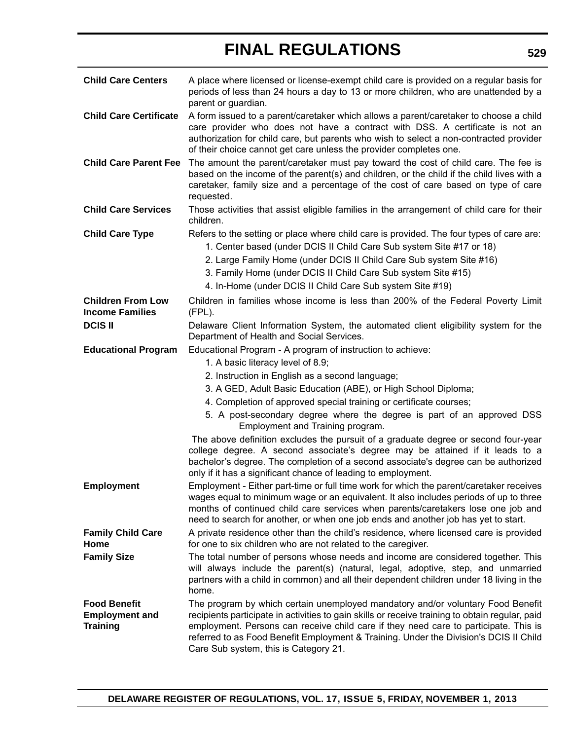| <b>Child Care Centers</b>                                       | A place where licensed or license-exempt child care is provided on a regular basis for<br>periods of less than 24 hours a day to 13 or more children, who are unattended by a<br>parent or guardian.                                                                                                                                                                                                         |
|-----------------------------------------------------------------|--------------------------------------------------------------------------------------------------------------------------------------------------------------------------------------------------------------------------------------------------------------------------------------------------------------------------------------------------------------------------------------------------------------|
| <b>Child Care Certificate</b>                                   | A form issued to a parent/caretaker which allows a parent/caretaker to choose a child<br>care provider who does not have a contract with DSS. A certificate is not an<br>authorization for child care, but parents who wish to select a non-contracted provider<br>of their choice cannot get care unless the provider completes one.                                                                        |
| <b>Child Care Parent Fee</b>                                    | The amount the parent/caretaker must pay toward the cost of child care. The fee is<br>based on the income of the parent(s) and children, or the child if the child lives with a<br>caretaker, family size and a percentage of the cost of care based on type of care<br>requested.                                                                                                                           |
| <b>Child Care Services</b>                                      | Those activities that assist eligible families in the arrangement of child care for their<br>children.                                                                                                                                                                                                                                                                                                       |
| <b>Child Care Type</b>                                          | Refers to the setting or place where child care is provided. The four types of care are:<br>1. Center based (under DCIS II Child Care Sub system Site #17 or 18)<br>2. Large Family Home (under DCIS II Child Care Sub system Site #16)<br>3. Family Home (under DCIS II Child Care Sub system Site #15)<br>4. In-Home (under DCIS II Child Care Sub system Site #19)                                        |
| <b>Children From Low</b><br><b>Income Families</b>              | Children in families whose income is less than 200% of the Federal Poverty Limit<br>(FPL).                                                                                                                                                                                                                                                                                                                   |
| <b>DCIS II</b>                                                  | Delaware Client Information System, the automated client eligibility system for the<br>Department of Health and Social Services.                                                                                                                                                                                                                                                                             |
| <b>Educational Program</b>                                      | Educational Program - A program of instruction to achieve:<br>1. A basic literacy level of 8.9;                                                                                                                                                                                                                                                                                                              |
|                                                                 | 2. Instruction in English as a second language;                                                                                                                                                                                                                                                                                                                                                              |
|                                                                 | 3. A GED, Adult Basic Education (ABE), or High School Diploma;                                                                                                                                                                                                                                                                                                                                               |
|                                                                 | 4. Completion of approved special training or certificate courses;                                                                                                                                                                                                                                                                                                                                           |
|                                                                 | 5. A post-secondary degree where the degree is part of an approved DSS<br>Employment and Training program.                                                                                                                                                                                                                                                                                                   |
|                                                                 | The above definition excludes the pursuit of a graduate degree or second four-year<br>college degree. A second associate's degree may be attained if it leads to a<br>bachelor's degree. The completion of a second associate's degree can be authorized<br>only if it has a significant chance of leading to employment.                                                                                    |
| <b>Employment</b>                                               | Employment - Either part-time or full time work for which the parent/caretaker receives<br>wages equal to minimum wage or an equivalent. It also includes periods of up to three<br>months of continued child care services when parents/caretakers lose one job and<br>need to search for another, or when one job ends and another job has yet to start.                                                   |
| <b>Family Child Care</b>                                        | A private residence other than the child's residence, where licensed care is provided                                                                                                                                                                                                                                                                                                                        |
| Home                                                            | for one to six children who are not related to the caregiver.                                                                                                                                                                                                                                                                                                                                                |
| <b>Family Size</b>                                              | The total number of persons whose needs and income are considered together. This<br>will always include the parent(s) (natural, legal, adoptive, step, and unmarried<br>partners with a child in common) and all their dependent children under 18 living in the<br>home.                                                                                                                                    |
| <b>Food Benefit</b><br><b>Employment and</b><br><b>Training</b> | The program by which certain unemployed mandatory and/or voluntary Food Benefit<br>recipients participate in activities to gain skills or receive training to obtain regular, paid<br>employment. Persons can receive child care if they need care to participate. This is<br>referred to as Food Benefit Employment & Training. Under the Division's DCIS II Child<br>Care Sub system, this is Category 21. |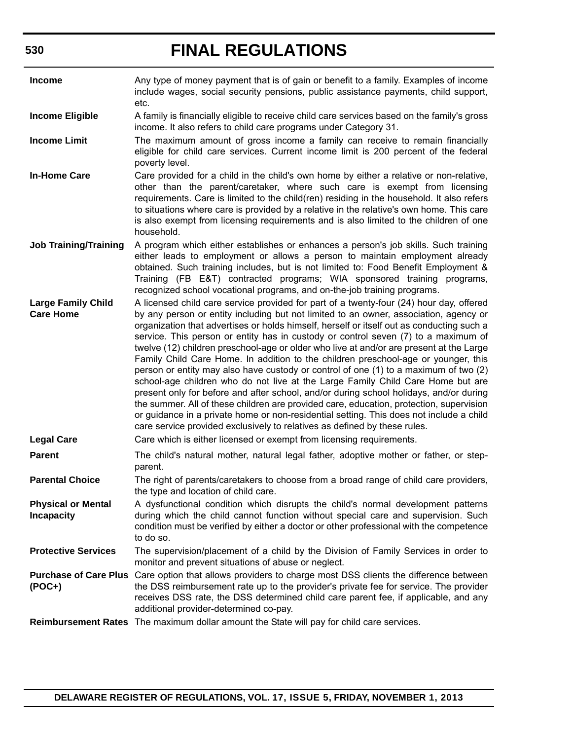| <b>Income</b>                                  | Any type of money payment that is of gain or benefit to a family. Examples of income<br>include wages, social security pensions, public assistance payments, child support,<br>etc.                                                                                                                                                                                                                                                                                                                                                                                                                                                                                                                                                                                                                                                                                                                                                                                                                                                                                                          |
|------------------------------------------------|----------------------------------------------------------------------------------------------------------------------------------------------------------------------------------------------------------------------------------------------------------------------------------------------------------------------------------------------------------------------------------------------------------------------------------------------------------------------------------------------------------------------------------------------------------------------------------------------------------------------------------------------------------------------------------------------------------------------------------------------------------------------------------------------------------------------------------------------------------------------------------------------------------------------------------------------------------------------------------------------------------------------------------------------------------------------------------------------|
| <b>Income Eligible</b>                         | A family is financially eligible to receive child care services based on the family's gross<br>income. It also refers to child care programs under Category 31.                                                                                                                                                                                                                                                                                                                                                                                                                                                                                                                                                                                                                                                                                                                                                                                                                                                                                                                              |
| <b>Income Limit</b>                            | The maximum amount of gross income a family can receive to remain financially<br>eligible for child care services. Current income limit is 200 percent of the federal<br>poverty level.                                                                                                                                                                                                                                                                                                                                                                                                                                                                                                                                                                                                                                                                                                                                                                                                                                                                                                      |
| <b>In-Home Care</b>                            | Care provided for a child in the child's own home by either a relative or non-relative,<br>other than the parent/caretaker, where such care is exempt from licensing<br>requirements. Care is limited to the child(ren) residing in the household. It also refers<br>to situations where care is provided by a relative in the relative's own home. This care<br>is also exempt from licensing requirements and is also limited to the children of one<br>household.                                                                                                                                                                                                                                                                                                                                                                                                                                                                                                                                                                                                                         |
| <b>Job Training/Training</b>                   | A program which either establishes or enhances a person's job skills. Such training<br>either leads to employment or allows a person to maintain employment already<br>obtained. Such training includes, but is not limited to: Food Benefit Employment &<br>Training (FB E&T) contracted programs; WIA sponsored training programs,<br>recognized school vocational programs, and on-the-job training programs.                                                                                                                                                                                                                                                                                                                                                                                                                                                                                                                                                                                                                                                                             |
| <b>Large Family Child</b><br><b>Care Home</b>  | A licensed child care service provided for part of a twenty-four (24) hour day, offered<br>by any person or entity including but not limited to an owner, association, agency or<br>organization that advertises or holds himself, herself or itself out as conducting such a<br>service. This person or entity has in custody or control seven (7) to a maximum of<br>twelve (12) children preschool-age or older who live at and/or are present at the Large<br>Family Child Care Home. In addition to the children preschool-age or younger, this<br>person or entity may also have custody or control of one (1) to a maximum of two (2)<br>school-age children who do not live at the Large Family Child Care Home but are<br>present only for before and after school, and/or during school holidays, and/or during<br>the summer. All of these children are provided care, education, protection, supervision<br>or guidance in a private home or non-residential setting. This does not include a child<br>care service provided exclusively to relatives as defined by these rules. |
| <b>Legal Care</b><br><b>Parent</b>             | Care which is either licensed or exempt from licensing requirements.<br>The child's natural mother, natural legal father, adoptive mother or father, or step-                                                                                                                                                                                                                                                                                                                                                                                                                                                                                                                                                                                                                                                                                                                                                                                                                                                                                                                                |
|                                                | parent.                                                                                                                                                                                                                                                                                                                                                                                                                                                                                                                                                                                                                                                                                                                                                                                                                                                                                                                                                                                                                                                                                      |
| <b>Parental Choice</b>                         | The right of parents/caretakers to choose from a broad range of child care providers,<br>the type and location of child care.                                                                                                                                                                                                                                                                                                                                                                                                                                                                                                                                                                                                                                                                                                                                                                                                                                                                                                                                                                |
| <b>Physical or Mental</b><br><b>Incapacity</b> | A dysfunctional condition which disrupts the child's normal development patterns<br>during which the child cannot function without special care and supervision. Such<br>condition must be verified by either a doctor or other professional with the competence<br>to do so.                                                                                                                                                                                                                                                                                                                                                                                                                                                                                                                                                                                                                                                                                                                                                                                                                |
| <b>Protective Services</b>                     | The supervision/placement of a child by the Division of Family Services in order to<br>monitor and prevent situations of abuse or neglect.                                                                                                                                                                                                                                                                                                                                                                                                                                                                                                                                                                                                                                                                                                                                                                                                                                                                                                                                                   |
| $(POC+)$                                       | Purchase of Care Plus Care option that allows providers to charge most DSS clients the difference between<br>the DSS reimbursement rate up to the provider's private fee for service. The provider<br>receives DSS rate, the DSS determined child care parent fee, if applicable, and any<br>additional provider-determined co-pay.                                                                                                                                                                                                                                                                                                                                                                                                                                                                                                                                                                                                                                                                                                                                                          |
|                                                | Reimbursement Rates The maximum dollar amount the State will pay for child care services.                                                                                                                                                                                                                                                                                                                                                                                                                                                                                                                                                                                                                                                                                                                                                                                                                                                                                                                                                                                                    |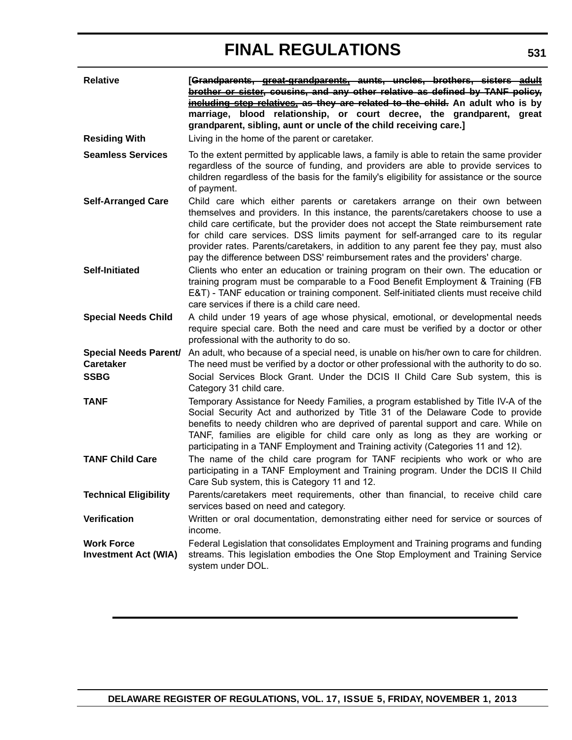| <b>Relative</b>                                  | [Grandparents, great-grandparents, aunts, uncles, brothers, sisters adult<br>brother or sister, cousins, and any other relative as defined by TANF policy,<br>including step relatives, as they are related to the child. An adult who is by<br>marriage, blood relationship, or court decree, the grandparent, great<br>grandparent, sibling, aunt or uncle of the child receiving care.]                                                                                                                                |
|--------------------------------------------------|---------------------------------------------------------------------------------------------------------------------------------------------------------------------------------------------------------------------------------------------------------------------------------------------------------------------------------------------------------------------------------------------------------------------------------------------------------------------------------------------------------------------------|
| <b>Residing With</b>                             | Living in the home of the parent or caretaker.                                                                                                                                                                                                                                                                                                                                                                                                                                                                            |
| <b>Seamless Services</b>                         | To the extent permitted by applicable laws, a family is able to retain the same provider<br>regardless of the source of funding, and providers are able to provide services to<br>children regardless of the basis for the family's eligibility for assistance or the source<br>of payment.                                                                                                                                                                                                                               |
| <b>Self-Arranged Care</b>                        | Child care which either parents or caretakers arrange on their own between<br>themselves and providers. In this instance, the parents/caretakers choose to use a<br>child care certificate, but the provider does not accept the State reimbursement rate<br>for child care services. DSS limits payment for self-arranged care to its regular<br>provider rates. Parents/caretakers, in addition to any parent fee they pay, must also<br>pay the difference between DSS' reimbursement rates and the providers' charge. |
| <b>Self-Initiated</b>                            | Clients who enter an education or training program on their own. The education or<br>training program must be comparable to a Food Benefit Employment & Training (FB<br>E&T) - TANF education or training component. Self-initiated clients must receive child<br>care services if there is a child care need.                                                                                                                                                                                                            |
| <b>Special Needs Child</b>                       | A child under 19 years of age whose physical, emotional, or developmental needs<br>require special care. Both the need and care must be verified by a doctor or other<br>professional with the authority to do so.                                                                                                                                                                                                                                                                                                        |
| <b>Caretaker</b>                                 | Special Needs Parent/ An adult, who because of a special need, is unable on his/her own to care for children.<br>The need must be verified by a doctor or other professional with the authority to do so.                                                                                                                                                                                                                                                                                                                 |
| <b>SSBG</b>                                      | Social Services Block Grant. Under the DCIS II Child Care Sub system, this is<br>Category 31 child care.                                                                                                                                                                                                                                                                                                                                                                                                                  |
| <b>TANF</b>                                      | Temporary Assistance for Needy Families, a program established by Title IV-A of the<br>Social Security Act and authorized by Title 31 of the Delaware Code to provide<br>benefits to needy children who are deprived of parental support and care. While on<br>TANF, families are eligible for child care only as long as they are working or<br>participating in a TANF Employment and Training activity (Categories 11 and 12).                                                                                         |
| <b>TANF Child Care</b>                           | The name of the child care program for TANF recipients who work or who are<br>participating in a TANF Employment and Training program. Under the DCIS II Child<br>Care Sub system, this is Category 11 and 12.                                                                                                                                                                                                                                                                                                            |
| <b>Technical Eligibility</b>                     | Parents/caretakers meet requirements, other than financial, to receive child care<br>services based on need and category.                                                                                                                                                                                                                                                                                                                                                                                                 |
| Verification                                     | Written or oral documentation, demonstrating either need for service or sources of<br>income.                                                                                                                                                                                                                                                                                                                                                                                                                             |
| <b>Work Force</b><br><b>Investment Act (WIA)</b> | Federal Legislation that consolidates Employment and Training programs and funding<br>streams. This legislation embodies the One Stop Employment and Training Service<br>system under DOL.                                                                                                                                                                                                                                                                                                                                |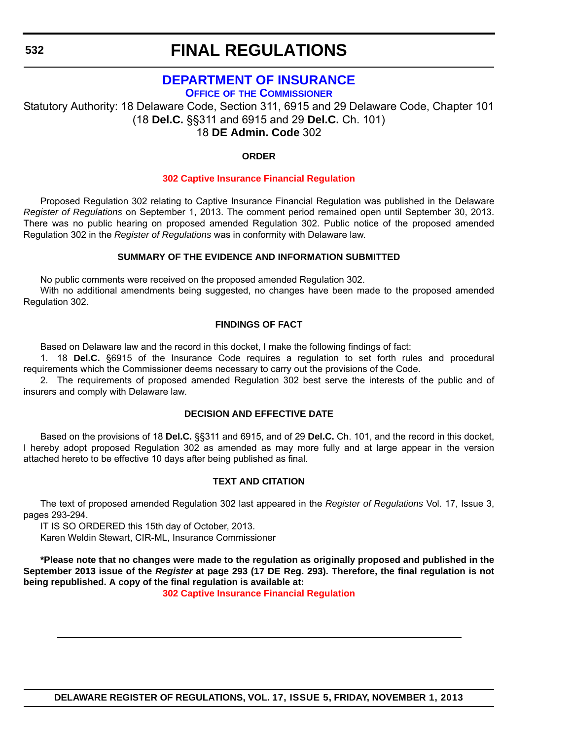## **[DEPARTMENT OF INSURANCE](http://www.delawareinsurance.gov/)**

**OFFICE OF THE COMMISSIONER**

Statutory Authority: 18 Delaware Code, Section 311, 6915 and 29 Delaware Code, Chapter 101 (18 **Del.C.** §§311 and 6915 and 29 **Del.C.** Ch. 101) 18 **DE Admin. Code** 302

### **ORDER**

### **[302 Captive Insurance Financial Regulation](#page-4-0)**

Proposed Regulation 302 relating to Captive Insurance Financial Regulation was published in the Delaware *Register of Regulations* on September 1, 2013. The comment period remained open until September 30, 2013. There was no public hearing on proposed amended Regulation 302. Public notice of the proposed amended Regulation 302 in the *Register of Regulations* was in conformity with Delaware law.

### **SUMMARY OF THE EVIDENCE AND INFORMATION SUBMITTED**

No public comments were received on the proposed amended Regulation 302.

With no additional amendments being suggested, no changes have been made to the proposed amended Regulation 302.

### **FINDINGS OF FACT**

Based on Delaware law and the record in this docket, I make the following findings of fact:

1. 18 **Del.C.** §6915 of the Insurance Code requires a regulation to set forth rules and procedural requirements which the Commissioner deems necessary to carry out the provisions of the Code.

2. The requirements of proposed amended Regulation 302 best serve the interests of the public and of insurers and comply with Delaware law.

### **DECISION AND EFFECTIVE DATE**

Based on the provisions of 18 **Del.C.** §§311 and 6915, and of 29 **Del.C.** Ch. 101, and the record in this docket, I hereby adopt proposed Regulation 302 as amended as may more fully and at large appear in the version attached hereto to be effective 10 days after being published as final.

### **TEXT AND CITATION**

The text of proposed amended Regulation 302 last appeared in the *Register of Regulations* Vol. 17, Issue 3, pages 293-294.

IT IS SO ORDERED this 15th day of October, 2013.

Karen Weldin Stewart, CIR-ML, Insurance Commissioner

**\*Please note that no changes were made to the regulation as originally proposed and published in the September 2013 issue of the** *Register* **at page 293 (17 DE Reg. 293). Therefore, the final regulation is not being republished. A copy of the final regulation is available at:**

**[302 Captive Insurance Financial Regulation](http://regulations.delaware.gov/register/november2013/final/17 DE Reg 532 11-01-13.htm)**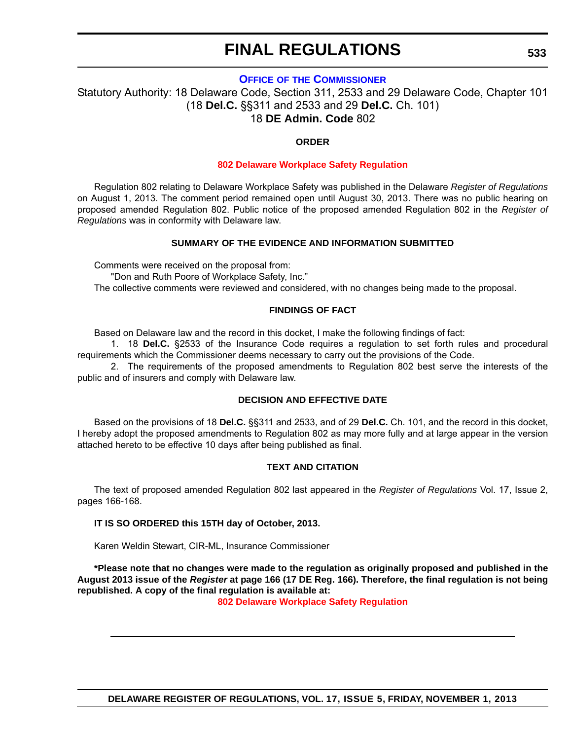### **OFFICE OF [THE COMMISSIONER](http://www.delawareinsurance.gov/)**

Statutory Authority: 18 Delaware Code, Section 311, 2533 and 29 Delaware Code, Chapter 101 (18 **Del.C.** §§311 and 2533 and 29 **Del.C.** Ch. 101) 18 **DE Admin. Code** 802

### **ORDER**

### **[802 Delaware Workplace Safety Regulation](#page-4-0)**

Regulation 802 relating to Delaware Workplace Safety was published in the Delaware *Register of Regulations* on August 1, 2013. The comment period remained open until August 30, 2013. There was no public hearing on proposed amended Regulation 802. Public notice of the proposed amended Regulation 802 in the *Register of Regulations* was in conformity with Delaware law.

### **SUMMARY OF THE EVIDENCE AND INFORMATION SUBMITTED**

Comments were received on the proposal from:

"Don and Ruth Poore of Workplace Safety, Inc."

The collective comments were reviewed and considered, with no changes being made to the proposal.

### **FINDINGS OF FACT**

Based on Delaware law and the record in this docket, I make the following findings of fact:

1. 18 **Del.C.** §2533 of the Insurance Code requires a regulation to set forth rules and procedural requirements which the Commissioner deems necessary to carry out the provisions of the Code.

2. The requirements of the proposed amendments to Regulation 802 best serve the interests of the public and of insurers and comply with Delaware law.

### **DECISION AND EFFECTIVE DATE**

Based on the provisions of 18 **Del.C.** §§311 and 2533, and of 29 **Del.C.** Ch. 101, and the record in this docket, I hereby adopt the proposed amendments to Regulation 802 as may more fully and at large appear in the version attached hereto to be effective 10 days after being published as final.

### **TEXT AND CITATION**

The text of proposed amended Regulation 802 last appeared in the *Register of Regulations* Vol. 17, Issue 2, pages 166-168.

### **IT IS SO ORDERED this 15TH day of October, 2013.**

Karen Weldin Stewart, CIR-ML, Insurance Commissioner

**\*Please note that no changes were made to the regulation as originally proposed and published in the August 2013 issue of the** *Register* **at page 166 (17 DE Reg. 166). Therefore, the final regulation is not being republished. A copy of the final regulation is available at:**

**[802 Delaware Workplace Safety Regulation](http://regulations.delaware.gov/register/november2013/final/17 DE Reg 533 11-01-13.htm)**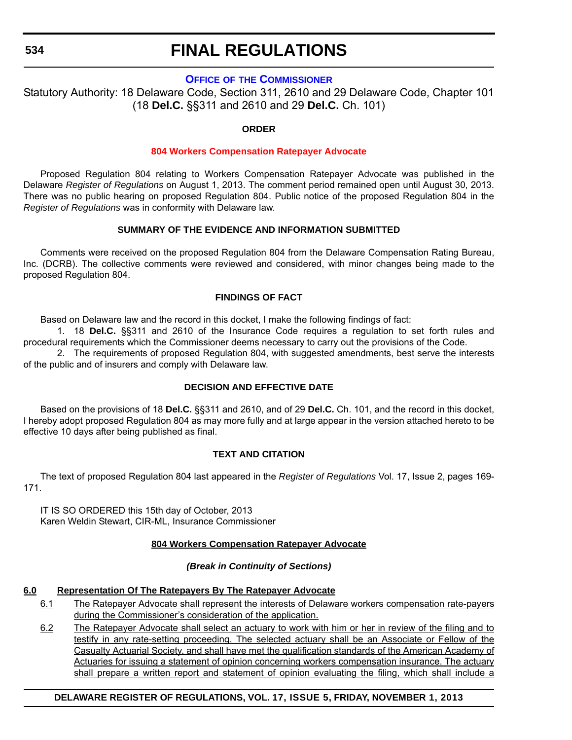### **534**

## **FINAL REGULATIONS**

### **OFFICE OF [THE COMMISSIONER](http://www.delawareinsurance.gov/)**

Statutory Authority: 18 Delaware Code, Section 311, 2610 and 29 Delaware Code, Chapter 101 (18 **Del.C.** §§311 and 2610 and 29 **Del.C.** Ch. 101)

### **ORDER**

### **[804 Workers Compensation Ratepayer Advocate](#page-4-0)**

Proposed Regulation 804 relating to Workers Compensation Ratepayer Advocate was published in the Delaware *Register of Regulations* on August 1, 2013. The comment period remained open until August 30, 2013. There was no public hearing on proposed Regulation 804. Public notice of the proposed Regulation 804 in the *Register of Regulations* was in conformity with Delaware law.

### **SUMMARY OF THE EVIDENCE AND INFORMATION SUBMITTED**

Comments were received on the proposed Regulation 804 from the Delaware Compensation Rating Bureau, Inc. (DCRB). The collective comments were reviewed and considered, with minor changes being made to the proposed Regulation 804.

### **FINDINGS OF FACT**

Based on Delaware law and the record in this docket, I make the following findings of fact:

1. 18 **Del.C.** §§311 and 2610 of the Insurance Code requires a regulation to set forth rules and procedural requirements which the Commissioner deems necessary to carry out the provisions of the Code.

2. The requirements of proposed Regulation 804, with suggested amendments, best serve the interests of the public and of insurers and comply with Delaware law.

### **DECISION AND EFFECTIVE DATE**

Based on the provisions of 18 **Del.C.** §§311 and 2610, and of 29 **Del.C.** Ch. 101, and the record in this docket, I hereby adopt proposed Regulation 804 as may more fully and at large appear in the version attached hereto to be effective 10 days after being published as final.

### **TEXT AND CITATION**

The text of proposed Regulation 804 last appeared in the *Register of Regulations* Vol. 17, Issue 2, pages 169- 171.

IT IS SO ORDERED this 15th day of October, 2013 Karen Weldin Stewart, CIR-ML, Insurance Commissioner

### **804 Workers Compensation Ratepayer Advocate**

### *(Break in Continuity of Sections)*

### **6.0 Representation Of The Ratepayers By The Ratepayer Advocate**

- 6.1 The Ratepayer Advocate shall represent the interests of Delaware workers compensation rate-payers during the Commissioner's consideration of the application.
- 6.2 The Ratepayer Advocate shall select an actuary to work with him or her in review of the filing and to testify in any rate-setting proceeding. The selected actuary shall be an Associate or Fellow of the Casualty Actuarial Society, and shall have met the qualification standards of the American Academy of Actuaries for issuing a statement of opinion concerning workers compensation insurance. The actuary shall prepare a written report and statement of opinion evaluating the filing, which shall include a

### **DELAWARE REGISTER OF REGULATIONS, VOL. 17, ISSUE 5, FRIDAY, NOVEMBER 1, 2013**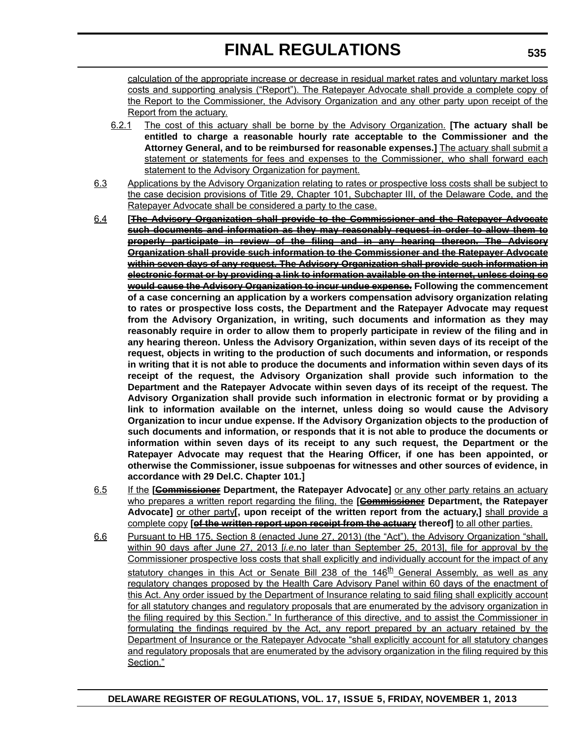calculation of the appropriate increase or decrease in residual market rates and voluntary market loss costs and supporting analysis ("Report"). The Ratepayer Advocate shall provide a complete copy of the Report to the Commissioner, the Advisory Organization and any other party upon receipt of the Report from the actuary.

- 6.2.1 The cost of this actuary shall be borne by the Advisory Organization. **[The actuary shall be entitled to charge a reasonable hourly rate acceptable to the Commissioner and the Attorney General, and to be reimbursed for reasonable expenses.]** The actuary shall submit a statement or statements for fees and expenses to the Commissioner, who shall forward each statement to the Advisory Organization for payment.
- 6.3 Applications by the Advisory Organization relating to rates or prospective loss costs shall be subject to the case decision provisions of Title 29, Chapter 101, Subchapter III, of the Delaware Code, and the Ratepayer Advocate shall be considered a party to the case.
- 6.4 **[The Advisory Organization shall provide to the Commissioner and the Ratepayer Advocate such documents and information as they may reasonably request in order to allow them to properly participate in review of the filing and in any hearing thereon. The Advisory Organization shall provide such information to the Commissioner and the Ratepayer Advocate within seven days of any request. The Advisory Organization shall provide such information in electronic format or by providing a link to information available on the internet, unless doing so would cause the Advisory Organization to incur undue expense. Following the commencement of a case concerning an application by a workers compensation advisory organization relating to rates or prospective loss costs, the Department and the Ratepayer Advocate may request from the Advisory Organization, in writing, such documents and information as they may reasonably require in order to allow them to properly participate in review of the filing and in any hearing thereon. Unless the Advisory Organization, within seven days of its receipt of the request, objects in writing to the production of such documents and information, or responds in writing that it is not able to produce the documents and information within seven days of its receipt of the request, the Advisory Organization shall provide such information to the Department and the Ratepayer Advocate within seven days of its receipt of the request. The Advisory Organization shall provide such information in electronic format or by providing a link to information available on the internet, unless doing so would cause the Advisory Organization to incur undue expense. If the Advisory Organization objects to the production of such documents and information, or responds that it is not able to produce the documents or information within seven days of its receipt to any such request, the Department or the Ratepayer Advocate may request that the Hearing Officer, if one has been appointed, or otherwise the Commissioner, issue subpoenas for witnesses and other sources of evidence, in accordance with 29 Del.C. Chapter 101.]**
- 6.5 If the **[Commissioner Department, the Ratepayer Advocate]** or any other party retains an actuary who prepares a written report regarding the filing, the **[Commissioner** Department, the Ratepayer **Advocate]** or other party**[, upon receipt of the written report from the actuary,]** shall provide a complete copy **[of the written report upon receipt from the actuary thereof]** to all other parties.
- 6.6 Pursuant to HB 175, Section 8 (enacted June 27, 2013) (the "Act"), the Advisory Organization "shall, within 90 days after June 27, 2013 [*i.e.*no later than September 25, 2013], file for approval by the Commissioner prospective loss costs that shall explicitly and individually account for the impact of any statutory changes in this Act or Senate Bill 238 of the 146<sup>th</sup> General Assembly, as well as any regulatory changes proposed by the Health Care Advisory Panel within 60 days of the enactment of this Act. Any order issued by the Department of Insurance relating to said filing shall explicitly account for all statutory changes and regulatory proposals that are enumerated by the advisory organization in the filing required by this Section." In furtherance of this directive, and to assist the Commissioner in formulating the findings required by the Act, any report prepared by an actuary retained by the Department of Insurance or the Ratepayer Advocate "shall explicitly account for all statutory changes and regulatory proposals that are enumerated by the advisory organization in the filing required by this Section."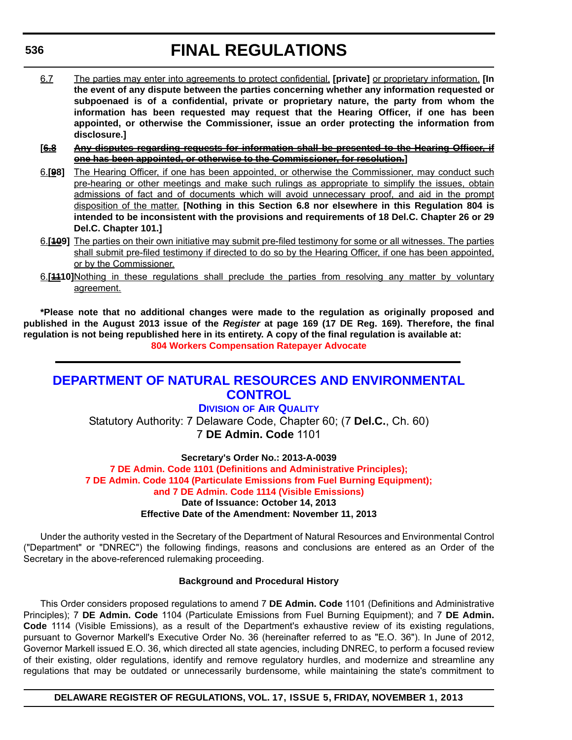- 6.7 The parties may enter into agreements to protect confidential, **[private]** or proprietary information. **[In the event of any dispute between the parties concerning whether any information requested or subpoenaed is of a confidential, private or proprietary nature, the party from whom the information has been requested may request that the Hearing Officer, if one has been appointed, or otherwise the Commissioner, issue an order protecting the information from disclosure.]**
- **[6.8 Any disputes regarding requests for information shall be presented to the Hearing Officer, if one has been appointed, or otherwise to the Commissioner, for resolution.]**
- 6.**[98]** The Hearing Officer, if one has been appointed, or otherwise the Commissioner, may conduct such pre-hearing or other meetings and make such rulings as appropriate to simplify the issues, obtain admissions of fact and of documents which will avoid unnecessary proof, and aid in the prompt disposition of the matter. **[Nothing in this Section 6.8 nor elsewhere in this Regulation 804 is intended to be inconsistent with the provisions and requirements of 18 Del.C. Chapter 26 or 29 Del.C. Chapter 101.]**
- 6.**[109]** The parties on their own initiative may submit pre-filed testimony for some or all witnesses. The parties shall submit pre-filed testimony if directed to do so by the Hearing Officer, if one has been appointed, or by the Commissioner.
- 6.**[1110]**Nothing in these regulations shall preclude the parties from resolving any matter by voluntary agreement.

**\*Please note that no additional changes were made to the regulation as originally proposed and published in the August 2013 issue of the** *Register* **at page 169 (17 DE Reg. 169). Therefore, the final regulation is not being republished here in its entirety. A copy of the final regulation is available at: [804 Workers Compensation Ratepayer Advocate](http://regulations.delaware.gov/register/november2013/final/17 DE Reg 534 11-01-13.htm)**

## **[DEPARTMENT OF NATURAL RESOURCES AND ENVIRONMENTAL](http://www.dnrec.delaware.gov/air/Pages/Default.aspx)  CONTROL**

### **DIVISION OF AIR QUALITY**

Statutory Authority: 7 Delaware Code, Chapter 60; (7 **Del.C.**, Ch. 60) 7 **DE Admin. Code** 1101

**Secretary's Order No.: 2013-A-0039**

**7 DE Admin. Code 1101 (Definitions and Administrative Principles); [7 DE Admin. Code 1104 \(Particulate Emissions from Fuel Burning Equipment\);](#page-4-0)  and 7 DE Admin. Code 1114 (Visible Emissions) Date of Issuance: October 14, 2013 Effective Date of the Amendment: November 11, 2013**

Under the authority vested in the Secretary of the Department of Natural Resources and Environmental Control ("Department" or "DNREC") the following findings, reasons and conclusions are entered as an Order of the Secretary in the above-referenced rulemaking proceeding.

### **Background and Procedural History**

This Order considers proposed regulations to amend 7 **DE Admin. Code** 1101 (Definitions and Administrative Principles); 7 **DE Admin. Code** 1104 (Particulate Emissions from Fuel Burning Equipment); and 7 **DE Admin. Code** 1114 (Visible Emissions), as a result of the Department's exhaustive review of its existing regulations, pursuant to Governor Markell's Executive Order No. 36 (hereinafter referred to as "E.O. 36"). In June of 2012, Governor Markell issued E.O. 36, which directed all state agencies, including DNREC, to perform a focused review of their existing, older regulations, identify and remove regulatory hurdles, and modernize and streamline any regulations that may be outdated or unnecessarily burdensome, while maintaining the state's commitment to

**DELAWARE REGISTER OF REGULATIONS, VOL. 17, ISSUE 5, FRIDAY, NOVEMBER 1, 2013**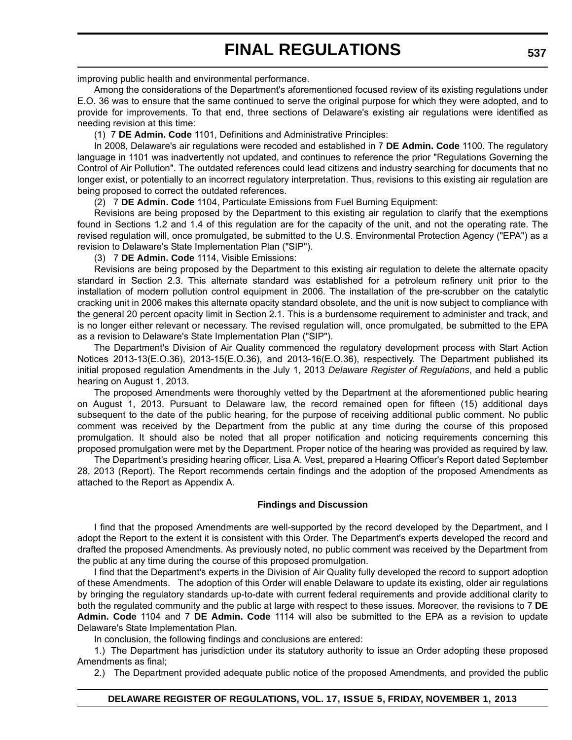improving public health and environmental performance.

Among the considerations of the Department's aforementioned focused review of its existing regulations under E.O. 36 was to ensure that the same continued to serve the original purpose for which they were adopted, and to provide for improvements. To that end, three sections of Delaware's existing air regulations were identified as needing revision at this time:

(1) 7 **DE Admin. Code** 1101, Definitions and Administrative Principles:

In 2008, Delaware's air regulations were recoded and established in 7 **DE Admin. Code** 1100. The regulatory language in 1101 was inadvertently not updated, and continues to reference the prior "Regulations Governing the Control of Air Pollution". The outdated references could lead citizens and industry searching for documents that no longer exist, or potentially to an incorrect regulatory interpretation. Thus, revisions to this existing air regulation are being proposed to correct the outdated references.

(2) 7 **DE Admin. Code** 1104, Particulate Emissions from Fuel Burning Equipment:

Revisions are being proposed by the Department to this existing air regulation to clarify that the exemptions found in Sections 1.2 and 1.4 of this regulation are for the capacity of the unit, and not the operating rate. The revised regulation will, once promulgated, be submitted to the U.S. Environmental Protection Agency ("EPA") as a revision to Delaware's State Implementation Plan ("SIP").

(3) 7 **DE Admin. Code** 1114, Visible Emissions:

Revisions are being proposed by the Department to this existing air regulation to delete the alternate opacity standard in Section 2.3. This alternate standard was established for a petroleum refinery unit prior to the installation of modern pollution control equipment in 2006. The installation of the pre-scrubber on the catalytic cracking unit in 2006 makes this alternate opacity standard obsolete, and the unit is now subject to compliance with the general 20 percent opacity limit in Section 2.1. This is a burdensome requirement to administer and track, and is no longer either relevant or necessary. The revised regulation will, once promulgated, be submitted to the EPA as a revision to Delaware's State Implementation Plan ("SIP").

The Department's Division of Air Quality commenced the regulatory development process with Start Action Notices 2013-13(E.O.36), 2013-15(E.O.36), and 2013-16(E.O.36), respectively. The Department published its initial proposed regulation Amendments in the July 1, 2013 *Delaware Register of Regulations*, and held a public hearing on August 1, 2013.

The proposed Amendments were thoroughly vetted by the Department at the aforementioned public hearing on August 1, 2013. Pursuant to Delaware law, the record remained open for fifteen (15) additional days subsequent to the date of the public hearing, for the purpose of receiving additional public comment. No public comment was received by the Department from the public at any time during the course of this proposed promulgation. It should also be noted that all proper notification and noticing requirements concerning this proposed promulgation were met by the Department. Proper notice of the hearing was provided as required by law.

The Department's presiding hearing officer, Lisa A. Vest, prepared a Hearing Officer's Report dated September 28, 2013 (Report). The Report recommends certain findings and the adoption of the proposed Amendments as attached to the Report as Appendix A.

### **Findings and Discussion**

I find that the proposed Amendments are well-supported by the record developed by the Department, and I adopt the Report to the extent it is consistent with this Order. The Department's experts developed the record and drafted the proposed Amendments. As previously noted, no public comment was received by the Department from the public at any time during the course of this proposed promulgation.

I find that the Department's experts in the Division of Air Quality fully developed the record to support adoption of these Amendments. The adoption of this Order will enable Delaware to update its existing, older air regulations by bringing the regulatory standards up-to-date with current federal requirements and provide additional clarity to both the regulated community and the public at large with respect to these issues. Moreover, the revisions to 7 **DE Admin. Code** 1104 and 7 **DE Admin. Code** 1114 will also be submitted to the EPA as a revision to update Delaware's State Implementation Plan.

In conclusion, the following findings and conclusions are entered:

1.) The Department has jurisdiction under its statutory authority to issue an Order adopting these proposed Amendments as final;

2.) The Department provided adequate public notice of the proposed Amendments, and provided the public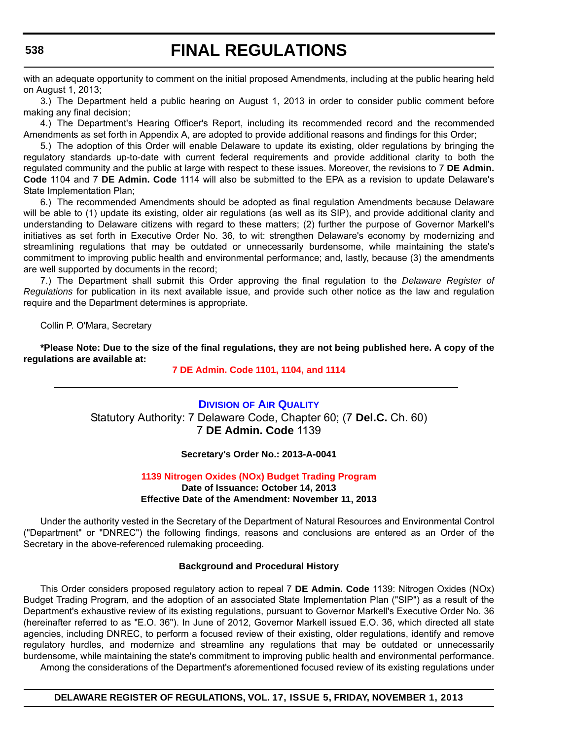with an adequate opportunity to comment on the initial proposed Amendments, including at the public hearing held on August 1, 2013;

3.) The Department held a public hearing on August 1, 2013 in order to consider public comment before making any final decision;

4.) The Department's Hearing Officer's Report, including its recommended record and the recommended Amendments as set forth in Appendix A, are adopted to provide additional reasons and findings for this Order;

5.) The adoption of this Order will enable Delaware to update its existing, older regulations by bringing the regulatory standards up-to-date with current federal requirements and provide additional clarity to both the regulated community and the public at large with respect to these issues. Moreover, the revisions to 7 **DE Admin. Code** 1104 and 7 **DE Admin. Code** 1114 will also be submitted to the EPA as a revision to update Delaware's State Implementation Plan;

6.) The recommended Amendments should be adopted as final regulation Amendments because Delaware will be able to (1) update its existing, older air regulations (as well as its SIP), and provide additional clarity and understanding to Delaware citizens with regard to these matters; (2) further the purpose of Governor Markell's initiatives as set forth in Executive Order No. 36, to wit: strengthen Delaware's economy by modernizing and streamlining regulations that may be outdated or unnecessarily burdensome, while maintaining the state's commitment to improving public health and environmental performance; and, lastly, because (3) the amendments are well supported by documents in the record;

7.) The Department shall submit this Order approving the final regulation to the *Delaware Register of Regulations* for publication in its next available issue, and provide such other notice as the law and regulation require and the Department determines is appropriate.

Collin P. O'Mara, Secretary

**\*Please Note: Due to the size of the final regulations, they are not being published here. A copy of the regulations are available at:**

### **[7 DE Admin. Code 1101, 1104, and 1114](http://regulations.delaware.gov/register/november2013/final/17 DE Reg 536 11-01-13.htm)**

### **DIVISION [OF AIR QUALITY](http://www.dnrec.delaware.gov/air/Pages/Default.aspx)** Statutory Authority: 7 Delaware Code, Chapter 60; (7 **Del.C.** Ch. 60) 7 **DE Admin. Code** 1139

### **Secretary's Order No.: 2013-A-0041**

### **[1139 Nitrogen Oxides \(NOx\) Budget Trading Program](#page-4-0) Date of Issuance: October 14, 2013 Effective Date of the Amendment: November 11, 2013**

Under the authority vested in the Secretary of the Department of Natural Resources and Environmental Control ("Department" or "DNREC") the following findings, reasons and conclusions are entered as an Order of the Secretary in the above-referenced rulemaking proceeding.

#### **Background and Procedural History**

This Order considers proposed regulatory action to repeal 7 **DE Admin. Code** 1139: Nitrogen Oxides (NOx) Budget Trading Program, and the adoption of an associated State Implementation Plan ("SIP") as a result of the Department's exhaustive review of its existing regulations, pursuant to Governor Markell's Executive Order No. 36 (hereinafter referred to as "E.O. 36"). In June of 2012, Governor Markell issued E.O. 36, which directed all state agencies, including DNREC, to perform a focused review of their existing, older regulations, identify and remove regulatory hurdles, and modernize and streamline any regulations that may be outdated or unnecessarily burdensome, while maintaining the state's commitment to improving public health and environmental performance.

Among the considerations of the Department's aforementioned focused review of its existing regulations under

### **DELAWARE REGISTER OF REGULATIONS, VOL. 17, ISSUE 5, FRIDAY, NOVEMBER 1, 2013**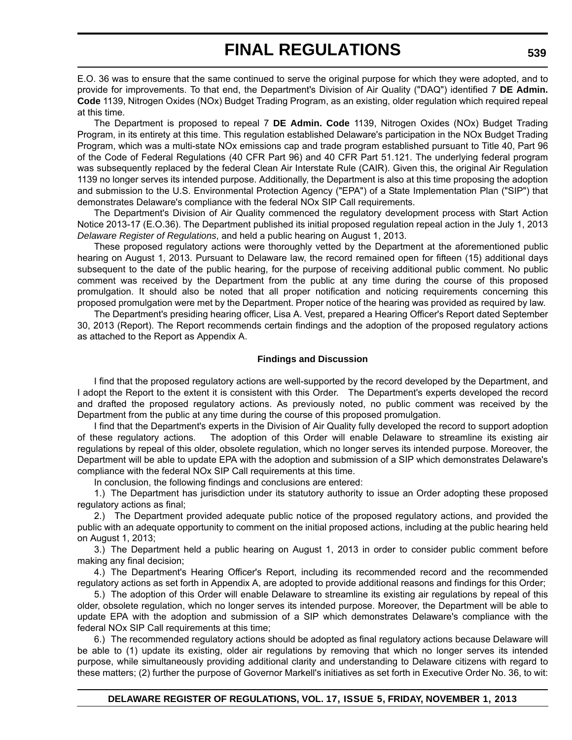E.O. 36 was to ensure that the same continued to serve the original purpose for which they were adopted, and to provide for improvements. To that end, the Department's Division of Air Quality ("DAQ") identified 7 **DE Admin. Code** 1139, Nitrogen Oxides (NOx) Budget Trading Program, as an existing, older regulation which required repeal at this time.

The Department is proposed to repeal 7 **DE Admin. Code** 1139, Nitrogen Oxides (NOx) Budget Trading Program, in its entirety at this time. This regulation established Delaware's participation in the NOx Budget Trading Program, which was a multi-state NOx emissions cap and trade program established pursuant to Title 40, Part 96 of the Code of Federal Regulations (40 CFR Part 96) and 40 CFR Part 51.121. The underlying federal program was subsequently replaced by the federal Clean Air Interstate Rule (CAIR). Given this, the original Air Regulation 1139 no longer serves its intended purpose. Additionally, the Department is also at this time proposing the adoption and submission to the U.S. Environmental Protection Agency ("EPA") of a State Implementation Plan ("SIP") that demonstrates Delaware's compliance with the federal NOx SIP Call requirements.

The Department's Division of Air Quality commenced the regulatory development process with Start Action Notice 2013-17 (E.O.36). The Department published its initial proposed regulation repeal action in the July 1, 2013 *Delaware Register of Regulations*, and held a public hearing on August 1, 2013.

These proposed regulatory actions were thoroughly vetted by the Department at the aforementioned public hearing on August 1, 2013. Pursuant to Delaware law, the record remained open for fifteen (15) additional days subsequent to the date of the public hearing, for the purpose of receiving additional public comment. No public comment was received by the Department from the public at any time during the course of this proposed promulgation. It should also be noted that all proper notification and noticing requirements concerning this proposed promulgation were met by the Department. Proper notice of the hearing was provided as required by law.

The Department's presiding hearing officer, Lisa A. Vest, prepared a Hearing Officer's Report dated September 30, 2013 (Report). The Report recommends certain findings and the adoption of the proposed regulatory actions as attached to the Report as Appendix A.

### **Findings and Discussion**

I find that the proposed regulatory actions are well-supported by the record developed by the Department, and I adopt the Report to the extent it is consistent with this Order. The Department's experts developed the record and drafted the proposed regulatory actions. As previously noted, no public comment was received by the Department from the public at any time during the course of this proposed promulgation.

I find that the Department's experts in the Division of Air Quality fully developed the record to support adoption of these regulatory actions. The adoption of this Order will enable Delaware to streamline its existing air regulations by repeal of this older, obsolete regulation, which no longer serves its intended purpose. Moreover, the Department will be able to update EPA with the adoption and submission of a SIP which demonstrates Delaware's compliance with the federal NOx SIP Call requirements at this time.

In conclusion, the following findings and conclusions are entered:

1.) The Department has jurisdiction under its statutory authority to issue an Order adopting these proposed regulatory actions as final;

2.) The Department provided adequate public notice of the proposed regulatory actions, and provided the public with an adequate opportunity to comment on the initial proposed actions, including at the public hearing held on August 1, 2013;

3.) The Department held a public hearing on August 1, 2013 in order to consider public comment before making any final decision;

4.) The Department's Hearing Officer's Report, including its recommended record and the recommended regulatory actions as set forth in Appendix A, are adopted to provide additional reasons and findings for this Order;

5.) The adoption of this Order will enable Delaware to streamline its existing air regulations by repeal of this older, obsolete regulation, which no longer serves its intended purpose. Moreover, the Department will be able to update EPA with the adoption and submission of a SIP which demonstrates Delaware's compliance with the federal NOx SIP Call requirements at this time;

6.) The recommended regulatory actions should be adopted as final regulatory actions because Delaware will be able to (1) update its existing, older air regulations by removing that which no longer serves its intended purpose, while simultaneously providing additional clarity and understanding to Delaware citizens with regard to these matters; (2) further the purpose of Governor Markell's initiatives as set forth in Executive Order No. 36, to wit: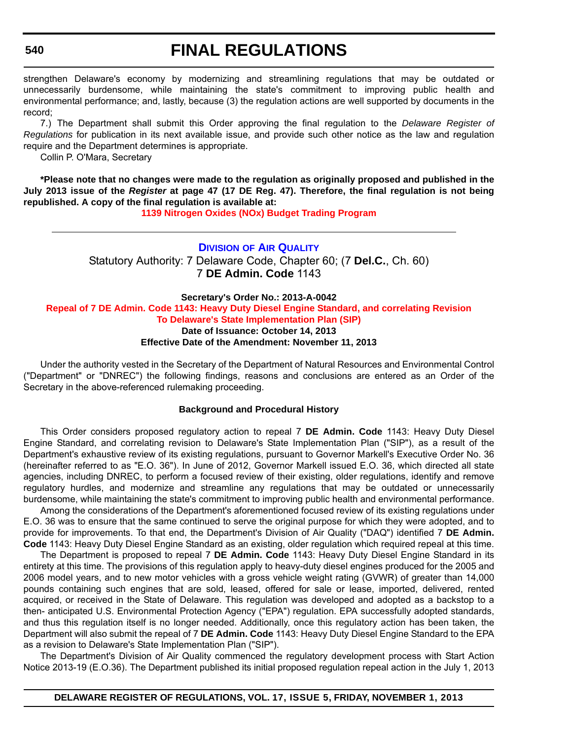### **540**

## **FINAL REGULATIONS**

strengthen Delaware's economy by modernizing and streamlining regulations that may be outdated or unnecessarily burdensome, while maintaining the state's commitment to improving public health and environmental performance; and, lastly, because (3) the regulation actions are well supported by documents in the record;

7.) The Department shall submit this Order approving the final regulation to the *Delaware Register of Regulations* for publication in its next available issue, and provide such other notice as the law and regulation require and the Department determines is appropriate.

Collin P. O'Mara, Secretary

**\*Please note that no changes were made to the regulation as originally proposed and published in the July 2013 issue of the** *Register* **at page 47 (17 DE Reg. 47). Therefore, the final regulation is not being republished. A copy of the final regulation is available at:**

**[1139 Nitrogen Oxides \(NOx\) Budget Trading Program](http://regulations.delaware.gov/register/november2013/final/17 DE Reg 538 11-01-13.htm)**

**DIVISION [OF AIR QUALITY](http://www.dnrec.delaware.gov/air/Pages/Default.aspx)** Statutory Authority: 7 Delaware Code, Chapter 60; (7 **Del.C.**, Ch. 60) 7 **DE Admin. Code** 1143

### **Secretary's Order No.: 2013-A-0042 [Repeal of 7 DE Admin. Code 1143: Heavy Duty Diesel Engine Standard, and correlating Revision](#page-4-0) To Delaware's State Implementation Plan (SIP) Date of Issuance: October 14, 2013 Effective Date of the Amendment: November 11, 2013**

Under the authority vested in the Secretary of the Department of Natural Resources and Environmental Control ("Department" or "DNREC") the following findings, reasons and conclusions are entered as an Order of the Secretary in the above-referenced rulemaking proceeding.

### **Background and Procedural History**

This Order considers proposed regulatory action to repeal 7 **DE Admin. Code** 1143: Heavy Duty Diesel Engine Standard, and correlating revision to Delaware's State Implementation Plan ("SIP"), as a result of the Department's exhaustive review of its existing regulations, pursuant to Governor Markell's Executive Order No. 36 (hereinafter referred to as "E.O. 36"). In June of 2012, Governor Markell issued E.O. 36, which directed all state agencies, including DNREC, to perform a focused review of their existing, older regulations, identify and remove regulatory hurdles, and modernize and streamline any regulations that may be outdated or unnecessarily burdensome, while maintaining the state's commitment to improving public health and environmental performance.

Among the considerations of the Department's aforementioned focused review of its existing regulations under E.O. 36 was to ensure that the same continued to serve the original purpose for which they were adopted, and to provide for improvements. To that end, the Department's Division of Air Quality ("DAQ") identified 7 **DE Admin. Code** 1143: Heavy Duty Diesel Engine Standard as an existing, older regulation which required repeal at this time.

The Department is proposed to repeal 7 **DE Admin. Code** 1143: Heavy Duty Diesel Engine Standard in its entirety at this time. The provisions of this regulation apply to heavy-duty diesel engines produced for the 2005 and 2006 model years, and to new motor vehicles with a gross vehicle weight rating (GVWR) of greater than 14,000 pounds containing such engines that are sold, leased, offered for sale or lease, imported, delivered, rented acquired, or received in the State of Delaware. This regulation was developed and adopted as a backstop to a then- anticipated U.S. Environmental Protection Agency ("EPA") regulation. EPA successfully adopted standards, and thus this regulation itself is no longer needed. Additionally, once this regulatory action has been taken, the Department will also submit the repeal of 7 **DE Admin. Code** 1143: Heavy Duty Diesel Engine Standard to the EPA as a revision to Delaware's State Implementation Plan ("SIP").

The Department's Division of Air Quality commenced the regulatory development process with Start Action Notice 2013-19 (E.O.36). The Department published its initial proposed regulation repeal action in the July 1, 2013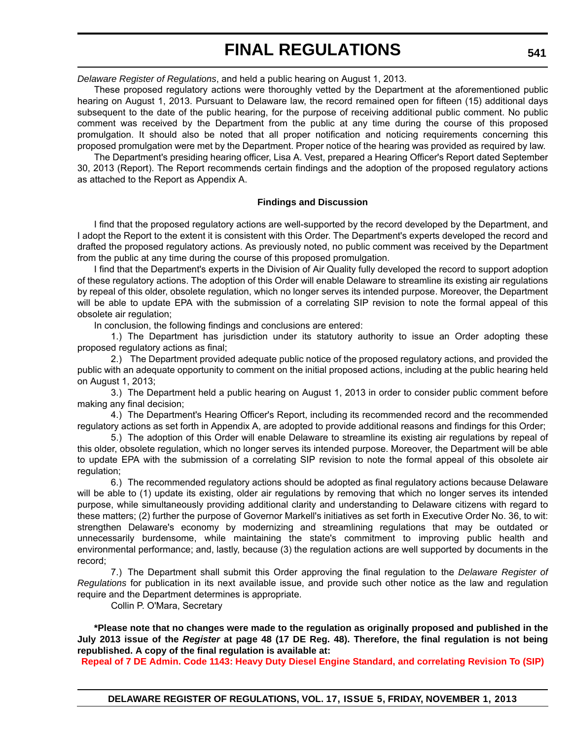*Delaware Register of Regulations*, and held a public hearing on August 1, 2013.

These proposed regulatory actions were thoroughly vetted by the Department at the aforementioned public hearing on August 1, 2013. Pursuant to Delaware law, the record remained open for fifteen (15) additional days subsequent to the date of the public hearing, for the purpose of receiving additional public comment. No public comment was received by the Department from the public at any time during the course of this proposed promulgation. It should also be noted that all proper notification and noticing requirements concerning this proposed promulgation were met by the Department. Proper notice of the hearing was provided as required by law.

The Department's presiding hearing officer, Lisa A. Vest, prepared a Hearing Officer's Report dated September 30, 2013 (Report). The Report recommends certain findings and the adoption of the proposed regulatory actions as attached to the Report as Appendix A.

### **Findings and Discussion**

I find that the proposed regulatory actions are well-supported by the record developed by the Department, and I adopt the Report to the extent it is consistent with this Order. The Department's experts developed the record and drafted the proposed regulatory actions. As previously noted, no public comment was received by the Department from the public at any time during the course of this proposed promulgation.

I find that the Department's experts in the Division of Air Quality fully developed the record to support adoption of these regulatory actions. The adoption of this Order will enable Delaware to streamline its existing air regulations by repeal of this older, obsolete regulation, which no longer serves its intended purpose. Moreover, the Department will be able to update EPA with the submission of a correlating SIP revision to note the formal appeal of this obsolete air regulation;

In conclusion, the following findings and conclusions are entered:

1.) The Department has jurisdiction under its statutory authority to issue an Order adopting these proposed regulatory actions as final;

2.) The Department provided adequate public notice of the proposed regulatory actions, and provided the public with an adequate opportunity to comment on the initial proposed actions, including at the public hearing held on August 1, 2013;

3.) The Department held a public hearing on August 1, 2013 in order to consider public comment before making any final decision;

4.) The Department's Hearing Officer's Report, including its recommended record and the recommended regulatory actions as set forth in Appendix A, are adopted to provide additional reasons and findings for this Order;

5.) The adoption of this Order will enable Delaware to streamline its existing air regulations by repeal of this older, obsolete regulation, which no longer serves its intended purpose. Moreover, the Department will be able to update EPA with the submission of a correlating SIP revision to note the formal appeal of this obsolete air regulation;

6.) The recommended regulatory actions should be adopted as final regulatory actions because Delaware will be able to (1) update its existing, older air regulations by removing that which no longer serves its intended purpose, while simultaneously providing additional clarity and understanding to Delaware citizens with regard to these matters; (2) further the purpose of Governor Markell's initiatives as set forth in Executive Order No. 36, to wit: strengthen Delaware's economy by modernizing and streamlining regulations that may be outdated or unnecessarily burdensome, while maintaining the state's commitment to improving public health and environmental performance; and, lastly, because (3) the regulation actions are well supported by documents in the record;

7.) The Department shall submit this Order approving the final regulation to the *Delaware Register of Regulations* for publication in its next available issue, and provide such other notice as the law and regulation require and the Department determines is appropriate.

Collin P. O'Mara, Secretary

**\*Please note that no changes were made to the regulation as originally proposed and published in the July 2013 issue of the** *Register* **at page 48 (17 DE Reg. 48). Therefore, the final regulation is not being republished. A copy of the final regulation is available at:**

**[Repeal of 7 DE Admin. Code 1143: Heavy Duty Diesel Engine Standard, and correlating Revision To \(SIP\)](http://regulations.delaware.gov/register/november2013/final/17 DE Reg 540 11-01-13.htm)**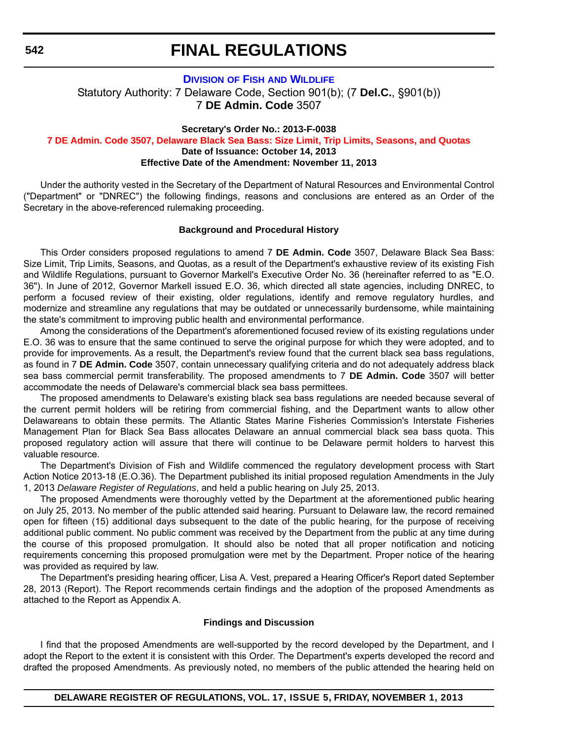**542**

## **FINAL REGULATIONS**

### **DIVISION OF FISH [AND WILDLIFE](http://www.dnrec.delaware.gov/fw/Pages/FWPortal.aspx)** Statutory Authority: 7 Delaware Code, Section 901(b); (7 **Del.C.**, §901(b)) 7 **DE Admin. Code** 3507

**Secretary's Order No.: 2013-F-0038**

**[7 DE Admin. Code 3507, Delaware Black Sea Bass: Size Limit, Trip Limits, Seasons, and Quotas](#page-4-0) Date of Issuance: October 14, 2013**

**Effective Date of the Amendment: November 11, 2013**

Under the authority vested in the Secretary of the Department of Natural Resources and Environmental Control ("Department" or "DNREC") the following findings, reasons and conclusions are entered as an Order of the Secretary in the above-referenced rulemaking proceeding.

### **Background and Procedural History**

This Order considers proposed regulations to amend 7 **DE Admin. Code** 3507, Delaware Black Sea Bass: Size Limit, Trip Limits, Seasons, and Quotas, as a result of the Department's exhaustive review of its existing Fish and Wildlife Regulations, pursuant to Governor Markell's Executive Order No. 36 (hereinafter referred to as "E.O. 36"). In June of 2012, Governor Markell issued E.O. 36, which directed all state agencies, including DNREC, to perform a focused review of their existing, older regulations, identify and remove regulatory hurdles, and modernize and streamline any regulations that may be outdated or unnecessarily burdensome, while maintaining the state's commitment to improving public health and environmental performance.

Among the considerations of the Department's aforementioned focused review of its existing regulations under E.O. 36 was to ensure that the same continued to serve the original purpose for which they were adopted, and to provide for improvements. As a result, the Department's review found that the current black sea bass regulations, as found in 7 **DE Admin. Code** 3507, contain unnecessary qualifying criteria and do not adequately address black sea bass commercial permit transferability. The proposed amendments to 7 **DE Admin. Code** 3507 will better accommodate the needs of Delaware's commercial black sea bass permittees.

The proposed amendments to Delaware's existing black sea bass regulations are needed because several of the current permit holders will be retiring from commercial fishing, and the Department wants to allow other Delawareans to obtain these permits. The Atlantic States Marine Fisheries Commission's Interstate Fisheries Management Plan for Black Sea Bass allocates Delaware an annual commercial black sea bass quota. This proposed regulatory action will assure that there will continue to be Delaware permit holders to harvest this valuable resource.

The Department's Division of Fish and Wildlife commenced the regulatory development process with Start Action Notice 2013-18 (E.O.36). The Department published its initial proposed regulation Amendments in the July 1, 2013 *Delaware Register of Regulations*, and held a public hearing on July 25, 2013.

The proposed Amendments were thoroughly vetted by the Department at the aforementioned public hearing on July 25, 2013. No member of the public attended said hearing. Pursuant to Delaware law, the record remained open for fifteen (15) additional days subsequent to the date of the public hearing, for the purpose of receiving additional public comment. No public comment was received by the Department from the public at any time during the course of this proposed promulgation. It should also be noted that all proper notification and noticing requirements concerning this proposed promulgation were met by the Department. Proper notice of the hearing was provided as required by law.

The Department's presiding hearing officer, Lisa A. Vest, prepared a Hearing Officer's Report dated September 28, 2013 (Report). The Report recommends certain findings and the adoption of the proposed Amendments as attached to the Report as Appendix A.

#### **Findings and Discussion**

I find that the proposed Amendments are well-supported by the record developed by the Department, and I adopt the Report to the extent it is consistent with this Order. The Department's experts developed the record and drafted the proposed Amendments. As previously noted, no members of the public attended the hearing held on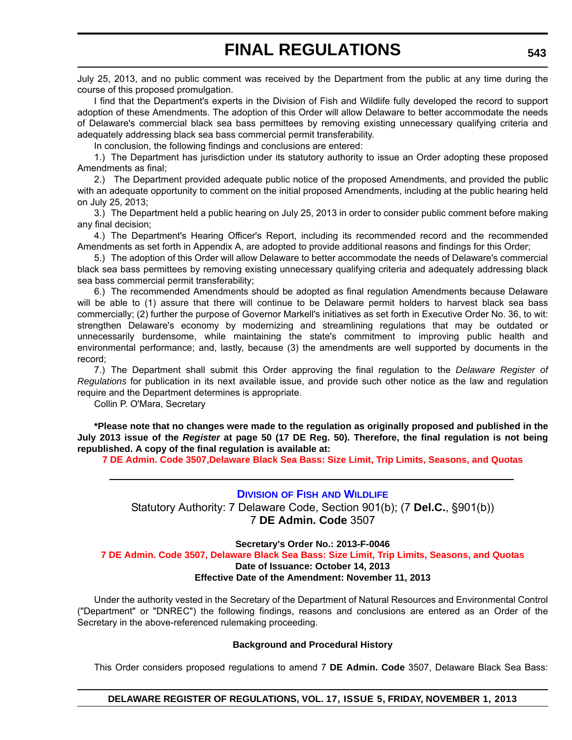July 25, 2013, and no public comment was received by the Department from the public at any time during the course of this proposed promulgation.

I find that the Department's experts in the Division of Fish and Wildlife fully developed the record to support adoption of these Amendments. The adoption of this Order will allow Delaware to better accommodate the needs of Delaware's commercial black sea bass permittees by removing existing unnecessary qualifying criteria and adequately addressing black sea bass commercial permit transferability.

In conclusion, the following findings and conclusions are entered:

1.) The Department has jurisdiction under its statutory authority to issue an Order adopting these proposed Amendments as final;

2.) The Department provided adequate public notice of the proposed Amendments, and provided the public with an adequate opportunity to comment on the initial proposed Amendments, including at the public hearing held on July 25, 2013;

3.) The Department held a public hearing on July 25, 2013 in order to consider public comment before making any final decision;

4.) The Department's Hearing Officer's Report, including its recommended record and the recommended Amendments as set forth in Appendix A, are adopted to provide additional reasons and findings for this Order;

5.) The adoption of this Order will allow Delaware to better accommodate the needs of Delaware's commercial black sea bass permittees by removing existing unnecessary qualifying criteria and adequately addressing black sea bass commercial permit transferability;

6.) The recommended Amendments should be adopted as final regulation Amendments because Delaware will be able to (1) assure that there will continue to be Delaware permit holders to harvest black sea bass commercially; (2) further the purpose of Governor Markell's initiatives as set forth in Executive Order No. 36, to wit: strengthen Delaware's economy by modernizing and streamlining regulations that may be outdated or unnecessarily burdensome, while maintaining the state's commitment to improving public health and environmental performance; and, lastly, because (3) the amendments are well supported by documents in the record;

7.) The Department shall submit this Order approving the final regulation to the *Delaware Register of Regulations* for publication in its next available issue, and provide such other notice as the law and regulation require and the Department determines is appropriate.

Collin P. O'Mara, Secretary

**\*Please note that no changes were made to the regulation as originally proposed and published in the July 2013 issue of the** *Register* **at page 50 (17 DE Reg. 50). Therefore, the final regulation is not being republished. A copy of the final regulation is available at:**

**[7 DE Admin. Code 3507,Delaware Black Sea Bass: Size Limit, Trip Limits, Seasons, and Quotas](http://regulations.delaware.gov/register/november2013/final/17 DE Reg 542 11-01-13.htm)**

### **DIVISION OF FISH [AND WILDLIFE](http://www.dnrec.delaware.gov/fw/Pages/FWPortal.aspx)**

Statutory Authority: 7 Delaware Code, Section 901(b); (7 **Del.C.**, §901(b)) 7 **DE Admin. Code** 3507

**Secretary's Order No.: 2013-F-0046**

**[7 DE Admin. Code 3507, Delaware Black Sea Bass: Size Limit, Trip Limits, Seasons, and Quotas](#page-4-0)  Date of Issuance: October 14, 2013 Effective Date of the Amendment: November 11, 2013**

Under the authority vested in the Secretary of the Department of Natural Resources and Environmental Control ("Department" or "DNREC") the following findings, reasons and conclusions are entered as an Order of the Secretary in the above-referenced rulemaking proceeding.

### **Background and Procedural History**

This Order considers proposed regulations to amend 7 **DE Admin. Code** 3507, Delaware Black Sea Bass: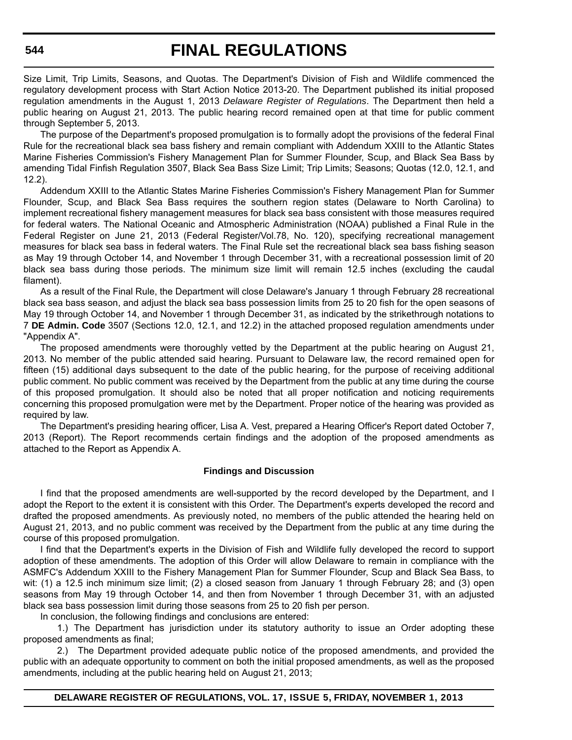Size Limit, Trip Limits, Seasons, and Quotas. The Department's Division of Fish and Wildlife commenced the regulatory development process with Start Action Notice 2013-20. The Department published its initial proposed regulation amendments in the August 1, 2013 *Delaware Register of Regulations*. The Department then held a public hearing on August 21, 2013. The public hearing record remained open at that time for public comment through September 5, 2013.

The purpose of the Department's proposed promulgation is to formally adopt the provisions of the federal Final Rule for the recreational black sea bass fishery and remain compliant with Addendum XXIII to the Atlantic States Marine Fisheries Commission's Fishery Management Plan for Summer Flounder, Scup, and Black Sea Bass by amending Tidal Finfish Regulation 3507, Black Sea Bass Size Limit; Trip Limits; Seasons; Quotas (12.0, 12.1, and 12.2).

Addendum XXIII to the Atlantic States Marine Fisheries Commission's Fishery Management Plan for Summer Flounder, Scup, and Black Sea Bass requires the southern region states (Delaware to North Carolina) to implement recreational fishery management measures for black sea bass consistent with those measures required for federal waters. The National Oceanic and Atmospheric Administration (NOAA) published a Final Rule in the Federal Register on June 21, 2013 (Federal Register/Vol.78, No. 120), specifying recreational management measures for black sea bass in federal waters. The Final Rule set the recreational black sea bass fishing season as May 19 through October 14, and November 1 through December 31, with a recreational possession limit of 20 black sea bass during those periods. The minimum size limit will remain 12.5 inches (excluding the caudal filament).

As a result of the Final Rule, the Department will close Delaware's January 1 through February 28 recreational black sea bass season, and adjust the black sea bass possession limits from 25 to 20 fish for the open seasons of May 19 through October 14, and November 1 through December 31, as indicated by the strikethrough notations to 7 **DE Admin. Code** 3507 (Sections 12.0, 12.1, and 12.2) in the attached proposed regulation amendments under "Appendix A".

The proposed amendments were thoroughly vetted by the Department at the public hearing on August 21, 2013. No member of the public attended said hearing. Pursuant to Delaware law, the record remained open for fifteen (15) additional days subsequent to the date of the public hearing, for the purpose of receiving additional public comment. No public comment was received by the Department from the public at any time during the course of this proposed promulgation. It should also be noted that all proper notification and noticing requirements concerning this proposed promulgation were met by the Department. Proper notice of the hearing was provided as required by law.

The Department's presiding hearing officer, Lisa A. Vest, prepared a Hearing Officer's Report dated October 7, 2013 (Report). The Report recommends certain findings and the adoption of the proposed amendments as attached to the Report as Appendix A.

### **Findings and Discussion**

I find that the proposed amendments are well-supported by the record developed by the Department, and I adopt the Report to the extent it is consistent with this Order. The Department's experts developed the record and drafted the proposed amendments. As previously noted, no members of the public attended the hearing held on August 21, 2013, and no public comment was received by the Department from the public at any time during the course of this proposed promulgation.

I find that the Department's experts in the Division of Fish and Wildlife fully developed the record to support adoption of these amendments. The adoption of this Order will allow Delaware to remain in compliance with the ASMFC's Addendum XXIII to the Fishery Management Plan for Summer Flounder, Scup and Black Sea Bass, to wit: (1) a 12.5 inch minimum size limit; (2) a closed season from January 1 through February 28; and (3) open seasons from May 19 through October 14, and then from November 1 through December 31, with an adjusted black sea bass possession limit during those seasons from 25 to 20 fish per person.

In conclusion, the following findings and conclusions are entered:

1.) The Department has jurisdiction under its statutory authority to issue an Order adopting these proposed amendments as final;

2.) The Department provided adequate public notice of the proposed amendments, and provided the public with an adequate opportunity to comment on both the initial proposed amendments, as well as the proposed amendments, including at the public hearing held on August 21, 2013;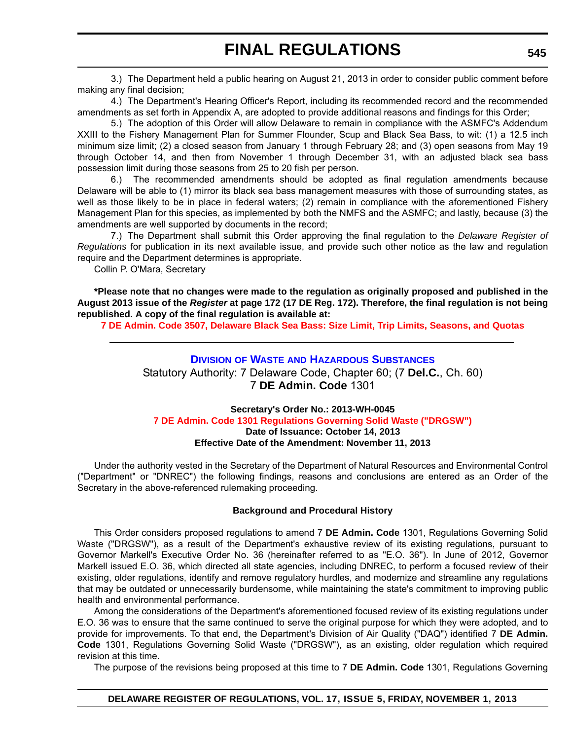3.) The Department held a public hearing on August 21, 2013 in order to consider public comment before making any final decision;

4.) The Department's Hearing Officer's Report, including its recommended record and the recommended amendments as set forth in Appendix A, are adopted to provide additional reasons and findings for this Order;

5.) The adoption of this Order will allow Delaware to remain in compliance with the ASMFC's Addendum XXIII to the Fishery Management Plan for Summer Flounder, Scup and Black Sea Bass, to wit: (1) a 12.5 inch minimum size limit; (2) a closed season from January 1 through February 28; and (3) open seasons from May 19 through October 14, and then from November 1 through December 31, with an adjusted black sea bass possession limit during those seasons from 25 to 20 fish per person.

6.) The recommended amendments should be adopted as final regulation amendments because Delaware will be able to (1) mirror its black sea bass management measures with those of surrounding states, as well as those likely to be in place in federal waters; (2) remain in compliance with the aforementioned Fishery Management Plan for this species, as implemented by both the NMFS and the ASMFC; and lastly, because (3) the amendments are well supported by documents in the record;

7.) The Department shall submit this Order approving the final regulation to the *Delaware Register of Regulations* for publication in its next available issue, and provide such other notice as the law and regulation require and the Department determines is appropriate.

Collin P. O'Mara, Secretary

**\*Please note that no changes were made to the regulation as originally proposed and published in the August 2013 issue of the** *Register* **at page 172 (17 DE Reg. 172). Therefore, the final regulation is not being republished. A copy of the final regulation is available at:**

**[7 DE Admin. Code 3507, Delaware Black Sea Bass: Size Limit, Trip Limits, Seasons, and Quotas](http://regulations.delaware.gov/register/november2013/final/17 DE Reg 543 11-01-13.htm)** 

### **DIVISION OF WASTE [AND HAZARDOUS SUBSTANCES](http://www.dnrec.delaware.gov/dwhs/Pages/default.aspx)** Statutory Authority: 7 Delaware Code, Chapter 60; (7 **Del.C.**, Ch. 60) 7 **DE Admin. Code** 1301

### **Secretary's Order No.: 2013-WH-0045 [7 DE Admin. Code 1301 Regulations Governing Solid Waste \("DRGSW"\)](#page-4-0) Date of Issuance: October 14, 2013 Effective Date of the Amendment: November 11, 2013**

Under the authority vested in the Secretary of the Department of Natural Resources and Environmental Control ("Department" or "DNREC") the following findings, reasons and conclusions are entered as an Order of the Secretary in the above-referenced rulemaking proceeding.

### **Background and Procedural History**

This Order considers proposed regulations to amend 7 **DE Admin. Code** 1301, Regulations Governing Solid Waste ("DRGSW"), as a result of the Department's exhaustive review of its existing regulations, pursuant to Governor Markell's Executive Order No. 36 (hereinafter referred to as "E.O. 36"). In June of 2012, Governor Markell issued E.O. 36, which directed all state agencies, including DNREC, to perform a focused review of their existing, older regulations, identify and remove regulatory hurdles, and modernize and streamline any regulations that may be outdated or unnecessarily burdensome, while maintaining the state's commitment to improving public health and environmental performance.

Among the considerations of the Department's aforementioned focused review of its existing regulations under E.O. 36 was to ensure that the same continued to serve the original purpose for which they were adopted, and to provide for improvements. To that end, the Department's Division of Air Quality ("DAQ") identified 7 **DE Admin. Code** 1301, Regulations Governing Solid Waste ("DRGSW"), as an existing, older regulation which required revision at this time.

The purpose of the revisions being proposed at this time to 7 **DE Admin. Code** 1301, Regulations Governing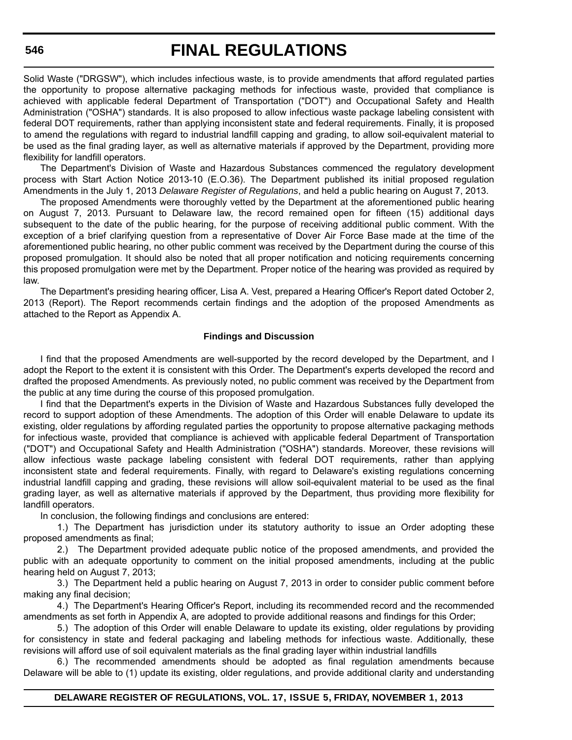Solid Waste ("DRGSW"), which includes infectious waste, is to provide amendments that afford regulated parties the opportunity to propose alternative packaging methods for infectious waste, provided that compliance is achieved with applicable federal Department of Transportation ("DOT") and Occupational Safety and Health Administration ("OSHA") standards. It is also proposed to allow infectious waste package labeling consistent with federal DOT requirements, rather than applying inconsistent state and federal requirements. Finally, it is proposed to amend the regulations with regard to industrial landfill capping and grading, to allow soil-equivalent material to be used as the final grading layer, as well as alternative materials if approved by the Department, providing more flexibility for landfill operators.

The Department's Division of Waste and Hazardous Substances commenced the regulatory development process with Start Action Notice 2013-10 (E.O.36). The Department published its initial proposed regulation Amendments in the July 1, 2013 *Delaware Register of Regulations*, and held a public hearing on August 7, 2013.

The proposed Amendments were thoroughly vetted by the Department at the aforementioned public hearing on August 7, 2013. Pursuant to Delaware law, the record remained open for fifteen (15) additional days subsequent to the date of the public hearing, for the purpose of receiving additional public comment. With the exception of a brief clarifying question from a representative of Dover Air Force Base made at the time of the aforementioned public hearing, no other public comment was received by the Department during the course of this proposed promulgation. It should also be noted that all proper notification and noticing requirements concerning this proposed promulgation were met by the Department. Proper notice of the hearing was provided as required by law.

The Department's presiding hearing officer, Lisa A. Vest, prepared a Hearing Officer's Report dated October 2, 2013 (Report). The Report recommends certain findings and the adoption of the proposed Amendments as attached to the Report as Appendix A.

### **Findings and Discussion**

I find that the proposed Amendments are well-supported by the record developed by the Department, and I adopt the Report to the extent it is consistent with this Order. The Department's experts developed the record and drafted the proposed Amendments. As previously noted, no public comment was received by the Department from the public at any time during the course of this proposed promulgation.

I find that the Department's experts in the Division of Waste and Hazardous Substances fully developed the record to support adoption of these Amendments. The adoption of this Order will enable Delaware to update its existing, older regulations by affording regulated parties the opportunity to propose alternative packaging methods for infectious waste, provided that compliance is achieved with applicable federal Department of Transportation ("DOT") and Occupational Safety and Health Administration ("OSHA") standards. Moreover, these revisions will allow infectious waste package labeling consistent with federal DOT requirements, rather than applying inconsistent state and federal requirements. Finally, with regard to Delaware's existing regulations concerning industrial landfill capping and grading, these revisions will allow soil-equivalent material to be used as the final grading layer, as well as alternative materials if approved by the Department, thus providing more flexibility for landfill operators.

In conclusion, the following findings and conclusions are entered:

1.) The Department has jurisdiction under its statutory authority to issue an Order adopting these proposed amendments as final;

2.) The Department provided adequate public notice of the proposed amendments, and provided the public with an adequate opportunity to comment on the initial proposed amendments, including at the public hearing held on August 7, 2013;

3.) The Department held a public hearing on August 7, 2013 in order to consider public comment before making any final decision;

4.) The Department's Hearing Officer's Report, including its recommended record and the recommended amendments as set forth in Appendix A, are adopted to provide additional reasons and findings for this Order;

5.) The adoption of this Order will enable Delaware to update its existing, older regulations by providing for consistency in state and federal packaging and labeling methods for infectious waste. Additionally, these revisions will afford use of soil equivalent materials as the final grading layer within industrial landfills

6.) The recommended amendments should be adopted as final regulation amendments because Delaware will be able to (1) update its existing, older regulations, and provide additional clarity and understanding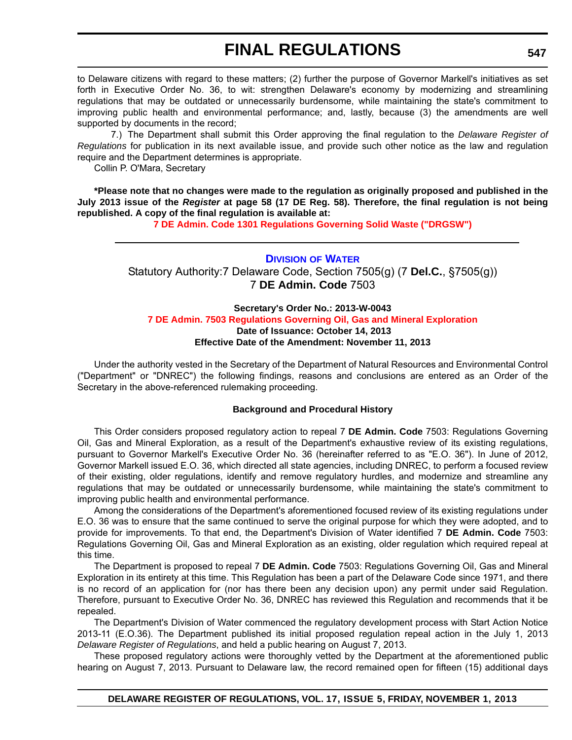to Delaware citizens with regard to these matters; (2) further the purpose of Governor Markell's initiatives as set forth in Executive Order No. 36, to wit: strengthen Delaware's economy by modernizing and streamlining regulations that may be outdated or unnecessarily burdensome, while maintaining the state's commitment to improving public health and environmental performance; and, lastly, because (3) the amendments are well supported by documents in the record;

7.) The Department shall submit this Order approving the final regulation to the *Delaware Register of Regulations* for publication in its next available issue, and provide such other notice as the law and regulation require and the Department determines is appropriate.

Collin P. O'Mara, Secretary

**\*Please note that no changes were made to the regulation as originally proposed and published in the July 2013 issue of the** *Register* **at page 58 (17 DE Reg. 58). Therefore, the final regulation is not being republished. A copy of the final regulation is available at:**

**[7 DE Admin. Code 1301 Regulations Governing Solid Waste \("DRGSW"\)](http://regulations.delaware.gov/register/november2013/final/17 DE Reg 545 11-01-13.htm)**

### **DIVISION [OF WATER](http://www.dnrec.delaware.gov/wr/Pages/Default.aspx)**

Statutory Authority:7 Delaware Code, Section 7505(g) (7 **Del.C.**, §7505(g)) 7 **DE Admin. Code** 7503

### **Secretary's Order No.: 2013-W-0043 [7 DE Admin. 7503 Regulations Governing Oil, Gas and Mineral Exploration](#page-4-0) Date of Issuance: October 14, 2013 Effective Date of the Amendment: November 11, 2013**

Under the authority vested in the Secretary of the Department of Natural Resources and Environmental Control ("Department" or "DNREC") the following findings, reasons and conclusions are entered as an Order of the Secretary in the above-referenced rulemaking proceeding.

### **Background and Procedural History**

This Order considers proposed regulatory action to repeal 7 **DE Admin. Code** 7503: Regulations Governing Oil, Gas and Mineral Exploration, as a result of the Department's exhaustive review of its existing regulations, pursuant to Governor Markell's Executive Order No. 36 (hereinafter referred to as "E.O. 36"). In June of 2012, Governor Markell issued E.O. 36, which directed all state agencies, including DNREC, to perform a focused review of their existing, older regulations, identify and remove regulatory hurdles, and modernize and streamline any regulations that may be outdated or unnecessarily burdensome, while maintaining the state's commitment to improving public health and environmental performance.

Among the considerations of the Department's aforementioned focused review of its existing regulations under E.O. 36 was to ensure that the same continued to serve the original purpose for which they were adopted, and to provide for improvements. To that end, the Department's Division of Water identified 7 **DE Admin. Code** 7503: Regulations Governing Oil, Gas and Mineral Exploration as an existing, older regulation which required repeal at this time.

The Department is proposed to repeal 7 **DE Admin. Code** 7503: Regulations Governing Oil, Gas and Mineral Exploration in its entirety at this time. This Regulation has been a part of the Delaware Code since 1971, and there is no record of an application for (nor has there been any decision upon) any permit under said Regulation. Therefore, pursuant to Executive Order No. 36, DNREC has reviewed this Regulation and recommends that it be repealed.

The Department's Division of Water commenced the regulatory development process with Start Action Notice 2013-11 (E.O.36). The Department published its initial proposed regulation repeal action in the July 1, 2013 *Delaware Register of Regulations*, and held a public hearing on August 7, 2013.

These proposed regulatory actions were thoroughly vetted by the Department at the aforementioned public hearing on August 7, 2013. Pursuant to Delaware law, the record remained open for fifteen (15) additional days

**DELAWARE REGISTER OF REGULATIONS, VOL. 17, ISSUE 5, FRIDAY, NOVEMBER 1, 2013**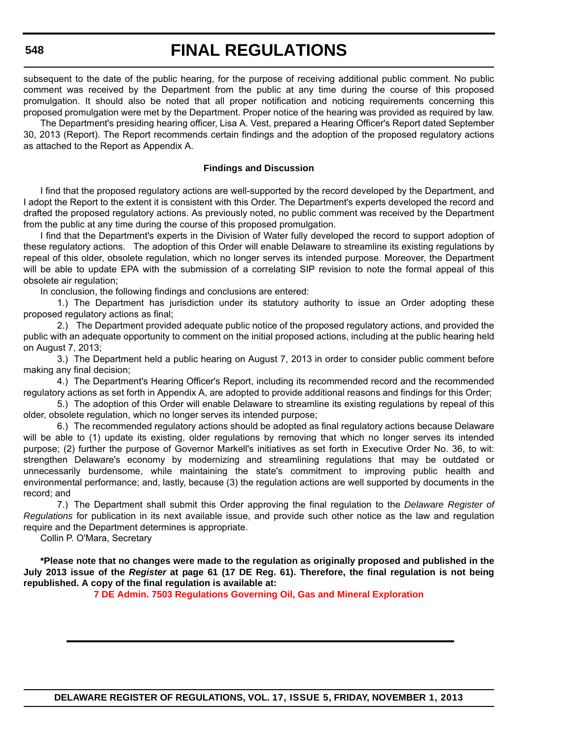subsequent to the date of the public hearing, for the purpose of receiving additional public comment. No public comment was received by the Department from the public at any time during the course of this proposed promulgation. It should also be noted that all proper notification and noticing requirements concerning this proposed promulgation were met by the Department. Proper notice of the hearing was provided as required by law.

The Department's presiding hearing officer, Lisa A. Vest, prepared a Hearing Officer's Report dated September 30, 2013 (Report). The Report recommends certain findings and the adoption of the proposed regulatory actions as attached to the Report as Appendix A.

#### **Findings and Discussion**

I find that the proposed regulatory actions are well-supported by the record developed by the Department, and I adopt the Report to the extent it is consistent with this Order. The Department's experts developed the record and drafted the proposed regulatory actions. As previously noted, no public comment was received by the Department from the public at any time during the course of this proposed promulgation.

I find that the Department's experts in the Division of Water fully developed the record to support adoption of these regulatory actions. The adoption of this Order will enable Delaware to streamline its existing regulations by repeal of this older, obsolete regulation, which no longer serves its intended purpose. Moreover, the Department will be able to update EPA with the submission of a correlating SIP revision to note the formal appeal of this obsolete air regulation;

In conclusion, the following findings and conclusions are entered:

1.) The Department has jurisdiction under its statutory authority to issue an Order adopting these proposed regulatory actions as final;

2.) The Department provided adequate public notice of the proposed regulatory actions, and provided the public with an adequate opportunity to comment on the initial proposed actions, including at the public hearing held on August 7, 2013;

3.) The Department held a public hearing on August 7, 2013 in order to consider public comment before making any final decision;

4.) The Department's Hearing Officer's Report, including its recommended record and the recommended regulatory actions as set forth in Appendix A, are adopted to provide additional reasons and findings for this Order;

5.) The adoption of this Order will enable Delaware to streamline its existing regulations by repeal of this older, obsolete regulation, which no longer serves its intended purpose;

6.) The recommended regulatory actions should be adopted as final regulatory actions because Delaware will be able to (1) update its existing, older regulations by removing that which no longer serves its intended purpose; (2) further the purpose of Governor Markell's initiatives as set forth in Executive Order No. 36, to wit: strengthen Delaware's economy by modernizing and streamlining regulations that may be outdated or unnecessarily burdensome, while maintaining the state's commitment to improving public health and environmental performance; and, lastly, because (3) the regulation actions are well supported by documents in the record; and

7.) The Department shall submit this Order approving the final regulation to the *Delaware Register of Regulations* for publication in its next available issue, and provide such other notice as the law and regulation require and the Department determines is appropriate.

Collin P. O'Mara, Secretary

**\*Please note that no changes were made to the regulation as originally proposed and published in the July 2013 issue of the** *Register* **at page 61 (17 DE Reg. 61). Therefore, the final regulation is not being republished. A copy of the final regulation is available at:**

**[7 DE Admin. 7503 Regulations Governing Oil, Gas and Mineral Exploration](http://regulations.delaware.gov/register/november2013/final/17 DE Reg 547 11-01-13.htm)**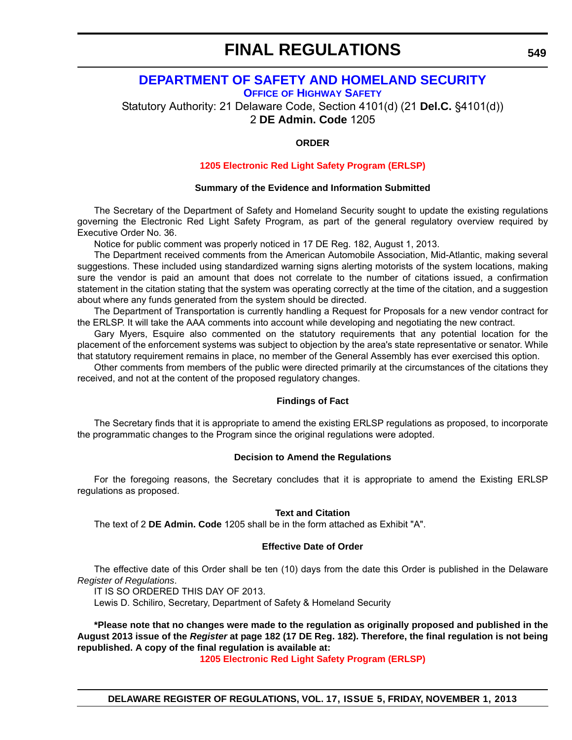## **[DEPARTMENT OF SAFETY AND HOMELAND SECURITY](http://ohs.delaware.gov/)**

**OFFICE OF HIGHWAY SAFETY**

Statutory Authority: 21 Delaware Code, Section 4101(d) (21 **Del.C.** §4101(d))

2 **DE Admin. Code** 1205

### **ORDER**

### **[1205 Electronic Red Light Safety Program \(ERLSP\)](#page-4-0)**

### **Summary of the Evidence and Information Submitted**

The Secretary of the Department of Safety and Homeland Security sought to update the existing regulations governing the Electronic Red Light Safety Program, as part of the general regulatory overview required by Executive Order No. 36.

Notice for public comment was properly noticed in 17 DE Reg. 182, August 1, 2013.

The Department received comments from the American Automobile Association, Mid-Atlantic, making several suggestions. These included using standardized warning signs alerting motorists of the system locations, making sure the vendor is paid an amount that does not correlate to the number of citations issued, a confirmation statement in the citation stating that the system was operating correctly at the time of the citation, and a suggestion about where any funds generated from the system should be directed.

The Department of Transportation is currently handling a Request for Proposals for a new vendor contract for the ERLSP. It will take the AAA comments into account while developing and negotiating the new contract.

Gary Myers, Esquire also commented on the statutory requirements that any potential location for the placement of the enforcement systems was subject to objection by the area's state representative or senator. While that statutory requirement remains in place, no member of the General Assembly has ever exercised this option.

Other comments from members of the public were directed primarily at the circumstances of the citations they received, and not at the content of the proposed regulatory changes.

### **Findings of Fact**

The Secretary finds that it is appropriate to amend the existing ERLSP regulations as proposed, to incorporate the programmatic changes to the Program since the original regulations were adopted.

### **Decision to Amend the Regulations**

For the foregoing reasons, the Secretary concludes that it is appropriate to amend the Existing ERLSP regulations as proposed.

### **Text and Citation**

The text of 2 **DE Admin. Code** 1205 shall be in the form attached as Exhibit "A".

### **Effective Date of Order**

The effective date of this Order shall be ten (10) days from the date this Order is published in the Delaware *Register of Regulations*.

IT IS SO ORDERED THIS DAY OF 2013.

Lewis D. Schiliro, Secretary, Department of Safety & Homeland Security

**\*Please note that no changes were made to the regulation as originally proposed and published in the August 2013 issue of the** *Register* **at page 182 (17 DE Reg. 182). Therefore, the final regulation is not being republished. A copy of the final regulation is available at:**

**[1205 Electronic Red Light Safety Program \(ERLSP\)](http://regulations.delaware.gov/register/november2013/final/17 DE Reg 549 11-01-13.htm)**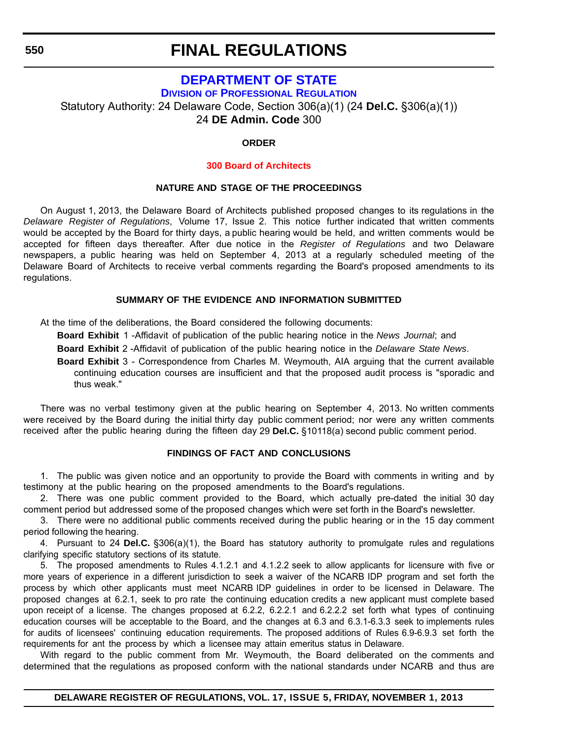## **[DEPARTMENT OF STATE](http://dpr.delaware.gov/)**

**DIVISION OF PROFESSIONAL REGULATION**

Statutory Authority: 24 Delaware Code, Section 306(a)(1) (24 **Del.C.** §306(a)(1))

24 **DE Admin. Code** 300

### **ORDER**

### **[300 Board of Architects](#page-4-0)**

### **NATURE AND STAGE OF THE PROCEEDINGS**

On August 1, 2013, the Delaware Board of Architects published proposed changes to its regulations in the *Delaware Register of Regulations*, Volume 17, Issue 2. This notice further indicated that written comments would be accepted by the Board for thirty days, a public hearing would be held, and written comments would be accepted for fifteen days thereafter. After due notice in the *Register of Regulations* and two Delaware newspapers, a public hearing was held on September 4, 2013 at a regularly scheduled meeting of the Delaware Board of Architects to receive verbal comments regarding the Board's proposed amendments to its regulations.

### **SUMMARY OF THE EVIDENCE AND INFORMATION SUBMITTED**

At the time of the deliberations, the Board considered the following documents:

**Board Exhibit** 1 -Affidavit of publication of the public hearing notice in the *News Journal*; and

**Board Exhibit** 2 -Affidavit of publication of the public hearing notice in the *Delaware State News*.

**Board Exhibit** 3 - Correspondence from Charles M. Weymouth, AIA arguing that the current available continuing education courses are insufficient and that the proposed audit process is "sporadic and thus weak."

There was no verbal testimony given at the public hearing on September 4, 2013. No written comments were received by the Board during the initial thirty day public comment period; nor were any written comments received after the public hearing during the fifteen day 29 **Del.C.** §10118(a) second public comment period.

### **FINDINGS OF FACT AND CONCLUSIONS**

1. The public was given notice and an opportunity to provide the Board with comments in writing and by testimony at the public hearing on the proposed amendments to the Board's regulations.

2. There was one public comment provided to the Board, which actually pre-dated the initial 30 day comment period but addressed some of the proposed changes which were set forth in the Board's newsletter.

3. There were no additional public comments received during the public hearing or in the 15 day comment period following the hearing.

4. Pursuant to 24 **Del.C.** §306(a)(1), the Board has statutory authority to promulgate rules and regulations clarifying specific statutory sections of its statute.

5. The proposed amendments to Rules 4.1.2.1 and 4.1.2.2 seek to allow applicants for licensure with five or more years of experience in a different jurisdiction to seek a waiver of the NCARB IDP program and set forth the process by which other applicants must meet NCARB IDP guidelines in order to be licensed in Delaware. The proposed changes at 6.2.1, seek to pro rate the continuing education credits a new applicant must complete based upon receipt of a license. The changes proposed at 6.2.2, 6.2.2.1 and 6.2.2.2 set forth what types of continuing education courses will be acceptable to the Board, and the changes at 6.3 and 6.3.1-6.3.3 seek to implements rules for audits of licensees' continuing education requirements. The proposed additions of Rules 6.9-6.9.3 set forth the requirements for ant the process by which a licensee may attain emeritus status in Delaware.

With regard to the public comment from Mr. Weymouth, the Board deliberated on the comments and determined that the regulations as proposed conform with the national standards under NCARB and thus are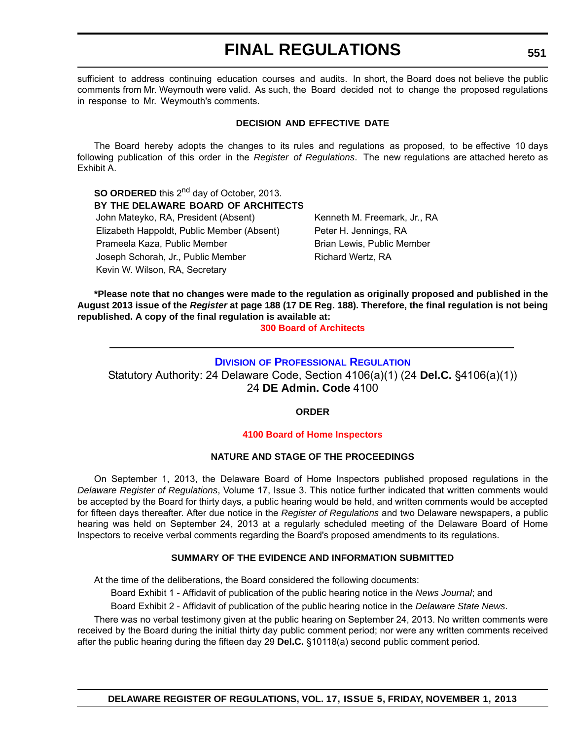sufficient to address continuing education courses and audits. In short, the Board does not believe the public comments from Mr. Weymouth were valid. As such, the Board decided not to change the proposed regulations in response to Mr. Weymouth's comments.

### **DECISION AND EFFECTIVE DATE**

The Board hereby adopts the changes to its rules and regulations as proposed, to be effective 10 days following publication of this order in the *Register of Regulations*. The new regulations are attached hereto as Exhibit A.

**SO ORDERED** this 2<sup>nd</sup> day of October, 2013. **BY THE DELAWARE BOARD OF ARCHITECTS** John Mateyko, RA, President (Absent) Kenneth M. Freemark, Jr., RA Elizabeth Happoldt, Public Member (Absent) Peter H. Jennings, RA Prameela Kaza, Public Member **Brian Lewis, Public Member** Brian Lewis, Public Member Joseph Schorah, Jr., Public Member Richard Wertz, RA Kevin W. Wilson, RA, Secretary

**\*Please note that no changes were made to the regulation as originally proposed and published in the August 2013 issue of the** *Register* **at page 188 (17 DE Reg. 188). Therefore, the final regulation is not being republished. A copy of the final regulation is available at:**

**[300 Board of Architects](http://regulations.delaware.gov/register/november2013/final/17 DE Reg 550 11-01-13.htm)**

### **DIVISION [OF PROFESSIONAL REGULATION](http://dpr.delaware.gov/)**

Statutory Authority: 24 Delaware Code, Section 4106(a)(1) (24 **Del.C.** §4106(a)(1)) 24 **DE Admin. Code** 4100

### **ORDER**

### **[4100 Board of Home Inspectors](#page-4-0)**

### **NATURE AND STAGE OF THE PROCEEDINGS**

On September 1, 2013, the Delaware Board of Home Inspectors published proposed regulations in the *Delaware Register of Regulations*, Volume 17, Issue 3. This notice further indicated that written comments would be accepted by the Board for thirty days, a public hearing would be held, and written comments would be accepted for fifteen days thereafter. After due notice in the *Register of Regulations* and two Delaware newspapers, a public hearing was held on September 24, 2013 at a regularly scheduled meeting of the Delaware Board of Home Inspectors to receive verbal comments regarding the Board's proposed amendments to its regulations.

### **SUMMARY OF THE EVIDENCE AND INFORMATION SUBMITTED**

At the time of the deliberations, the Board considered the following documents:

Board Exhibit 1 - Affidavit of publication of the public hearing notice in the *News Journal*; and

Board Exhibit 2 - Affidavit of publication of the public hearing notice in the *Delaware State News*.

There was no verbal testimony given at the public hearing on September 24, 2013. No written comments were received by the Board during the initial thirty day public comment period; nor were any written comments received after the public hearing during the fifteen day 29 **Del.C.** §10118(a) second public comment period.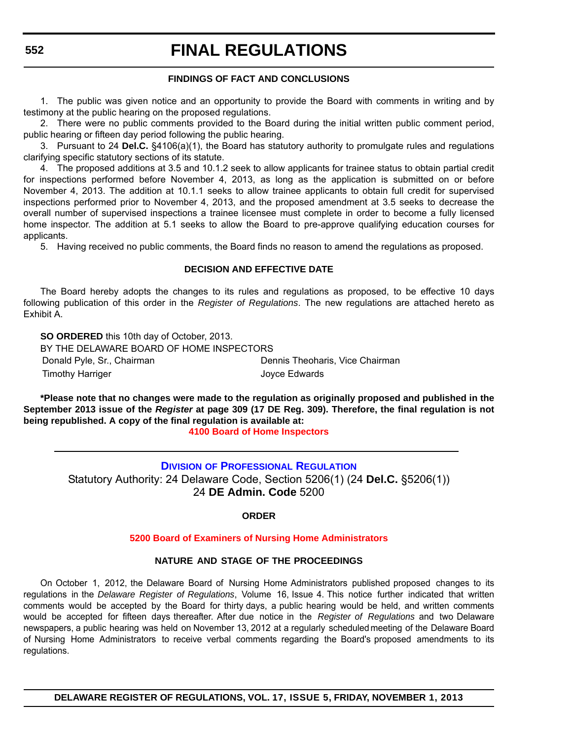### **FINDINGS OF FACT AND CONCLUSIONS**

1. The public was given notice and an opportunity to provide the Board with comments in writing and by testimony at the public hearing on the proposed regulations.

2. There were no public comments provided to the Board during the initial written public comment period, public hearing or fifteen day period following the public hearing.

3. Pursuant to 24 **Del.C.** §4106(a)(1), the Board has statutory authority to promulgate rules and regulations clarifying specific statutory sections of its statute.

4. The proposed additions at 3.5 and 10.1.2 seek to allow applicants for trainee status to obtain partial credit for inspections performed before November 4, 2013, as long as the application is submitted on or before November 4, 2013. The addition at 10.1.1 seeks to allow trainee applicants to obtain full credit for supervised inspections performed prior to November 4, 2013, and the proposed amendment at 3.5 seeks to decrease the overall number of supervised inspections a trainee licensee must complete in order to become a fully licensed home inspector. The addition at 5.1 seeks to allow the Board to pre-approve qualifying education courses for applicants.

5. Having received no public comments, the Board finds no reason to amend the regulations as proposed.

### **DECISION AND EFFECTIVE DATE**

The Board hereby adopts the changes to its rules and regulations as proposed, to be effective 10 days following publication of this order in the *Register of Regulations*. The new regulations are attached hereto as Exhibit A.

**SO ORDERED** this 10th day of October, 2013. BY THE DELAWARE BOARD OF HOME INSPECTORS Donald Pyle, Sr., Chairman **Dennis Theoharis, Vice Chairman** Timothy Harriger **Internal Control** Control Control Control Control Control Control Control Control Control Control Control Control Control Control Control Control Control Control Control Control Control Control Control Co

**\*Please note that no changes were made to the regulation as originally proposed and published in the September 2013 issue of the** *Register* **at page 309 (17 DE Reg. 309). Therefore, the final regulation is not being republished. A copy of the final regulation is available at:**

**[4100 Board of Home Inspectors](http://regulations.delaware.gov/register/november2013/final/17 DE Reg 551 11-01-13.htm)**

**DIVISION [OF PROFESSIONAL REGULATION](http://dpr.delaware.gov/)** Statutory Authority: 24 Delaware Code, Section 5206(1) (24 **Del.C.** §5206(1)) 24 **DE Admin. Code** 5200

**ORDER**

### **[5200 Board of Examiners of Nursing Home Administrators](#page-4-0)**

### **NATURE AND STAGE OF THE PROCEEDINGS**

On October 1, 2012, the Delaware Board of Nursing Home Administrators published proposed changes to its regulations in the *Delaware Register of Regulations*, Volume 16, Issue 4. This notice further indicated that written comments would be accepted by the Board for thirty days, a public hearing would be held, and written comments would be accepted for fifteen days thereafter. After due notice in the *Register of Regulations* and two Delaware newspapers, a public hearing was held on November 13, 2012 at a regularly scheduled meeting of the Delaware Board of Nursing Home Administrators to receive verbal comments regarding the Board's proposed amendments to its regulations.

**DELAWARE REGISTER OF REGULATIONS, VOL. 17, ISSUE 5, FRIDAY, NOVEMBER 1, 2013**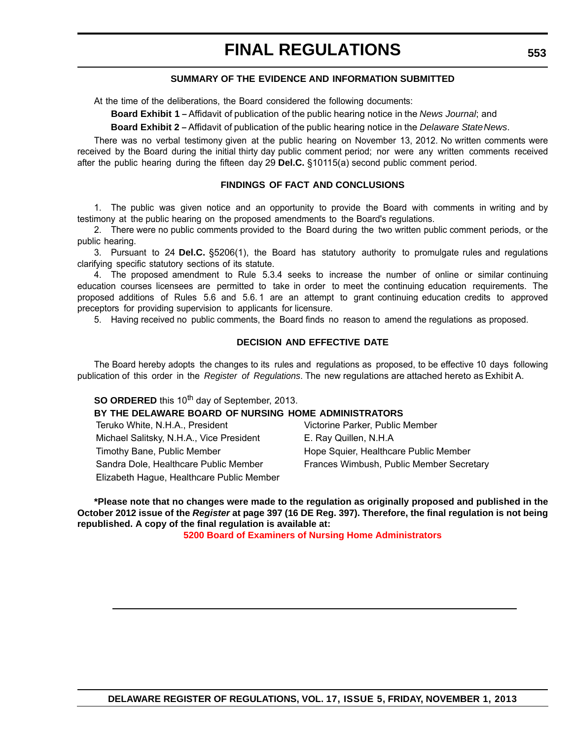### **SUMMARY OF THE EVIDENCE AND INFORMATION SUBMITTED**

At the time of the deliberations, the Board considered the following documents:

**Board Exhibit 1** - Affidavit of publication of the public hearing notice in the *News Journal*; and

**Board Exhibit 2** - Affidavit of publication of the public hearing notice in the *Delaware State News*.

There was no verbal testimony given at the public hearing on November 13, 2012. No written comments were received by the Board during the initial thirty day public comment period; nor were any written comments received after the public hearing during the fifteen day 29 **Del.C.** §10115(a) second public comment period.

#### **FINDINGS OF FACT AND CONCLUSIONS**

1. The public was given notice and an opportunity to provide the Board with comments in writing and by testimony at the public hearing on the proposed amendments to the Board's regulations.

2. There were no public comments provided to the Board during the two written public comment periods, or the public hearing.

3. Pursuant to 24 **Del.C.** §5206(1), the Board has statutory authority to promulgate rules and regulations clarifying specific statutory sections of its statute.

4. The proposed amendment to Rule 5.3.4 seeks to increase the number of online or similar continuing education courses licensees are permitted to take in order to meet the continuing education requirements. The proposed additions of Rules 5.6 and 5.6. 1 are an attempt to grant continuing education credits to approved preceptors for providing supervision to applicants for licensure.

5. Having received no public comments, the Board finds no reason to amend the regulations as proposed.

### **DECISION AND EFFECTIVE DATE**

The Board hereby adopts the changes to its rules and regulations as proposed, to be effective 10 days following publication of this order in the *Register of Regulations*. The new regulations are attached hereto as Exhibit A.

**SO ORDERED** this 10<sup>th</sup> day of September, 2013.

### **BY THE DELAWARE BOARD OF NURSING HOME ADMINISTRATORS**

| Teruko White, N.H.A., President           | Victorine Parker, Public Member          |
|-------------------------------------------|------------------------------------------|
| Michael Salitsky, N.H.A., Vice President  | E. Ray Quillen, N.H.A                    |
| Timothy Bane, Public Member               | Hope Squier, Healthcare Public Member    |
| Sandra Dole, Healthcare Public Member     | Frances Wimbush, Public Member Secretary |
| Elizabeth Hague, Healthcare Public Member |                                          |

**\*Please note that no changes were made to the regulation as originally proposed and published in the October 2012 issue of the** *Register* **at page 397 (16 DE Reg. 397). Therefore, the final regulation is not being republished. A copy of the final regulation is available at:**

**[5200 Board of Examiners of Nursing Home Administrators](http://regulations.delaware.gov/register/november2013/final/17 DE Reg 553 11-01-13.htm)**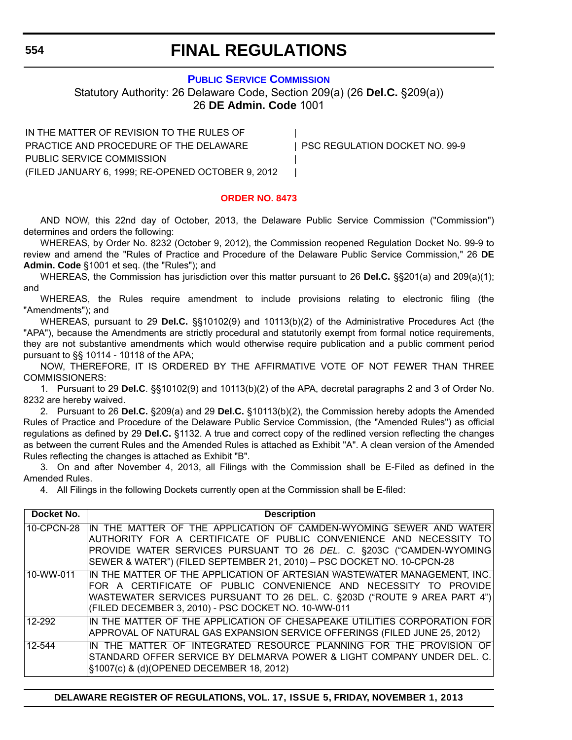### **[PUBLIC SERVICE COMMISSION](http://depsc.delaware.gov/)**

Statutory Authority: 26 Delaware Code, Section 209(a) (26 **Del.C.** §209(a)) 26 **DE Admin. Code** 1001

IN THE MATTER OF REVISION TO THE RULES OF PRACTICE AND PROCEDURE OF THE DELAWARE | PSC REGULATION DOCKET NO. 99-9 PUBLIC SERVICE COMMISSION | (FILED JANUARY 6, 1999; RE-OPENED OCTOBER 9, 2012 |

### **[ORDER NO. 8473](#page-4-0)**

AND NOW, this 22nd day of October, 2013, the Delaware Public Service Commission ("Commission") determines and orders the following:

WHEREAS, by Order No. 8232 (October 9, 2012), the Commission reopened Regulation Docket No. 99-9 to review and amend the "Rules of Practice and Procedure of the Delaware Public Service Commission," 26 **DE Admin. Code** §1001 et seq. (the "Rules"); and

WHEREAS, the Commission has jurisdiction over this matter pursuant to 26 **Del.C.** §§201(a) and 209(a)(1); and

WHEREAS, the Rules require amendment to include provisions relating to electronic filing (the "Amendments"); and

WHEREAS, pursuant to 29 **Del.C.** §§10102(9) and 10113(b)(2) of the Administrative Procedures Act (the "APA"), because the Amendments are strictly procedural and statutorily exempt from formal notice requirements, they are not substantive amendments which would otherwise require publication and a public comment period pursuant to §§ 10114 - 10118 of the APA;

NOW, THEREFORE, IT IS ORDERED BY THE AFFIRMATIVE VOTE OF NOT FEWER THAN THREE COMMISSIONERS:

1. Pursuant to 29 **Del.C**. §§10102(9) and 10113(b)(2) of the APA, decretal paragraphs 2 and 3 of Order No. 8232 are hereby waived.

2. Pursuant to 26 **Del.C.** §209(a) and 29 **Del.C.** §10113(b)(2), the Commission hereby adopts the Amended Rules of Practice and Procedure of the Delaware Public Service Commission, (the "Amended Rules") as official regulations as defined by 29 **Del.C.** §1132. A true and correct copy of the redlined version reflecting the changes as between the current Rules and the Amended Rules is attached as Exhibit "A". A clean version of the Amended Rules reflecting the changes is attached as Exhibit "B".

3. On and after November 4, 2013, all Filings with the Commission shall be E-Filed as defined in the Amended Rules.

4. All Filings in the following Dockets currently open at the Commission shall be E-filed:

| Docket No. | <b>Description</b>                                                                                                                                                                                                                                                                         |
|------------|--------------------------------------------------------------------------------------------------------------------------------------------------------------------------------------------------------------------------------------------------------------------------------------------|
| 10-CPCN-28 | IN THE MATTER OF THE APPLICATION OF CAMDEN-WYOMING SEWER AND WATER<br>AUTHORITY FOR A CERTIFICATE OF PUBLIC CONVENIENCE AND NECESSITY TO<br>PROVIDE WATER SERVICES PURSUANT TO 26 DEL. C. §203C ("CAMDEN-WYOMING<br>SEWER & WATER") (FILED SEPTEMBER 21, 2010) - PSC DOCKET NO. 10-CPCN-28 |
| 10-WW-011  | IN THE MATTER OF THE APPLICATION OF ARTESIAN WASTEWATER MANAGEMENT, INC.<br>FOR A CERTIFICATE OF PUBLIC CONVENIENCE AND NECESSITY TO PROVIDE<br>WASTEWATER SERVICES PURSUANT TO 26 DEL. C. §203D ("ROUTE 9 AREA PART 4")<br>(FILED DECEMBER 3, 2010) - PSC DOCKET NO. 10-WW-011            |
| 12-292     | IN THE MATTER OF THE APPLICATION OF CHESAPEAKE UTILITIES CORPORATION FOR<br>APPROVAL OF NATURAL GAS EXPANSION SERVICE OFFERINGS (FILED JUNE 25, 2012)                                                                                                                                      |
| 12-544     | IN THE MATTER OF INTEGRATED RESOURCE PLANNING FOR THE PROVISION OF<br>STANDARD OFFER SERVICE BY DELMARVA POWER & LIGHT COMPANY UNDER DEL. C.<br>§1007(c) & (d)(OPENED DECEMBER 18, 2012)                                                                                                   |

**DELAWARE REGISTER OF REGULATIONS, VOL. 17, ISSUE 5, FRIDAY, NOVEMBER 1, 2013**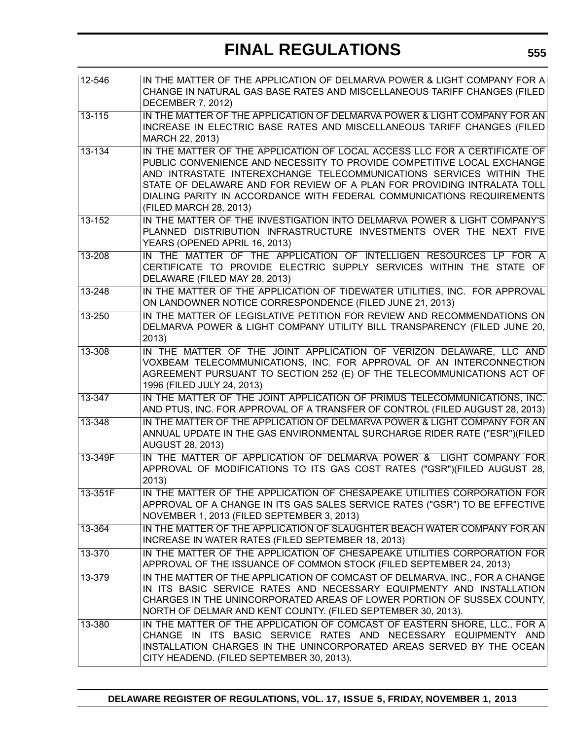| 12-546     | IN THE MATTER OF THE APPLICATION OF DELMARVA POWER & LIGHT COMPANY FOR A<br>CHANGE IN NATURAL GAS BASE RATES AND MISCELLANEOUS TARIFF CHANGES (FILED<br><b>DECEMBER 7, 2012)</b>                                                                                                                                                                                                                         |
|------------|----------------------------------------------------------------------------------------------------------------------------------------------------------------------------------------------------------------------------------------------------------------------------------------------------------------------------------------------------------------------------------------------------------|
| $13 - 115$ | IN THE MATTER OF THE APPLICATION OF DELMARVA POWER & LIGHT COMPANY FOR AN<br>INCREASE IN ELECTRIC BASE RATES AND MISCELLANEOUS TARIFF CHANGES (FILED<br>MARCH 22, 2013)                                                                                                                                                                                                                                  |
| $13 - 134$ | IN THE MATTER OF THE APPLICATION OF LOCAL ACCESS LLC FOR A CERTIFICATE OF<br>PUBLIC CONVENIENCE AND NECESSITY TO PROVIDE COMPETITIVE LOCAL EXCHANGE<br>AND INTRASTATE INTEREXCHANGE TELECOMMUNICATIONS SERVICES WITHIN THE<br>STATE OF DELAWARE AND FOR REVIEW OF A PLAN FOR PROVIDING INTRALATA TOLL<br>DIALING PARITY IN ACCORDANCE WITH FEDERAL COMMUNICATIONS REQUIREMENTS<br>(FILED MARCH 28, 2013) |
| $13 - 152$ | IN THE MATTER OF THE INVESTIGATION INTO DELMARVA POWER & LIGHT COMPANY'S<br>PLANNED DISTRIBUTION INFRASTRUCTURE INVESTMENTS OVER THE NEXT FIVE<br>YEARS (OPENED APRIL 16, 2013)                                                                                                                                                                                                                          |
| $13 - 208$ | IN THE MATTER OF THE APPLICATION OF INTELLIGEN RESOURCES LP FOR A<br>CERTIFICATE TO PROVIDE ELECTRIC SUPPLY SERVICES WITHIN THE STATE OF<br>DELAWARE (FILED MAY 28, 2013)                                                                                                                                                                                                                                |
| $13 - 248$ | IN THE MATTER OF THE APPLICATION OF TIDEWATER UTILITIES, INC. FOR APPROVAL<br>ON LANDOWNER NOTICE CORRESPONDENCE (FILED JUNE 21, 2013)                                                                                                                                                                                                                                                                   |
| 13-250     | IN THE MATTER OF LEGISLATIVE PETITION FOR REVIEW AND RECOMMENDATIONS ON<br>DELMARVA POWER & LIGHT COMPANY UTILITY BILL TRANSPARENCY (FILED JUNE 20,<br>2013)                                                                                                                                                                                                                                             |
| 13-308     | IN THE MATTER OF THE JOINT APPLICATION OF VERIZON DELAWARE, LLC AND<br>VOXBEAM TELECOMMUNICATIONS, INC. FOR APPROVAL OF AN INTERCONNECTION<br>AGREEMENT PURSUANT TO SECTION 252 (E) OF THE TELECOMMUNICATIONS ACT OF<br>1996 (FILED JULY 24, 2013)                                                                                                                                                       |
| 13-347     | IN THE MATTER OF THE JOINT APPLICATION OF PRIMUS TELECOMMUNICATIONS, INC.<br>AND PTUS, INC. FOR APPROVAL OF A TRANSFER OF CONTROL (FILED AUGUST 28, 2013)                                                                                                                                                                                                                                                |
| 13-348     | IN THE MATTER OF THE APPLICATION OF DELMARVA POWER & LIGHT COMPANY FOR AN<br>ANNUAL UPDATE IN THE GAS ENVIRONMENTAL SURCHARGE RIDER RATE ("ESR")(FILED<br><b>AUGUST 28, 2013)</b>                                                                                                                                                                                                                        |
| 13-349F    | IN THE MATTER OF APPLICATION OF DELMARVA POWER & LIGHT COMPANY FOR<br>APPROVAL OF MODIFICATIONS TO ITS GAS COST RATES ("GSR")(FILED AUGUST 28,<br>2013)                                                                                                                                                                                                                                                  |
| 13-351F    | IN THE MATTER OF THE APPLICATION OF CHESAPEAKE UTILITIES CORPORATION FOR<br>APPROVAL OF A CHANGE IN ITS GAS SALES SERVICE RATES ("GSR") TO BE EFFECTIVE<br>NOVEMBER 1, 2013 (FILED SEPTEMBER 3, 2013)                                                                                                                                                                                                    |
| 13-364     | IN THE MATTER OF THE APPLICATION OF SLAUGHTER BEACH WATER COMPANY FOR AN<br>INCREASE IN WATER RATES (FILED SEPTEMBER 18, 2013)                                                                                                                                                                                                                                                                           |
| 13-370     | IN THE MATTER OF THE APPLICATION OF CHESAPEAKE UTILITIES CORPORATION FOR<br>APPROVAL OF THE ISSUANCE OF COMMON STOCK (FILED SEPTEMBER 24, 2013)                                                                                                                                                                                                                                                          |
| 13-379     | IN THE MATTER OF THE APPLICATION OF COMCAST OF DELMARVA, INC., FOR A CHANGE<br>IN ITS BASIC SERVICE RATES AND NECESSARY EQUIPMENTY AND INSTALLATION<br>CHARGES IN THE UNINCORPORATED AREAS OF LOWER PORTION OF SUSSEX COUNTY,<br>NORTH OF DELMAR AND KENT COUNTY. (FILED SEPTEMBER 30, 2013).                                                                                                            |
| 13-380     | IN THE MATTER OF THE APPLICATION OF COMCAST OF EASTERN SHORE, LLC., FOR A<br>CHANGE IN ITS BASIC SERVICE RATES AND NECESSARY EQUIPMENTY AND<br>INSTALLATION CHARGES IN THE UNINCORPORATED AREAS SERVED BY THE OCEAN<br>CITY HEADEND. (FILED SEPTEMBER 30, 2013).                                                                                                                                         |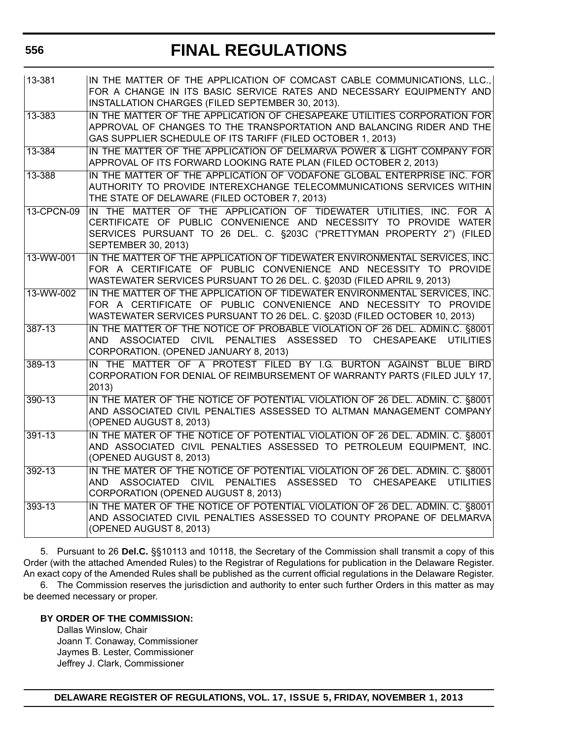| 13-381     | IN THE MATTER OF THE APPLICATION OF COMCAST CABLE COMMUNICATIONS, LLC.,<br>FOR A CHANGE IN ITS BASIC SERVICE RATES AND NECESSARY EQUIPMENTY AND<br>INSTALLATION CHARGES (FILED SEPTEMBER 30, 2013).                                            |
|------------|------------------------------------------------------------------------------------------------------------------------------------------------------------------------------------------------------------------------------------------------|
| 13-383     | IN THE MATTER OF THE APPLICATION OF CHESAPEAKE UTILITIES CORPORATION FOR<br>APPROVAL OF CHANGES TO THE TRANSPORTATION AND BALANCING RIDER AND THE<br>GAS SUPPLIER SCHEDULE OF ITS TARIFF (FILED OCTOBER 1, 2013)                               |
| 13-384     | IN THE MATTER OF THE APPLICATION OF DELMARVA POWER & LIGHT COMPANY FOR<br>APPROVAL OF ITS FORWARD LOOKING RATE PLAN (FILED OCTOBER 2, 2013)                                                                                                    |
| 13-388     | IN THE MATTER OF THE APPLICATION OF VODAFONE GLOBAL ENTERPRISE INC. FOR<br>AUTHORITY TO PROVIDE INTEREXCHANGE TELECOMMUNICATIONS SERVICES WITHIN<br>THE STATE OF DELAWARE (FILED OCTOBER 7, 2013)                                              |
| 13-CPCN-09 | IN THE MATTER OF THE APPLICATION OF TIDEWATER UTILITIES, INC. FOR A<br>CERTIFICATE OF PUBLIC CONVENIENCE AND NECESSITY TO PROVIDE WATER<br>SERVICES PURSUANT TO 26 DEL. C. §203C ("PRETTYMAN PROPERTY 2") (FILED<br><b>SEPTEMBER 30, 2013)</b> |
| 13-WW-001  | IN THE MATTER OF THE APPLICATION OF TIDEWATER ENVIRONMENTAL SERVICES, INC.<br>FOR A CERTIFICATE OF PUBLIC CONVENIENCE AND NECESSITY TO PROVIDE<br>WASTEWATER SERVICES PURSUANT TO 26 DEL. C. §203D (FILED APRIL 9, 2013)                       |
| 13-WW-002  | IN THE MATTER OF THE APPLICATION OF TIDEWATER ENVIRONMENTAL SERVICES. INC.<br>FOR A CERTIFICATE OF PUBLIC CONVENIENCE AND NECESSITY TO PROVIDE<br>WASTEWATER SERVICES PURSUANT TO 26 DEL. C. §203D (FILED OCTOBER 10, 2013)                    |
| 387-13     | IN THE MATTER OF THE NOTICE OF PROBABLE VIOLATION OF 26 DEL. ADMIN.C. §8001<br>AND ASSOCIATED CIVIL PENALTIES ASSESSED TO CHESAPEAKE UTILITIES<br>CORPORATION. (OPENED JANUARY 8, 2013)                                                        |
| 389-13     | IN THE MATTER OF A PROTEST FILED BY I.G. BURTON AGAINST BLUE BIRD<br>CORPORATION FOR DENIAL OF REIMBURSEMENT OF WARRANTY PARTS (FILED JULY 17,<br>2013)                                                                                        |
| 390-13     | IN THE MATER OF THE NOTICE OF POTENTIAL VIOLATION OF 26 DEL. ADMIN. C. §8001<br>AND ASSOCIATED CIVIL PENALTIES ASSESSED TO ALTMAN MANAGEMENT COMPANY<br>(OPENED AUGUST 8, 2013)                                                                |
| $391 - 13$ | IN THE MATER OF THE NOTICE OF POTENTIAL VIOLATION OF 26 DEL. ADMIN. C. §8001<br>AND ASSOCIATED CIVIL PENALTIES ASSESSED TO PETROLEUM EQUIPMENT, INC.<br>(OPENED AUGUST 8, 2013)                                                                |
| $392 - 13$ | IN THE MATER OF THE NOTICE OF POTENTIAL VIOLATION OF 26 DEL. ADMIN. C. §8001<br>AND ASSOCIATED CIVIL PENALTIES ASSESSED TO CHESAPEAKE UTILITIES<br>CORPORATION (OPENED AUGUST 8, 2013)                                                         |
| 393-13     | IN THE MATER OF THE NOTICE OF POTENTIAL VIOLATION OF 26 DEL. ADMIN. C. §8001<br>AND ASSOCIATED CIVIL PENALTIES ASSESSED TO COUNTY PROPANE OF DELMARVA<br>(OPENED AUGUST 8, 2013)                                                               |

5. Pursuant to 26 **Del.C.** §§10113 and 10118, the Secretary of the Commission shall transmit a copy of this Order (with the attached Amended Rules) to the Registrar of Regulations for publication in the Delaware Register. An exact copy of the Amended Rules shall be published as the current official regulations in the Delaware Register.

6. The Commission reserves the jurisdiction and authority to enter such further Orders in this matter as may be deemed necessary or proper.

### **BY ORDER OF THE COMMISSION:**

Dallas Winslow, Chair Joann T. Conaway, Commissioner Jaymes B. Lester, Commissioner Jeffrey J. Clark, Commissioner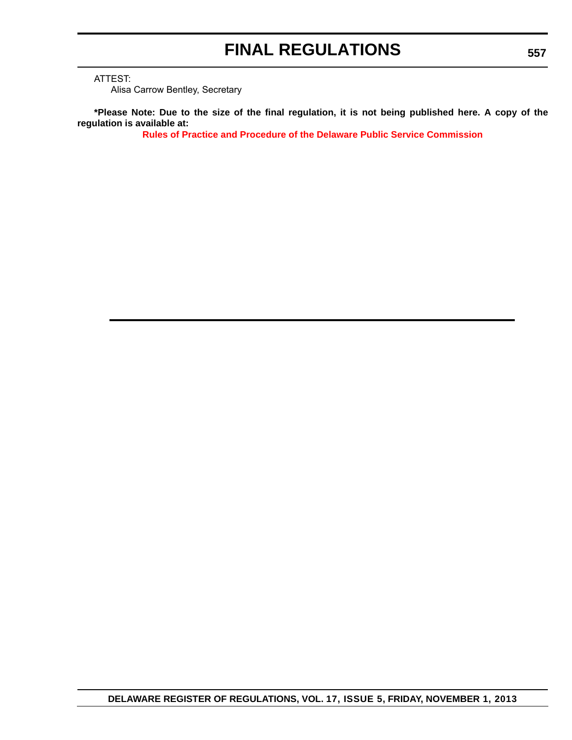ATTEST:

Alisa Carrow Bentley, Secretary

**\*Please Note: Due to the size of the final regulation, it is not being published here. A copy of the regulation is available at:**

**[Rules of Practice and Procedure of the Delaware Public Service Commission](http://regulations.delaware.gov/register/november2013/final/17 DE Reg 554 11-01-13.htm)**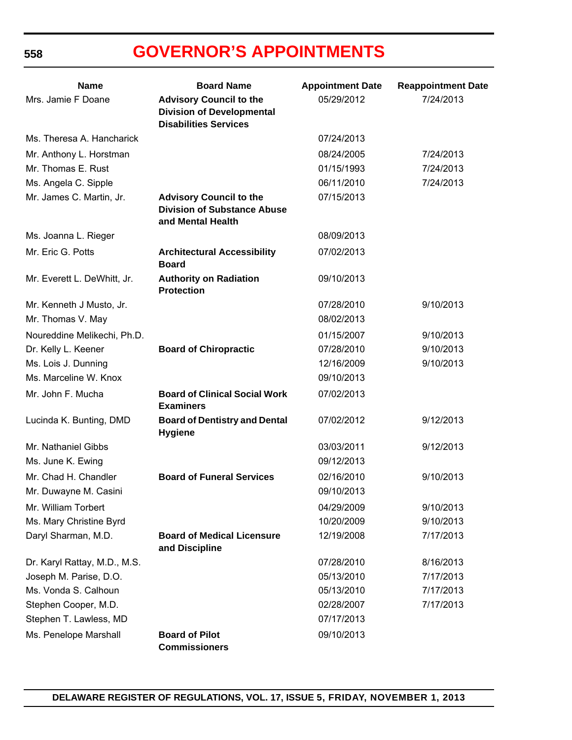| <b>Name</b>                  | <b>Board Name</b>                                                                         | <b>Appointment Date</b> | <b>Reappointment Date</b> |
|------------------------------|-------------------------------------------------------------------------------------------|-------------------------|---------------------------|
| Mrs. Jamie F Doane           | <b>Advisory Council to the</b><br><b>Division of Developmental</b>                        | 05/29/2012              | 7/24/2013                 |
|                              | <b>Disabilities Services</b>                                                              |                         |                           |
| Ms. Theresa A. Hancharick    |                                                                                           | 07/24/2013              |                           |
| Mr. Anthony L. Horstman      |                                                                                           | 08/24/2005              | 7/24/2013                 |
| Mr. Thomas E. Rust           |                                                                                           | 01/15/1993              | 7/24/2013                 |
| Ms. Angela C. Sipple         |                                                                                           | 06/11/2010              | 7/24/2013                 |
| Mr. James C. Martin, Jr.     | <b>Advisory Council to the</b><br><b>Division of Substance Abuse</b><br>and Mental Health | 07/15/2013              |                           |
| Ms. Joanna L. Rieger         |                                                                                           | 08/09/2013              |                           |
| Mr. Eric G. Potts            | <b>Architectural Accessibility</b><br><b>Board</b>                                        | 07/02/2013              |                           |
| Mr. Everett L. DeWhitt, Jr.  | <b>Authority on Radiation</b><br><b>Protection</b>                                        | 09/10/2013              |                           |
| Mr. Kenneth J Musto, Jr.     |                                                                                           | 07/28/2010              | 9/10/2013                 |
| Mr. Thomas V. May            |                                                                                           | 08/02/2013              |                           |
| Noureddine Melikechi, Ph.D.  |                                                                                           | 01/15/2007              | 9/10/2013                 |
| Dr. Kelly L. Keener          | <b>Board of Chiropractic</b>                                                              | 07/28/2010              | 9/10/2013                 |
| Ms. Lois J. Dunning          |                                                                                           | 12/16/2009              | 9/10/2013                 |
| Ms. Marceline W. Knox        |                                                                                           | 09/10/2013              |                           |
| Mr. John F. Mucha            | <b>Board of Clinical Social Work</b><br><b>Examiners</b>                                  | 07/02/2013              |                           |
| Lucinda K. Bunting, DMD      | <b>Board of Dentistry and Dental</b><br><b>Hygiene</b>                                    | 07/02/2012              | 9/12/2013                 |
| Mr. Nathaniel Gibbs          |                                                                                           | 03/03/2011              | 9/12/2013                 |
| Ms. June K. Ewing            |                                                                                           | 09/12/2013              |                           |
| Mr. Chad H. Chandler         | <b>Board of Funeral Services</b>                                                          | 02/16/2010              | 9/10/2013                 |
| Mr. Duwayne M. Casini        |                                                                                           | 09/10/2013              |                           |
| Mr. William Torbert          |                                                                                           | 04/29/2009              | 9/10/2013                 |
| Ms. Mary Christine Byrd      |                                                                                           | 10/20/2009              | 9/10/2013                 |
| Daryl Sharman, M.D.          | <b>Board of Medical Licensure</b><br>and Discipline                                       | 12/19/2008              | 7/17/2013                 |
| Dr. Karyl Rattay, M.D., M.S. |                                                                                           | 07/28/2010              | 8/16/2013                 |
| Joseph M. Parise, D.O.       |                                                                                           | 05/13/2010              | 7/17/2013                 |
| Ms. Vonda S. Calhoun         |                                                                                           | 05/13/2010              | 7/17/2013                 |
| Stephen Cooper, M.D.         |                                                                                           | 02/28/2007              | 7/17/2013                 |
| Stephen T. Lawless, MD       |                                                                                           | 07/17/2013              |                           |
| Ms. Penelope Marshall        | <b>Board of Pilot</b><br><b>Commissioners</b>                                             | 09/10/2013              |                           |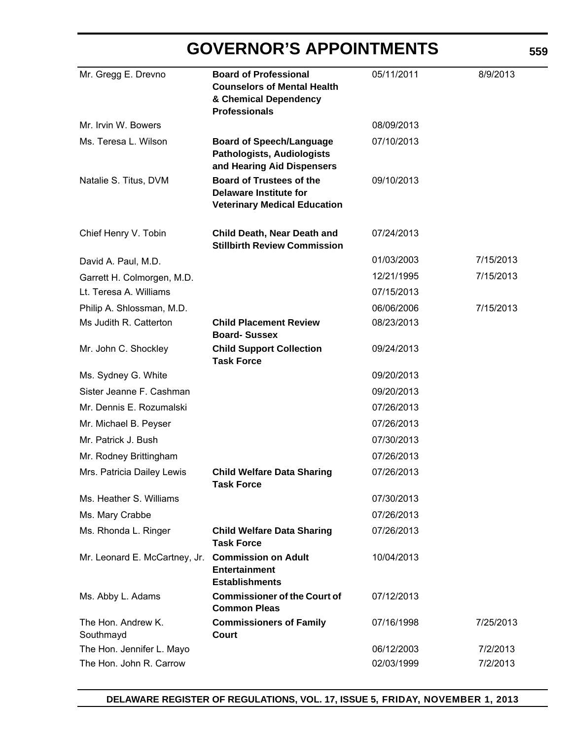| Mr. Gregg E. Drevno             | <b>Board of Professional</b><br><b>Counselors of Mental Health</b><br>& Chemical Dependency<br><b>Professionals</b> | 05/11/2011 | 8/9/2013  |
|---------------------------------|---------------------------------------------------------------------------------------------------------------------|------------|-----------|
| Mr. Irvin W. Bowers             |                                                                                                                     | 08/09/2013 |           |
| Ms. Teresa L. Wilson            | <b>Board of Speech/Language</b><br><b>Pathologists, Audiologists</b><br>and Hearing Aid Dispensers                  | 07/10/2013 |           |
| Natalie S. Titus, DVM           | <b>Board of Trustees of the</b><br><b>Delaware Institute for</b><br><b>Veterinary Medical Education</b>             | 09/10/2013 |           |
| Chief Henry V. Tobin            | Child Death, Near Death and<br><b>Stillbirth Review Commission</b>                                                  | 07/24/2013 |           |
| David A. Paul, M.D.             |                                                                                                                     | 01/03/2003 | 7/15/2013 |
| Garrett H. Colmorgen, M.D.      |                                                                                                                     | 12/21/1995 | 7/15/2013 |
| Lt. Teresa A. Williams          |                                                                                                                     | 07/15/2013 |           |
| Philip A. Shlossman, M.D.       |                                                                                                                     | 06/06/2006 | 7/15/2013 |
| Ms Judith R. Catterton          | <b>Child Placement Review</b><br><b>Board-Sussex</b>                                                                | 08/23/2013 |           |
| Mr. John C. Shockley            | <b>Child Support Collection</b><br><b>Task Force</b>                                                                | 09/24/2013 |           |
| Ms. Sydney G. White             |                                                                                                                     | 09/20/2013 |           |
| Sister Jeanne F. Cashman        |                                                                                                                     | 09/20/2013 |           |
| Mr. Dennis E. Rozumalski        |                                                                                                                     | 07/26/2013 |           |
| Mr. Michael B. Peyser           |                                                                                                                     | 07/26/2013 |           |
| Mr. Patrick J. Bush             |                                                                                                                     | 07/30/2013 |           |
| Mr. Rodney Brittingham          |                                                                                                                     | 07/26/2013 |           |
| Mrs. Patricia Dailey Lewis      | <b>Child Welfare Data Sharing</b><br><b>Task Force</b>                                                              | 07/26/2013 |           |
| Ms. Heather S. Williams         |                                                                                                                     | 07/30/2013 |           |
| Ms. Mary Crabbe                 |                                                                                                                     | 07/26/2013 |           |
| Ms. Rhonda L. Ringer            | <b>Child Welfare Data Sharing</b><br><b>Task Force</b>                                                              | 07/26/2013 |           |
| Mr. Leonard E. McCartney, Jr.   | <b>Commission on Adult</b><br><b>Entertainment</b><br><b>Establishments</b>                                         | 10/04/2013 |           |
| Ms. Abby L. Adams               | <b>Commissioner of the Court of</b><br><b>Common Pleas</b>                                                          | 07/12/2013 |           |
| The Hon. Andrew K.<br>Southmayd | <b>Commissioners of Family</b><br>Court                                                                             | 07/16/1998 | 7/25/2013 |
| The Hon. Jennifer L. Mayo       |                                                                                                                     | 06/12/2003 | 7/2/2013  |
| The Hon. John R. Carrow         |                                                                                                                     | 02/03/1999 | 7/2/2013  |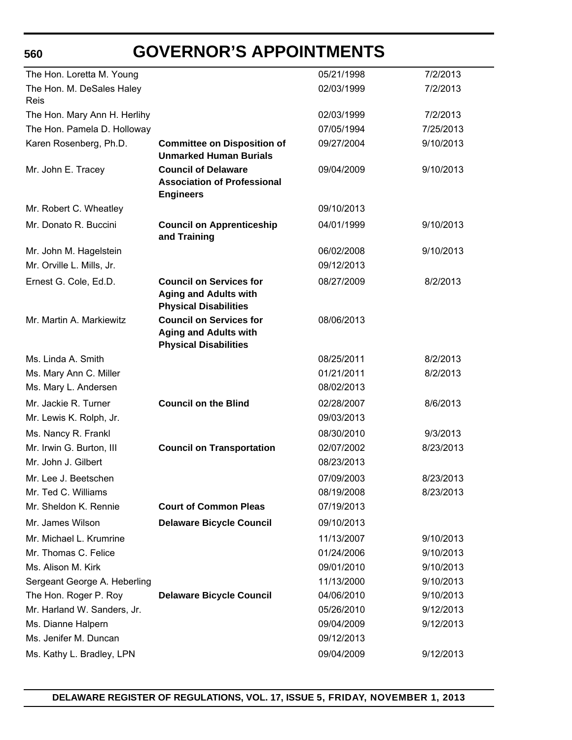| The Hon. Loretta M. Young    |                                                                                                | 05/21/1998 | 7/2/2013  |
|------------------------------|------------------------------------------------------------------------------------------------|------------|-----------|
| The Hon. M. DeSales Haley    |                                                                                                | 02/03/1999 | 7/2/2013  |
| Reis                         |                                                                                                |            |           |
| The Hon. Mary Ann H. Herlihy |                                                                                                | 02/03/1999 | 7/2/2013  |
| The Hon. Pamela D. Holloway  |                                                                                                | 07/05/1994 | 7/25/2013 |
| Karen Rosenberg, Ph.D.       | <b>Committee on Disposition of</b><br><b>Unmarked Human Burials</b>                            | 09/27/2004 | 9/10/2013 |
| Mr. John E. Tracey           | <b>Council of Delaware</b><br><b>Association of Professional</b><br><b>Engineers</b>           | 09/04/2009 | 9/10/2013 |
| Mr. Robert C. Wheatley       |                                                                                                | 09/10/2013 |           |
| Mr. Donato R. Buccini        | <b>Council on Apprenticeship</b><br>and Training                                               | 04/01/1999 | 9/10/2013 |
| Mr. John M. Hagelstein       |                                                                                                | 06/02/2008 | 9/10/2013 |
| Mr. Orville L. Mills, Jr.    |                                                                                                | 09/12/2013 |           |
| Ernest G. Cole, Ed.D.        | <b>Council on Services for</b><br><b>Aging and Adults with</b><br><b>Physical Disabilities</b> | 08/27/2009 | 8/2/2013  |
| Mr. Martin A. Markiewitz     | <b>Council on Services for</b><br><b>Aging and Adults with</b><br><b>Physical Disabilities</b> | 08/06/2013 |           |
| Ms. Linda A. Smith           |                                                                                                | 08/25/2011 | 8/2/2013  |
| Ms. Mary Ann C. Miller       |                                                                                                | 01/21/2011 | 8/2/2013  |
| Ms. Mary L. Andersen         |                                                                                                | 08/02/2013 |           |
| Mr. Jackie R. Turner         | <b>Council on the Blind</b>                                                                    | 02/28/2007 | 8/6/2013  |
| Mr. Lewis K. Rolph, Jr.      |                                                                                                | 09/03/2013 |           |
| Ms. Nancy R. Frankl          |                                                                                                | 08/30/2010 | 9/3/2013  |
| Mr. Irwin G. Burton, III     | <b>Council on Transportation</b>                                                               | 02/07/2002 | 8/23/2013 |
| Mr. John J. Gilbert          |                                                                                                | 08/23/2013 |           |
| Mr. Lee J. Beetschen         |                                                                                                | 07/09/2003 | 8/23/2013 |
| Mr. Ted C. Williams          |                                                                                                | 08/19/2008 | 8/23/2013 |
| Mr. Sheldon K. Rennie        | <b>Court of Common Pleas</b>                                                                   | 07/19/2013 |           |
| Mr. James Wilson             | <b>Delaware Bicycle Council</b>                                                                | 09/10/2013 |           |
| Mr. Michael L. Krumrine      |                                                                                                | 11/13/2007 | 9/10/2013 |
| Mr. Thomas C. Felice         |                                                                                                | 01/24/2006 | 9/10/2013 |
| Ms. Alison M. Kirk           |                                                                                                | 09/01/2010 | 9/10/2013 |
| Sergeant George A. Heberling |                                                                                                | 11/13/2000 | 9/10/2013 |
| The Hon. Roger P. Roy        | <b>Delaware Bicycle Council</b>                                                                | 04/06/2010 | 9/10/2013 |
| Mr. Harland W. Sanders, Jr.  |                                                                                                | 05/26/2010 | 9/12/2013 |
| Ms. Dianne Halpern           |                                                                                                | 09/04/2009 | 9/12/2013 |
| Ms. Jenifer M. Duncan        |                                                                                                | 09/12/2013 |           |
| Ms. Kathy L. Bradley, LPN    |                                                                                                | 09/04/2009 | 9/12/2013 |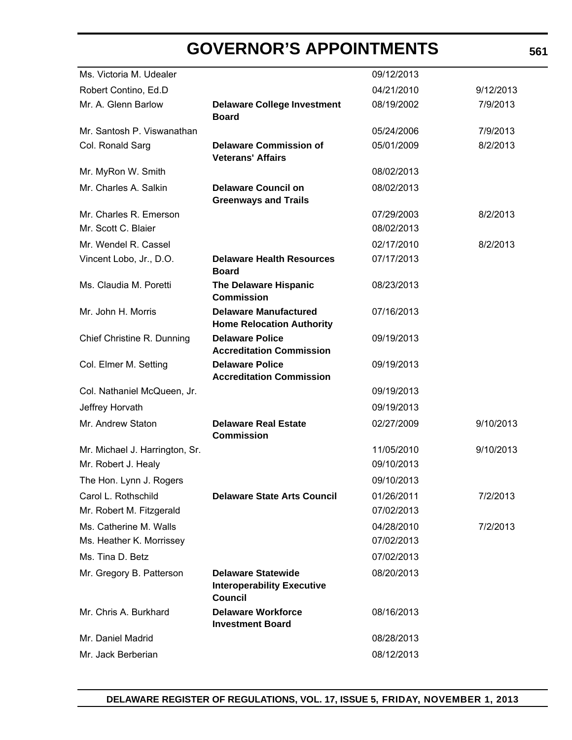| Ms. Victoria M. Udealer        |                                                                                  | 09/12/2013 |           |
|--------------------------------|----------------------------------------------------------------------------------|------------|-----------|
| Robert Contino, Ed.D           |                                                                                  | 04/21/2010 | 9/12/2013 |
| Mr. A. Glenn Barlow            | <b>Delaware College Investment</b><br><b>Board</b>                               | 08/19/2002 | 7/9/2013  |
| Mr. Santosh P. Viswanathan     |                                                                                  | 05/24/2006 | 7/9/2013  |
| Col. Ronald Sarg               | <b>Delaware Commission of</b><br><b>Veterans' Affairs</b>                        | 05/01/2009 | 8/2/2013  |
| Mr. MyRon W. Smith             |                                                                                  | 08/02/2013 |           |
| Mr. Charles A. Salkin          | <b>Delaware Council on</b><br><b>Greenways and Trails</b>                        | 08/02/2013 |           |
| Mr. Charles R. Emerson         |                                                                                  | 07/29/2003 | 8/2/2013  |
| Mr. Scott C. Blaier            |                                                                                  | 08/02/2013 |           |
| Mr. Wendel R. Cassel           |                                                                                  | 02/17/2010 | 8/2/2013  |
| Vincent Lobo, Jr., D.O.        | <b>Delaware Health Resources</b><br><b>Board</b>                                 | 07/17/2013 |           |
| Ms. Claudia M. Poretti         | <b>The Delaware Hispanic</b><br><b>Commission</b>                                | 08/23/2013 |           |
| Mr. John H. Morris             | <b>Delaware Manufactured</b><br><b>Home Relocation Authority</b>                 | 07/16/2013 |           |
| Chief Christine R. Dunning     | <b>Delaware Police</b><br><b>Accreditation Commission</b>                        | 09/19/2013 |           |
| Col. Elmer M. Setting          | <b>Delaware Police</b><br><b>Accreditation Commission</b>                        | 09/19/2013 |           |
| Col. Nathaniel McQueen, Jr.    |                                                                                  | 09/19/2013 |           |
| Jeffrey Horvath                |                                                                                  | 09/19/2013 |           |
| Mr. Andrew Staton              | <b>Delaware Real Estate</b><br><b>Commission</b>                                 | 02/27/2009 | 9/10/2013 |
| Mr. Michael J. Harrington, Sr. |                                                                                  | 11/05/2010 | 9/10/2013 |
| Mr. Robert J. Healy            |                                                                                  | 09/10/2013 |           |
| The Hon. Lynn J. Rogers        |                                                                                  | 09/10/2013 |           |
| Carol L. Rothschild            | <b>Delaware State Arts Council</b>                                               | 01/26/2011 | 7/2/2013  |
| Mr. Robert M. Fitzgerald       |                                                                                  | 07/02/2013 |           |
| Ms. Catherine M. Walls         |                                                                                  | 04/28/2010 | 7/2/2013  |
| Ms. Heather K. Morrissey       |                                                                                  | 07/02/2013 |           |
| Ms. Tina D. Betz               |                                                                                  | 07/02/2013 |           |
| Mr. Gregory B. Patterson       | <b>Delaware Statewide</b><br><b>Interoperability Executive</b><br><b>Council</b> | 08/20/2013 |           |
| Mr. Chris A. Burkhard          | <b>Delaware Workforce</b><br><b>Investment Board</b>                             | 08/16/2013 |           |
| Mr. Daniel Madrid              |                                                                                  | 08/28/2013 |           |
| Mr. Jack Berberian             |                                                                                  | 08/12/2013 |           |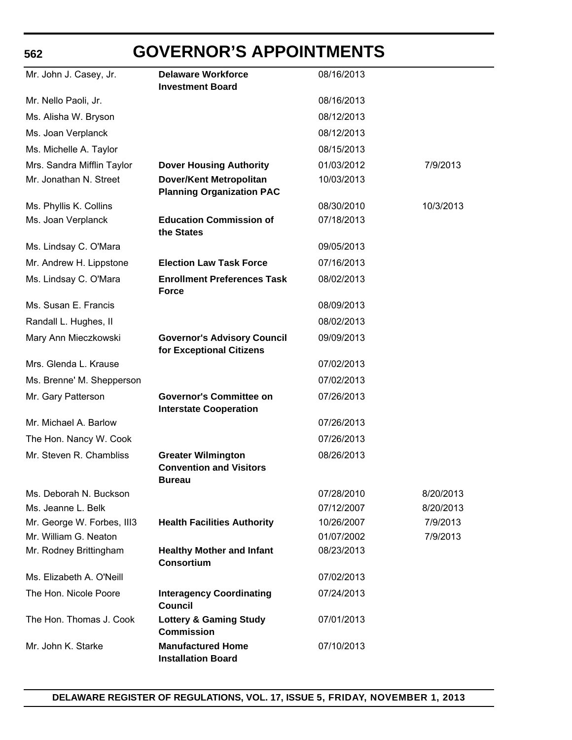### **562**

# **GOVERNOR'S APPOINTMENTS**

| Mr. John J. Casey, Jr.     | <b>Delaware Workforce</b><br><b>Investment Board</b>                         | 08/16/2013 |           |
|----------------------------|------------------------------------------------------------------------------|------------|-----------|
| Mr. Nello Paoli, Jr.       |                                                                              | 08/16/2013 |           |
| Ms. Alisha W. Bryson       |                                                                              | 08/12/2013 |           |
| Ms. Joan Verplanck         |                                                                              | 08/12/2013 |           |
| Ms. Michelle A. Taylor     |                                                                              | 08/15/2013 |           |
| Mrs. Sandra Mifflin Taylor | <b>Dover Housing Authority</b>                                               | 01/03/2012 | 7/9/2013  |
| Mr. Jonathan N. Street     | <b>Dover/Kent Metropolitan</b><br><b>Planning Organization PAC</b>           | 10/03/2013 |           |
| Ms. Phyllis K. Collins     |                                                                              | 08/30/2010 | 10/3/2013 |
| Ms. Joan Verplanck         | <b>Education Commission of</b><br>the States                                 | 07/18/2013 |           |
| Ms. Lindsay C. O'Mara      |                                                                              | 09/05/2013 |           |
| Mr. Andrew H. Lippstone    | <b>Election Law Task Force</b>                                               | 07/16/2013 |           |
| Ms. Lindsay C. O'Mara      | <b>Enrollment Preferences Task</b><br><b>Force</b>                           | 08/02/2013 |           |
| Ms. Susan E. Francis       |                                                                              | 08/09/2013 |           |
| Randall L. Hughes, II      |                                                                              | 08/02/2013 |           |
| Mary Ann Mieczkowski       | <b>Governor's Advisory Council</b><br>for Exceptional Citizens               | 09/09/2013 |           |
| Mrs. Glenda L. Krause      |                                                                              | 07/02/2013 |           |
| Ms. Brenne' M. Shepperson  |                                                                              | 07/02/2013 |           |
| Mr. Gary Patterson         | <b>Governor's Committee on</b><br><b>Interstate Cooperation</b>              | 07/26/2013 |           |
| Mr. Michael A. Barlow      |                                                                              | 07/26/2013 |           |
| The Hon. Nancy W. Cook     |                                                                              | 07/26/2013 |           |
| Mr. Steven R. Chambliss    | <b>Greater Wilmington</b><br><b>Convention and Visitors</b><br><b>Bureau</b> | 08/26/2013 |           |
| Ms. Deborah N. Buckson     |                                                                              | 07/28/2010 | 8/20/2013 |
| Ms. Jeanne L. Belk         |                                                                              | 07/12/2007 | 8/20/2013 |
| Mr. George W. Forbes, III3 | <b>Health Facilities Authority</b>                                           | 10/26/2007 | 7/9/2013  |
| Mr. William G. Neaton      |                                                                              | 01/07/2002 | 7/9/2013  |
| Mr. Rodney Brittingham     | <b>Healthy Mother and Infant</b><br><b>Consortium</b>                        | 08/23/2013 |           |
| Ms. Elizabeth A. O'Neill   |                                                                              | 07/02/2013 |           |
| The Hon. Nicole Poore      | <b>Interagency Coordinating</b><br>Council                                   | 07/24/2013 |           |
| The Hon. Thomas J. Cook    | <b>Lottery &amp; Gaming Study</b><br><b>Commission</b>                       | 07/01/2013 |           |
| Mr. John K. Starke         | <b>Manufactured Home</b><br><b>Installation Board</b>                        | 07/10/2013 |           |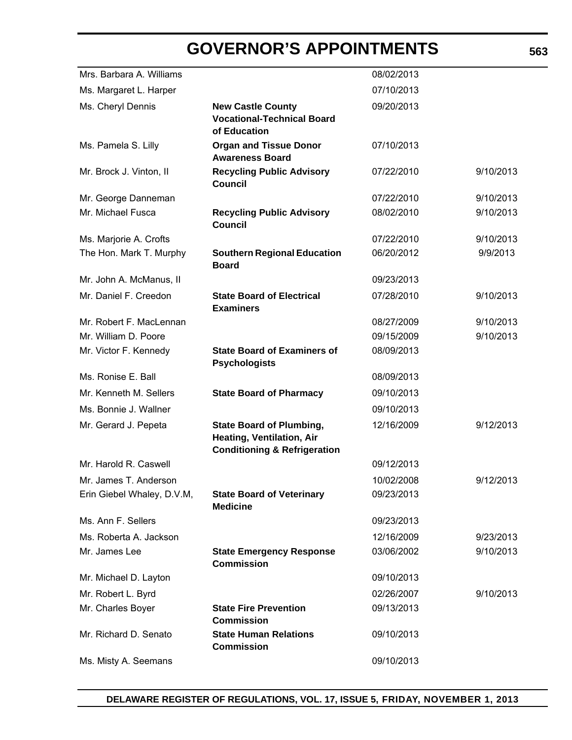| Mrs. Barbara A. Williams   |                                                                                                         | 08/02/2013 |           |
|----------------------------|---------------------------------------------------------------------------------------------------------|------------|-----------|
| Ms. Margaret L. Harper     |                                                                                                         | 07/10/2013 |           |
| Ms. Cheryl Dennis          | <b>New Castle County</b>                                                                                | 09/20/2013 |           |
|                            | <b>Vocational-Technical Board</b><br>of Education                                                       |            |           |
| Ms. Pamela S. Lilly        | <b>Organ and Tissue Donor</b><br><b>Awareness Board</b>                                                 | 07/10/2013 |           |
| Mr. Brock J. Vinton, II    | <b>Recycling Public Advisory</b><br><b>Council</b>                                                      | 07/22/2010 | 9/10/2013 |
| Mr. George Danneman        |                                                                                                         | 07/22/2010 | 9/10/2013 |
| Mr. Michael Fusca          | <b>Recycling Public Advisory</b><br><b>Council</b>                                                      | 08/02/2010 | 9/10/2013 |
| Ms. Marjorie A. Crofts     |                                                                                                         | 07/22/2010 | 9/10/2013 |
| The Hon. Mark T. Murphy    | <b>Southern Regional Education</b><br><b>Board</b>                                                      | 06/20/2012 | 9/9/2013  |
| Mr. John A. McManus, II    |                                                                                                         | 09/23/2013 |           |
| Mr. Daniel F. Creedon      | <b>State Board of Electrical</b><br><b>Examiners</b>                                                    | 07/28/2010 | 9/10/2013 |
| Mr. Robert F. MacLennan    |                                                                                                         | 08/27/2009 | 9/10/2013 |
| Mr. William D. Poore       |                                                                                                         | 09/15/2009 | 9/10/2013 |
| Mr. Victor F. Kennedy      | <b>State Board of Examiners of</b><br><b>Psychologists</b>                                              | 08/09/2013 |           |
| Ms. Ronise E. Ball         |                                                                                                         | 08/09/2013 |           |
| Mr. Kenneth M. Sellers     | <b>State Board of Pharmacy</b>                                                                          | 09/10/2013 |           |
| Ms. Bonnie J. Wallner      |                                                                                                         | 09/10/2013 |           |
| Mr. Gerard J. Pepeta       | <b>State Board of Plumbing,</b><br>Heating, Ventilation, Air<br><b>Conditioning &amp; Refrigeration</b> | 12/16/2009 | 9/12/2013 |
| Mr. Harold R. Caswell      |                                                                                                         | 09/12/2013 |           |
| Mr. James T. Anderson      |                                                                                                         | 10/02/2008 | 9/12/2013 |
| Erin Giebel Whaley, D.V.M, | <b>State Board of Veterinary</b><br><b>Medicine</b>                                                     | 09/23/2013 |           |
| Ms. Ann F. Sellers         |                                                                                                         | 09/23/2013 |           |
| Ms. Roberta A. Jackson     |                                                                                                         | 12/16/2009 | 9/23/2013 |
| Mr. James Lee              | <b>State Emergency Response</b><br><b>Commission</b>                                                    | 03/06/2002 | 9/10/2013 |
| Mr. Michael D. Layton      |                                                                                                         | 09/10/2013 |           |
| Mr. Robert L. Byrd         |                                                                                                         | 02/26/2007 | 9/10/2013 |
| Mr. Charles Boyer          | <b>State Fire Prevention</b><br><b>Commission</b>                                                       | 09/13/2013 |           |
| Mr. Richard D. Senato      | <b>State Human Relations</b><br><b>Commission</b>                                                       | 09/10/2013 |           |
| Ms. Misty A. Seemans       |                                                                                                         | 09/10/2013 |           |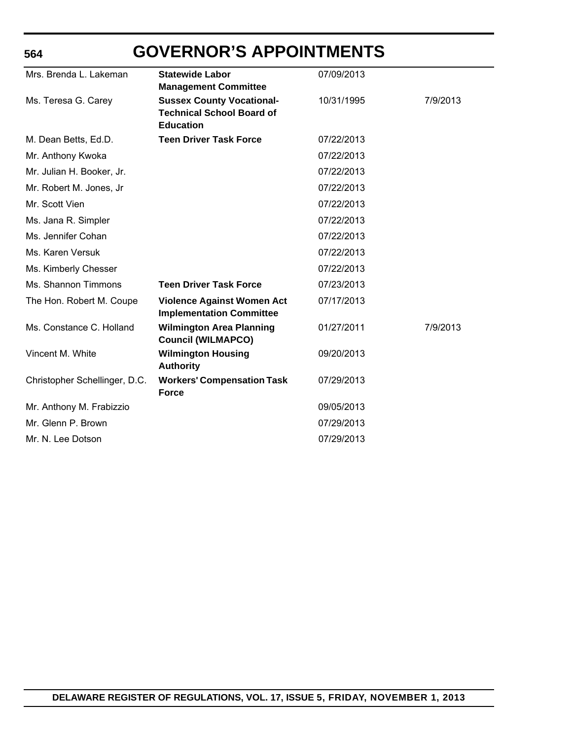# **GOVERNOR'S APPOINTMENTS**

**564**

| Mrs. Brenda L. Lakeman        | <b>Statewide Labor</b>                                               | 07/09/2013 |          |
|-------------------------------|----------------------------------------------------------------------|------------|----------|
|                               | <b>Management Committee</b>                                          |            |          |
| Ms. Teresa G. Carey           | <b>Sussex County Vocational-</b>                                     | 10/31/1995 | 7/9/2013 |
|                               | <b>Technical School Board of</b><br><b>Education</b>                 |            |          |
| M. Dean Betts, Ed.D.          | <b>Teen Driver Task Force</b>                                        | 07/22/2013 |          |
| Mr. Anthony Kwoka             |                                                                      | 07/22/2013 |          |
| Mr. Julian H. Booker, Jr.     |                                                                      | 07/22/2013 |          |
| Mr. Robert M. Jones, Jr       |                                                                      | 07/22/2013 |          |
| Mr. Scott Vien                |                                                                      | 07/22/2013 |          |
| Ms. Jana R. Simpler           |                                                                      | 07/22/2013 |          |
| Ms. Jennifer Cohan            |                                                                      | 07/22/2013 |          |
| Ms. Karen Versuk              |                                                                      | 07/22/2013 |          |
| Ms. Kimberly Chesser          |                                                                      | 07/22/2013 |          |
| Ms. Shannon Timmons           | <b>Teen Driver Task Force</b>                                        | 07/23/2013 |          |
| The Hon. Robert M. Coupe      | <b>Violence Against Women Act</b><br><b>Implementation Committee</b> | 07/17/2013 |          |
| Ms. Constance C. Holland      | <b>Wilmington Area Planning</b><br><b>Council (WILMAPCO)</b>         | 01/27/2011 | 7/9/2013 |
| Vincent M. White              | <b>Wilmington Housing</b><br><b>Authority</b>                        | 09/20/2013 |          |
| Christopher Schellinger, D.C. | <b>Workers' Compensation Task</b><br><b>Force</b>                    | 07/29/2013 |          |
| Mr. Anthony M. Frabizzio      |                                                                      | 09/05/2013 |          |
| Mr. Glenn P. Brown            |                                                                      | 07/29/2013 |          |
| Mr. N. Lee Dotson             |                                                                      | 07/29/2013 |          |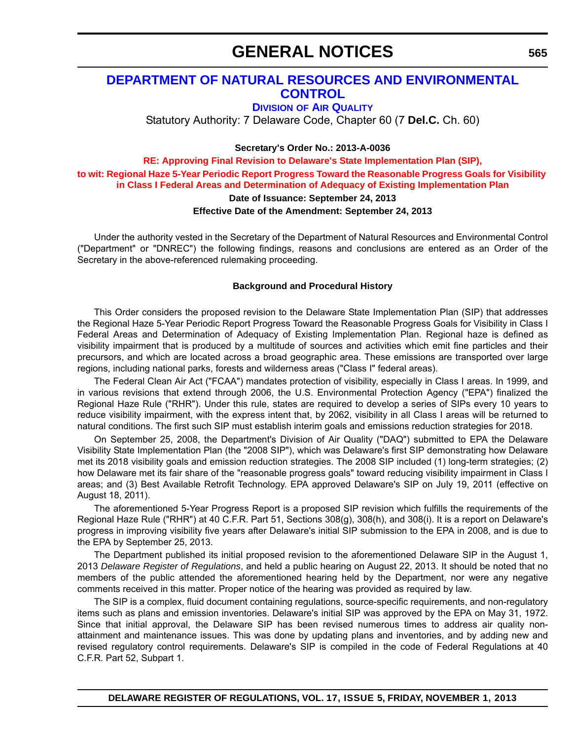# **GENERAL NOTICES**

### **[DEPARTMENT OF NATURAL RESOURCES AND ENVIRONMENTAL](http://www.dnrec.delaware.gov/air/Pages/Default.aspx)  CONTROL**

**DIVISION OF AIR QUALITY**

Statutory Authority: 7 Delaware Code, Chapter 60 (7 **Del.C.** Ch. 60)

**Secretary's Order No.: 2013-A-0036**

**RE: Approving Final Revision to Delaware's State Implementation Plan (SIP), [to wit: Regional Haze 5-Year Periodic Report Progress Toward the Reasonable Progress Goals for Visibility](#page-4-0)  in Class I Federal Areas and Determination of Adequacy of Existing Implementation Plan**

#### **Date of Issuance: September 24, 2013**

#### **Effective Date of the Amendment: September 24, 2013**

Under the authority vested in the Secretary of the Department of Natural Resources and Environmental Control ("Department" or "DNREC") the following findings, reasons and conclusions are entered as an Order of the Secretary in the above-referenced rulemaking proceeding.

#### **Background and Procedural History**

This Order considers the proposed revision to the Delaware State Implementation Plan (SIP) that addresses the Regional Haze 5-Year Periodic Report Progress Toward the Reasonable Progress Goals for Visibility in Class I Federal Areas and Determination of Adequacy of Existing Implementation Plan. Regional haze is defined as visibility impairment that is produced by a multitude of sources and activities which emit fine particles and their precursors, and which are located across a broad geographic area. These emissions are transported over large regions, including national parks, forests and wilderness areas ("Class I" federal areas).

The Federal Clean Air Act ("FCAA") mandates protection of visibility, especially in Class I areas. In 1999, and in various revisions that extend through 2006, the U.S. Environmental Protection Agency ("EPA") finalized the Regional Haze Rule ("RHR"). Under this rule, states are required to develop a series of SIPs every 10 years to reduce visibility impairment, with the express intent that, by 2062, visibility in all Class I areas will be returned to natural conditions. The first such SIP must establish interim goals and emissions reduction strategies for 2018.

On September 25, 2008, the Department's Division of Air Quality ("DAQ") submitted to EPA the Delaware Visibility State Implementation Plan (the "2008 SIP"), which was Delaware's first SIP demonstrating how Delaware met its 2018 visibility goals and emission reduction strategies. The 2008 SIP included (1) long-term strategies; (2) how Delaware met its fair share of the "reasonable progress goals" toward reducing visibility impairment in Class I areas; and (3) Best Available Retrofit Technology. EPA approved Delaware's SIP on July 19, 2011 (effective on August 18, 2011).

The aforementioned 5-Year Progress Report is a proposed SIP revision which fulfills the requirements of the Regional Haze Rule ("RHR") at 40 C.F.R. Part 51, Sections 308(g), 308(h), and 308(i). It is a report on Delaware's progress in improving visibility five years after Delaware's initial SIP submission to the EPA in 2008, and is due to the EPA by September 25, 2013.

The Department published its initial proposed revision to the aforementioned Delaware SIP in the August 1, 2013 *Delaware Register of Regulations*, and held a public hearing on August 22, 2013. It should be noted that no members of the public attended the aforementioned hearing held by the Department, nor were any negative comments received in this matter. Proper notice of the hearing was provided as required by law.

The SIP is a complex, fluid document containing regulations, source-specific requirements, and non-regulatory items such as plans and emission inventories. Delaware's initial SIP was approved by the EPA on May 31, 1972. Since that initial approval, the Delaware SIP has been revised numerous times to address air quality nonattainment and maintenance issues. This was done by updating plans and inventories, and by adding new and revised regulatory control requirements. Delaware's SIP is compiled in the code of Federal Regulations at 40 C.F.R. Part 52, Subpart 1.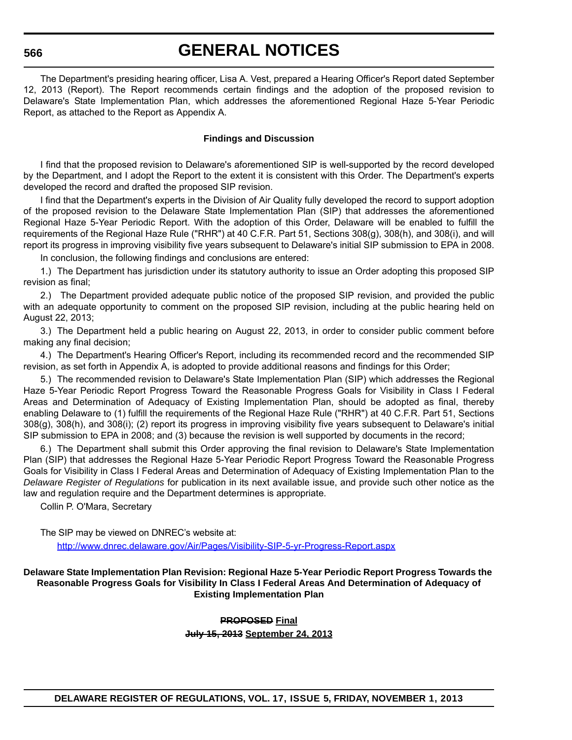# **GENERAL NOTICES**

The Department's presiding hearing officer, Lisa A. Vest, prepared a Hearing Officer's Report dated September 12, 2013 (Report). The Report recommends certain findings and the adoption of the proposed revision to Delaware's State Implementation Plan, which addresses the aforementioned Regional Haze 5-Year Periodic Report, as attached to the Report as Appendix A.

#### **Findings and Discussion**

I find that the proposed revision to Delaware's aforementioned SIP is well-supported by the record developed by the Department, and I adopt the Report to the extent it is consistent with this Order. The Department's experts developed the record and drafted the proposed SIP revision.

I find that the Department's experts in the Division of Air Quality fully developed the record to support adoption of the proposed revision to the Delaware State Implementation Plan (SIP) that addresses the aforementioned Regional Haze 5-Year Periodic Report. With the adoption of this Order, Delaware will be enabled to fulfill the requirements of the Regional Haze Rule ("RHR") at 40 C.F.R. Part 51, Sections 308(g), 308(h), and 308(i), and will report its progress in improving visibility five years subsequent to Delaware's initial SIP submission to EPA in 2008.

In conclusion, the following findings and conclusions are entered:

1.) The Department has jurisdiction under its statutory authority to issue an Order adopting this proposed SIP revision as final;

2.) The Department provided adequate public notice of the proposed SIP revision, and provided the public with an adequate opportunity to comment on the proposed SIP revision, including at the public hearing held on August 22, 2013;

3.) The Department held a public hearing on August 22, 2013, in order to consider public comment before making any final decision;

4.) The Department's Hearing Officer's Report, including its recommended record and the recommended SIP revision, as set forth in Appendix A, is adopted to provide additional reasons and findings for this Order;

5.) The recommended revision to Delaware's State Implementation Plan (SIP) which addresses the Regional Haze 5-Year Periodic Report Progress Toward the Reasonable Progress Goals for Visibility in Class I Federal Areas and Determination of Adequacy of Existing Implementation Plan, should be adopted as final, thereby enabling Delaware to (1) fulfill the requirements of the Regional Haze Rule ("RHR") at 40 C.F.R. Part 51, Sections 308(g), 308(h), and 308(i); (2) report its progress in improving visibility five years subsequent to Delaware's initial SIP submission to EPA in 2008; and (3) because the revision is well supported by documents in the record;

6.) The Department shall submit this Order approving the final revision to Delaware's State Implementation Plan (SIP) that addresses the Regional Haze 5-Year Periodic Report Progress Toward the Reasonable Progress Goals for Visibility in Class I Federal Areas and Determination of Adequacy of Existing Implementation Plan to the *Delaware Register of Regulations* for publication in its next available issue, and provide such other notice as the law and regulation require and the Department determines is appropriate.

Collin P. O'Mara, Secretary

The SIP may be viewed on DNREC's website at:

<http://www.dnrec.delaware.gov/Air/Pages/Visibility-SIP-5-yr-Progress-Report.aspx>

**Delaware State Implementation Plan Revision: Regional Haze 5-Year Periodic Report Progress Towards the Reasonable Progress Goals for Visibility In Class I Federal Areas And Determination of Adequacy of Existing Implementation Plan**

> **PROPOSED Final July 15, 2013 September 24, 2013**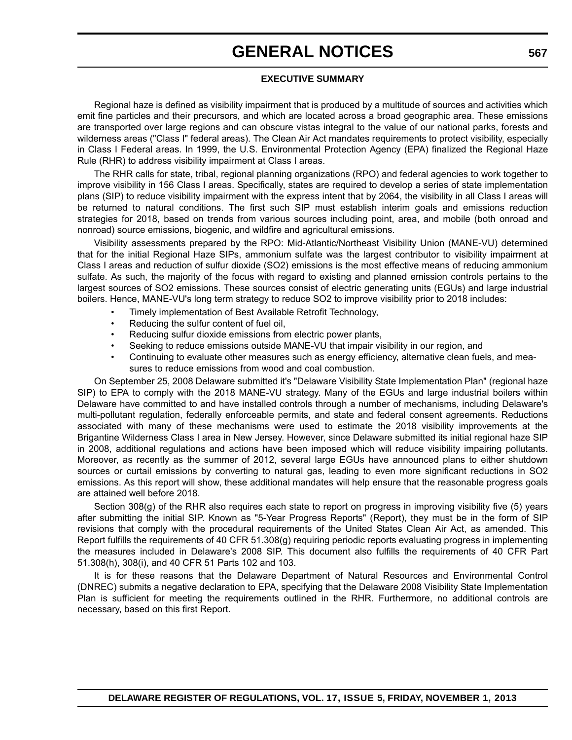# **GENERAL NOTICES**

#### **EXECUTIVE SUMMARY**

Regional haze is defined as visibility impairment that is produced by a multitude of sources and activities which emit fine particles and their precursors, and which are located across a broad geographic area. These emissions are transported over large regions and can obscure vistas integral to the value of our national parks, forests and wilderness areas ("Class I" federal areas). The Clean Air Act mandates requirements to protect visibility, especially in Class I Federal areas. In 1999, the U.S. Environmental Protection Agency (EPA) finalized the Regional Haze Rule (RHR) to address visibility impairment at Class I areas.

The RHR calls for state, tribal, regional planning organizations (RPO) and federal agencies to work together to improve visibility in 156 Class I areas. Specifically, states are required to develop a series of state implementation plans (SIP) to reduce visibility impairment with the express intent that by 2064, the visibility in all Class I areas will be returned to natural conditions. The first such SIP must establish interim goals and emissions reduction strategies for 2018, based on trends from various sources including point, area, and mobile (both onroad and nonroad) source emissions, biogenic, and wildfire and agricultural emissions.

Visibility assessments prepared by the RPO: Mid-Atlantic/Northeast Visibility Union (MANE-VU) determined that for the initial Regional Haze SIPs, ammonium sulfate was the largest contributor to visibility impairment at Class I areas and reduction of sulfur dioxide (SO2) emissions is the most effective means of reducing ammonium sulfate. As such, the majority of the focus with regard to existing and planned emission controls pertains to the largest sources of SO2 emissions. These sources consist of electric generating units (EGUs) and large industrial boilers. Hence, MANE-VU's long term strategy to reduce SO2 to improve visibility prior to 2018 includes:

- Timely implementation of Best Available Retrofit Technology,
- Reducing the sulfur content of fuel oil,
- Reducing sulfur dioxide emissions from electric power plants,
- Seeking to reduce emissions outside MANE-VU that impair visibility in our region, and
- Continuing to evaluate other measures such as energy efficiency, alternative clean fuels, and measures to reduce emissions from wood and coal combustion.

On September 25, 2008 Delaware submitted it's "Delaware Visibility State Implementation Plan" (regional haze SIP) to EPA to comply with the 2018 MANE-VU strategy. Many of the EGUs and large industrial boilers within Delaware have committed to and have installed controls through a number of mechanisms, including Delaware's multi-pollutant regulation, federally enforceable permits, and state and federal consent agreements. Reductions associated with many of these mechanisms were used to estimate the 2018 visibility improvements at the Brigantine Wilderness Class I area in New Jersey. However, since Delaware submitted its initial regional haze SIP in 2008, additional regulations and actions have been imposed which will reduce visibility impairing pollutants. Moreover, as recently as the summer of 2012, several large EGUs have announced plans to either shutdown sources or curtail emissions by converting to natural gas, leading to even more significant reductions in SO2 emissions. As this report will show, these additional mandates will help ensure that the reasonable progress goals are attained well before 2018.

Section 308(g) of the RHR also requires each state to report on progress in improving visibility five (5) years after submitting the initial SIP. Known as "5-Year Progress Reports" (Report), they must be in the form of SIP revisions that comply with the procedural requirements of the United States Clean Air Act, as amended. This Report fulfills the requirements of 40 CFR 51.308(g) requiring periodic reports evaluating progress in implementing the measures included in Delaware's 2008 SIP. This document also fulfills the requirements of 40 CFR Part 51.308(h), 308(i), and 40 CFR 51 Parts 102 and 103.

It is for these reasons that the Delaware Department of Natural Resources and Environmental Control (DNREC) submits a negative declaration to EPA, specifying that the Delaware 2008 Visibility State Implementation Plan is sufficient for meeting the requirements outlined in the RHR. Furthermore, no additional controls are necessary, based on this first Report.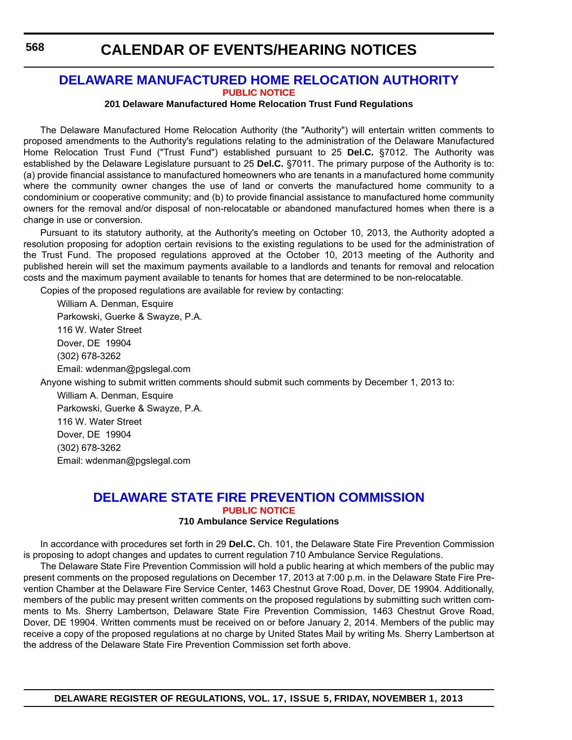### **CALENDAR OF EVENTS/HEARING NOTICES**

#### **[DELAWARE MANUFACTURED HOME RELOCATION AUTHORITY](http://demhra.delaware.gov/) [PUBLIC NOTICE](#page-4-0)**

#### **201 Delaware Manufactured Home Relocation Trust Fund Regulations**

The Delaware Manufactured Home Relocation Authority (the "Authority") will entertain written comments to proposed amendments to the Authority's regulations relating to the administration of the Delaware Manufactured Home Relocation Trust Fund ("Trust Fund") established pursuant to 25 **Del.C.** §7012. The Authority was established by the Delaware Legislature pursuant to 25 **Del.C.** §7011. The primary purpose of the Authority is to: (a) provide financial assistance to manufactured homeowners who are tenants in a manufactured home community where the community owner changes the use of land or converts the manufactured home community to a condominium or cooperative community; and (b) to provide financial assistance to manufactured home community owners for the removal and/or disposal of non-relocatable or abandoned manufactured homes when there is a change in use or conversion.

Pursuant to its statutory authority, at the Authority's meeting on October 10, 2013, the Authority adopted a resolution proposing for adoption certain revisions to the existing regulations to be used for the administration of the Trust Fund. The proposed regulations approved at the October 10, 2013 meeting of the Authority and published herein will set the maximum payments available to a landlords and tenants for removal and relocation costs and the maximum payment available to tenants for homes that are determined to be non-relocatable.

Copies of the proposed regulations are available for review by contacting:

William A. Denman, Esquire Parkowski, Guerke & Swayze, P.A. 116 W. Water Street Dover, DE 19904 (302) 678-3262 Email: wdenman@pgslegal.com

Anyone wishing to submit written comments should submit such comments by December 1, 2013 to:

William A. Denman, Esquire Parkowski, Guerke & Swayze, P.A. 116 W. Water Street Dover, DE 19904 (302) 678-3262 Email: wdenman@pgslegal.com

#### **[DELAWARE STATE FIRE PREVENTION COMMISSION](http://statefirecommission.delaware.gov/) [PUBLIC NOTICE](#page-4-0) 710 Ambulance Service Regulations**

In accordance with procedures set forth in 29 **Del.C.** Ch. 101, the Delaware State Fire Prevention Commission is proposing to adopt changes and updates to current regulation 710 Ambulance Service Regulations.

The Delaware State Fire Prevention Commission will hold a public hearing at which members of the public may present comments on the proposed regulations on December 17, 2013 at 7:00 p.m. in the Delaware State Fire Prevention Chamber at the Delaware Fire Service Center, 1463 Chestnut Grove Road, Dover, DE 19904. Additionally, members of the public may present written comments on the proposed regulations by submitting such written comments to Ms. Sherry Lambertson, Delaware State Fire Prevention Commission, 1463 Chestnut Grove Road, Dover, DE 19904. Written comments must be received on or before January 2, 2014. Members of the public may receive a copy of the proposed regulations at no charge by United States Mail by writing Ms. Sherry Lambertson at the address of the Delaware State Fire Prevention Commission set forth above.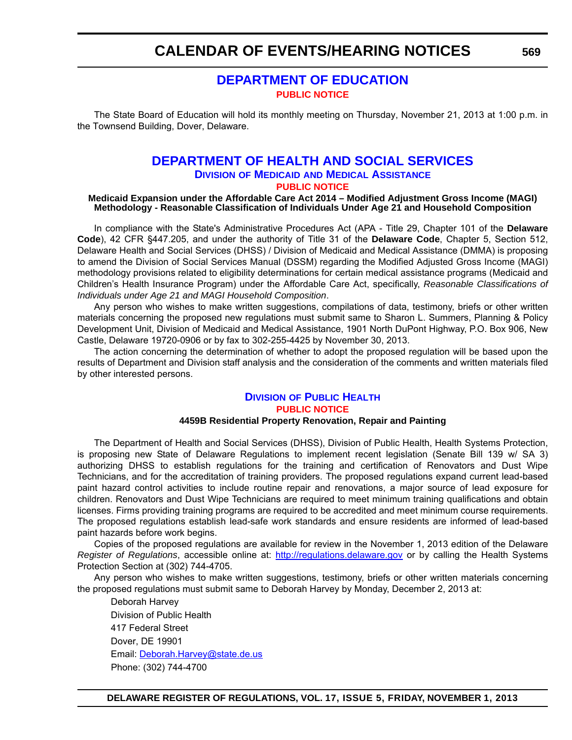### **CALENDAR OF EVENTS/HEARING NOTICES**

### **[DEPARTMENT OF EDUCATION](http://www.doe.k12.de.us/) [PUBLIC NOTICE](#page-4-0)**

The State Board of Education will hold its monthly meeting on Thursday, November 21, 2013 at 1:00 p.m. in the Townsend Building, Dover, Delaware.

#### **[DEPARTMENT OF HEALTH AND SOCIAL SERVICES](http://www.dhss.delaware.gov/dhss/dmma/) DIVISION OF MEDICAID AND MEDICAL ASSISTANCE [PUBLIC NOTICE](#page-4-0)**

#### **Medicaid Expansion under the Affordable Care Act 2014 – Modified Adjustment Gross Income (MAGI) Methodology - Reasonable Classification of Individuals Under Age 21 and Household Composition**

In compliance with the State's Administrative Procedures Act (APA - Title 29, Chapter 101 of the **Delaware Code**), 42 CFR §447.205, and under the authority of Title 31 of the **Delaware Code**, Chapter 5, Section 512, Delaware Health and Social Services (DHSS) / Division of Medicaid and Medical Assistance (DMMA) is proposing to amend the Division of Social Services Manual (DSSM) regarding the Modified Adjusted Gross Income (MAGI) methodology provisions related to eligibility determinations for certain medical assistance programs (Medicaid and Children's Health Insurance Program) under the Affordable Care Act, specifically, *Reasonable Classifications of Individuals under Age 21 and MAGI Household Composition*.

Any person who wishes to make written suggestions, compilations of data, testimony, briefs or other written materials concerning the proposed new regulations must submit same to Sharon L. Summers, Planning & Policy Development Unit, Division of Medicaid and Medical Assistance, 1901 North DuPont Highway, P.O. Box 906, New Castle, Delaware 19720-0906 or by fax to 302-255-4425 by November 30, 2013.

The action concerning the determination of whether to adopt the proposed regulation will be based upon the results of Department and Division staff analysis and the consideration of the comments and written materials filed by other interested persons.

#### **DIVISION [OF PUBLIC HEALTH](http://www.dhss.delaware.gov/dhss/dph/index.html) [PUBLIC NOTICE](#page-4-0) 4459B Residential Property Renovation, Repair and Painting**

The Department of Health and Social Services (DHSS), Division of Public Health, Health Systems Protection, is proposing new State of Delaware Regulations to implement recent legislation (Senate Bill 139 w/ SA 3) authorizing DHSS to establish regulations for the training and certification of Renovators and Dust Wipe Technicians, and for the accreditation of training providers. The proposed regulations expand current lead-based paint hazard control activities to include routine repair and renovations, a major source of lead exposure for children. Renovators and Dust Wipe Technicians are required to meet minimum training qualifications and obtain licenses. Firms providing training programs are required to be accredited and meet minimum course requirements. The proposed regulations establish lead-safe work standards and ensure residents are informed of lead-based paint hazards before work begins.

Copies of the proposed regulations are available for review in the November 1, 2013 edition of the Delaware *Register of Regulations*, accessible online at: <http://regulations.delaware.gov> or by calling the Health Systems Protection Section at (302) 744-4705.

Any person who wishes to make written suggestions, testimony, briefs or other written materials concerning the proposed regulations must submit same to Deborah Harvey by Monday, December 2, 2013 at:

Deborah Harvey Division of Public Health 417 Federal Street Dover, DE 19901 Email: [Deborah.Harvey@state.de.us](mailto:Deborah.Harvey@state.de.us) Phone: (302) 744-4700

**569**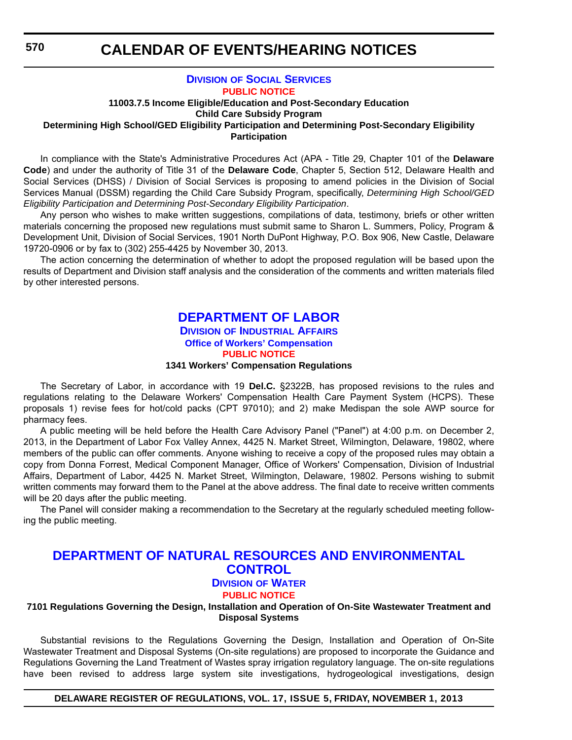### **CALENDAR OF EVENTS/HEARING NOTICES**

#### **DIVISION [OF SOCIAL SERVICES](http://www.dhss.delaware.gov/dhss/dss/) [PUBLIC NOTICE](#page-4-0)**

#### **11003.7.5 Income Eligible/Education and Post-Secondary Education Child Care Subsidy Program Determining High School/GED Eligibility Participation and Determining Post-Secondary Eligibility Participation**

In compliance with the State's Administrative Procedures Act (APA - Title 29, Chapter 101 of the **Delaware Code**) and under the authority of Title 31 of the **Delaware Code**, Chapter 5, Section 512, Delaware Health and Social Services (DHSS) / Division of Social Services is proposing to amend policies in the Division of Social Services Manual (DSSM) regarding the Child Care Subsidy Program, specifically, *Determining High School/GED Eligibility Participation and Determining Post-Secondary Eligibility Participation*.

Any person who wishes to make written suggestions, compilations of data, testimony, briefs or other written materials concerning the proposed new regulations must submit same to Sharon L. Summers, Policy, Program & Development Unit, Division of Social Services, 1901 North DuPont Highway, P.O. Box 906, New Castle, Delaware 19720-0906 or by fax to (302) 255-4425 by November 30, 2013.

The action concerning the determination of whether to adopt the proposed regulation will be based upon the results of Department and Division staff analysis and the consideration of the comments and written materials filed by other interested persons.

# **[DEPARTMENT OF LABOR](http://dia.delawareworks.com/workers-comp/)**

### **DIVISION OF INDUSTRIAL AFFAIRS Office of Workers' Compensation**

#### **[PUBLIC NOTICE](#page-4-0)**

#### **1341 Workers' Compensation Regulations**

The Secretary of Labor, in accordance with 19 **Del.C.** §2322B, has proposed revisions to the rules and regulations relating to the Delaware Workers' Compensation Health Care Payment System (HCPS). These proposals 1) revise fees for hot/cold packs (CPT 97010); and 2) make Medispan the sole AWP source for pharmacy fees.

A public meeting will be held before the Health Care Advisory Panel ("Panel") at 4:00 p.m. on December 2, 2013, in the Department of Labor Fox Valley Annex, 4425 N. Market Street, Wilmington, Delaware, 19802, where members of the public can offer comments. Anyone wishing to receive a copy of the proposed rules may obtain a copy from Donna Forrest, Medical Component Manager, Office of Workers' Compensation, Division of Industrial Affairs, Department of Labor, 4425 N. Market Street, Wilmington, Delaware, 19802. Persons wishing to submit written comments may forward them to the Panel at the above address. The final date to receive written comments will be 20 days after the public meeting.

The Panel will consider making a recommendation to the Secretary at the regularly scheduled meeting following the public meeting.

### **[DEPARTMENT OF NATURAL RESOURCES AND ENVIRONMENTAL](http://www.dnrec.delaware.gov/wr/Pages/Default.aspx)  CONTROL**

### **DIVISION OF WATER**

#### **[PUBLIC NOTICE](#page-4-0)**

#### **7101 Regulations Governing the Design, Installation and Operation of On-Site Wastewater Treatment and Disposal Systems**

Substantial revisions to the Regulations Governing the Design, Installation and Operation of On-Site Wastewater Treatment and Disposal Systems (On-site regulations) are proposed to incorporate the Guidance and Regulations Governing the Land Treatment of Wastes spray irrigation regulatory language. The on-site regulations have been revised to address large system site investigations, hydrogeological investigations, design

**DELAWARE REGISTER OF REGULATIONS, VOL. 17, ISSUE 5, FRIDAY, NOVEMBER 1, 2013**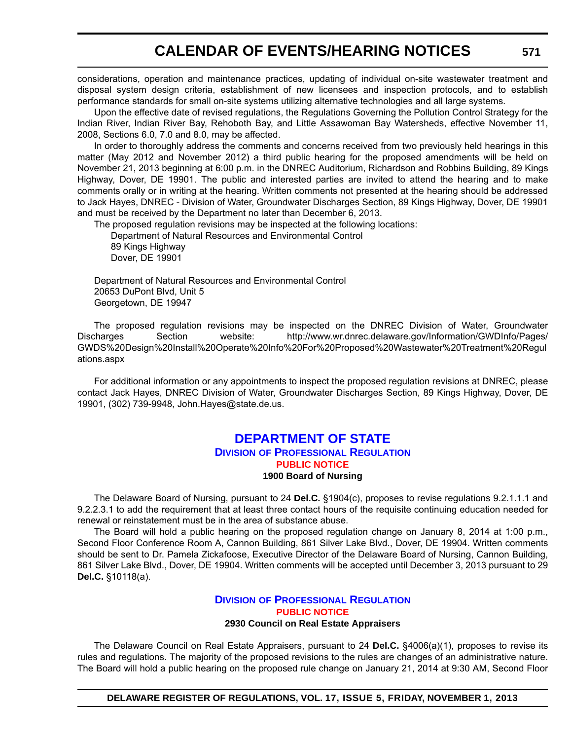## **CALENDAR OF EVENTS/HEARING NOTICES**

considerations, operation and maintenance practices, updating of individual on-site wastewater treatment and disposal system design criteria, establishment of new licensees and inspection protocols, and to establish performance standards for small on-site systems utilizing alternative technologies and all large systems.

Upon the effective date of revised regulations, the Regulations Governing the Pollution Control Strategy for the Indian River, Indian River Bay, Rehoboth Bay, and Little Assawoman Bay Watersheds, effective November 11, 2008, Sections 6.0, 7.0 and 8.0, may be affected.

In order to thoroughly address the comments and concerns received from two previously held hearings in this matter (May 2012 and November 2012) a third public hearing for the proposed amendments will be held on November 21, 2013 beginning at 6:00 p.m. in the DNREC Auditorium, Richardson and Robbins Building, 89 Kings Highway, Dover, DE 19901. The public and interested parties are invited to attend the hearing and to make comments orally or in writing at the hearing. Written comments not presented at the hearing should be addressed to Jack Hayes, DNREC - Division of Water, Groundwater Discharges Section, 89 Kings Highway, Dover, DE 19901 and must be received by the Department no later than December 6, 2013.

The proposed regulation revisions may be inspected at the following locations:

Department of Natural Resources and Environmental Control 89 Kings Highway Dover, DE 19901

Department of Natural Resources and Environmental Control 20653 DuPont Blvd, Unit 5 Georgetown, DE 19947

The proposed regulation revisions may be inspected on the DNREC Division of Water, Groundwater Discharges Section website: http://www.wr.dnrec.delaware.gov/Information/GWDInfo/Pages/ GWDS%20Design%20Install%20Operate%20Info%20For%20Proposed%20Wastewater%20Treatment%20Regul ations.aspx

For additional information or any appointments to inspect the proposed regulation revisions at DNREC, please contact Jack Hayes, DNREC Division of Water, Groundwater Discharges Section, 89 Kings Highway, Dover, DE 19901, (302) 739-9948, John.Hayes@state.de.us.

#### **[DEPARTMENT OF STATE](http://dpr.delaware.gov/) DIVISION OF PROFESSIONAL REGULATION [PUBLIC NOTICE](#page-4-0) 1900 Board of Nursing**

The Delaware Board of Nursing, pursuant to 24 **Del.C.** §1904(c), proposes to revise regulations 9.2.1.1.1 and 9.2.2.3.1 to add the requirement that at least three contact hours of the requisite continuing education needed for renewal or reinstatement must be in the area of substance abuse.

The Board will hold a public hearing on the proposed regulation change on January 8, 2014 at 1:00 p.m., Second Floor Conference Room A, Cannon Building, 861 Silver Lake Blvd., Dover, DE 19904. Written comments should be sent to Dr. Pamela Zickafoose, Executive Director of the Delaware Board of Nursing, Cannon Building, 861 Silver Lake Blvd., Dover, DE 19904. Written comments will be accepted until December 3, 2013 pursuant to 29 **Del.C.** §10118(a).

#### **DIVISION [OF PROFESSIONAL REGULATION](http://dpr.delaware.gov/) [PUBLIC NOTICE](#page-4-0) 2930 Council on Real Estate Appraisers**

The Delaware Council on Real Estate Appraisers, pursuant to 24 **Del.C.** §4006(a)(1), proposes to revise its rules and regulations. The majority of the proposed revisions to the rules are changes of an administrative nature. The Board will hold a public hearing on the proposed rule change on January 21, 2014 at 9:30 AM, Second Floor

**DELAWARE REGISTER OF REGULATIONS, VOL. 17, ISSUE 5, FRIDAY, NOVEMBER 1, 2013**